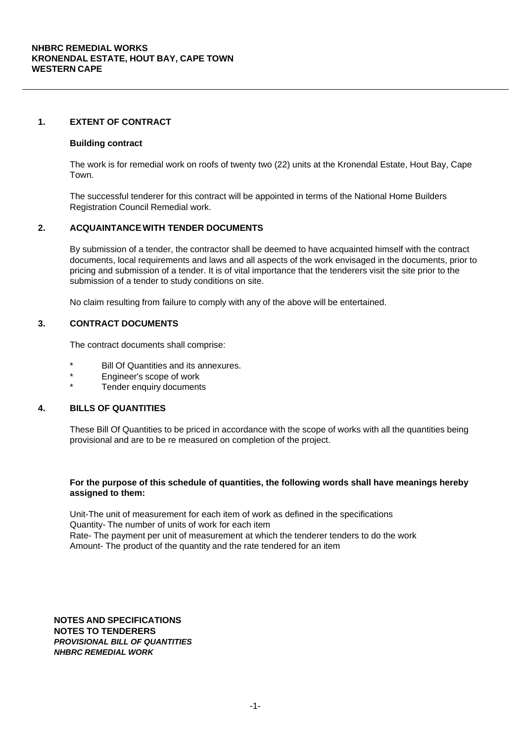#### **1. EXTENT OF CONTRACT**

#### **Building contract**

The work is for remedial work on roofs of twenty two (22) units at the Kronendal Estate, Hout Bay, Cape Town.

The successful tenderer for this contract will be appointed in terms of the National Home Builders Registration Council Remedial work.

# **2. ACQUAINTANCE WITH TENDER DOCUMENTS**

By submission of a tender, the contractor shall be deemed to have acquainted himself with the contract documents, local requirements and laws and all aspects of the work envisaged in the documents, prior to pricing and submission of a tender. It is of vital importance that the tenderers visit the site prior to the submission of a tender to study conditions on site.

No claim resulting from failure to comply with any of the above will be entertained.

# **3. CONTRACT DOCUMENTS**

The contract documents shall comprise:

- Bill Of Quantities and its annexures.
- Engineer's scope of work
- Tender enquiry documents

# **4. BILLS OF QUANTITIES**

These Bill Of Quantities to be priced in accordance with the scope of works with all the quantities being provisional and are to be re measured on completion of the project.

#### **For the purpose of this schedule of quantities, the following words shall have meanings hereby assigned to them:**

Unit-The unit of measurement for each item of work as defined in the specifications Quantity- The number of units of work for each item Rate- The payment per unit of measurement at which the tenderer tenders to do the work Amount- The product of the quantity and the rate tendered for an item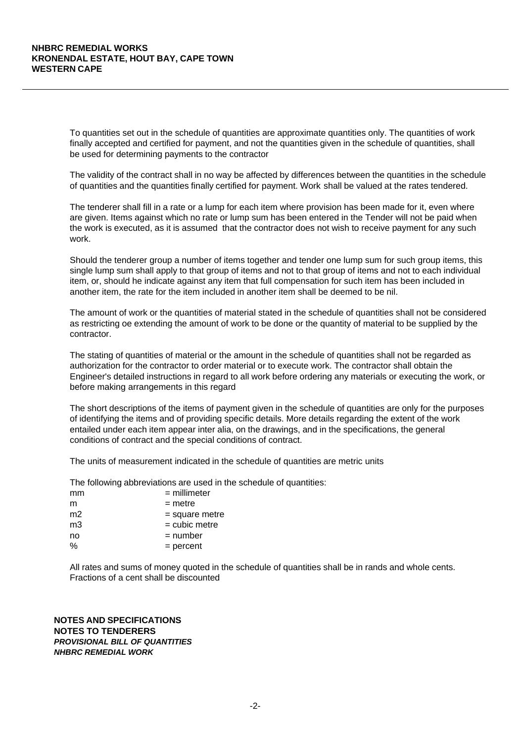To quantities set out in the schedule of quantities are approximate quantities only. The quantities of work finally accepted and certified for payment, and not the quantities given in the schedule of quantities, shall be used for determining payments to the contractor

The validity of the contract shall in no way be affected by differences between the quantities in the schedule of quantities and the quantities finally certified for payment. Work shall be valued at the rates tendered.

The tenderer shall fill in a rate or a lump for each item where provision has been made for it, even where are given. Items against which no rate or lump sum has been entered in the Tender will not be paid when the work is executed, as it is assumed that the contractor does not wish to receive payment for any such work.

Should the tenderer group a number of items together and tender one lump sum for such group items, this single lump sum shall apply to that group of items and not to that group of items and not to each individual item, or, should he indicate against any item that full compensation for such item has been included in another item, the rate for the item included in another item shall be deemed to be nil.

The amount of work or the quantities of material stated in the schedule of quantities shall not be considered as restricting oe extending the amount of work to be done or the quantity of material to be supplied by the contractor.

The stating of quantities of material or the amount in the schedule of quantities shall not be regarded as authorization for the contractor to order material or to execute work. The contractor shall obtain the Engineer's detailed instructions in regard to all work before ordering any materials or executing the work, or before making arrangements in this regard

The short descriptions of the items of payment given in the schedule of quantities are only for the purposes of identifying the items and of providing specific details. More details regarding the extent of the work entailed under each item appear inter alia, on the drawings, and in the specifications, the general conditions of contract and the special conditions of contract.

The units of measurement indicated in the schedule of quantities are metric units

The following abbreviations are used in the schedule of quantities:

| mm             | $=$ millimeter   |
|----------------|------------------|
| m              | $=$ metre        |
| m <sub>2</sub> | $=$ square metre |
| mЗ             | $=$ cubic metre  |
| no             | $=$ number       |
| $\frac{0}{0}$  | $=$ percent      |

All rates and sums of money quoted in the schedule of quantities shall be in rands and whole cents. Fractions of a cent shall be discounted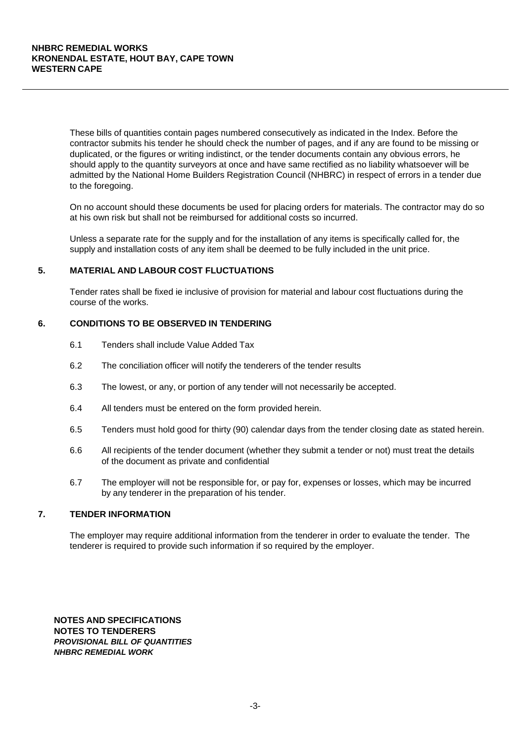These bills of quantities contain pages numbered consecutively as indicated in the Index. Before the contractor submits his tender he should check the number of pages, and if any are found to be missing or duplicated, or the figures or writing indistinct, or the tender documents contain any obvious errors, he should apply to the quantity surveyors at once and have same rectified as no liability whatsoever will be admitted by the National Home Builders Registration Council (NHBRC) in respect of errors in a tender due to the foregoing.

On no account should these documents be used for placing orders for materials. The contractor may do so at his own risk but shall not be reimbursed for additional costs so incurred.

Unless a separate rate for the supply and for the installation of any items is specifically called for, the supply and installation costs of any item shall be deemed to be fully included in the unit price.

#### **5. MATERIAL AND LABOUR COST FLUCTUATIONS**

Tender rates shall be fixed ie inclusive of provision for material and labour cost fluctuations during the course of the works.

# **6. CONDITIONS TO BE OBSERVED IN TENDERING**

- 6.1 Tenders shall include Value Added Tax
- 6.2 The conciliation officer will notify the tenderers of the tender results
- 6.3 The lowest, or any, or portion of any tender will not necessarily be accepted.
- 6.4 All tenders must be entered on the form provided herein.
- 6.5 Tenders must hold good for thirty (90) calendar days from the tender closing date as stated herein.
- 6.6 All recipients of the tender document (whether they submit a tender or not) must treat the details of the document as private and confidential
- 6.7 The employer will not be responsible for, or pay for, expenses or losses, which may be incurred by any tenderer in the preparation of his tender.

## **7. TENDER INFORMATION**

The employer may require additional information from the tenderer in order to evaluate the tender. The tenderer is required to provide such information if so required by the employer.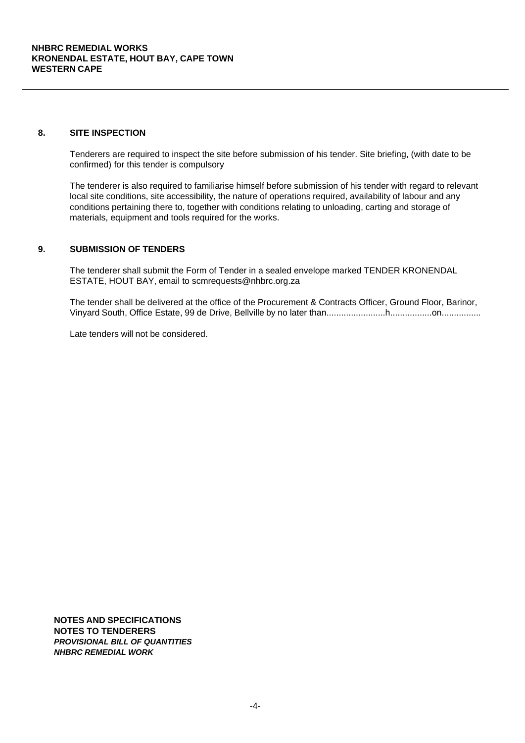# **8. SITE INSPECTION**

Tenderers are required to inspect the site before submission of his tender. Site briefing, (with date to be confirmed) for this tender is compulsory

The tenderer is also required to familiarise himself before submission of his tender with regard to relevant local site conditions, site accessibility, the nature of operations required, availability of labour and any conditions pertaining there to, together with conditions relating to unloading, carting and storage of materials, equipment and tools required for the works.

# **9. SUBMISSION OF TENDERS**

The tenderer shall submit the Form of Tender in a sealed envelope marked TENDER KRONENDAL ESTATE, HOUT BAY, email to scmrequests@nhbrc.org.za

The tender shall be delivered at the office of the Procurement & Contracts Officer, Ground Floor, Barinor, Vinyard South, Office Estate, 99 de Drive, Bellville by no later than........................h.................on................

Late tenders will not be considered.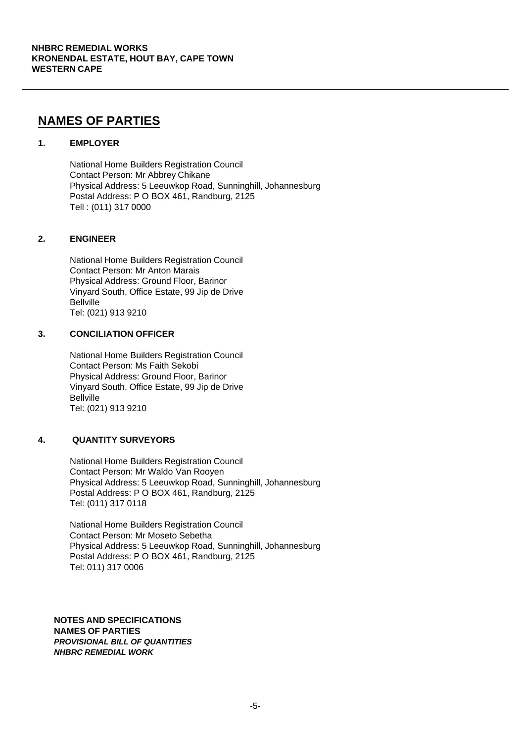# **NAMES OF PARTIES**

# **1. EMPLOYER**

National Home Builders Registration Council Contact Person: Mr Abbrey Chikane Physical Address: 5 Leeuwkop Road, Sunninghill, Johannesburg Postal Address: P O BOX 461, Randburg, 2125 Tell : (011) 317 0000

# **2. ENGINEER**

National Home Builders Registration Council Contact Person: Mr Anton Marais Physical Address: Ground Floor, Barinor Vinyard South, Office Estate, 99 Jip de Drive Bellville Tel: (021) 913 9210

# **3. CONCILIATION OFFICER**

National Home Builders Registration Council Contact Person: Ms Faith Sekobi Physical Address: Ground Floor, Barinor Vinyard South, Office Estate, 99 Jip de Drive Bellville Tel: (021) 913 9210

# **4. QUANTITY SURVEYORS**

National Home Builders Registration Council Contact Person: Mr Waldo Van Rooyen Physical Address: 5 Leeuwkop Road, Sunninghill, Johannesburg Postal Address: P O BOX 461, Randburg, 2125 Tel: (011) 317 0118

National Home Builders Registration Council Contact Person: Mr Moseto Sebetha Physical Address: 5 Leeuwkop Road, Sunninghill, Johannesburg Postal Address: P O BOX 461, Randburg, 2125 Tel: 011) 317 0006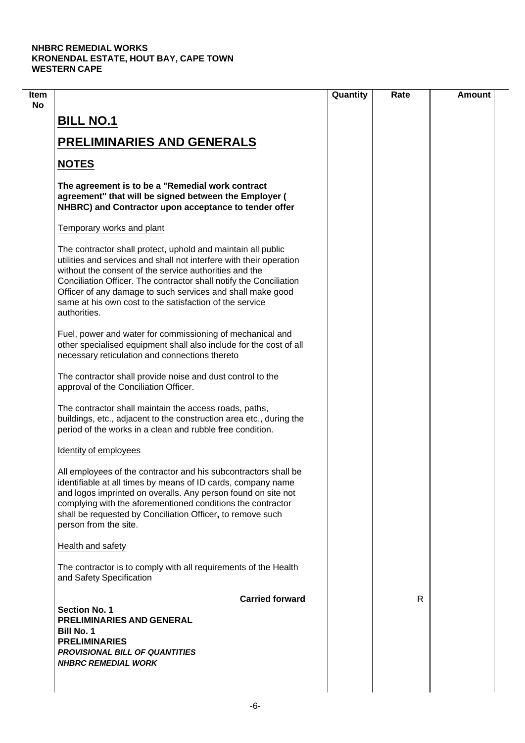|                                                                                                                                                                                                                                                                                                                                                                                                              | Quantity | Rate | <b>Amount</b> |
|--------------------------------------------------------------------------------------------------------------------------------------------------------------------------------------------------------------------------------------------------------------------------------------------------------------------------------------------------------------------------------------------------------------|----------|------|---------------|
| <b>BILL NO.1</b>                                                                                                                                                                                                                                                                                                                                                                                             |          |      |               |
| <b>PRELIMINARIES AND GENERALS</b>                                                                                                                                                                                                                                                                                                                                                                            |          |      |               |
| <b>NOTES</b>                                                                                                                                                                                                                                                                                                                                                                                                 |          |      |               |
| The agreement is to be a "Remedial work contract<br>agreement" that will be signed between the Employer (<br>NHBRC) and Contractor upon acceptance to tender offer                                                                                                                                                                                                                                           |          |      |               |
| Temporary works and plant                                                                                                                                                                                                                                                                                                                                                                                    |          |      |               |
| The contractor shall protect, uphold and maintain all public<br>utilities and services and shall not interfere with their operation<br>without the consent of the service authorities and the<br>Conciliation Officer. The contractor shall notify the Conciliation<br>Officer of any damage to such services and shall make good<br>same at his own cost to the satisfaction of the service<br>authorities. |          |      |               |
| Fuel, power and water for commissioning of mechanical and<br>other specialised equipment shall also include for the cost of all<br>necessary reticulation and connections thereto                                                                                                                                                                                                                            |          |      |               |
| The contractor shall provide noise and dust control to the<br>approval of the Conciliation Officer.                                                                                                                                                                                                                                                                                                          |          |      |               |
| The contractor shall maintain the access roads, paths,<br>buildings, etc., adjacent to the construction area etc., during the<br>period of the works in a clean and rubble free condition.                                                                                                                                                                                                                   |          |      |               |
| Identity of employees                                                                                                                                                                                                                                                                                                                                                                                        |          |      |               |
| All employees of the contractor and his subcontractors shall be<br>identifiable at all times by means of ID cards, company name<br>and logos imprinted on overalls. Any person found on site not<br>complying with the aforementioned conditions the contractor<br>shall be requested by Conciliation Officer, to remove such<br>person from the site.                                                       |          |      |               |
| Health and safety                                                                                                                                                                                                                                                                                                                                                                                            |          |      |               |
| The contractor is to comply with all requirements of the Health<br>and Safety Specification                                                                                                                                                                                                                                                                                                                  |          |      |               |
| <b>Carried forward</b><br><b>Section No. 1</b><br>PRELIMINARIES AND GENERAL<br><b>Bill No. 1</b><br><b>PRELIMINARIES</b><br><b>PROVISIONAL BILL OF QUANTITIES</b><br><b>NHBRC REMEDIAL WORK</b>                                                                                                                                                                                                              |          | R    |               |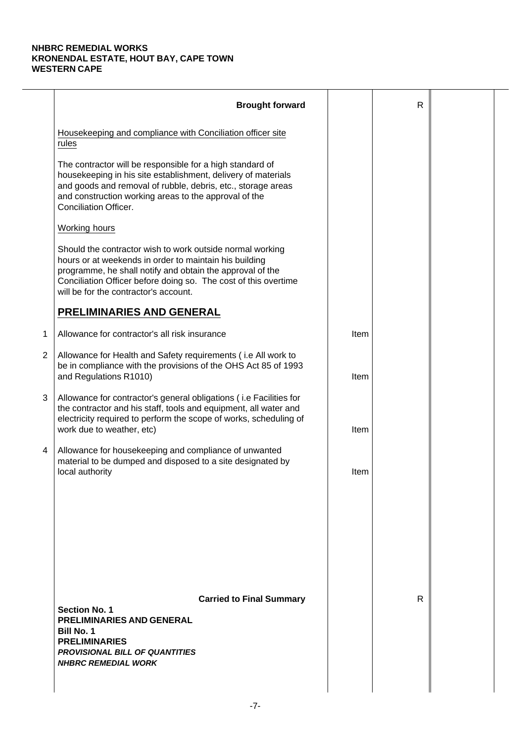|                | <b>Brought forward</b>                                                                                                                                                                                                                                                                       |      | $\mathsf{R}$ |  |
|----------------|----------------------------------------------------------------------------------------------------------------------------------------------------------------------------------------------------------------------------------------------------------------------------------------------|------|--------------|--|
|                | Housekeeping and compliance with Conciliation officer site<br>rules                                                                                                                                                                                                                          |      |              |  |
|                | The contractor will be responsible for a high standard of<br>housekeeping in his site establishment, delivery of materials<br>and goods and removal of rubble, debris, etc., storage areas<br>and construction working areas to the approval of the<br>Conciliation Officer.                 |      |              |  |
|                | Working hours                                                                                                                                                                                                                                                                                |      |              |  |
|                | Should the contractor wish to work outside normal working<br>hours or at weekends in order to maintain his building<br>programme, he shall notify and obtain the approval of the<br>Conciliation Officer before doing so. The cost of this overtime<br>will be for the contractor's account. |      |              |  |
|                | PRELIMINARIES AND GENERAL                                                                                                                                                                                                                                                                    |      |              |  |
| 1              | Allowance for contractor's all risk insurance                                                                                                                                                                                                                                                | Item |              |  |
| $\overline{2}$ | Allowance for Health and Safety requirements (i.e All work to<br>be in compliance with the provisions of the OHS Act 85 of 1993<br>and Regulations R1010)                                                                                                                                    | Item |              |  |
| 3              | Allowance for contractor's general obligations (i.e Facilities for<br>the contractor and his staff, tools and equipment, all water and<br>electricity required to perform the scope of works, scheduling of<br>work due to weather, etc)                                                     | Item |              |  |
| 4              | Allowance for housekeeping and compliance of unwanted<br>material to be dumped and disposed to a site designated by<br>local authority                                                                                                                                                       | Item |              |  |
|                | <b>Carried to Final Summary</b><br><b>Section No. 1</b><br>PRELIMINARIES AND GENERAL<br><b>Bill No. 1</b><br><b>PRELIMINARIES</b><br><b>PROVISIONAL BILL OF QUANTITIES</b><br><b>NHBRC REMEDIAL WORK</b>                                                                                     |      | R            |  |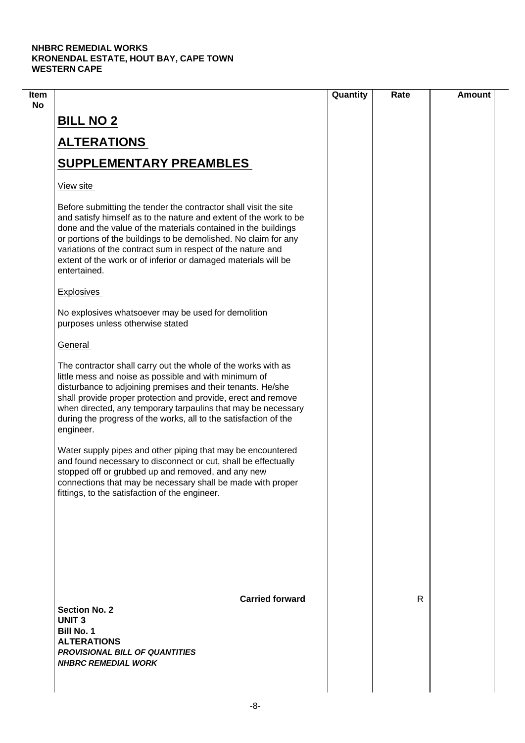| Item |                                                                                                                                                                                                                                                                                                                                                                                                                             | Quantity | Rate | <b>Amount</b> |
|------|-----------------------------------------------------------------------------------------------------------------------------------------------------------------------------------------------------------------------------------------------------------------------------------------------------------------------------------------------------------------------------------------------------------------------------|----------|------|---------------|
| No   | <b>BILL NO 2</b>                                                                                                                                                                                                                                                                                                                                                                                                            |          |      |               |
|      | <b>ALTERATIONS</b>                                                                                                                                                                                                                                                                                                                                                                                                          |          |      |               |
|      | <b>SUPPLEMENTARY PREAMBLES</b>                                                                                                                                                                                                                                                                                                                                                                                              |          |      |               |
|      | View site                                                                                                                                                                                                                                                                                                                                                                                                                   |          |      |               |
|      | Before submitting the tender the contractor shall visit the site<br>and satisfy himself as to the nature and extent of the work to be<br>done and the value of the materials contained in the buildings<br>or portions of the buildings to be demolished. No claim for any<br>variations of the contract sum in respect of the nature and<br>extent of the work or of inferior or damaged materials will be<br>entertained. |          |      |               |
|      | <b>Explosives</b>                                                                                                                                                                                                                                                                                                                                                                                                           |          |      |               |
|      | No explosives whatsoever may be used for demolition<br>purposes unless otherwise stated                                                                                                                                                                                                                                                                                                                                     |          |      |               |
|      | General                                                                                                                                                                                                                                                                                                                                                                                                                     |          |      |               |
|      | The contractor shall carry out the whole of the works with as<br>little mess and noise as possible and with minimum of<br>disturbance to adjoining premises and their tenants. He/she<br>shall provide proper protection and provide, erect and remove<br>when directed, any temporary tarpaulins that may be necessary<br>during the progress of the works, all to the satisfaction of the<br>engineer.                    |          |      |               |
|      | Water supply pipes and other piping that may be encountered<br>and found necessary to disconnect or cut, shall be effectually<br>stopped off or grubbed up and removed, and any new<br>connections that may be necessary shall be made with proper<br>fittings, to the satisfaction of the engineer.                                                                                                                        |          |      |               |
|      |                                                                                                                                                                                                                                                                                                                                                                                                                             |          |      |               |
|      | <b>Carried forward</b><br><b>Section No. 2</b><br><b>UNIT3</b><br><b>Bill No. 1</b><br><b>ALTERATIONS</b><br><b>PROVISIONAL BILL OF QUANTITIES</b><br><b>NHBRC REMEDIAL WORK</b>                                                                                                                                                                                                                                            |          | R    |               |
|      |                                                                                                                                                                                                                                                                                                                                                                                                                             |          |      |               |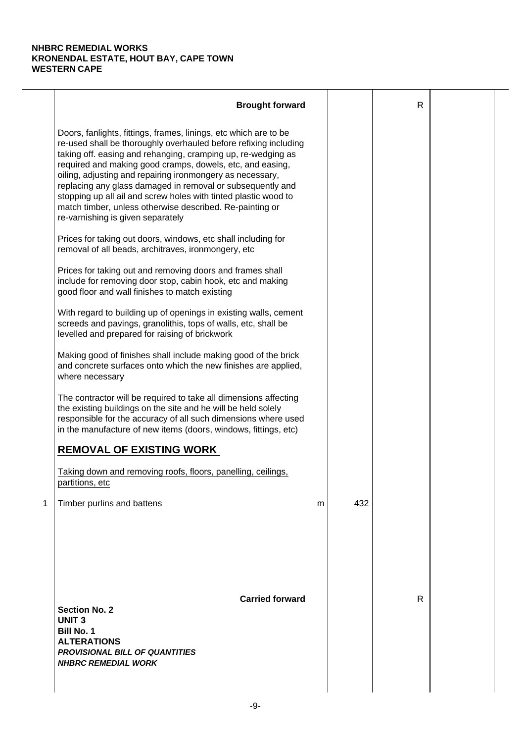|   | <b>Brought forward</b>                                                                                                                                                                                                                                                                                                                                                                                                                                                                                                                                           |   |     | $\mathsf{R}$ |  |
|---|------------------------------------------------------------------------------------------------------------------------------------------------------------------------------------------------------------------------------------------------------------------------------------------------------------------------------------------------------------------------------------------------------------------------------------------------------------------------------------------------------------------------------------------------------------------|---|-----|--------------|--|
|   | Doors, fanlights, fittings, frames, linings, etc which are to be<br>re-used shall be thoroughly overhauled before refixing including<br>taking off. easing and rehanging, cramping up, re-wedging as<br>required and making good cramps, dowels, etc, and easing,<br>oiling, adjusting and repairing ironmongery as necessary,<br>replacing any glass damaged in removal or subsequently and<br>stopping up all ail and screw holes with tinted plastic wood to<br>match timber, unless otherwise described. Re-painting or<br>re-varnishing is given separately |   |     |              |  |
|   | Prices for taking out doors, windows, etc shall including for<br>removal of all beads, architraves, ironmongery, etc                                                                                                                                                                                                                                                                                                                                                                                                                                             |   |     |              |  |
|   | Prices for taking out and removing doors and frames shall<br>include for removing door stop, cabin hook, etc and making<br>good floor and wall finishes to match existing                                                                                                                                                                                                                                                                                                                                                                                        |   |     |              |  |
|   | With regard to building up of openings in existing walls, cement<br>screeds and pavings, granolithis, tops of walls, etc, shall be<br>levelled and prepared for raising of brickwork                                                                                                                                                                                                                                                                                                                                                                             |   |     |              |  |
|   | Making good of finishes shall include making good of the brick<br>and concrete surfaces onto which the new finishes are applied,<br>where necessary                                                                                                                                                                                                                                                                                                                                                                                                              |   |     |              |  |
|   | The contractor will be required to take all dimensions affecting<br>the existing buildings on the site and he will be held solely<br>responsible for the accuracy of all such dimensions where used<br>in the manufacture of new items (doors, windows, fittings, etc)                                                                                                                                                                                                                                                                                           |   |     |              |  |
|   | <b>REMOVAL OF EXISTING WORK</b>                                                                                                                                                                                                                                                                                                                                                                                                                                                                                                                                  |   |     |              |  |
|   | Taking down and removing roofs, floors, panelling, ceilings,<br>partitions, etc                                                                                                                                                                                                                                                                                                                                                                                                                                                                                  |   |     |              |  |
| 1 | Timber purlins and battens                                                                                                                                                                                                                                                                                                                                                                                                                                                                                                                                       | m | 432 |              |  |
|   | <b>Carried forward</b><br><b>Section No. 2</b><br><b>UNIT3</b><br><b>Bill No. 1</b><br><b>ALTERATIONS</b><br><b>PROVISIONAL BILL OF QUANTITIES</b><br><b>NHBRC REMEDIAL WORK</b>                                                                                                                                                                                                                                                                                                                                                                                 |   |     | $\mathsf{R}$ |  |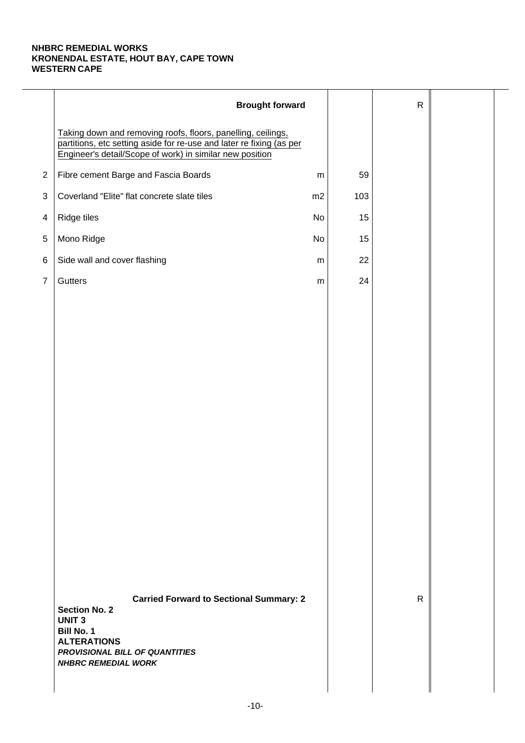|                | <b>Brought forward</b>                                                                                                                                                                            |           |     | $\mathsf{R}$ |  |
|----------------|---------------------------------------------------------------------------------------------------------------------------------------------------------------------------------------------------|-----------|-----|--------------|--|
|                | Taking down and removing roofs, floors, panelling, ceilings,<br>partitions, etc setting aside for re-use and later re fixing (as per<br>Engineer's detail/Scope of work) in similar new position  |           |     |              |  |
| $\overline{2}$ | Fibre cement Barge and Fascia Boards                                                                                                                                                              | ${\sf m}$ | 59  |              |  |
| 3              | Coverland "Elite" flat concrete slate tiles                                                                                                                                                       | m2        | 103 |              |  |
| 4              | Ridge tiles                                                                                                                                                                                       | No        | 15  |              |  |
| $\,$ 5 $\,$    | Mono Ridge                                                                                                                                                                                        | No        | 15  |              |  |
| 6              | Side wall and cover flashing                                                                                                                                                                      | ${\sf m}$ | 22  |              |  |
| $\overline{7}$ | Gutters                                                                                                                                                                                           | ${\sf m}$ | 24  |              |  |
|                |                                                                                                                                                                                                   |           |     |              |  |
|                |                                                                                                                                                                                                   |           |     |              |  |
|                |                                                                                                                                                                                                   |           |     |              |  |
|                |                                                                                                                                                                                                   |           |     |              |  |
|                |                                                                                                                                                                                                   |           |     |              |  |
|                |                                                                                                                                                                                                   |           |     |              |  |
|                |                                                                                                                                                                                                   |           |     |              |  |
|                |                                                                                                                                                                                                   |           |     |              |  |
|                |                                                                                                                                                                                                   |           |     |              |  |
|                |                                                                                                                                                                                                   |           |     |              |  |
|                |                                                                                                                                                                                                   |           |     |              |  |
|                |                                                                                                                                                                                                   |           |     |              |  |
|                |                                                                                                                                                                                                   |           |     |              |  |
|                |                                                                                                                                                                                                   |           |     |              |  |
|                | <b>Carried Forward to Sectional Summary: 2</b><br><b>Section No. 2</b><br><b>UNIT3</b><br><b>Bill No. 1</b><br><b>ALTERATIONS</b><br>PROVISIONAL BILL OF QUANTITIES<br><b>NHBRC REMEDIAL WORK</b> |           |     | $\mathsf{R}$ |  |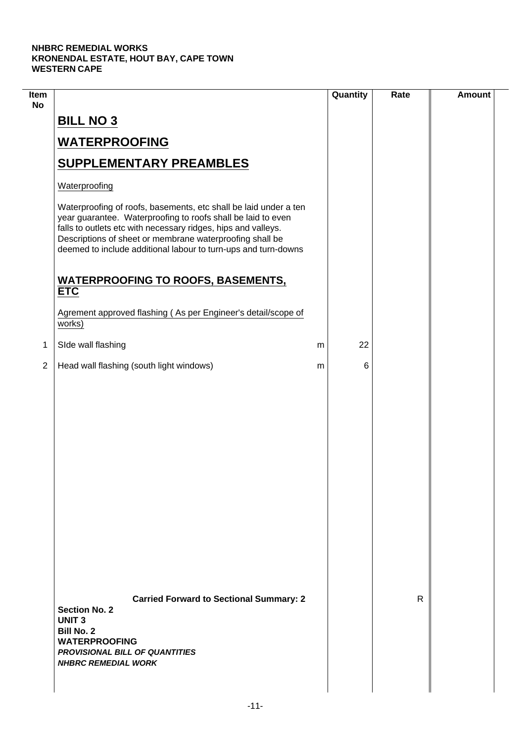| Item<br><b>No</b> |                                                                                                                                                                                                                                                                                                                                 | Quantity | Rate | <b>Amount</b> |
|-------------------|---------------------------------------------------------------------------------------------------------------------------------------------------------------------------------------------------------------------------------------------------------------------------------------------------------------------------------|----------|------|---------------|
|                   | <b>BILL NO 3</b>                                                                                                                                                                                                                                                                                                                |          |      |               |
|                   | <b>WATERPROOFING</b>                                                                                                                                                                                                                                                                                                            |          |      |               |
|                   | <b>SUPPLEMENTARY PREAMBLES</b>                                                                                                                                                                                                                                                                                                  |          |      |               |
|                   | Waterproofing                                                                                                                                                                                                                                                                                                                   |          |      |               |
|                   | Waterproofing of roofs, basements, etc shall be laid under a ten<br>year guarantee. Waterproofing to roofs shall be laid to even<br>falls to outlets etc with necessary ridges, hips and valleys.<br>Descriptions of sheet or membrane waterproofing shall be<br>deemed to include additional labour to turn-ups and turn-downs |          |      |               |
|                   | <b>WATERPROOFING TO ROOFS, BASEMENTS,</b><br><b>ETC</b>                                                                                                                                                                                                                                                                         |          |      |               |
|                   | Agrement approved flashing (As per Engineer's detail/scope of<br>works)                                                                                                                                                                                                                                                         |          |      |               |
| 1                 | SIde wall flashing                                                                                                                                                                                                                                                                                                              | 22<br>m  |      |               |
| $\overline{2}$    | Head wall flashing (south light windows)                                                                                                                                                                                                                                                                                        | 6<br>m   |      |               |
|                   |                                                                                                                                                                                                                                                                                                                                 |          |      |               |
|                   | <b>Carried Forward to Sectional Summary: 2</b><br><b>Section No. 2</b><br><b>UNIT3</b><br><b>Bill No. 2</b><br><b>WATERPROOFING</b><br><b>PROVISIONAL BILL OF QUANTITIES</b><br><b>NHBRC REMEDIAL WORK</b>                                                                                                                      |          | R    |               |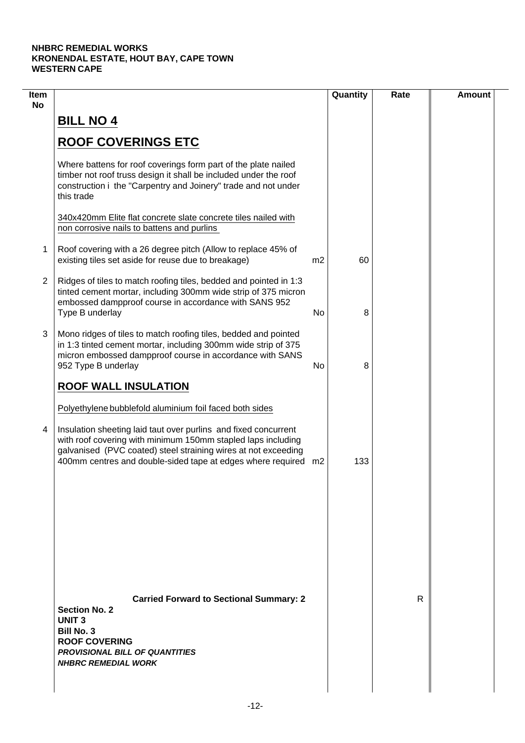| Item<br><b>No</b> |                                                                                                                                                                                                                                                                     |    | Quantity | Rate | <b>Amount</b> |
|-------------------|---------------------------------------------------------------------------------------------------------------------------------------------------------------------------------------------------------------------------------------------------------------------|----|----------|------|---------------|
|                   | <b>BILL NO 4</b>                                                                                                                                                                                                                                                    |    |          |      |               |
|                   | <b>ROOF COVERINGS ETC</b>                                                                                                                                                                                                                                           |    |          |      |               |
|                   | Where battens for roof coverings form part of the plate nailed<br>timber not roof truss design it shall be included under the roof<br>construction i the "Carpentry and Joinery" trade and not under<br>this trade                                                  |    |          |      |               |
|                   | 340x420mm Elite flat concrete slate concrete tiles nailed with<br>non corrosive nails to battens and purlins                                                                                                                                                        |    |          |      |               |
| 1                 | Roof covering with a 26 degree pitch (Allow to replace 45% of<br>existing tiles set aside for reuse due to breakage)                                                                                                                                                | m2 | 60       |      |               |
| 2                 | Ridges of tiles to match roofing tiles, bedded and pointed in 1:3<br>tinted cement mortar, including 300mm wide strip of 375 micron<br>embossed dampproof course in accordance with SANS 952<br>Type B underlay                                                     | No | 8        |      |               |
| 3                 | Mono ridges of tiles to match roofing tiles, bedded and pointed<br>in 1:3 tinted cement mortar, including 300mm wide strip of 375<br>micron embossed dampproof course in accordance with SANS<br>952 Type B underlay                                                | No | 8        |      |               |
|                   | <b>ROOF WALL INSULATION</b>                                                                                                                                                                                                                                         |    |          |      |               |
|                   | Polyethylene bubblefold aluminium foil faced both sides                                                                                                                                                                                                             |    |          |      |               |
| 4                 | Insulation sheeting laid taut over purlins and fixed concurrent<br>with roof covering with minimum 150mm stapled laps including<br>galvanised (PVC coated) steel straining wires at not exceeding<br>400mm centres and double-sided tape at edges where required m2 |    | 133      |      |               |
|                   |                                                                                                                                                                                                                                                                     |    |          |      |               |
|                   |                                                                                                                                                                                                                                                                     |    |          |      |               |
|                   |                                                                                                                                                                                                                                                                     |    |          |      |               |
|                   | <b>Carried Forward to Sectional Summary: 2</b><br><b>Section No. 2</b><br><b>UNIT3</b><br><b>Bill No. 3</b><br><b>ROOF COVERING</b><br><b>PROVISIONAL BILL OF QUANTITIES</b><br><b>NHBRC REMEDIAL WORK</b>                                                          |    |          | R    |               |
|                   |                                                                                                                                                                                                                                                                     |    |          |      |               |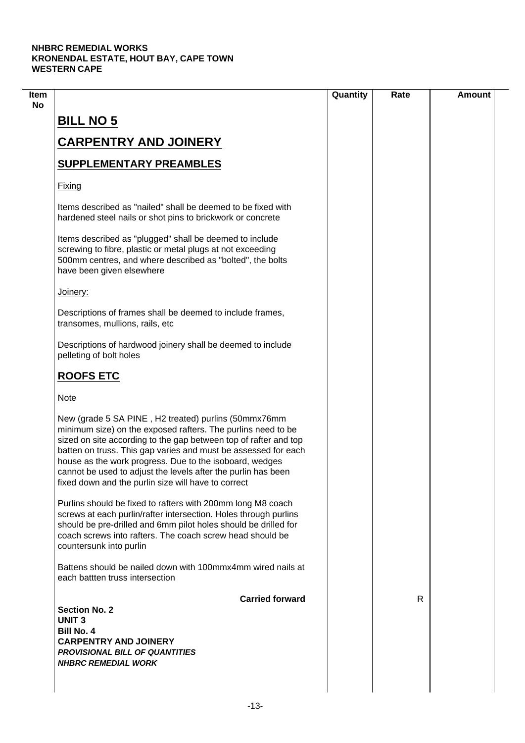|                                                                                                                                                                                                                                                                                                                                                                                                                                               | Quantity | Rate | <b>Amount</b> |
|-----------------------------------------------------------------------------------------------------------------------------------------------------------------------------------------------------------------------------------------------------------------------------------------------------------------------------------------------------------------------------------------------------------------------------------------------|----------|------|---------------|
| <b>BILL NO 5</b>                                                                                                                                                                                                                                                                                                                                                                                                                              |          |      |               |
| <b>CARPENTRY AND JOINERY</b>                                                                                                                                                                                                                                                                                                                                                                                                                  |          |      |               |
| <b>SUPPLEMENTARY PREAMBLES</b>                                                                                                                                                                                                                                                                                                                                                                                                                |          |      |               |
| Fixing                                                                                                                                                                                                                                                                                                                                                                                                                                        |          |      |               |
| Items described as "nailed" shall be deemed to be fixed with<br>hardened steel nails or shot pins to brickwork or concrete                                                                                                                                                                                                                                                                                                                    |          |      |               |
| Items described as "plugged" shall be deemed to include<br>screwing to fibre, plastic or metal plugs at not exceeding<br>500mm centres, and where described as "bolted", the bolts<br>have been given elsewhere                                                                                                                                                                                                                               |          |      |               |
| Joinery:                                                                                                                                                                                                                                                                                                                                                                                                                                      |          |      |               |
| Descriptions of frames shall be deemed to include frames,<br>transomes, mullions, rails, etc                                                                                                                                                                                                                                                                                                                                                  |          |      |               |
| Descriptions of hardwood joinery shall be deemed to include<br>pelleting of bolt holes                                                                                                                                                                                                                                                                                                                                                        |          |      |               |
| <b>ROOFS ETC</b>                                                                                                                                                                                                                                                                                                                                                                                                                              |          |      |               |
| <b>Note</b>                                                                                                                                                                                                                                                                                                                                                                                                                                   |          |      |               |
| New (grade 5 SA PINE, H2 treated) purlins (50mmx76mm<br>minimum size) on the exposed rafters. The purlins need to be<br>sized on site according to the gap between top of rafter and top<br>batten on truss. This gap varies and must be assessed for each<br>house as the work progress. Due to the isoboard, wedges<br>cannot be used to adjust the levels after the purlin has been<br>fixed down and the purlin size will have to correct |          |      |               |
| Purlins should be fixed to rafters with 200mm long M8 coach<br>screws at each purlin/rafter intersection. Holes through purlins<br>should be pre-drilled and 6mm pilot holes should be drilled for<br>coach screws into rafters. The coach screw head should be<br>countersunk into purlin                                                                                                                                                    |          |      |               |
| Battens should be nailed down with 100mmx4mm wired nails at<br>each battten truss intersection                                                                                                                                                                                                                                                                                                                                                |          |      |               |
| <b>Carried forward</b><br><b>Section No. 2</b><br><b>UNIT3</b>                                                                                                                                                                                                                                                                                                                                                                                |          | R    |               |
| <b>Bill No. 4</b><br><b>CARPENTRY AND JOINERY</b>                                                                                                                                                                                                                                                                                                                                                                                             |          |      |               |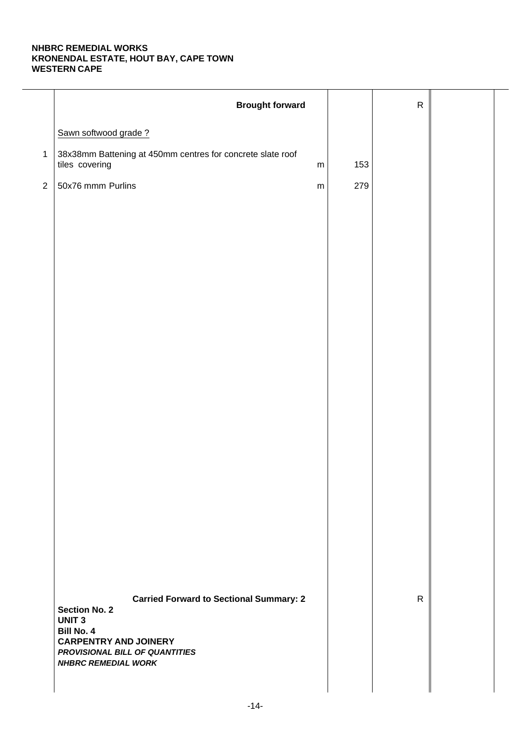|                | <b>Brought forward</b>                                                                                            |     | ${\sf R}$    |  |
|----------------|-------------------------------------------------------------------------------------------------------------------|-----|--------------|--|
|                | Sawn softwood grade?                                                                                              |     |              |  |
| $\mathbf{1}$   | 38x38mm Battening at 450mm centres for concrete slate roof<br>tiles covering<br>${\sf m}$                         | 153 |              |  |
| $\overline{2}$ | 50x76 mmm Purlins<br>${\sf m}$                                                                                    | 279 |              |  |
|                |                                                                                                                   |     |              |  |
|                |                                                                                                                   |     |              |  |
|                |                                                                                                                   |     |              |  |
|                |                                                                                                                   |     |              |  |
|                |                                                                                                                   |     |              |  |
|                |                                                                                                                   |     |              |  |
|                |                                                                                                                   |     |              |  |
|                |                                                                                                                   |     |              |  |
|                |                                                                                                                   |     |              |  |
|                |                                                                                                                   |     |              |  |
|                |                                                                                                                   |     |              |  |
|                |                                                                                                                   |     |              |  |
|                |                                                                                                                   |     |              |  |
|                |                                                                                                                   |     |              |  |
|                |                                                                                                                   |     |              |  |
|                |                                                                                                                   |     |              |  |
|                |                                                                                                                   |     |              |  |
|                | <b>Carried Forward to Sectional Summary: 2</b><br><b>Section No. 2</b><br><b>UNIT 3</b>                           |     | $\mathsf{R}$ |  |
|                | <b>Bill No. 4</b><br><b>CARPENTRY AND JOINERY</b><br>PROVISIONAL BILL OF QUANTITIES<br><b>NHBRC REMEDIAL WORK</b> |     |              |  |
|                |                                                                                                                   |     |              |  |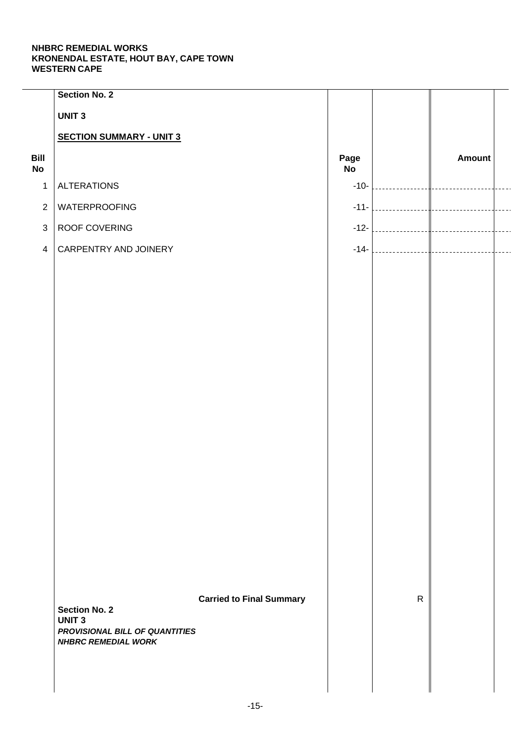|                   | <b>Section No. 2</b>                                         |                                 |            |              |               |  |
|-------------------|--------------------------------------------------------------|---------------------------------|------------|--------------|---------------|--|
|                   | <b>UNIT3</b>                                                 |                                 |            |              |               |  |
|                   | <b>SECTION SUMMARY - UNIT 3</b>                              |                                 |            |              |               |  |
| Bill<br><b>No</b> |                                                              |                                 | Page<br>No |              | <b>Amount</b> |  |
| $\mathbf{1}$      | <b>ALTERATIONS</b>                                           |                                 | $-10-$     |              |               |  |
| $\overline{2}$    | WATERPROOFING                                                |                                 | $-11-$     |              |               |  |
| $\mathfrak{S}$    | ROOF COVERING                                                |                                 | $-12-$     |              |               |  |
| $\overline{4}$    | CARPENTRY AND JOINERY                                        |                                 | $-14-$     |              |               |  |
|                   |                                                              |                                 |            |              |               |  |
|                   |                                                              |                                 |            |              |               |  |
|                   |                                                              |                                 |            |              |               |  |
|                   |                                                              |                                 |            |              |               |  |
|                   |                                                              |                                 |            |              |               |  |
|                   |                                                              |                                 |            |              |               |  |
|                   |                                                              |                                 |            |              |               |  |
|                   |                                                              |                                 |            |              |               |  |
|                   |                                                              |                                 |            |              |               |  |
|                   |                                                              |                                 |            |              |               |  |
|                   |                                                              |                                 |            |              |               |  |
|                   |                                                              |                                 |            |              |               |  |
|                   |                                                              |                                 |            |              |               |  |
|                   |                                                              |                                 |            |              |               |  |
|                   |                                                              |                                 |            |              |               |  |
|                   |                                                              |                                 |            |              |               |  |
|                   |                                                              | <b>Carried to Final Summary</b> |            | $\mathsf{R}$ |               |  |
|                   | <b>Section No. 2</b><br><b>UNIT 3</b>                        |                                 |            |              |               |  |
|                   | PROVISIONAL BILL OF QUANTITIES<br><b>NHBRC REMEDIAL WORK</b> |                                 |            |              |               |  |
|                   |                                                              |                                 |            |              |               |  |
|                   |                                                              |                                 |            |              |               |  |
|                   |                                                              |                                 |            |              |               |  |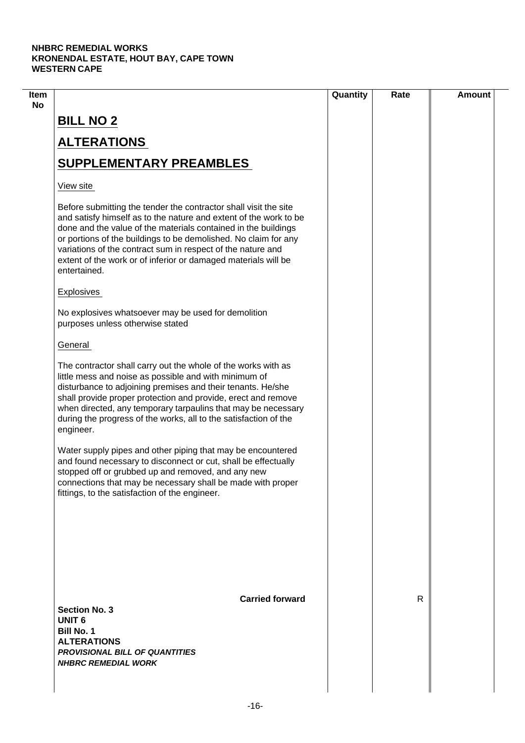|                                                                                                                                                                                                                                                                                                                                                                                                                             | Quantity | Rate         | <b>Amount</b> |
|-----------------------------------------------------------------------------------------------------------------------------------------------------------------------------------------------------------------------------------------------------------------------------------------------------------------------------------------------------------------------------------------------------------------------------|----------|--------------|---------------|
| <b>BILL NO 2</b>                                                                                                                                                                                                                                                                                                                                                                                                            |          |              |               |
| <b>ALTERATIONS</b>                                                                                                                                                                                                                                                                                                                                                                                                          |          |              |               |
| <b>SUPPLEMENTARY PREAMBLES</b>                                                                                                                                                                                                                                                                                                                                                                                              |          |              |               |
| View site                                                                                                                                                                                                                                                                                                                                                                                                                   |          |              |               |
| Before submitting the tender the contractor shall visit the site<br>and satisfy himself as to the nature and extent of the work to be<br>done and the value of the materials contained in the buildings<br>or portions of the buildings to be demolished. No claim for any<br>variations of the contract sum in respect of the nature and<br>extent of the work or of inferior or damaged materials will be<br>entertained. |          |              |               |
| Explosives                                                                                                                                                                                                                                                                                                                                                                                                                  |          |              |               |
| No explosives whatsoever may be used for demolition<br>purposes unless otherwise stated                                                                                                                                                                                                                                                                                                                                     |          |              |               |
| General                                                                                                                                                                                                                                                                                                                                                                                                                     |          |              |               |
| The contractor shall carry out the whole of the works with as<br>little mess and noise as possible and with minimum of<br>disturbance to adjoining premises and their tenants. He/she<br>shall provide proper protection and provide, erect and remove<br>when directed, any temporary tarpaulins that may be necessary<br>during the progress of the works, all to the satisfaction of the<br>engineer.                    |          |              |               |
| Water supply pipes and other piping that may be encountered<br>and found necessary to disconnect or cut, shall be effectually<br>stopped off or grubbed up and removed, and any new<br>connections that may be necessary shall be made with proper<br>fittings, to the satisfaction of the engineer.                                                                                                                        |          |              |               |
|                                                                                                                                                                                                                                                                                                                                                                                                                             |          |              |               |
| <b>Carried forward</b><br><b>Section No. 3</b><br><b>UNIT 6</b><br><b>Bill No. 1</b><br><b>ALTERATIONS</b><br><b>PROVISIONAL BILL OF QUANTITIES</b><br><b>NHBRC REMEDIAL WORK</b>                                                                                                                                                                                                                                           |          | $\mathsf{R}$ |               |
|                                                                                                                                                                                                                                                                                                                                                                                                                             |          |              |               |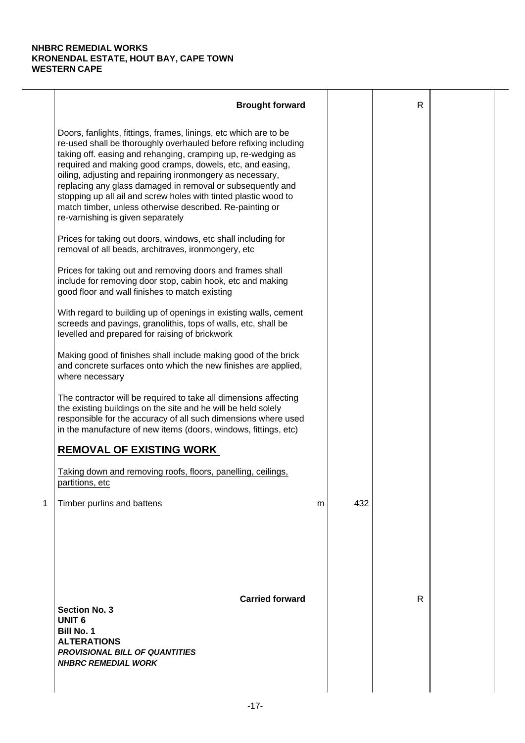|   | <b>Brought forward</b>                                                                                                                                                                                                                                                                                                                                                                                                                                                                                                                                           |   |     | $\mathsf{R}$ |  |
|---|------------------------------------------------------------------------------------------------------------------------------------------------------------------------------------------------------------------------------------------------------------------------------------------------------------------------------------------------------------------------------------------------------------------------------------------------------------------------------------------------------------------------------------------------------------------|---|-----|--------------|--|
|   | Doors, fanlights, fittings, frames, linings, etc which are to be<br>re-used shall be thoroughly overhauled before refixing including<br>taking off. easing and rehanging, cramping up, re-wedging as<br>required and making good cramps, dowels, etc, and easing,<br>oiling, adjusting and repairing ironmongery as necessary,<br>replacing any glass damaged in removal or subsequently and<br>stopping up all ail and screw holes with tinted plastic wood to<br>match timber, unless otherwise described. Re-painting or<br>re-varnishing is given separately |   |     |              |  |
|   | Prices for taking out doors, windows, etc shall including for<br>removal of all beads, architraves, ironmongery, etc                                                                                                                                                                                                                                                                                                                                                                                                                                             |   |     |              |  |
|   | Prices for taking out and removing doors and frames shall<br>include for removing door stop, cabin hook, etc and making<br>good floor and wall finishes to match existing                                                                                                                                                                                                                                                                                                                                                                                        |   |     |              |  |
|   | With regard to building up of openings in existing walls, cement<br>screeds and pavings, granolithis, tops of walls, etc, shall be<br>levelled and prepared for raising of brickwork                                                                                                                                                                                                                                                                                                                                                                             |   |     |              |  |
|   | Making good of finishes shall include making good of the brick<br>and concrete surfaces onto which the new finishes are applied,<br>where necessary                                                                                                                                                                                                                                                                                                                                                                                                              |   |     |              |  |
|   | The contractor will be required to take all dimensions affecting<br>the existing buildings on the site and he will be held solely<br>responsible for the accuracy of all such dimensions where used<br>in the manufacture of new items (doors, windows, fittings, etc)                                                                                                                                                                                                                                                                                           |   |     |              |  |
|   | <b>REMOVAL OF EXISTING WORK</b>                                                                                                                                                                                                                                                                                                                                                                                                                                                                                                                                  |   |     |              |  |
|   | Taking down and removing roofs, floors, panelling, ceilings,<br>partitions, etc                                                                                                                                                                                                                                                                                                                                                                                                                                                                                  |   |     |              |  |
| 1 | Timber purlins and battens                                                                                                                                                                                                                                                                                                                                                                                                                                                                                                                                       | m | 432 |              |  |
|   | <b>Carried forward</b><br><b>Section No. 3</b><br><b>UNIT 6</b><br><b>Bill No. 1</b><br><b>ALTERATIONS</b><br><b>PROVISIONAL BILL OF QUANTITIES</b><br><b>NHBRC REMEDIAL WORK</b>                                                                                                                                                                                                                                                                                                                                                                                |   |     | $\mathsf{R}$ |  |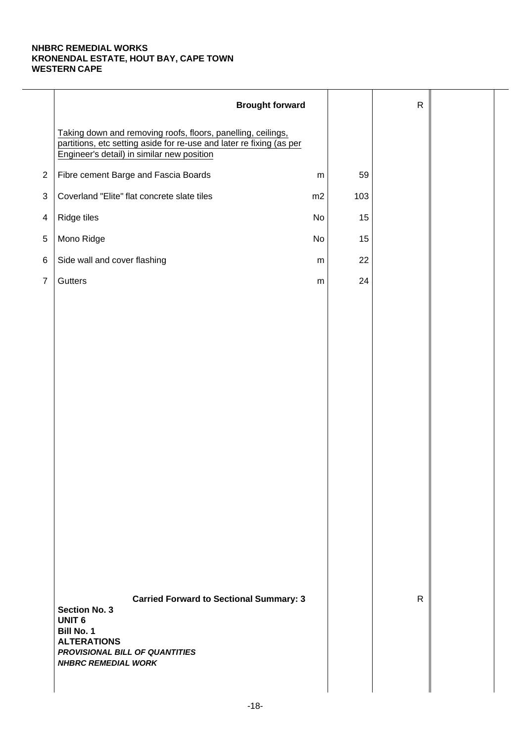|                | <b>Brought forward</b>                                                                                                                                                                      |           |     | $\mathsf{R}$ |  |
|----------------|---------------------------------------------------------------------------------------------------------------------------------------------------------------------------------------------|-----------|-----|--------------|--|
|                | Taking down and removing roofs, floors, panelling, ceilings,<br>partitions, etc setting aside for re-use and later re fixing (as per<br>Engineer's detail) in similar new position          |           |     |              |  |
| $\overline{2}$ | Fibre cement Barge and Fascia Boards                                                                                                                                                        | ${\sf m}$ | 59  |              |  |
| $\sqrt{3}$     | Coverland "Elite" flat concrete slate tiles                                                                                                                                                 | m2        | 103 |              |  |
| $\overline{4}$ | Ridge tiles                                                                                                                                                                                 | No        | 15  |              |  |
| 5              | Mono Ridge                                                                                                                                                                                  | No        | 15  |              |  |
| $\,6$          | Side wall and cover flashing                                                                                                                                                                | m         | 22  |              |  |
| $\overline{7}$ | Gutters                                                                                                                                                                                     | ${\sf m}$ | 24  |              |  |
|                |                                                                                                                                                                                             |           |     |              |  |
|                |                                                                                                                                                                                             |           |     |              |  |
|                |                                                                                                                                                                                             |           |     |              |  |
|                |                                                                                                                                                                                             |           |     |              |  |
|                |                                                                                                                                                                                             |           |     |              |  |
|                |                                                                                                                                                                                             |           |     |              |  |
|                |                                                                                                                                                                                             |           |     |              |  |
|                |                                                                                                                                                                                             |           |     |              |  |
|                |                                                                                                                                                                                             |           |     |              |  |
|                |                                                                                                                                                                                             |           |     |              |  |
|                |                                                                                                                                                                                             |           |     |              |  |
|                |                                                                                                                                                                                             |           |     |              |  |
|                |                                                                                                                                                                                             |           |     |              |  |
|                |                                                                                                                                                                                             |           |     |              |  |
|                | <b>Carried Forward to Sectional Summary: 3</b><br><b>Section No. 3</b><br><b>UNIT 6</b><br>Bill No. 1<br><b>ALTERATIONS</b><br>PROVISIONAL BILL OF QUANTITIES<br><b>NHBRC REMEDIAL WORK</b> |           |     | $\mathsf{R}$ |  |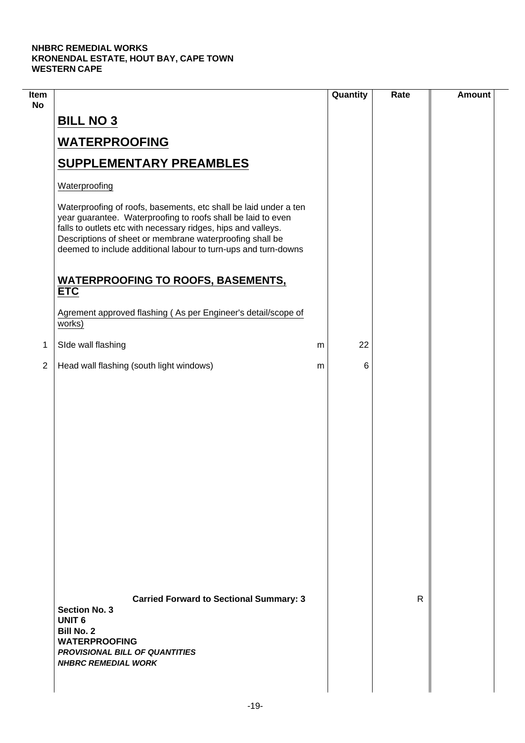$\overline{\phantom{a}}$ 

| Item<br><b>No</b> |                                                                                                                                                                                                                                                                                                                                 | Quantity |    | Rate | <b>Amount</b> |
|-------------------|---------------------------------------------------------------------------------------------------------------------------------------------------------------------------------------------------------------------------------------------------------------------------------------------------------------------------------|----------|----|------|---------------|
|                   | <b>BILL NO 3</b>                                                                                                                                                                                                                                                                                                                |          |    |      |               |
|                   | <b>WATERPROOFING</b>                                                                                                                                                                                                                                                                                                            |          |    |      |               |
|                   | <b>SUPPLEMENTARY PREAMBLES</b>                                                                                                                                                                                                                                                                                                  |          |    |      |               |
|                   | Waterproofing                                                                                                                                                                                                                                                                                                                   |          |    |      |               |
|                   | Waterproofing of roofs, basements, etc shall be laid under a ten<br>year guarantee. Waterproofing to roofs shall be laid to even<br>falls to outlets etc with necessary ridges, hips and valleys.<br>Descriptions of sheet or membrane waterproofing shall be<br>deemed to include additional labour to turn-ups and turn-downs |          |    |      |               |
|                   | <b>WATERPROOFING TO ROOFS, BASEMENTS,</b><br><b>ETC</b>                                                                                                                                                                                                                                                                         |          |    |      |               |
|                   | Agrement approved flashing (As per Engineer's detail/scope of<br>works)                                                                                                                                                                                                                                                         |          |    |      |               |
| 1                 | SIde wall flashing                                                                                                                                                                                                                                                                                                              | m        | 22 |      |               |
| $\overline{2}$    | Head wall flashing (south light windows)                                                                                                                                                                                                                                                                                        | m        | 6  |      |               |
|                   |                                                                                                                                                                                                                                                                                                                                 |          |    |      |               |
|                   | <b>Carried Forward to Sectional Summary: 3</b><br><b>Section No. 3</b><br><b>UNIT 6</b><br><b>Bill No. 2</b><br><b>WATERPROOFING</b><br><b>PROVISIONAL BILL OF QUANTITIES</b><br><b>NHBRC REMEDIAL WORK</b>                                                                                                                     |          |    | R    |               |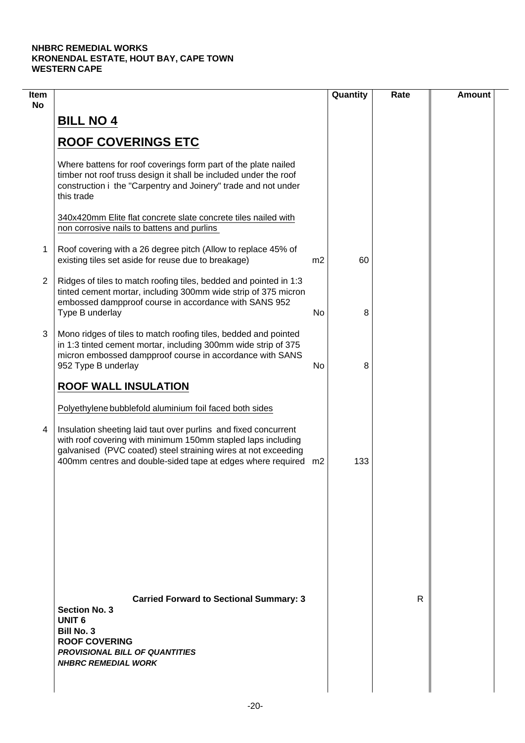| Item<br><b>No</b> |                                                                                                                                                                                                                                                                                                                                |                | Quantity | Rate | <b>Amount</b> |
|-------------------|--------------------------------------------------------------------------------------------------------------------------------------------------------------------------------------------------------------------------------------------------------------------------------------------------------------------------------|----------------|----------|------|---------------|
|                   | <b>BILL NO 4</b>                                                                                                                                                                                                                                                                                                               |                |          |      |               |
|                   | <b>ROOF COVERINGS ETC</b>                                                                                                                                                                                                                                                                                                      |                |          |      |               |
|                   | Where battens for roof coverings form part of the plate nailed<br>timber not roof truss design it shall be included under the roof<br>construction i the "Carpentry and Joinery" trade and not under<br>this trade                                                                                                             |                |          |      |               |
|                   | 340x420mm Elite flat concrete slate concrete tiles nailed with<br>non corrosive nails to battens and purlins                                                                                                                                                                                                                   |                |          |      |               |
| 1                 | Roof covering with a 26 degree pitch (Allow to replace 45% of<br>existing tiles set aside for reuse due to breakage)                                                                                                                                                                                                           | m <sub>2</sub> | 60       |      |               |
| $\overline{2}$    | Ridges of tiles to match roofing tiles, bedded and pointed in 1:3<br>tinted cement mortar, including 300mm wide strip of 375 micron<br>embossed dampproof course in accordance with SANS 952<br>Type B underlay                                                                                                                | No             | 8        |      |               |
| 3                 | Mono ridges of tiles to match roofing tiles, bedded and pointed<br>in 1:3 tinted cement mortar, including 300mm wide strip of 375<br>micron embossed dampproof course in accordance with SANS<br>952 Type B underlay                                                                                                           | No             | 8        |      |               |
|                   | <b>ROOF WALL INSULATION</b>                                                                                                                                                                                                                                                                                                    |                |          |      |               |
| 4                 | Polyethylene bubblefold aluminium foil faced both sides<br>Insulation sheeting laid taut over purlins and fixed concurrent<br>with roof covering with minimum 150mm stapled laps including<br>galvanised (PVC coated) steel straining wires at not exceeding<br>400mm centres and double-sided tape at edges where required m2 |                | 133      |      |               |
|                   |                                                                                                                                                                                                                                                                                                                                |                |          |      |               |
|                   | <b>Carried Forward to Sectional Summary: 3</b><br><b>Section No. 3</b><br><b>UNIT 6</b><br><b>Bill No. 3</b><br><b>ROOF COVERING</b><br><b>PROVISIONAL BILL OF QUANTITIES</b>                                                                                                                                                  |                |          | R    |               |
|                   | <b>NHBRC REMEDIAL WORK</b>                                                                                                                                                                                                                                                                                                     |                |          |      |               |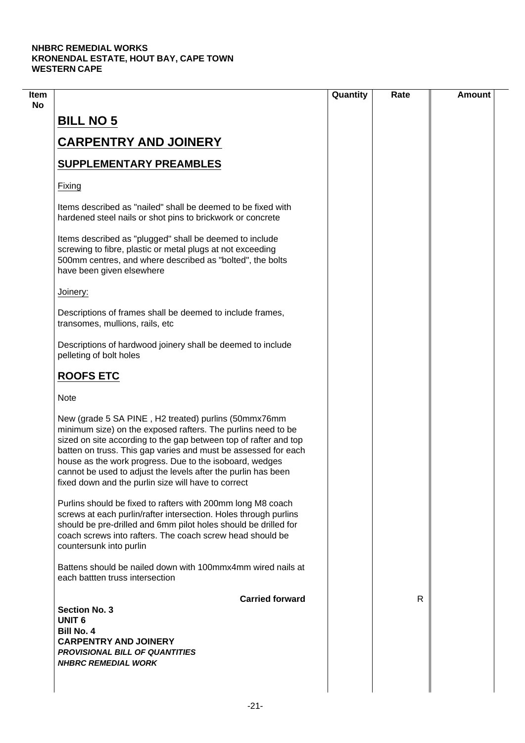|                                                                                                                                                                                                                                                                                                                                                                                                                                               | Quantity | Rate | <b>Amount</b> |
|-----------------------------------------------------------------------------------------------------------------------------------------------------------------------------------------------------------------------------------------------------------------------------------------------------------------------------------------------------------------------------------------------------------------------------------------------|----------|------|---------------|
| <b>BILL NO 5</b>                                                                                                                                                                                                                                                                                                                                                                                                                              |          |      |               |
| <b>CARPENTRY AND JOINERY</b>                                                                                                                                                                                                                                                                                                                                                                                                                  |          |      |               |
| <b>SUPPLEMENTARY PREAMBLES</b>                                                                                                                                                                                                                                                                                                                                                                                                                |          |      |               |
| Fixing                                                                                                                                                                                                                                                                                                                                                                                                                                        |          |      |               |
| Items described as "nailed" shall be deemed to be fixed with<br>hardened steel nails or shot pins to brickwork or concrete                                                                                                                                                                                                                                                                                                                    |          |      |               |
| Items described as "plugged" shall be deemed to include<br>screwing to fibre, plastic or metal plugs at not exceeding<br>500mm centres, and where described as "bolted", the bolts<br>have been given elsewhere                                                                                                                                                                                                                               |          |      |               |
| Joinery:                                                                                                                                                                                                                                                                                                                                                                                                                                      |          |      |               |
| Descriptions of frames shall be deemed to include frames,<br>transomes, mullions, rails, etc                                                                                                                                                                                                                                                                                                                                                  |          |      |               |
| Descriptions of hardwood joinery shall be deemed to include<br>pelleting of bolt holes                                                                                                                                                                                                                                                                                                                                                        |          |      |               |
| <b>ROOFS ETC</b>                                                                                                                                                                                                                                                                                                                                                                                                                              |          |      |               |
| <b>Note</b>                                                                                                                                                                                                                                                                                                                                                                                                                                   |          |      |               |
| New (grade 5 SA PINE, H2 treated) purlins (50mmx76mm<br>minimum size) on the exposed rafters. The purlins need to be<br>sized on site according to the gap between top of rafter and top<br>batten on truss. This gap varies and must be assessed for each<br>house as the work progress. Due to the isoboard, wedges<br>cannot be used to adjust the levels after the purlin has been<br>fixed down and the purlin size will have to correct |          |      |               |
| Purlins should be fixed to rafters with 200mm long M8 coach<br>screws at each purlin/rafter intersection. Holes through purlins<br>should be pre-drilled and 6mm pilot holes should be drilled for<br>coach screws into rafters. The coach screw head should be<br>countersunk into purlin                                                                                                                                                    |          |      |               |
| Battens should be nailed down with 100mmx4mm wired nails at<br>each battten truss intersection                                                                                                                                                                                                                                                                                                                                                |          |      |               |
| <b>Carried forward</b><br><b>Section No. 3</b>                                                                                                                                                                                                                                                                                                                                                                                                |          | R    |               |
| <b>UNIT 6</b><br><b>Bill No. 4</b><br><b>CARPENTRY AND JOINERY</b><br><b>PROVISIONAL BILL OF QUANTITIES</b>                                                                                                                                                                                                                                                                                                                                   |          |      |               |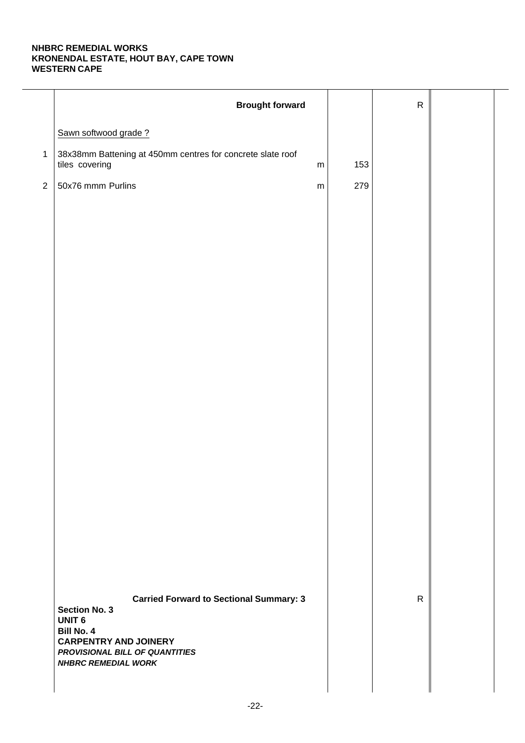|                | <b>Brought forward</b>                                                                                                                                                                                       |     | ${\sf R}$    |  |
|----------------|--------------------------------------------------------------------------------------------------------------------------------------------------------------------------------------------------------------|-----|--------------|--|
|                | Sawn softwood grade?                                                                                                                                                                                         |     |              |  |
| $\mathbf{1}$   | 38x38mm Battening at 450mm centres for concrete slate roof<br>tiles covering<br>${\sf m}$                                                                                                                    | 153 |              |  |
| $\overline{2}$ | 50x76 mmm Purlins<br>${\sf m}$                                                                                                                                                                               | 279 |              |  |
|                |                                                                                                                                                                                                              |     |              |  |
|                |                                                                                                                                                                                                              |     |              |  |
|                |                                                                                                                                                                                                              |     |              |  |
|                |                                                                                                                                                                                                              |     |              |  |
|                |                                                                                                                                                                                                              |     |              |  |
|                |                                                                                                                                                                                                              |     |              |  |
|                |                                                                                                                                                                                                              |     |              |  |
|                |                                                                                                                                                                                                              |     |              |  |
|                |                                                                                                                                                                                                              |     |              |  |
|                |                                                                                                                                                                                                              |     |              |  |
|                |                                                                                                                                                                                                              |     |              |  |
|                |                                                                                                                                                                                                              |     |              |  |
|                |                                                                                                                                                                                                              |     |              |  |
|                |                                                                                                                                                                                                              |     |              |  |
|                |                                                                                                                                                                                                              |     |              |  |
|                |                                                                                                                                                                                                              |     |              |  |
|                | <b>Carried Forward to Sectional Summary: 3</b><br><b>Section No. 3</b><br><b>UNIT 6</b><br><b>Bill No. 4</b><br><b>CARPENTRY AND JOINERY</b><br>PROVISIONAL BILL OF QUANTITIES<br><b>NHBRC REMEDIAL WORK</b> |     | $\mathsf{R}$ |  |
|                |                                                                                                                                                                                                              |     |              |  |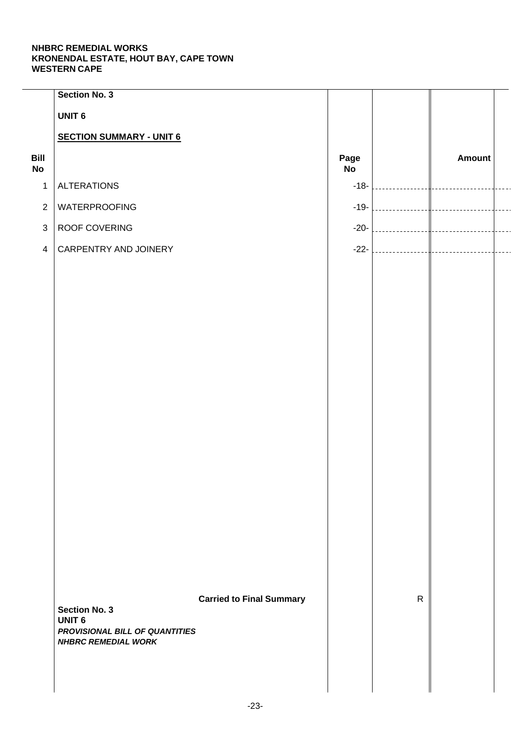|                   | <b>Section No. 3</b>                  |                                 |            |              |               |  |
|-------------------|---------------------------------------|---------------------------------|------------|--------------|---------------|--|
|                   | <b>UNIT 6</b>                         |                                 |            |              |               |  |
|                   | <b>SECTION SUMMARY - UNIT 6</b>       |                                 |            |              |               |  |
| Bill<br><b>No</b> |                                       |                                 | Page<br>No |              | <b>Amount</b> |  |
| $\mathbf 1$       | <b>ALTERATIONS</b>                    |                                 | $-18-$     |              |               |  |
| $\overline{2}$    | <b>WATERPROOFING</b>                  |                                 | $-19-$     |              |               |  |
| $\mathfrak{S}$    | ROOF COVERING                         |                                 | $-20-$     |              |               |  |
| $\overline{4}$    | CARPENTRY AND JOINERY                 |                                 | $-22-$     |              |               |  |
|                   |                                       |                                 |            |              |               |  |
|                   |                                       |                                 |            |              |               |  |
|                   |                                       |                                 |            |              |               |  |
|                   |                                       |                                 |            |              |               |  |
|                   |                                       |                                 |            |              |               |  |
|                   |                                       |                                 |            |              |               |  |
|                   |                                       |                                 |            |              |               |  |
|                   |                                       |                                 |            |              |               |  |
|                   |                                       |                                 |            |              |               |  |
|                   |                                       |                                 |            |              |               |  |
|                   |                                       |                                 |            |              |               |  |
|                   |                                       |                                 |            |              |               |  |
|                   |                                       |                                 |            |              |               |  |
|                   |                                       |                                 |            |              |               |  |
|                   |                                       |                                 |            |              |               |  |
|                   |                                       |                                 |            |              |               |  |
|                   |                                       |                                 |            | $\mathsf{R}$ |               |  |
|                   | <b>Section No. 3</b><br><b>UNIT 6</b> | <b>Carried to Final Summary</b> |            |              |               |  |
|                   | PROVISIONAL BILL OF QUANTITIES        |                                 |            |              |               |  |
|                   | <b>NHBRC REMEDIAL WORK</b>            |                                 |            |              |               |  |
|                   |                                       |                                 |            |              |               |  |
|                   |                                       |                                 |            |              |               |  |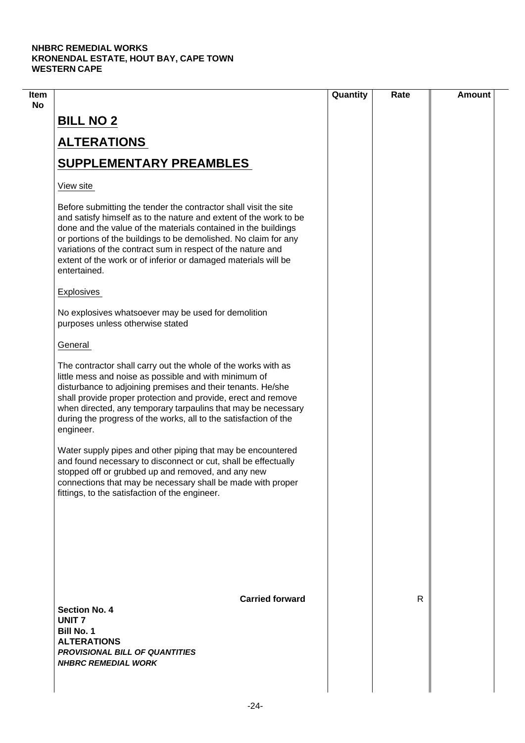| R |  |
|---|--|
|   |  |
|   |  |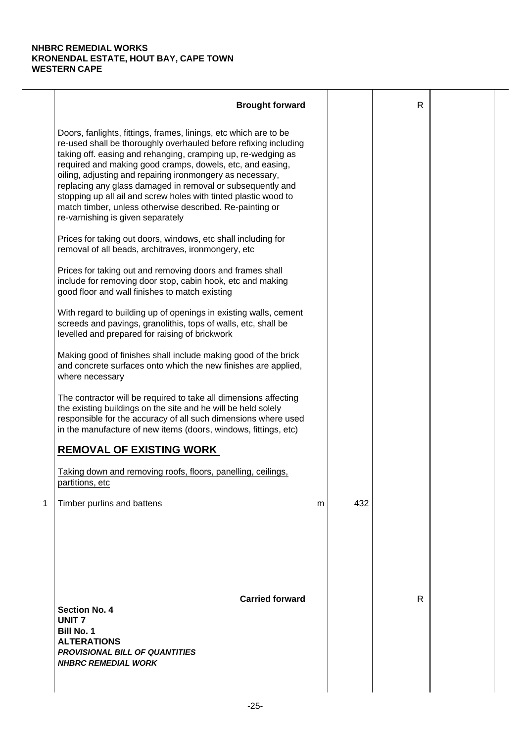|   | <b>Brought forward</b>                                                                                                                                                                                                                                                                                                                                                                                                                                                                                                                                           |   |     | $\mathsf{R}$ |  |
|---|------------------------------------------------------------------------------------------------------------------------------------------------------------------------------------------------------------------------------------------------------------------------------------------------------------------------------------------------------------------------------------------------------------------------------------------------------------------------------------------------------------------------------------------------------------------|---|-----|--------------|--|
|   | Doors, fanlights, fittings, frames, linings, etc which are to be<br>re-used shall be thoroughly overhauled before refixing including<br>taking off. easing and rehanging, cramping up, re-wedging as<br>required and making good cramps, dowels, etc, and easing,<br>oiling, adjusting and repairing ironmongery as necessary,<br>replacing any glass damaged in removal or subsequently and<br>stopping up all ail and screw holes with tinted plastic wood to<br>match timber, unless otherwise described. Re-painting or<br>re-varnishing is given separately |   |     |              |  |
|   | Prices for taking out doors, windows, etc shall including for<br>removal of all beads, architraves, ironmongery, etc                                                                                                                                                                                                                                                                                                                                                                                                                                             |   |     |              |  |
|   | Prices for taking out and removing doors and frames shall<br>include for removing door stop, cabin hook, etc and making<br>good floor and wall finishes to match existing                                                                                                                                                                                                                                                                                                                                                                                        |   |     |              |  |
|   | With regard to building up of openings in existing walls, cement<br>screeds and pavings, granolithis, tops of walls, etc, shall be<br>levelled and prepared for raising of brickwork                                                                                                                                                                                                                                                                                                                                                                             |   |     |              |  |
|   | Making good of finishes shall include making good of the brick<br>and concrete surfaces onto which the new finishes are applied,<br>where necessary                                                                                                                                                                                                                                                                                                                                                                                                              |   |     |              |  |
|   | The contractor will be required to take all dimensions affecting<br>the existing buildings on the site and he will be held solely<br>responsible for the accuracy of all such dimensions where used<br>in the manufacture of new items (doors, windows, fittings, etc)                                                                                                                                                                                                                                                                                           |   |     |              |  |
|   | <b>REMOVAL OF EXISTING WORK</b>                                                                                                                                                                                                                                                                                                                                                                                                                                                                                                                                  |   |     |              |  |
|   | Taking down and removing roofs, floors, panelling, ceilings,<br>partitions, etc                                                                                                                                                                                                                                                                                                                                                                                                                                                                                  |   |     |              |  |
| 1 | Timber purlins and battens                                                                                                                                                                                                                                                                                                                                                                                                                                                                                                                                       | m | 432 |              |  |
|   | <b>Carried forward</b><br><b>Section No. 4</b><br><b>UNIT7</b><br><b>Bill No. 1</b><br><b>ALTERATIONS</b><br><b>PROVISIONAL BILL OF QUANTITIES</b><br><b>NHBRC REMEDIAL WORK</b>                                                                                                                                                                                                                                                                                                                                                                                 |   |     | $\mathsf{R}$ |  |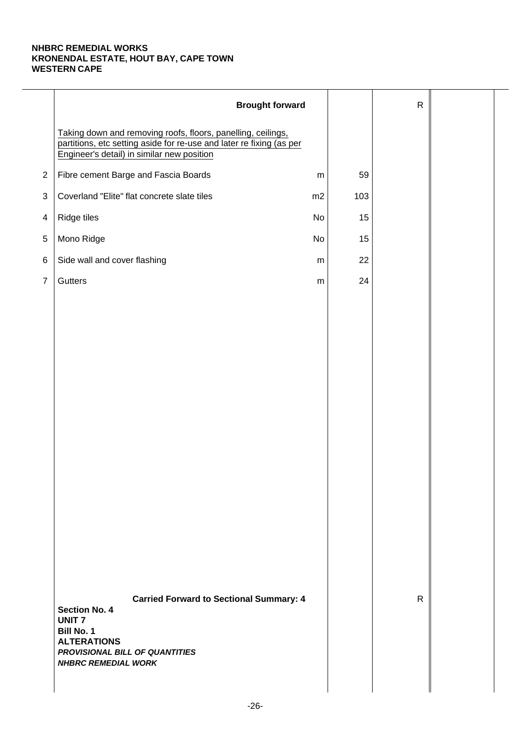|                | <b>Brought forward</b>                                                                                                                                                                     |           |     | $\mathsf{R}$ |  |
|----------------|--------------------------------------------------------------------------------------------------------------------------------------------------------------------------------------------|-----------|-----|--------------|--|
|                | Taking down and removing roofs, floors, panelling, ceilings,<br>partitions, etc setting aside for re-use and later re fixing (as per<br>Engineer's detail) in similar new position         |           |     |              |  |
| $\overline{2}$ | Fibre cement Barge and Fascia Boards                                                                                                                                                       | ${\sf m}$ | 59  |              |  |
| $\sqrt{3}$     | Coverland "Elite" flat concrete slate tiles                                                                                                                                                | m2        | 103 |              |  |
| $\overline{4}$ | Ridge tiles                                                                                                                                                                                | No        | 15  |              |  |
| 5              | Mono Ridge                                                                                                                                                                                 | No        | 15  |              |  |
| $\,6$          | Side wall and cover flashing                                                                                                                                                               | m         | 22  |              |  |
| $\overline{7}$ | Gutters                                                                                                                                                                                    | ${\sf m}$ | 24  |              |  |
|                |                                                                                                                                                                                            |           |     |              |  |
|                |                                                                                                                                                                                            |           |     |              |  |
|                |                                                                                                                                                                                            |           |     |              |  |
|                |                                                                                                                                                                                            |           |     |              |  |
|                |                                                                                                                                                                                            |           |     |              |  |
|                |                                                                                                                                                                                            |           |     |              |  |
|                |                                                                                                                                                                                            |           |     |              |  |
|                |                                                                                                                                                                                            |           |     |              |  |
|                |                                                                                                                                                                                            |           |     |              |  |
|                |                                                                                                                                                                                            |           |     |              |  |
|                |                                                                                                                                                                                            |           |     |              |  |
|                |                                                                                                                                                                                            |           |     |              |  |
|                |                                                                                                                                                                                            |           |     |              |  |
|                |                                                                                                                                                                                            |           |     |              |  |
|                | <b>Carried Forward to Sectional Summary: 4</b><br><b>Section No. 4</b><br><b>UNIT7</b><br>Bill No. 1<br><b>ALTERATIONS</b><br>PROVISIONAL BILL OF QUANTITIES<br><b>NHBRC REMEDIAL WORK</b> |           |     | $\mathsf{R}$ |  |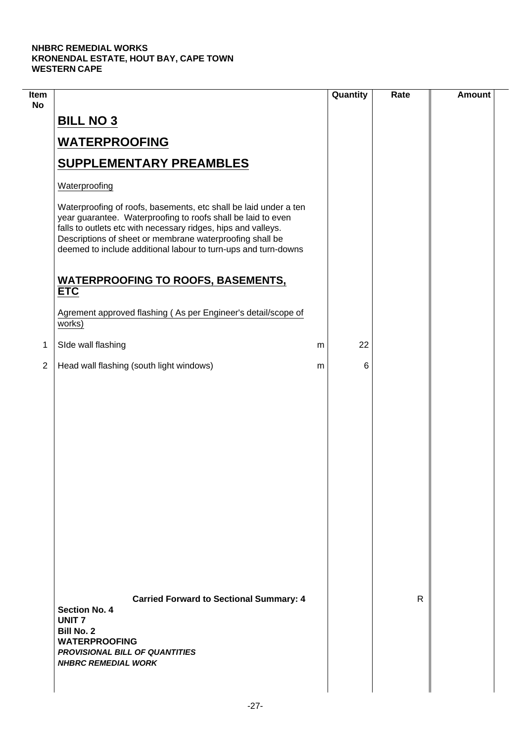$\overline{\phantom{a}}$ 

| Item<br><b>No</b> |                                                                                                                                                                                                                                                                                                                                 | Quantity | Rate | <b>Amount</b> |
|-------------------|---------------------------------------------------------------------------------------------------------------------------------------------------------------------------------------------------------------------------------------------------------------------------------------------------------------------------------|----------|------|---------------|
|                   | <b>BILL NO 3</b>                                                                                                                                                                                                                                                                                                                |          |      |               |
|                   | <b>WATERPROOFING</b>                                                                                                                                                                                                                                                                                                            |          |      |               |
|                   | <b>SUPPLEMENTARY PREAMBLES</b>                                                                                                                                                                                                                                                                                                  |          |      |               |
|                   | Waterproofing                                                                                                                                                                                                                                                                                                                   |          |      |               |
|                   | Waterproofing of roofs, basements, etc shall be laid under a ten<br>year guarantee. Waterproofing to roofs shall be laid to even<br>falls to outlets etc with necessary ridges, hips and valleys.<br>Descriptions of sheet or membrane waterproofing shall be<br>deemed to include additional labour to turn-ups and turn-downs |          |      |               |
|                   | <b>WATERPROOFING TO ROOFS, BASEMENTS,</b><br><b>ETC</b>                                                                                                                                                                                                                                                                         |          |      |               |
|                   | Agrement approved flashing (As per Engineer's detail/scope of<br>works)                                                                                                                                                                                                                                                         |          |      |               |
| 1                 | SIde wall flashing                                                                                                                                                                                                                                                                                                              | 22<br>m  |      |               |
| $\overline{2}$    | Head wall flashing (south light windows)                                                                                                                                                                                                                                                                                        | 6<br>m   |      |               |
|                   |                                                                                                                                                                                                                                                                                                                                 |          |      |               |
|                   | <b>Carried Forward to Sectional Summary: 4</b><br><b>Section No. 4</b><br><b>UNIT7</b><br><b>Bill No. 2</b><br><b>WATERPROOFING</b><br><b>PROVISIONAL BILL OF QUANTITIES</b><br><b>NHBRC REMEDIAL WORK</b>                                                                                                                      |          | R    |               |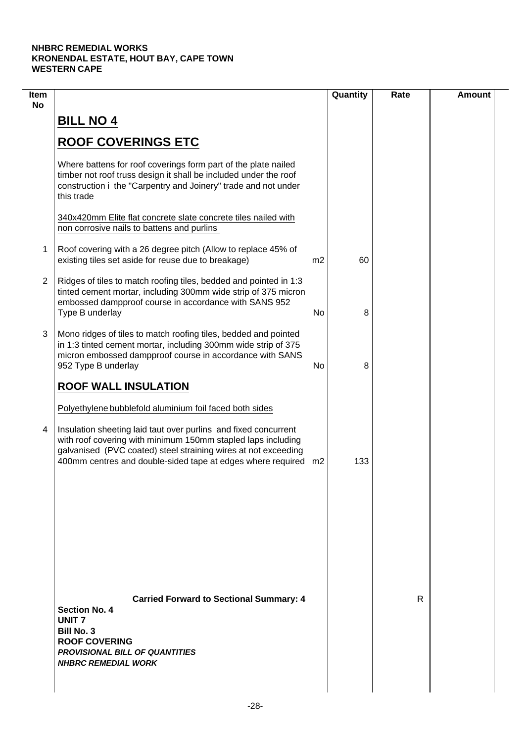| Item<br><b>No</b> |                                                                                                                                                                                                                                                                     |                | Quantity | Rate | <b>Amount</b> |
|-------------------|---------------------------------------------------------------------------------------------------------------------------------------------------------------------------------------------------------------------------------------------------------------------|----------------|----------|------|---------------|
|                   | <b>BILL NO 4</b>                                                                                                                                                                                                                                                    |                |          |      |               |
|                   | <b>ROOF COVERINGS ETC</b>                                                                                                                                                                                                                                           |                |          |      |               |
|                   | Where battens for roof coverings form part of the plate nailed<br>timber not roof truss design it shall be included under the roof<br>construction i the "Carpentry and Joinery" trade and not under<br>this trade                                                  |                |          |      |               |
|                   | 340x420mm Elite flat concrete slate concrete tiles nailed with<br>non corrosive nails to battens and purlins                                                                                                                                                        |                |          |      |               |
| 1                 | Roof covering with a 26 degree pitch (Allow to replace 45% of<br>existing tiles set aside for reuse due to breakage)                                                                                                                                                | m <sub>2</sub> | 60       |      |               |
| $\overline{2}$    | Ridges of tiles to match roofing tiles, bedded and pointed in 1:3<br>tinted cement mortar, including 300mm wide strip of 375 micron<br>embossed dampproof course in accordance with SANS 952<br>Type B underlay                                                     | No             | 8        |      |               |
| 3                 | Mono ridges of tiles to match roofing tiles, bedded and pointed<br>in 1:3 tinted cement mortar, including 300mm wide strip of 375<br>micron embossed dampproof course in accordance with SANS<br>952 Type B underlay                                                | No             | 8        |      |               |
|                   | <b>ROOF WALL INSULATION</b><br>Polyethylene bubblefold aluminium foil faced both sides                                                                                                                                                                              |                |          |      |               |
| 4                 | Insulation sheeting laid taut over purlins and fixed concurrent<br>with roof covering with minimum 150mm stapled laps including<br>galvanised (PVC coated) steel straining wires at not exceeding<br>400mm centres and double-sided tape at edges where required m2 |                | 133      |      |               |
|                   |                                                                                                                                                                                                                                                                     |                |          |      |               |
|                   |                                                                                                                                                                                                                                                                     |                |          |      |               |
|                   | <b>Carried Forward to Sectional Summary: 4</b><br><b>Section No. 4</b><br>UNIT <sub>7</sub><br><b>Bill No. 3</b><br><b>ROOF COVERING</b><br><b>PROVISIONAL BILL OF QUANTITIES</b><br><b>NHBRC REMEDIAL WORK</b>                                                     |                |          | R    |               |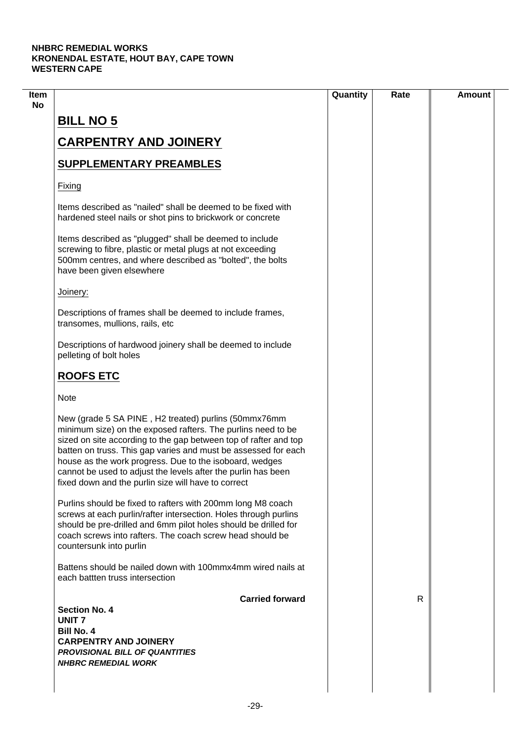|                                                                                                                                                                                                                                                                                                                                                                                                                                               | Quantity | Rate | <b>Amount</b> |
|-----------------------------------------------------------------------------------------------------------------------------------------------------------------------------------------------------------------------------------------------------------------------------------------------------------------------------------------------------------------------------------------------------------------------------------------------|----------|------|---------------|
| <b>BILL NO 5</b>                                                                                                                                                                                                                                                                                                                                                                                                                              |          |      |               |
| <b>CARPENTRY AND JOINERY</b>                                                                                                                                                                                                                                                                                                                                                                                                                  |          |      |               |
|                                                                                                                                                                                                                                                                                                                                                                                                                                               |          |      |               |
| <b>SUPPLEMENTARY PREAMBLES</b>                                                                                                                                                                                                                                                                                                                                                                                                                |          |      |               |
| Fixing                                                                                                                                                                                                                                                                                                                                                                                                                                        |          |      |               |
| Items described as "nailed" shall be deemed to be fixed with<br>hardened steel nails or shot pins to brickwork or concrete                                                                                                                                                                                                                                                                                                                    |          |      |               |
| Items described as "plugged" shall be deemed to include<br>screwing to fibre, plastic or metal plugs at not exceeding<br>500mm centres, and where described as "bolted", the bolts<br>have been given elsewhere                                                                                                                                                                                                                               |          |      |               |
| Joinery:                                                                                                                                                                                                                                                                                                                                                                                                                                      |          |      |               |
| Descriptions of frames shall be deemed to include frames,<br>transomes, mullions, rails, etc                                                                                                                                                                                                                                                                                                                                                  |          |      |               |
| Descriptions of hardwood joinery shall be deemed to include<br>pelleting of bolt holes                                                                                                                                                                                                                                                                                                                                                        |          |      |               |
| <b>ROOFS ETC</b>                                                                                                                                                                                                                                                                                                                                                                                                                              |          |      |               |
| <b>Note</b>                                                                                                                                                                                                                                                                                                                                                                                                                                   |          |      |               |
| New (grade 5 SA PINE, H2 treated) purlins (50mmx76mm<br>minimum size) on the exposed rafters. The purlins need to be<br>sized on site according to the gap between top of rafter and top<br>batten on truss. This gap varies and must be assessed for each<br>house as the work progress. Due to the isoboard, wedges<br>cannot be used to adjust the levels after the purlin has been<br>fixed down and the purlin size will have to correct |          |      |               |
| Purlins should be fixed to rafters with 200mm long M8 coach<br>screws at each purlin/rafter intersection. Holes through purlins<br>should be pre-drilled and 6mm pilot holes should be drilled for<br>coach screws into rafters. The coach screw head should be<br>countersunk into purlin                                                                                                                                                    |          |      |               |
| Battens should be nailed down with 100mmx4mm wired nails at<br>each battten truss intersection                                                                                                                                                                                                                                                                                                                                                |          |      |               |
| <b>Carried forward</b>                                                                                                                                                                                                                                                                                                                                                                                                                        |          | R    |               |
| <b>Section No. 4</b><br><b>UNIT7</b>                                                                                                                                                                                                                                                                                                                                                                                                          |          |      |               |
| <b>Bill No. 4</b>                                                                                                                                                                                                                                                                                                                                                                                                                             |          |      |               |
| <b>CARPENTRY AND JOINERY</b>                                                                                                                                                                                                                                                                                                                                                                                                                  |          |      |               |
| <b>PROVISIONAL BILL OF QUANTITIES</b>                                                                                                                                                                                                                                                                                                                                                                                                         |          |      |               |
| <b>NHBRC REMEDIAL WORK</b>                                                                                                                                                                                                                                                                                                                                                                                                                    |          |      |               |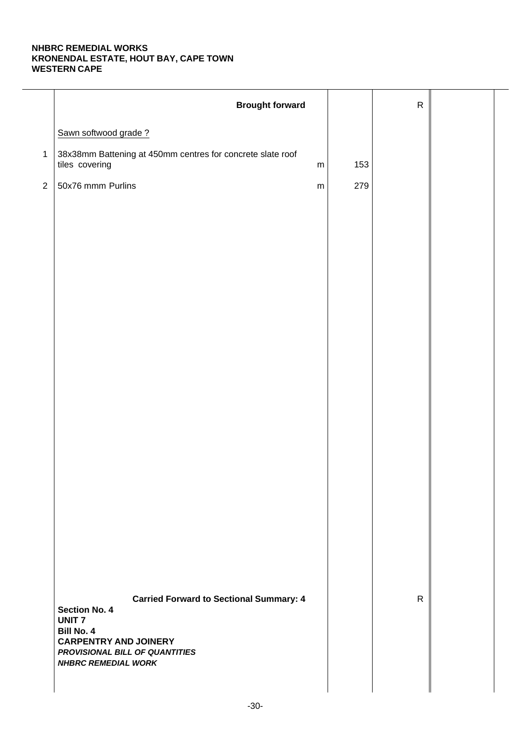|                | <b>Brought forward</b>                                                                    |     | ${\sf R}$    |  |
|----------------|-------------------------------------------------------------------------------------------|-----|--------------|--|
|                | Sawn softwood grade?                                                                      |     |              |  |
| $\mathbf{1}$   | 38x38mm Battening at 450mm centres for concrete slate roof<br>tiles covering<br>${\sf m}$ | 153 |              |  |
| $\overline{2}$ | 50x76 mmm Purlins<br>${\sf m}$                                                            | 279 |              |  |
|                |                                                                                           |     |              |  |
|                |                                                                                           |     |              |  |
|                |                                                                                           |     |              |  |
|                |                                                                                           |     |              |  |
|                |                                                                                           |     |              |  |
|                |                                                                                           |     |              |  |
|                |                                                                                           |     |              |  |
|                |                                                                                           |     |              |  |
|                |                                                                                           |     |              |  |
|                |                                                                                           |     |              |  |
|                |                                                                                           |     |              |  |
|                |                                                                                           |     |              |  |
|                |                                                                                           |     |              |  |
|                |                                                                                           |     |              |  |
|                |                                                                                           |     |              |  |
|                |                                                                                           |     |              |  |
|                |                                                                                           |     |              |  |
|                | <b>Carried Forward to Sectional Summary: 4</b><br><b>Section No. 4</b>                    |     | $\mathsf{R}$ |  |
|                | <b>UNIT7</b><br><b>Bill No. 4</b>                                                         |     |              |  |
|                | <b>CARPENTRY AND JOINERY</b><br>PROVISIONAL BILL OF QUANTITIES                            |     |              |  |
|                | <b>NHBRC REMEDIAL WORK</b>                                                                |     |              |  |
|                |                                                                                           |     |              |  |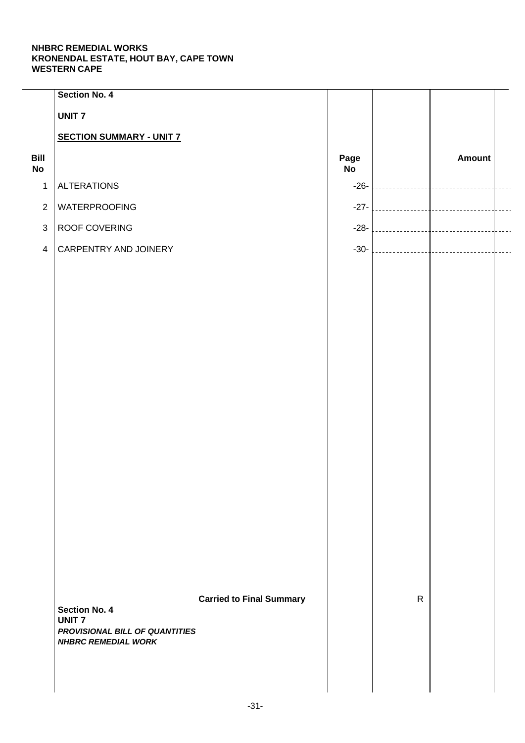|                   | Section No. 4                                  |                                 |            |              |               |  |
|-------------------|------------------------------------------------|---------------------------------|------------|--------------|---------------|--|
|                   | <b>UNIT7</b>                                   |                                 |            |              |               |  |
|                   | <b>SECTION SUMMARY - UNIT 7</b>                |                                 |            |              |               |  |
| Bill<br><b>No</b> |                                                |                                 | Page<br>No |              | <b>Amount</b> |  |
| $\mathbf 1$       | <b>ALTERATIONS</b>                             |                                 | $-26-$     |              |               |  |
| $\overline{2}$    | <b>WATERPROOFING</b>                           |                                 | $-27-$     |              |               |  |
| $\mathfrak{S}$    | ROOF COVERING                                  |                                 | $-28-$     |              |               |  |
| $\overline{4}$    | CARPENTRY AND JOINERY                          |                                 | $-30-$     |              |               |  |
|                   |                                                |                                 |            |              |               |  |
|                   |                                                |                                 |            |              |               |  |
|                   |                                                |                                 |            |              |               |  |
|                   |                                                |                                 |            |              |               |  |
|                   |                                                |                                 |            |              |               |  |
|                   |                                                |                                 |            |              |               |  |
|                   |                                                |                                 |            |              |               |  |
|                   |                                                |                                 |            |              |               |  |
|                   |                                                |                                 |            |              |               |  |
|                   |                                                |                                 |            |              |               |  |
|                   |                                                |                                 |            |              |               |  |
|                   |                                                |                                 |            |              |               |  |
|                   |                                                |                                 |            |              |               |  |
|                   |                                                |                                 |            |              |               |  |
|                   |                                                |                                 |            |              |               |  |
|                   |                                                |                                 |            |              |               |  |
|                   |                                                |                                 |            | $\mathsf{R}$ |               |  |
|                   | <b>Section No. 4</b>                           | <b>Carried to Final Summary</b> |            |              |               |  |
|                   | <b>UNIT7</b><br>PROVISIONAL BILL OF QUANTITIES |                                 |            |              |               |  |
|                   | <b>NHBRC REMEDIAL WORK</b>                     |                                 |            |              |               |  |
|                   |                                                |                                 |            |              |               |  |
|                   |                                                |                                 |            |              |               |  |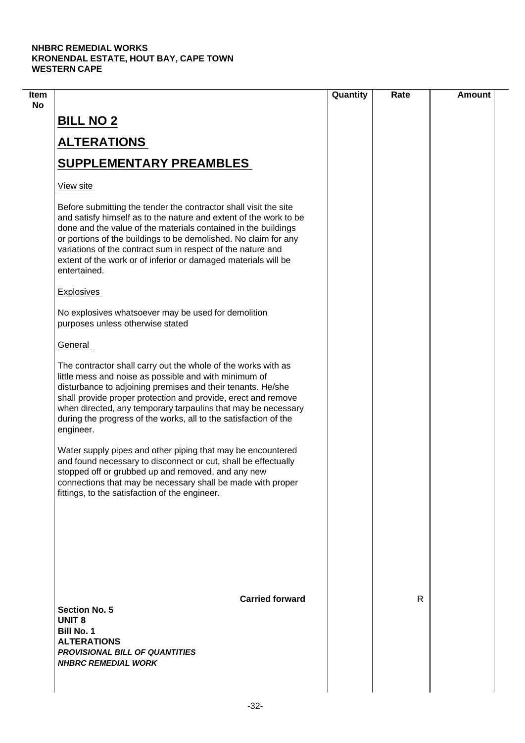|                                                                                                                                                                                                                                                                                                                                                                                                                             | Quantity | Rate | <b>Amount</b> |
|-----------------------------------------------------------------------------------------------------------------------------------------------------------------------------------------------------------------------------------------------------------------------------------------------------------------------------------------------------------------------------------------------------------------------------|----------|------|---------------|
| <b>BILL NO 2</b>                                                                                                                                                                                                                                                                                                                                                                                                            |          |      |               |
| <b>ALTERATIONS</b>                                                                                                                                                                                                                                                                                                                                                                                                          |          |      |               |
| <b>SUPPLEMENTARY PREAMBLES</b>                                                                                                                                                                                                                                                                                                                                                                                              |          |      |               |
| View site                                                                                                                                                                                                                                                                                                                                                                                                                   |          |      |               |
| Before submitting the tender the contractor shall visit the site<br>and satisfy himself as to the nature and extent of the work to be<br>done and the value of the materials contained in the buildings<br>or portions of the buildings to be demolished. No claim for any<br>variations of the contract sum in respect of the nature and<br>extent of the work or of inferior or damaged materials will be<br>entertained. |          |      |               |
| <b>Explosives</b>                                                                                                                                                                                                                                                                                                                                                                                                           |          |      |               |
| No explosives whatsoever may be used for demolition<br>purposes unless otherwise stated                                                                                                                                                                                                                                                                                                                                     |          |      |               |
| General                                                                                                                                                                                                                                                                                                                                                                                                                     |          |      |               |
| The contractor shall carry out the whole of the works with as<br>little mess and noise as possible and with minimum of<br>disturbance to adjoining premises and their tenants. He/she<br>shall provide proper protection and provide, erect and remove<br>when directed, any temporary tarpaulins that may be necessary<br>during the progress of the works, all to the satisfaction of the<br>engineer.                    |          |      |               |
| Water supply pipes and other piping that may be encountered<br>and found necessary to disconnect or cut, shall be effectually<br>stopped off or grubbed up and removed, and any new<br>connections that may be necessary shall be made with proper<br>fittings, to the satisfaction of the engineer.                                                                                                                        |          |      |               |
| <b>Carried forward</b>                                                                                                                                                                                                                                                                                                                                                                                                      |          | R    |               |
| <b>Section No. 5</b><br><b>UNIT 8</b><br><b>Bill No. 1</b><br><b>ALTERATIONS</b><br><b>PROVISIONAL BILL OF QUANTITIES</b><br><b>NHBRC REMEDIAL WORK</b>                                                                                                                                                                                                                                                                     |          |      |               |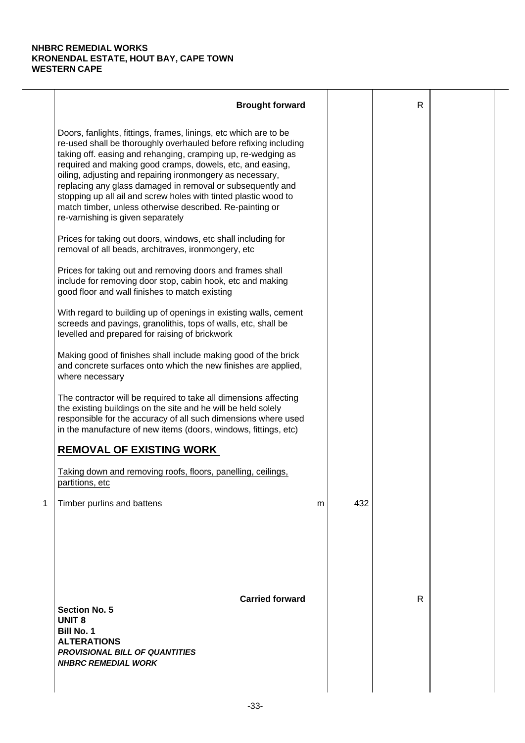|   | <b>Brought forward</b>                                                                                                                                                                                                                                                                                                                                                                                                                                                                                                                                           |   |     | R |  |
|---|------------------------------------------------------------------------------------------------------------------------------------------------------------------------------------------------------------------------------------------------------------------------------------------------------------------------------------------------------------------------------------------------------------------------------------------------------------------------------------------------------------------------------------------------------------------|---|-----|---|--|
|   | Doors, fanlights, fittings, frames, linings, etc which are to be<br>re-used shall be thoroughly overhauled before refixing including<br>taking off. easing and rehanging, cramping up, re-wedging as<br>required and making good cramps, dowels, etc, and easing,<br>oiling, adjusting and repairing ironmongery as necessary,<br>replacing any glass damaged in removal or subsequently and<br>stopping up all ail and screw holes with tinted plastic wood to<br>match timber, unless otherwise described. Re-painting or<br>re-varnishing is given separately |   |     |   |  |
|   | Prices for taking out doors, windows, etc shall including for<br>removal of all beads, architraves, ironmongery, etc                                                                                                                                                                                                                                                                                                                                                                                                                                             |   |     |   |  |
|   | Prices for taking out and removing doors and frames shall<br>include for removing door stop, cabin hook, etc and making<br>good floor and wall finishes to match existing                                                                                                                                                                                                                                                                                                                                                                                        |   |     |   |  |
|   | With regard to building up of openings in existing walls, cement<br>screeds and pavings, granolithis, tops of walls, etc, shall be<br>levelled and prepared for raising of brickwork                                                                                                                                                                                                                                                                                                                                                                             |   |     |   |  |
|   | Making good of finishes shall include making good of the brick<br>and concrete surfaces onto which the new finishes are applied,<br>where necessary                                                                                                                                                                                                                                                                                                                                                                                                              |   |     |   |  |
|   | The contractor will be required to take all dimensions affecting<br>the existing buildings on the site and he will be held solely<br>responsible for the accuracy of all such dimensions where used<br>in the manufacture of new items (doors, windows, fittings, etc)                                                                                                                                                                                                                                                                                           |   |     |   |  |
|   | <b>REMOVAL OF EXISTING WORK</b>                                                                                                                                                                                                                                                                                                                                                                                                                                                                                                                                  |   |     |   |  |
|   | Taking down and removing roofs, floors, panelling, ceilings,<br>partitions, etc                                                                                                                                                                                                                                                                                                                                                                                                                                                                                  |   |     |   |  |
| 1 | Timber purlins and battens                                                                                                                                                                                                                                                                                                                                                                                                                                                                                                                                       | m | 432 |   |  |
|   | <b>Carried forward</b><br><b>Section No. 5</b><br><b>UNIT 8</b><br><b>Bill No. 1</b><br><b>ALTERATIONS</b><br><b>PROVISIONAL BILL OF QUANTITIES</b><br><b>NHBRC REMEDIAL WORK</b>                                                                                                                                                                                                                                                                                                                                                                                |   |     | R |  |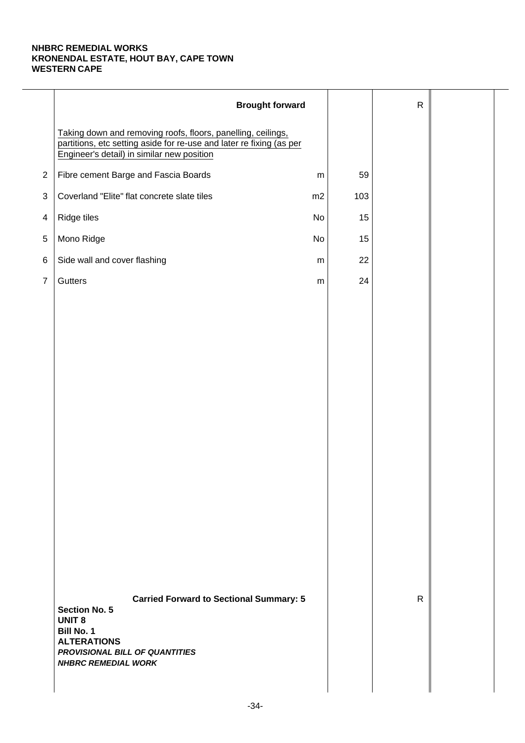|                | <b>Brought forward</b>                                                                                                                                                                      |           |     | $\mathsf{R}$ |  |
|----------------|---------------------------------------------------------------------------------------------------------------------------------------------------------------------------------------------|-----------|-----|--------------|--|
|                | Taking down and removing roofs, floors, panelling, ceilings,<br>partitions, etc setting aside for re-use and later re fixing (as per<br>Engineer's detail) in similar new position          |           |     |              |  |
| $\overline{2}$ | Fibre cement Barge and Fascia Boards                                                                                                                                                        | ${\sf m}$ | 59  |              |  |
| $\sqrt{3}$     | Coverland "Elite" flat concrete slate tiles                                                                                                                                                 | m2        | 103 |              |  |
| $\overline{4}$ | Ridge tiles                                                                                                                                                                                 | No        | 15  |              |  |
| 5              | Mono Ridge                                                                                                                                                                                  | No        | 15  |              |  |
| $\,6$          | Side wall and cover flashing                                                                                                                                                                | m         | 22  |              |  |
| $\overline{7}$ | Gutters                                                                                                                                                                                     | ${\sf m}$ | 24  |              |  |
|                |                                                                                                                                                                                             |           |     |              |  |
|                |                                                                                                                                                                                             |           |     |              |  |
|                |                                                                                                                                                                                             |           |     |              |  |
|                |                                                                                                                                                                                             |           |     |              |  |
|                |                                                                                                                                                                                             |           |     |              |  |
|                |                                                                                                                                                                                             |           |     |              |  |
|                |                                                                                                                                                                                             |           |     |              |  |
|                |                                                                                                                                                                                             |           |     |              |  |
|                |                                                                                                                                                                                             |           |     |              |  |
|                |                                                                                                                                                                                             |           |     |              |  |
|                |                                                                                                                                                                                             |           |     |              |  |
|                |                                                                                                                                                                                             |           |     |              |  |
|                |                                                                                                                                                                                             |           |     |              |  |
|                |                                                                                                                                                                                             |           |     |              |  |
|                | <b>Carried Forward to Sectional Summary: 5</b><br><b>Section No. 5</b><br><b>UNIT 8</b><br>Bill No. 1<br><b>ALTERATIONS</b><br>PROVISIONAL BILL OF QUANTITIES<br><b>NHBRC REMEDIAL WORK</b> |           |     | $\mathsf{R}$ |  |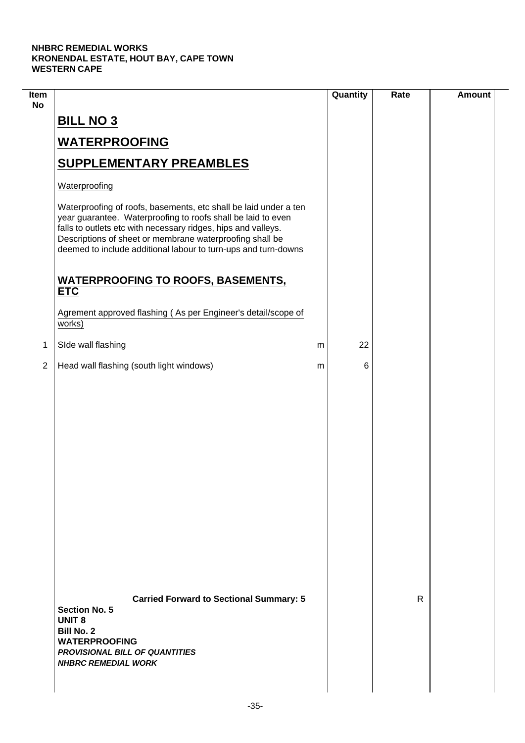$\mathcal{L}$ 

| Item<br><b>No</b> |                                                                                                                                                                                                                                                                                                                                 | Quantity | Rate | <b>Amount</b> |
|-------------------|---------------------------------------------------------------------------------------------------------------------------------------------------------------------------------------------------------------------------------------------------------------------------------------------------------------------------------|----------|------|---------------|
|                   | <b>BILL NO 3</b>                                                                                                                                                                                                                                                                                                                |          |      |               |
|                   | <b>WATERPROOFING</b>                                                                                                                                                                                                                                                                                                            |          |      |               |
|                   | <b>SUPPLEMENTARY PREAMBLES</b>                                                                                                                                                                                                                                                                                                  |          |      |               |
|                   | Waterproofing                                                                                                                                                                                                                                                                                                                   |          |      |               |
|                   | Waterproofing of roofs, basements, etc shall be laid under a ten<br>year guarantee. Waterproofing to roofs shall be laid to even<br>falls to outlets etc with necessary ridges, hips and valleys.<br>Descriptions of sheet or membrane waterproofing shall be<br>deemed to include additional labour to turn-ups and turn-downs |          |      |               |
|                   | <b>WATERPROOFING TO ROOFS, BASEMENTS,</b><br><b>ETC</b>                                                                                                                                                                                                                                                                         |          |      |               |
|                   | Agrement approved flashing (As per Engineer's detail/scope of<br>works)                                                                                                                                                                                                                                                         |          |      |               |
| 1                 | SIde wall flashing                                                                                                                                                                                                                                                                                                              | 22<br>m  |      |               |
| $\overline{2}$    | Head wall flashing (south light windows)                                                                                                                                                                                                                                                                                        | 6<br>m   |      |               |
|                   |                                                                                                                                                                                                                                                                                                                                 |          |      |               |
|                   | <b>Carried Forward to Sectional Summary: 5</b><br><b>Section No. 5</b><br><b>UNIT 8</b><br><b>Bill No. 2</b><br><b>WATERPROOFING</b><br><b>PROVISIONAL BILL OF QUANTITIES</b><br><b>NHBRC REMEDIAL WORK</b>                                                                                                                     |          | R    |               |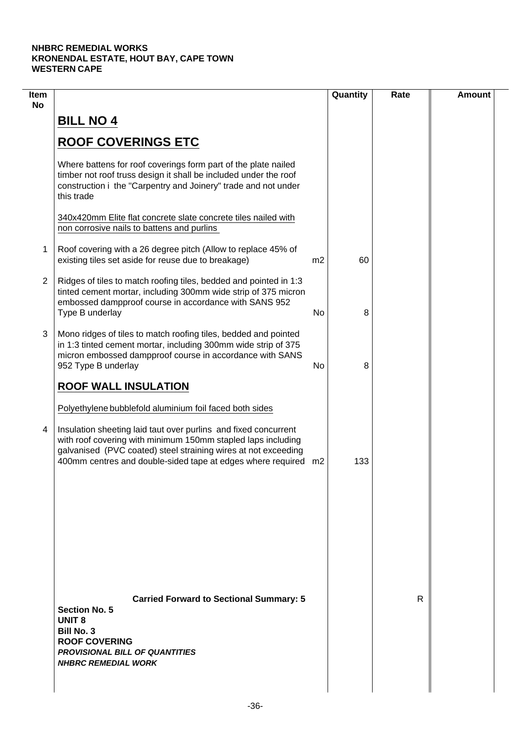| 60  |   |  |
|-----|---|--|
|     |   |  |
|     |   |  |
|     |   |  |
|     |   |  |
|     |   |  |
| 8   |   |  |
| 8   |   |  |
|     |   |  |
| 133 |   |  |
|     |   |  |
|     | R |  |
|     |   |  |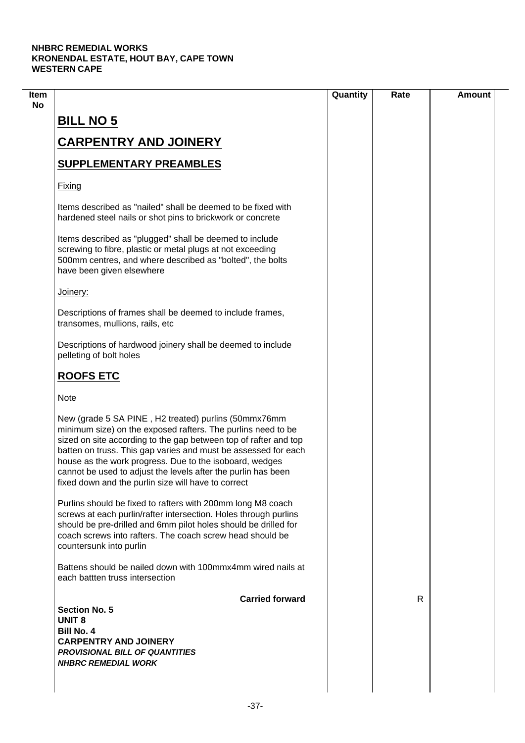|                                                                                                                                                                                                                                                                                                                                                                                                                                               | Quantity | Rate | <b>Amount</b> |
|-----------------------------------------------------------------------------------------------------------------------------------------------------------------------------------------------------------------------------------------------------------------------------------------------------------------------------------------------------------------------------------------------------------------------------------------------|----------|------|---------------|
| <b>BILL NO 5</b>                                                                                                                                                                                                                                                                                                                                                                                                                              |          |      |               |
|                                                                                                                                                                                                                                                                                                                                                                                                                                               |          |      |               |
| <b>CARPENTRY AND JOINERY</b>                                                                                                                                                                                                                                                                                                                                                                                                                  |          |      |               |
| <b>SUPPLEMENTARY PREAMBLES</b>                                                                                                                                                                                                                                                                                                                                                                                                                |          |      |               |
| Fixing                                                                                                                                                                                                                                                                                                                                                                                                                                        |          |      |               |
| Items described as "nailed" shall be deemed to be fixed with<br>hardened steel nails or shot pins to brickwork or concrete                                                                                                                                                                                                                                                                                                                    |          |      |               |
| Items described as "plugged" shall be deemed to include<br>screwing to fibre, plastic or metal plugs at not exceeding<br>500mm centres, and where described as "bolted", the bolts<br>have been given elsewhere                                                                                                                                                                                                                               |          |      |               |
| Joinery:                                                                                                                                                                                                                                                                                                                                                                                                                                      |          |      |               |
| Descriptions of frames shall be deemed to include frames,<br>transomes, mullions, rails, etc                                                                                                                                                                                                                                                                                                                                                  |          |      |               |
| Descriptions of hardwood joinery shall be deemed to include<br>pelleting of bolt holes                                                                                                                                                                                                                                                                                                                                                        |          |      |               |
| <b>ROOFS ETC</b>                                                                                                                                                                                                                                                                                                                                                                                                                              |          |      |               |
| <b>Note</b>                                                                                                                                                                                                                                                                                                                                                                                                                                   |          |      |               |
| New (grade 5 SA PINE, H2 treated) purlins (50mmx76mm<br>minimum size) on the exposed rafters. The purlins need to be<br>sized on site according to the gap between top of rafter and top<br>batten on truss. This gap varies and must be assessed for each<br>house as the work progress. Due to the isoboard, wedges<br>cannot be used to adjust the levels after the purlin has been<br>fixed down and the purlin size will have to correct |          |      |               |
| Purlins should be fixed to rafters with 200mm long M8 coach<br>screws at each purlin/rafter intersection. Holes through purlins<br>should be pre-drilled and 6mm pilot holes should be drilled for<br>coach screws into rafters. The coach screw head should be<br>countersunk into purlin                                                                                                                                                    |          |      |               |
| Battens should be nailed down with 100mmx4mm wired nails at<br>each battten truss intersection                                                                                                                                                                                                                                                                                                                                                |          |      |               |
| <b>Carried forward</b>                                                                                                                                                                                                                                                                                                                                                                                                                        |          | R    |               |
| <b>Section No. 5</b><br><b>UNIT 8</b>                                                                                                                                                                                                                                                                                                                                                                                                         |          |      |               |
| <b>Bill No. 4</b>                                                                                                                                                                                                                                                                                                                                                                                                                             |          |      |               |
| <b>CARPENTRY AND JOINERY</b>                                                                                                                                                                                                                                                                                                                                                                                                                  |          |      |               |
| <b>PROVISIONAL BILL OF QUANTITIES</b><br><b>NHBRC REMEDIAL WORK</b>                                                                                                                                                                                                                                                                                                                                                                           |          |      |               |
|                                                                                                                                                                                                                                                                                                                                                                                                                                               |          |      |               |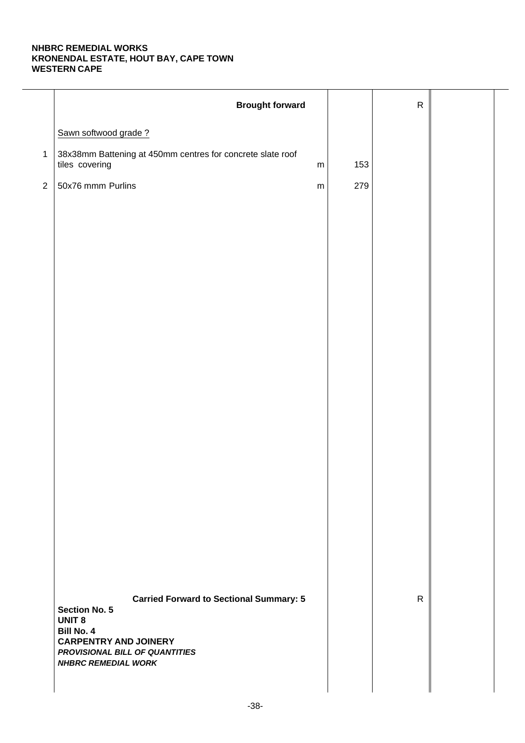|                | <b>Brought forward</b>                                                                                       |     | ${\sf R}$    |  |
|----------------|--------------------------------------------------------------------------------------------------------------|-----|--------------|--|
|                | Sawn softwood grade?                                                                                         |     |              |  |
| $\mathbf{1}$   | 38x38mm Battening at 450mm centres for concrete slate roof<br>tiles covering<br>${\sf m}$                    | 153 |              |  |
| $\overline{2}$ | 50x76 mmm Purlins<br>${\sf m}$                                                                               | 279 |              |  |
|                |                                                                                                              |     |              |  |
|                |                                                                                                              |     |              |  |
|                |                                                                                                              |     |              |  |
|                |                                                                                                              |     |              |  |
|                |                                                                                                              |     |              |  |
|                |                                                                                                              |     |              |  |
|                |                                                                                                              |     |              |  |
|                |                                                                                                              |     |              |  |
|                |                                                                                                              |     |              |  |
|                |                                                                                                              |     |              |  |
|                |                                                                                                              |     |              |  |
|                |                                                                                                              |     |              |  |
|                |                                                                                                              |     |              |  |
|                |                                                                                                              |     |              |  |
|                |                                                                                                              |     |              |  |
|                |                                                                                                              |     |              |  |
|                |                                                                                                              |     |              |  |
|                | <b>Carried Forward to Sectional Summary: 5</b><br><b>Section No. 5</b><br><b>UNIT 8</b><br><b>Bill No. 4</b> |     | $\mathsf{R}$ |  |
|                | <b>CARPENTRY AND JOINERY</b><br>PROVISIONAL BILL OF QUANTITIES<br><b>NHBRC REMEDIAL WORK</b>                 |     |              |  |
|                |                                                                                                              |     |              |  |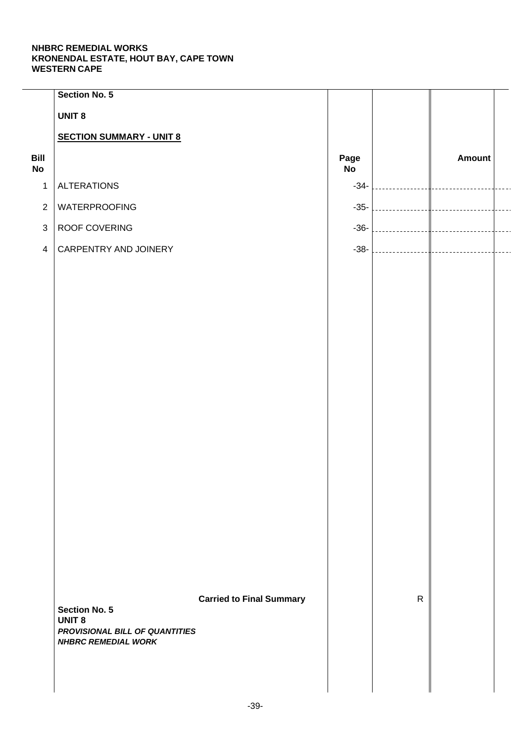|                   | Section No. 5                                                                 |                                 |            |              |               |  |
|-------------------|-------------------------------------------------------------------------------|---------------------------------|------------|--------------|---------------|--|
|                   | <b>UNIT 8</b>                                                                 |                                 |            |              |               |  |
|                   | <b>SECTION SUMMARY - UNIT 8</b>                                               |                                 |            |              |               |  |
| Bill<br><b>No</b> |                                                                               |                                 | Page<br>No |              | <b>Amount</b> |  |
| $\mathbf{1}$      | <b>ALTERATIONS</b>                                                            |                                 | $-34-$     |              |               |  |
| $\overline{2}$    | <b>WATERPROOFING</b>                                                          |                                 | $-35-$     |              |               |  |
| $\mathfrak{S}$    | ROOF COVERING                                                                 |                                 | $-36-$     |              |               |  |
| $\overline{4}$    | CARPENTRY AND JOINERY                                                         |                                 | $-38-$     |              |               |  |
|                   |                                                                               |                                 |            |              |               |  |
|                   |                                                                               |                                 |            |              |               |  |
|                   |                                                                               |                                 |            |              |               |  |
|                   |                                                                               |                                 |            |              |               |  |
|                   |                                                                               |                                 |            |              |               |  |
|                   |                                                                               |                                 |            |              |               |  |
|                   |                                                                               |                                 |            |              |               |  |
|                   |                                                                               |                                 |            |              |               |  |
|                   |                                                                               |                                 |            |              |               |  |
|                   |                                                                               |                                 |            |              |               |  |
|                   |                                                                               |                                 |            |              |               |  |
|                   |                                                                               |                                 |            |              |               |  |
|                   |                                                                               |                                 |            |              |               |  |
|                   |                                                                               |                                 |            |              |               |  |
|                   |                                                                               |                                 |            |              |               |  |
|                   |                                                                               |                                 |            |              |               |  |
|                   | <b>Section No. 5</b>                                                          | <b>Carried to Final Summary</b> |            | $\mathsf{R}$ |               |  |
|                   | <b>UNIT 8</b><br>PROVISIONAL BILL OF QUANTITIES<br><b>NHBRC REMEDIAL WORK</b> |                                 |            |              |               |  |
|                   |                                                                               |                                 |            |              |               |  |
|                   |                                                                               |                                 |            |              |               |  |
|                   |                                                                               |                                 |            |              |               |  |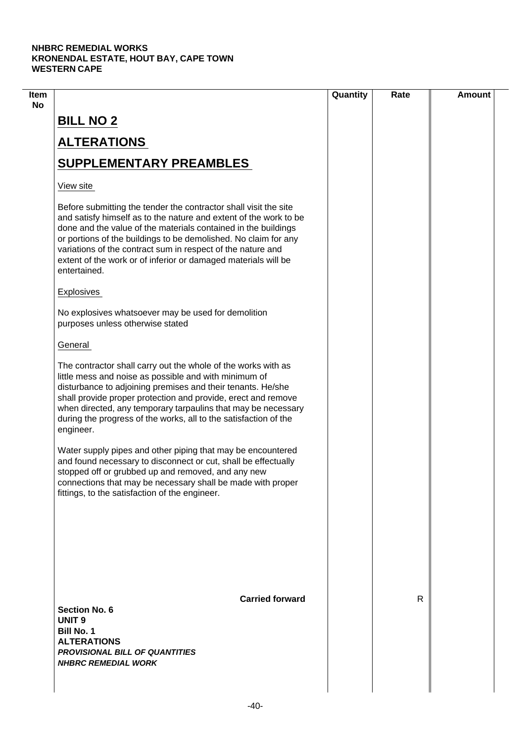| Item |                                                                                                                                                                                                                                                                                                                                                                                                                             | Quantity | Rate | <b>Amount</b> |
|------|-----------------------------------------------------------------------------------------------------------------------------------------------------------------------------------------------------------------------------------------------------------------------------------------------------------------------------------------------------------------------------------------------------------------------------|----------|------|---------------|
| No   | <b>BILL NO 2</b>                                                                                                                                                                                                                                                                                                                                                                                                            |          |      |               |
|      | <b>ALTERATIONS</b>                                                                                                                                                                                                                                                                                                                                                                                                          |          |      |               |
|      | <b>SUPPLEMENTARY PREAMBLES</b>                                                                                                                                                                                                                                                                                                                                                                                              |          |      |               |
|      | View site                                                                                                                                                                                                                                                                                                                                                                                                                   |          |      |               |
|      | Before submitting the tender the contractor shall visit the site<br>and satisfy himself as to the nature and extent of the work to be<br>done and the value of the materials contained in the buildings<br>or portions of the buildings to be demolished. No claim for any<br>variations of the contract sum in respect of the nature and<br>extent of the work or of inferior or damaged materials will be<br>entertained. |          |      |               |
|      | <b>Explosives</b>                                                                                                                                                                                                                                                                                                                                                                                                           |          |      |               |
|      | No explosives whatsoever may be used for demolition<br>purposes unless otherwise stated                                                                                                                                                                                                                                                                                                                                     |          |      |               |
|      | General                                                                                                                                                                                                                                                                                                                                                                                                                     |          |      |               |
|      | The contractor shall carry out the whole of the works with as<br>little mess and noise as possible and with minimum of<br>disturbance to adjoining premises and their tenants. He/she<br>shall provide proper protection and provide, erect and remove<br>when directed, any temporary tarpaulins that may be necessary<br>during the progress of the works, all to the satisfaction of the<br>engineer.                    |          |      |               |
|      | Water supply pipes and other piping that may be encountered<br>and found necessary to disconnect or cut, shall be effectually<br>stopped off or grubbed up and removed, and any new<br>connections that may be necessary shall be made with proper<br>fittings, to the satisfaction of the engineer.                                                                                                                        |          |      |               |
|      |                                                                                                                                                                                                                                                                                                                                                                                                                             |          |      |               |
|      | <b>Carried forward</b><br><b>Section No. 6</b><br><b>UNIT 9</b><br><b>Bill No. 1</b><br><b>ALTERATIONS</b><br><b>PROVISIONAL BILL OF QUANTITIES</b><br><b>NHBRC REMEDIAL WORK</b>                                                                                                                                                                                                                                           |          | R    |               |
|      |                                                                                                                                                                                                                                                                                                                                                                                                                             |          |      |               |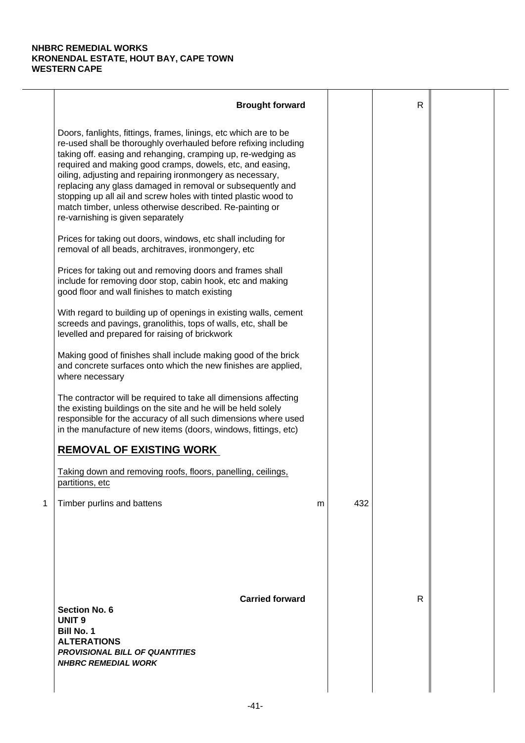|   | <b>Brought forward</b>                                                                                                                                                                                                                                                                                                                                                                                                                                                                                                                                           |   |     | $\mathsf{R}$ |  |
|---|------------------------------------------------------------------------------------------------------------------------------------------------------------------------------------------------------------------------------------------------------------------------------------------------------------------------------------------------------------------------------------------------------------------------------------------------------------------------------------------------------------------------------------------------------------------|---|-----|--------------|--|
|   | Doors, fanlights, fittings, frames, linings, etc which are to be<br>re-used shall be thoroughly overhauled before refixing including<br>taking off. easing and rehanging, cramping up, re-wedging as<br>required and making good cramps, dowels, etc, and easing,<br>oiling, adjusting and repairing ironmongery as necessary,<br>replacing any glass damaged in removal or subsequently and<br>stopping up all ail and screw holes with tinted plastic wood to<br>match timber, unless otherwise described. Re-painting or<br>re-varnishing is given separately |   |     |              |  |
|   | Prices for taking out doors, windows, etc shall including for<br>removal of all beads, architraves, ironmongery, etc                                                                                                                                                                                                                                                                                                                                                                                                                                             |   |     |              |  |
|   | Prices for taking out and removing doors and frames shall<br>include for removing door stop, cabin hook, etc and making<br>good floor and wall finishes to match existing                                                                                                                                                                                                                                                                                                                                                                                        |   |     |              |  |
|   | With regard to building up of openings in existing walls, cement<br>screeds and pavings, granolithis, tops of walls, etc, shall be<br>levelled and prepared for raising of brickwork                                                                                                                                                                                                                                                                                                                                                                             |   |     |              |  |
|   | Making good of finishes shall include making good of the brick<br>and concrete surfaces onto which the new finishes are applied,<br>where necessary                                                                                                                                                                                                                                                                                                                                                                                                              |   |     |              |  |
|   | The contractor will be required to take all dimensions affecting<br>the existing buildings on the site and he will be held solely<br>responsible for the accuracy of all such dimensions where used<br>in the manufacture of new items (doors, windows, fittings, etc)                                                                                                                                                                                                                                                                                           |   |     |              |  |
|   | <b>REMOVAL OF EXISTING WORK</b>                                                                                                                                                                                                                                                                                                                                                                                                                                                                                                                                  |   |     |              |  |
|   | Taking down and removing roofs, floors, panelling, ceilings,<br>partitions, etc                                                                                                                                                                                                                                                                                                                                                                                                                                                                                  |   |     |              |  |
| 1 | Timber purlins and battens                                                                                                                                                                                                                                                                                                                                                                                                                                                                                                                                       | m | 432 |              |  |
|   | <b>Carried forward</b><br><b>Section No. 6</b><br><b>UNIT 9</b><br><b>Bill No. 1</b><br><b>ALTERATIONS</b><br><b>PROVISIONAL BILL OF QUANTITIES</b><br><b>NHBRC REMEDIAL WORK</b>                                                                                                                                                                                                                                                                                                                                                                                |   |     | $\mathsf{R}$ |  |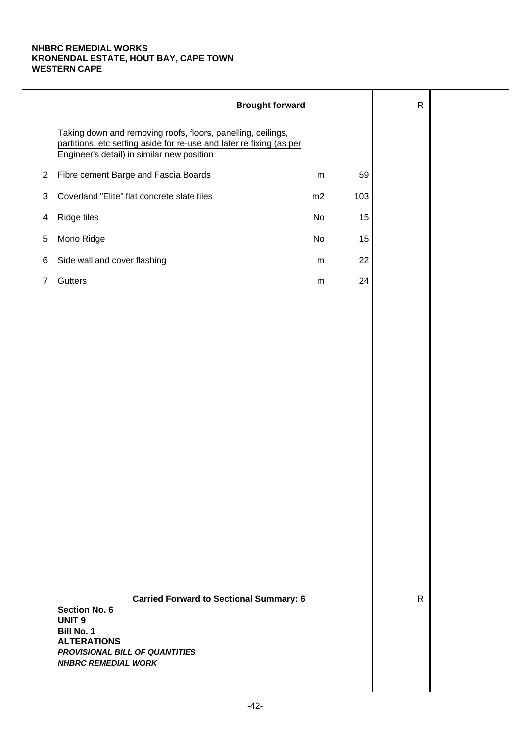|                | <b>Brought forward</b>                                                                                                                                                                             |           |     | $\mathsf{R}$ |  |
|----------------|----------------------------------------------------------------------------------------------------------------------------------------------------------------------------------------------------|-----------|-----|--------------|--|
|                | Taking down and removing roofs, floors, panelling, ceilings,<br>partitions, etc setting aside for re-use and later re fixing (as per<br>Engineer's detail) in similar new position                 |           |     |              |  |
| $\overline{2}$ | Fibre cement Barge and Fascia Boards                                                                                                                                                               | ${\sf m}$ | 59  |              |  |
| $\sqrt{3}$     | Coverland "Elite" flat concrete slate tiles                                                                                                                                                        | m2        | 103 |              |  |
| $\overline{4}$ | Ridge tiles                                                                                                                                                                                        | No        | 15  |              |  |
| 5              | Mono Ridge                                                                                                                                                                                         | No        | 15  |              |  |
| $\,6$          | Side wall and cover flashing                                                                                                                                                                       | m         | 22  |              |  |
| $\overline{7}$ | Gutters                                                                                                                                                                                            | ${\sf m}$ | 24  |              |  |
|                |                                                                                                                                                                                                    |           |     |              |  |
|                |                                                                                                                                                                                                    |           |     |              |  |
|                |                                                                                                                                                                                                    |           |     |              |  |
|                |                                                                                                                                                                                                    |           |     |              |  |
|                |                                                                                                                                                                                                    |           |     |              |  |
|                |                                                                                                                                                                                                    |           |     |              |  |
|                |                                                                                                                                                                                                    |           |     |              |  |
|                |                                                                                                                                                                                                    |           |     |              |  |
|                |                                                                                                                                                                                                    |           |     |              |  |
|                |                                                                                                                                                                                                    |           |     |              |  |
|                |                                                                                                                                                                                                    |           |     |              |  |
|                |                                                                                                                                                                                                    |           |     |              |  |
|                |                                                                                                                                                                                                    |           |     |              |  |
|                |                                                                                                                                                                                                    |           |     |              |  |
|                | <b>Carried Forward to Sectional Summary: 6</b><br><b>Section No. 6</b><br><b>UNIT 9</b><br><b>Bill No. 1</b><br><b>ALTERATIONS</b><br>PROVISIONAL BILL OF QUANTITIES<br><b>NHBRC REMEDIAL WORK</b> |           |     | $\mathsf{R}$ |  |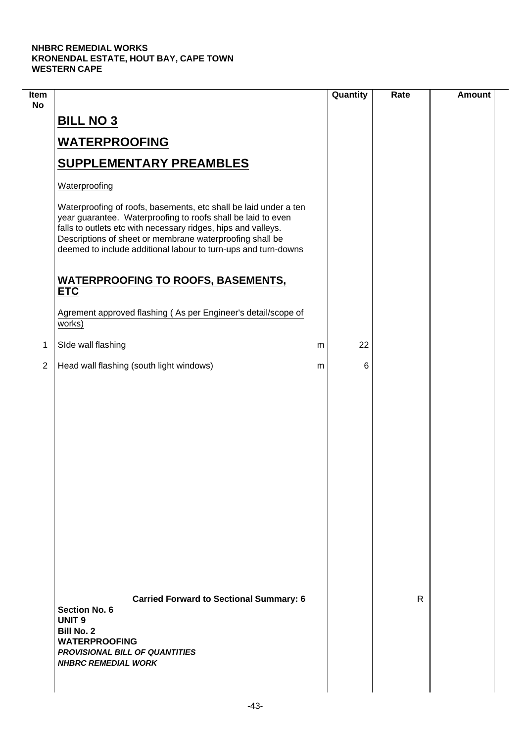$\overline{\phantom{a}}$ 

| Item<br><b>No</b> |                                                                                                                                                                                                                                                                                                                                 |   | Quantity | Rate | <b>Amount</b> |
|-------------------|---------------------------------------------------------------------------------------------------------------------------------------------------------------------------------------------------------------------------------------------------------------------------------------------------------------------------------|---|----------|------|---------------|
|                   | <b>BILL NO 3</b>                                                                                                                                                                                                                                                                                                                |   |          |      |               |
|                   | <b>WATERPROOFING</b>                                                                                                                                                                                                                                                                                                            |   |          |      |               |
|                   | <b>SUPPLEMENTARY PREAMBLES</b>                                                                                                                                                                                                                                                                                                  |   |          |      |               |
|                   | Waterproofing                                                                                                                                                                                                                                                                                                                   |   |          |      |               |
|                   | Waterproofing of roofs, basements, etc shall be laid under a ten<br>year guarantee. Waterproofing to roofs shall be laid to even<br>falls to outlets etc with necessary ridges, hips and valleys.<br>Descriptions of sheet or membrane waterproofing shall be<br>deemed to include additional labour to turn-ups and turn-downs |   |          |      |               |
|                   | <b>WATERPROOFING TO ROOFS, BASEMENTS,</b><br><b>ETC</b>                                                                                                                                                                                                                                                                         |   |          |      |               |
|                   | Agrement approved flashing (As per Engineer's detail/scope of<br>works)                                                                                                                                                                                                                                                         |   |          |      |               |
| 1                 | SIde wall flashing                                                                                                                                                                                                                                                                                                              | m | 22       |      |               |
| $\overline{2}$    | Head wall flashing (south light windows)                                                                                                                                                                                                                                                                                        | m | 6        |      |               |
|                   |                                                                                                                                                                                                                                                                                                                                 |   |          |      |               |
|                   | <b>Carried Forward to Sectional Summary: 6</b><br><b>Section No. 6</b><br><b>UNIT 9</b><br><b>Bill No. 2</b><br><b>WATERPROOFING</b><br><b>PROVISIONAL BILL OF QUANTITIES</b><br><b>NHBRC REMEDIAL WORK</b>                                                                                                                     |   |          | R    |               |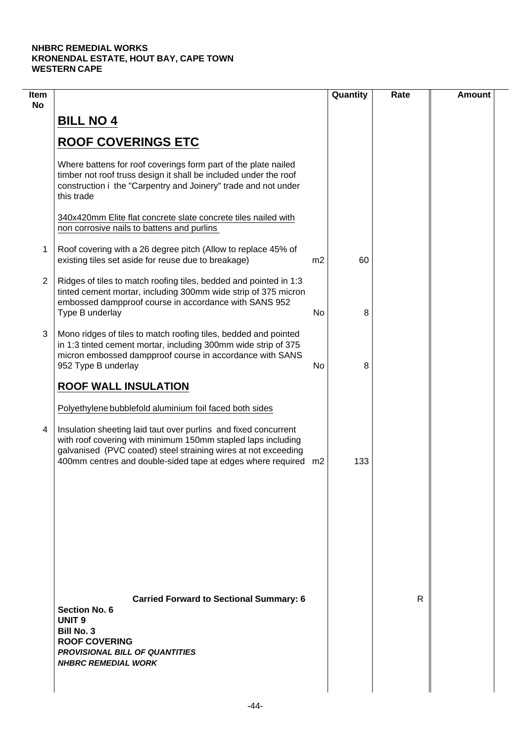| Item<br><b>No</b> |                                                                                                                                                                                                                                                                     |    | Quantity | Rate | <b>Amount</b> |
|-------------------|---------------------------------------------------------------------------------------------------------------------------------------------------------------------------------------------------------------------------------------------------------------------|----|----------|------|---------------|
|                   | <b>BILL NO 4</b>                                                                                                                                                                                                                                                    |    |          |      |               |
|                   | <b>ROOF COVERINGS ETC</b>                                                                                                                                                                                                                                           |    |          |      |               |
|                   | Where battens for roof coverings form part of the plate nailed<br>timber not roof truss design it shall be included under the roof<br>construction i the "Carpentry and Joinery" trade and not under<br>this trade                                                  |    |          |      |               |
|                   | 340x420mm Elite flat concrete slate concrete tiles nailed with<br>non corrosive nails to battens and purlins                                                                                                                                                        |    |          |      |               |
| 1                 | Roof covering with a 26 degree pitch (Allow to replace 45% of<br>existing tiles set aside for reuse due to breakage)                                                                                                                                                | m2 | 60       |      |               |
| 2                 | Ridges of tiles to match roofing tiles, bedded and pointed in 1:3<br>tinted cement mortar, including 300mm wide strip of 375 micron<br>embossed dampproof course in accordance with SANS 952<br>Type B underlay                                                     | No | 8        |      |               |
| 3                 | Mono ridges of tiles to match roofing tiles, bedded and pointed<br>in 1:3 tinted cement mortar, including 300mm wide strip of 375<br>micron embossed dampproof course in accordance with SANS<br>952 Type B underlay                                                | No | 8        |      |               |
|                   | <b>ROOF WALL INSULATION</b>                                                                                                                                                                                                                                         |    |          |      |               |
|                   | Polyethylene bubblefold aluminium foil faced both sides                                                                                                                                                                                                             |    |          |      |               |
| 4                 | Insulation sheeting laid taut over purlins and fixed concurrent<br>with roof covering with minimum 150mm stapled laps including<br>galvanised (PVC coated) steel straining wires at not exceeding<br>400mm centres and double-sided tape at edges where required m2 |    | 133      |      |               |
|                   |                                                                                                                                                                                                                                                                     |    |          |      |               |
|                   |                                                                                                                                                                                                                                                                     |    |          |      |               |
|                   |                                                                                                                                                                                                                                                                     |    |          |      |               |
|                   | <b>Carried Forward to Sectional Summary: 6</b><br><b>Section No. 6</b><br><b>UNIT 9</b><br><b>Bill No. 3</b><br><b>ROOF COVERING</b><br><b>PROVISIONAL BILL OF QUANTITIES</b><br><b>NHBRC REMEDIAL WORK</b>                                                         |    |          | R    |               |
|                   |                                                                                                                                                                                                                                                                     |    |          |      |               |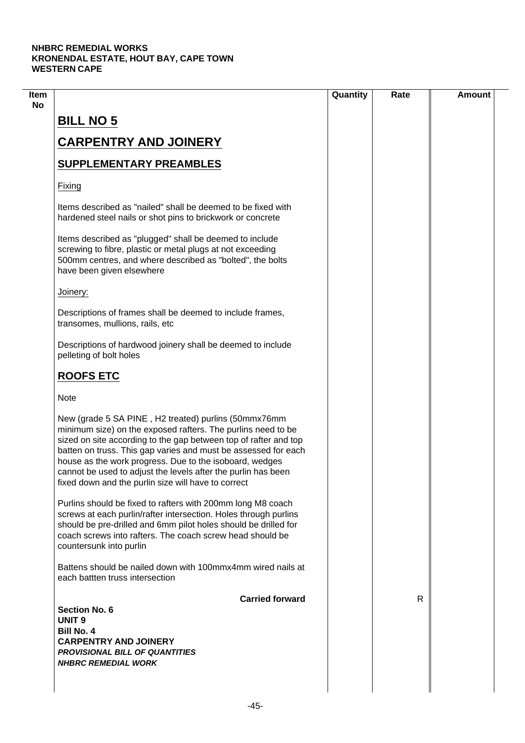| <b>BILL NO 5</b><br><b>CARPENTRY AND JOINERY</b>                                                                                                                                                                                                                                                                                                                                                                                              |    |  |
|-----------------------------------------------------------------------------------------------------------------------------------------------------------------------------------------------------------------------------------------------------------------------------------------------------------------------------------------------------------------------------------------------------------------------------------------------|----|--|
|                                                                                                                                                                                                                                                                                                                                                                                                                                               |    |  |
|                                                                                                                                                                                                                                                                                                                                                                                                                                               |    |  |
| <b>SUPPLEMENTARY PREAMBLES</b>                                                                                                                                                                                                                                                                                                                                                                                                                |    |  |
|                                                                                                                                                                                                                                                                                                                                                                                                                                               |    |  |
| Fixing                                                                                                                                                                                                                                                                                                                                                                                                                                        |    |  |
| Items described as "nailed" shall be deemed to be fixed with<br>hardened steel nails or shot pins to brickwork or concrete                                                                                                                                                                                                                                                                                                                    |    |  |
| Items described as "plugged" shall be deemed to include<br>screwing to fibre, plastic or metal plugs at not exceeding<br>500mm centres, and where described as "bolted", the bolts<br>have been given elsewhere                                                                                                                                                                                                                               |    |  |
| Joinery:                                                                                                                                                                                                                                                                                                                                                                                                                                      |    |  |
| Descriptions of frames shall be deemed to include frames,<br>transomes, mullions, rails, etc                                                                                                                                                                                                                                                                                                                                                  |    |  |
| Descriptions of hardwood joinery shall be deemed to include<br>pelleting of bolt holes                                                                                                                                                                                                                                                                                                                                                        |    |  |
| <b>ROOFS ETC</b>                                                                                                                                                                                                                                                                                                                                                                                                                              |    |  |
| <b>Note</b>                                                                                                                                                                                                                                                                                                                                                                                                                                   |    |  |
| New (grade 5 SA PINE, H2 treated) purlins (50mmx76mm<br>minimum size) on the exposed rafters. The purlins need to be<br>sized on site according to the gap between top of rafter and top<br>batten on truss. This gap varies and must be assessed for each<br>house as the work progress. Due to the isoboard, wedges<br>cannot be used to adjust the levels after the purlin has been<br>fixed down and the purlin size will have to correct |    |  |
| Purlins should be fixed to rafters with 200mm long M8 coach<br>screws at each purlin/rafter intersection. Holes through purlins<br>should be pre-drilled and 6mm pilot holes should be drilled for<br>coach screws into rafters. The coach screw head should be<br>countersunk into purlin                                                                                                                                                    |    |  |
| Battens should be nailed down with 100mmx4mm wired nails at<br>each battten truss intersection                                                                                                                                                                                                                                                                                                                                                |    |  |
| <b>Carried forward</b>                                                                                                                                                                                                                                                                                                                                                                                                                        | R. |  |
| <b>Section No. 6</b><br><b>UNIT 9</b>                                                                                                                                                                                                                                                                                                                                                                                                         |    |  |
| <b>Bill No. 4</b>                                                                                                                                                                                                                                                                                                                                                                                                                             |    |  |
| <b>CARPENTRY AND JOINERY</b>                                                                                                                                                                                                                                                                                                                                                                                                                  |    |  |
| <b>PROVISIONAL BILL OF QUANTITIES</b><br><b>NHBRC REMEDIAL WORK</b>                                                                                                                                                                                                                                                                                                                                                                           |    |  |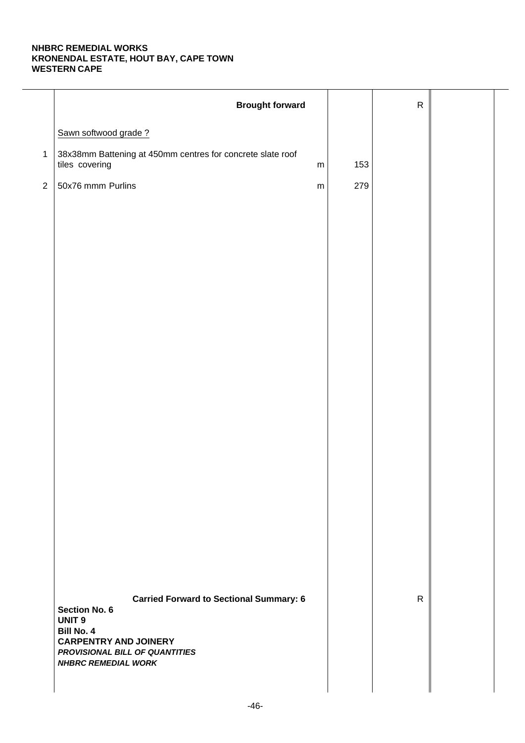|                | <b>Brought forward</b>                                                                    |     | ${\sf R}$    |  |
|----------------|-------------------------------------------------------------------------------------------|-----|--------------|--|
|                | Sawn softwood grade?                                                                      |     |              |  |
| $\mathbf{1}$   | 38x38mm Battening at 450mm centres for concrete slate roof<br>tiles covering<br>${\sf m}$ | 153 |              |  |
| $\overline{2}$ | 50x76 mmm Purlins<br>${\sf m}$                                                            | 279 |              |  |
|                |                                                                                           |     |              |  |
|                |                                                                                           |     |              |  |
|                |                                                                                           |     |              |  |
|                |                                                                                           |     |              |  |
|                |                                                                                           |     |              |  |
|                |                                                                                           |     |              |  |
|                |                                                                                           |     |              |  |
|                |                                                                                           |     |              |  |
|                |                                                                                           |     |              |  |
|                |                                                                                           |     |              |  |
|                |                                                                                           |     |              |  |
|                |                                                                                           |     |              |  |
|                |                                                                                           |     |              |  |
|                |                                                                                           |     |              |  |
|                |                                                                                           |     |              |  |
|                |                                                                                           |     |              |  |
|                |                                                                                           |     |              |  |
|                | <b>Carried Forward to Sectional Summary: 6</b><br><b>Section No. 6</b>                    |     | $\mathsf{R}$ |  |
|                | UNIT <sub>9</sub><br><b>Bill No. 4</b>                                                    |     |              |  |
|                | <b>CARPENTRY AND JOINERY</b><br>PROVISIONAL BILL OF QUANTITIES                            |     |              |  |
|                | <b>NHBRC REMEDIAL WORK</b>                                                                |     |              |  |
|                |                                                                                           |     |              |  |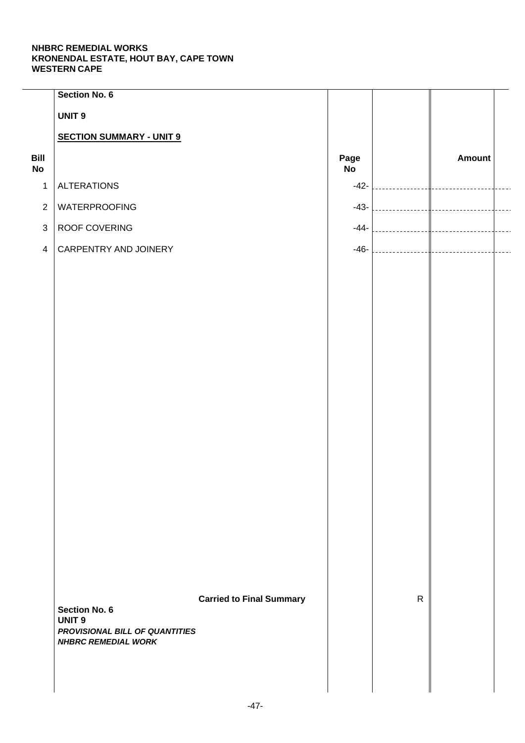|                   | Section No. 6                                                |                                 |            |              |               |  |
|-------------------|--------------------------------------------------------------|---------------------------------|------------|--------------|---------------|--|
|                   | <b>UNIT 9</b>                                                |                                 |            |              |               |  |
|                   | <b>SECTION SUMMARY - UNIT 9</b>                              |                                 |            |              |               |  |
| Bill<br><b>No</b> |                                                              |                                 | Page<br>No |              | <b>Amount</b> |  |
| $\mathbf{1}$      | <b>ALTERATIONS</b>                                           |                                 | $-42-$     |              |               |  |
| $\sqrt{2}$        | <b>WATERPROOFING</b>                                         |                                 | $-43-$     |              |               |  |
| $\mathfrak{S}$    | ROOF COVERING                                                |                                 | $-44-$     |              |               |  |
| $\overline{4}$    | CARPENTRY AND JOINERY                                        |                                 | $-46-$     |              |               |  |
|                   |                                                              |                                 |            |              |               |  |
|                   |                                                              |                                 |            |              |               |  |
|                   |                                                              |                                 |            |              |               |  |
|                   |                                                              |                                 |            |              |               |  |
|                   |                                                              |                                 |            |              |               |  |
|                   |                                                              |                                 |            |              |               |  |
|                   |                                                              |                                 |            |              |               |  |
|                   |                                                              |                                 |            |              |               |  |
|                   |                                                              |                                 |            |              |               |  |
|                   |                                                              |                                 |            |              |               |  |
|                   |                                                              |                                 |            |              |               |  |
|                   |                                                              |                                 |            |              |               |  |
|                   |                                                              |                                 |            |              |               |  |
|                   |                                                              |                                 |            |              |               |  |
|                   |                                                              |                                 |            |              |               |  |
|                   |                                                              |                                 |            |              |               |  |
|                   |                                                              | <b>Carried to Final Summary</b> |            | $\mathsf{R}$ |               |  |
|                   | <b>Section No. 6</b><br><b>UNIT 9</b>                        |                                 |            |              |               |  |
|                   | PROVISIONAL BILL OF QUANTITIES<br><b>NHBRC REMEDIAL WORK</b> |                                 |            |              |               |  |
|                   |                                                              |                                 |            |              |               |  |
|                   |                                                              |                                 |            |              |               |  |
|                   |                                                              |                                 |            |              |               |  |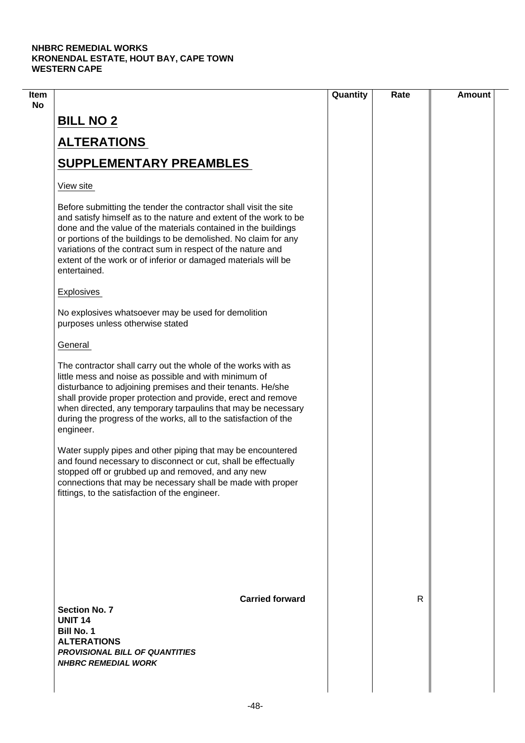| R |  |
|---|--|
|   |  |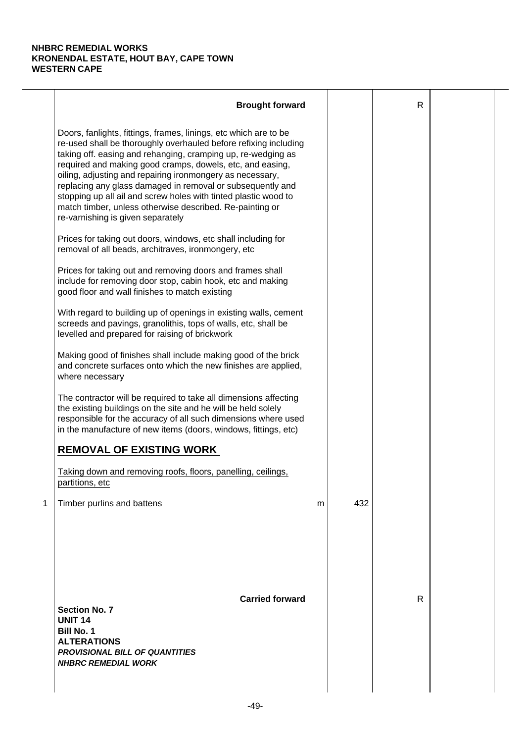|   | <b>Brought forward</b>                                                                                                                                                                                                                                                                                                                                                                                                                                                                                                                                           |   |     | $\mathsf{R}$ |  |
|---|------------------------------------------------------------------------------------------------------------------------------------------------------------------------------------------------------------------------------------------------------------------------------------------------------------------------------------------------------------------------------------------------------------------------------------------------------------------------------------------------------------------------------------------------------------------|---|-----|--------------|--|
|   | Doors, fanlights, fittings, frames, linings, etc which are to be<br>re-used shall be thoroughly overhauled before refixing including<br>taking off. easing and rehanging, cramping up, re-wedging as<br>required and making good cramps, dowels, etc, and easing,<br>oiling, adjusting and repairing ironmongery as necessary,<br>replacing any glass damaged in removal or subsequently and<br>stopping up all ail and screw holes with tinted plastic wood to<br>match timber, unless otherwise described. Re-painting or<br>re-varnishing is given separately |   |     |              |  |
|   | Prices for taking out doors, windows, etc shall including for<br>removal of all beads, architraves, ironmongery, etc                                                                                                                                                                                                                                                                                                                                                                                                                                             |   |     |              |  |
|   | Prices for taking out and removing doors and frames shall<br>include for removing door stop, cabin hook, etc and making<br>good floor and wall finishes to match existing                                                                                                                                                                                                                                                                                                                                                                                        |   |     |              |  |
|   | With regard to building up of openings in existing walls, cement<br>screeds and pavings, granolithis, tops of walls, etc, shall be<br>levelled and prepared for raising of brickwork                                                                                                                                                                                                                                                                                                                                                                             |   |     |              |  |
|   | Making good of finishes shall include making good of the brick<br>and concrete surfaces onto which the new finishes are applied,<br>where necessary                                                                                                                                                                                                                                                                                                                                                                                                              |   |     |              |  |
|   | The contractor will be required to take all dimensions affecting<br>the existing buildings on the site and he will be held solely<br>responsible for the accuracy of all such dimensions where used<br>in the manufacture of new items (doors, windows, fittings, etc)                                                                                                                                                                                                                                                                                           |   |     |              |  |
|   | <b>REMOVAL OF EXISTING WORK</b>                                                                                                                                                                                                                                                                                                                                                                                                                                                                                                                                  |   |     |              |  |
|   | Taking down and removing roofs, floors, panelling, ceilings,<br>partitions, etc                                                                                                                                                                                                                                                                                                                                                                                                                                                                                  |   |     |              |  |
| 1 | Timber purlins and battens                                                                                                                                                                                                                                                                                                                                                                                                                                                                                                                                       | m | 432 |              |  |
|   | <b>Carried forward</b><br><b>Section No. 7</b><br><b>UNIT 14</b><br><b>Bill No. 1</b><br><b>ALTERATIONS</b><br><b>PROVISIONAL BILL OF QUANTITIES</b><br><b>NHBRC REMEDIAL WORK</b>                                                                                                                                                                                                                                                                                                                                                                               |   |     | R            |  |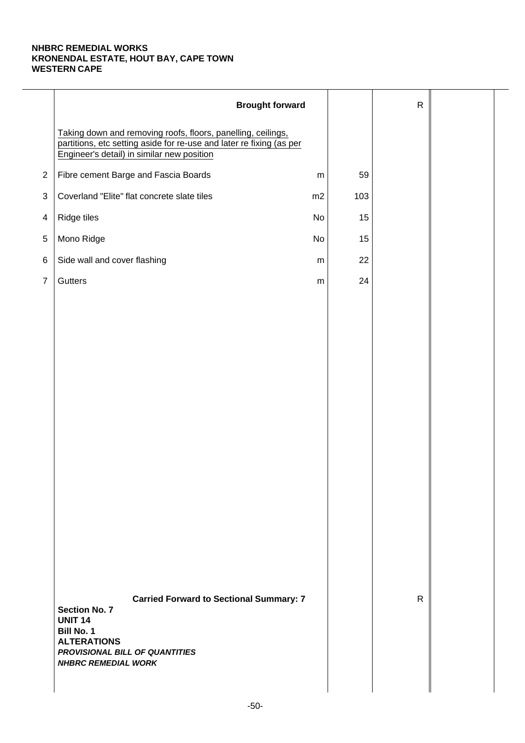|                | <b>Brought forward</b>                                                                                                                                                                              |           |     | $\mathsf{R}$ |  |
|----------------|-----------------------------------------------------------------------------------------------------------------------------------------------------------------------------------------------------|-----------|-----|--------------|--|
|                | Taking down and removing roofs, floors, panelling, ceilings,<br>partitions, etc setting aside for re-use and later re fixing (as per<br>Engineer's detail) in similar new position                  |           |     |              |  |
| $\overline{2}$ | Fibre cement Barge and Fascia Boards                                                                                                                                                                | ${\sf m}$ | 59  |              |  |
| $\sqrt{3}$     | Coverland "Elite" flat concrete slate tiles                                                                                                                                                         | m2        | 103 |              |  |
| $\overline{4}$ | Ridge tiles                                                                                                                                                                                         | No        | 15  |              |  |
| 5              | Mono Ridge                                                                                                                                                                                          | No        | 15  |              |  |
| $\,6$          | Side wall and cover flashing                                                                                                                                                                        | m         | 22  |              |  |
| $\overline{7}$ | Gutters                                                                                                                                                                                             | ${\sf m}$ | 24  |              |  |
|                |                                                                                                                                                                                                     |           |     |              |  |
|                |                                                                                                                                                                                                     |           |     |              |  |
|                |                                                                                                                                                                                                     |           |     |              |  |
|                |                                                                                                                                                                                                     |           |     |              |  |
|                |                                                                                                                                                                                                     |           |     |              |  |
|                |                                                                                                                                                                                                     |           |     |              |  |
|                |                                                                                                                                                                                                     |           |     |              |  |
|                |                                                                                                                                                                                                     |           |     |              |  |
|                |                                                                                                                                                                                                     |           |     |              |  |
|                |                                                                                                                                                                                                     |           |     |              |  |
|                |                                                                                                                                                                                                     |           |     |              |  |
|                |                                                                                                                                                                                                     |           |     |              |  |
|                |                                                                                                                                                                                                     |           |     |              |  |
|                |                                                                                                                                                                                                     |           |     |              |  |
|                | <b>Carried Forward to Sectional Summary: 7</b><br><b>Section No. 7</b><br><b>UNIT 14</b><br><b>Bill No. 1</b><br><b>ALTERATIONS</b><br>PROVISIONAL BILL OF QUANTITIES<br><b>NHBRC REMEDIAL WORK</b> |           |     | $\mathsf{R}$ |  |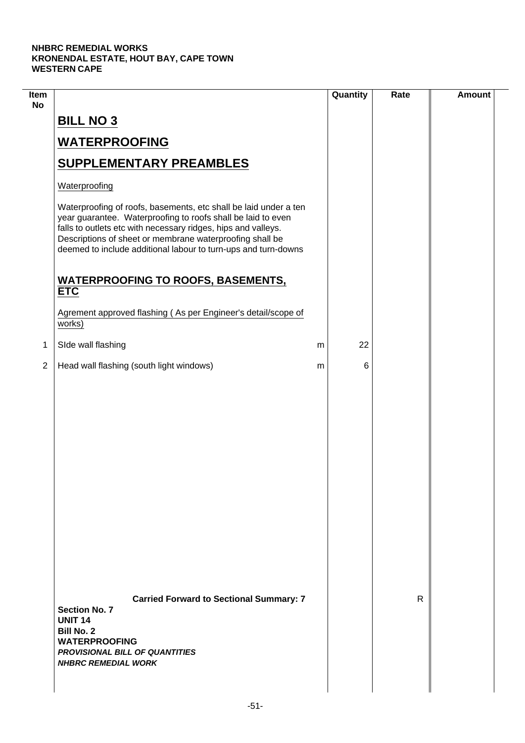| Item<br><b>No</b> |                                                                                                                                                                                                                                                                                                                                 |   | Quantity | Rate         | <b>Amount</b> |
|-------------------|---------------------------------------------------------------------------------------------------------------------------------------------------------------------------------------------------------------------------------------------------------------------------------------------------------------------------------|---|----------|--------------|---------------|
|                   | <b>BILL NO 3</b>                                                                                                                                                                                                                                                                                                                |   |          |              |               |
|                   | <b>WATERPROOFING</b>                                                                                                                                                                                                                                                                                                            |   |          |              |               |
|                   | <b>SUPPLEMENTARY PREAMBLES</b>                                                                                                                                                                                                                                                                                                  |   |          |              |               |
|                   | Waterproofing                                                                                                                                                                                                                                                                                                                   |   |          |              |               |
|                   | Waterproofing of roofs, basements, etc shall be laid under a ten<br>year guarantee. Waterproofing to roofs shall be laid to even<br>falls to outlets etc with necessary ridges, hips and valleys.<br>Descriptions of sheet or membrane waterproofing shall be<br>deemed to include additional labour to turn-ups and turn-downs |   |          |              |               |
|                   | <b>WATERPROOFING TO ROOFS, BASEMENTS,</b><br><b>ETC</b>                                                                                                                                                                                                                                                                         |   |          |              |               |
|                   | Agrement approved flashing (As per Engineer's detail/scope of<br>works)                                                                                                                                                                                                                                                         |   |          |              |               |
| 1                 | SIde wall flashing                                                                                                                                                                                                                                                                                                              | m | 22       |              |               |
| $\overline{2}$    | Head wall flashing (south light windows)                                                                                                                                                                                                                                                                                        | m | 6        |              |               |
|                   |                                                                                                                                                                                                                                                                                                                                 |   |          |              |               |
|                   | <b>Carried Forward to Sectional Summary: 7</b><br><b>Section No. 7</b><br><b>UNIT 14</b><br><b>Bill No. 2</b><br><b>WATERPROOFING</b><br><b>PROVISIONAL BILL OF QUANTITIES</b><br><b>NHBRC REMEDIAL WORK</b>                                                                                                                    |   |          | $\mathsf{R}$ |               |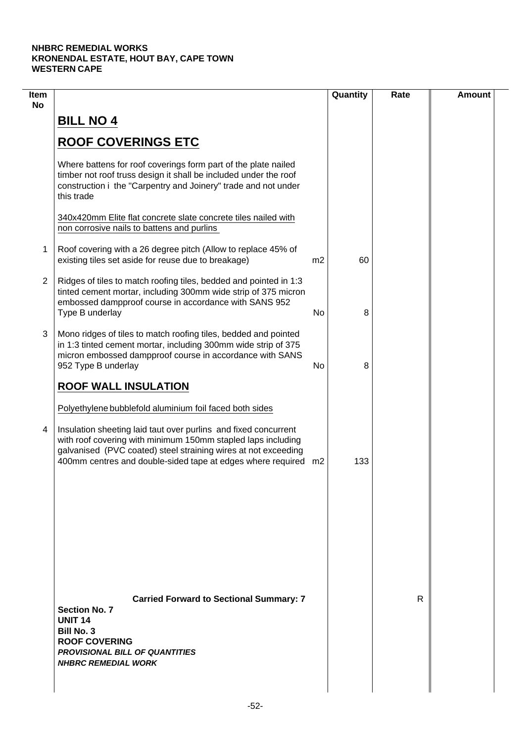| 60<br>8 |   |  |
|---------|---|--|
|         |   |  |
|         |   |  |
|         |   |  |
|         |   |  |
|         |   |  |
|         |   |  |
| 8       |   |  |
|         |   |  |
| 133     |   |  |
|         |   |  |
|         | R |  |
|         |   |  |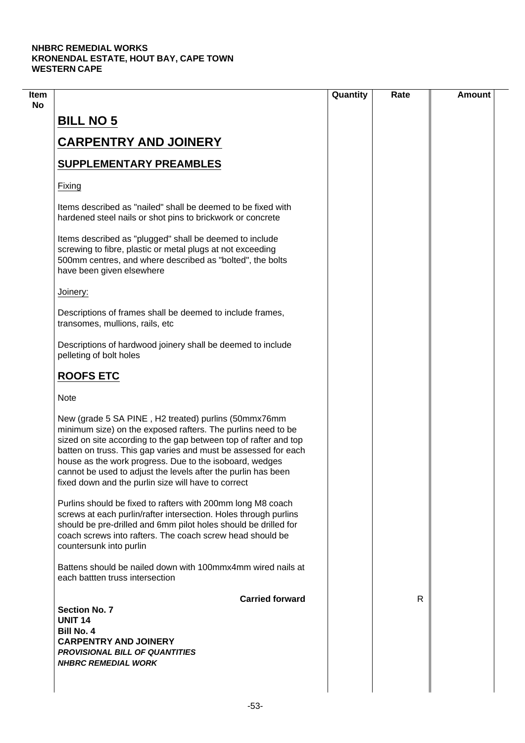| Quantity | Rate | <b>Amount</b> |
|----------|------|---------------|
|          |      |               |
|          |      |               |
|          |      |               |
|          |      |               |
|          |      |               |
|          |      |               |
|          |      |               |
|          |      |               |
|          |      |               |
|          |      |               |
|          |      |               |
|          |      |               |
|          |      |               |
|          |      |               |
|          | R.   |               |
|          |      |               |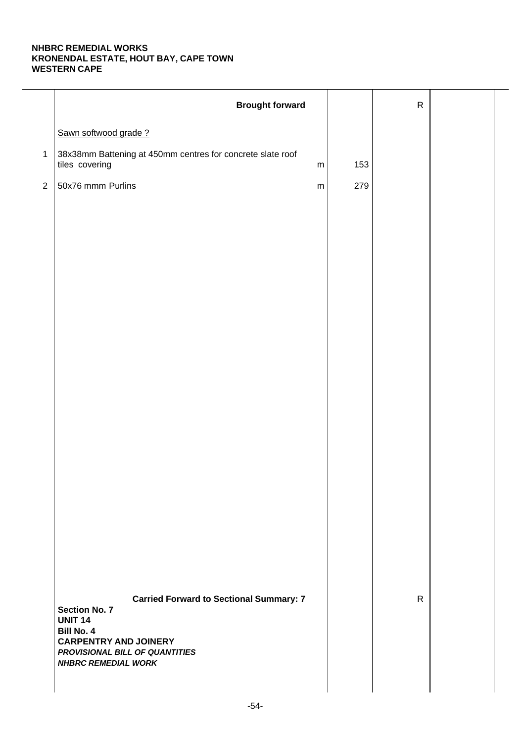|                | <b>Brought forward</b>                                                                                                                                                                                        |     | ${\sf R}$    |  |
|----------------|---------------------------------------------------------------------------------------------------------------------------------------------------------------------------------------------------------------|-----|--------------|--|
|                | Sawn softwood grade?                                                                                                                                                                                          |     |              |  |
| $\mathbf{1}$   | 38x38mm Battening at 450mm centres for concrete slate roof<br>tiles covering<br>${\sf m}$                                                                                                                     | 153 |              |  |
| $\overline{2}$ | 50x76 mmm Purlins<br>${\sf m}$                                                                                                                                                                                | 279 |              |  |
|                |                                                                                                                                                                                                               |     |              |  |
|                |                                                                                                                                                                                                               |     |              |  |
|                |                                                                                                                                                                                                               |     |              |  |
|                |                                                                                                                                                                                                               |     |              |  |
|                |                                                                                                                                                                                                               |     |              |  |
|                |                                                                                                                                                                                                               |     |              |  |
|                |                                                                                                                                                                                                               |     |              |  |
|                |                                                                                                                                                                                                               |     |              |  |
|                |                                                                                                                                                                                                               |     |              |  |
|                |                                                                                                                                                                                                               |     |              |  |
|                |                                                                                                                                                                                                               |     |              |  |
|                |                                                                                                                                                                                                               |     |              |  |
|                |                                                                                                                                                                                                               |     |              |  |
|                |                                                                                                                                                                                                               |     |              |  |
|                |                                                                                                                                                                                                               |     |              |  |
|                |                                                                                                                                                                                                               |     |              |  |
|                |                                                                                                                                                                                                               |     |              |  |
|                | <b>Carried Forward to Sectional Summary: 7</b><br><b>Section No. 7</b><br><b>UNIT 14</b><br><b>Bill No. 4</b><br><b>CARPENTRY AND JOINERY</b><br>PROVISIONAL BILL OF QUANTITIES<br><b>NHBRC REMEDIAL WORK</b> |     | $\mathsf{R}$ |  |
|                |                                                                                                                                                                                                               |     |              |  |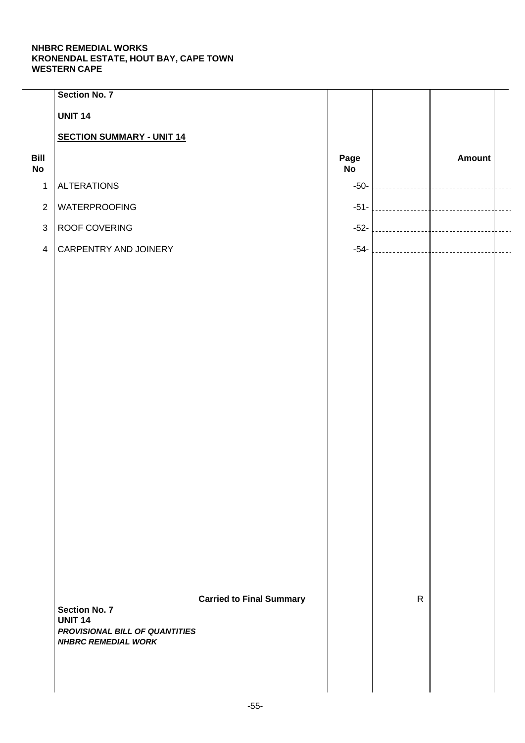|                   | <b>Section No. 7</b>                             |                                 |            |              |               |  |
|-------------------|--------------------------------------------------|---------------------------------|------------|--------------|---------------|--|
|                   | <b>UNIT 14</b>                                   |                                 |            |              |               |  |
|                   | <b>SECTION SUMMARY - UNIT 14</b>                 |                                 |            |              |               |  |
| Bill<br><b>No</b> |                                                  |                                 | Page<br>No |              | <b>Amount</b> |  |
| $\mathbf{1}$      | <b>ALTERATIONS</b>                               |                                 | $-50-$     |              |               |  |
| $\overline{2}$    | WATERPROOFING                                    |                                 | $-51-$     |              |               |  |
| $\mathfrak{S}$    | ROOF COVERING                                    |                                 | $-52-$     |              |               |  |
| $\overline{4}$    | CARPENTRY AND JOINERY                            |                                 | $-54-$     |              |               |  |
|                   |                                                  |                                 |            |              |               |  |
|                   |                                                  |                                 |            |              |               |  |
|                   |                                                  |                                 |            |              |               |  |
|                   |                                                  |                                 |            |              |               |  |
|                   |                                                  |                                 |            |              |               |  |
|                   |                                                  |                                 |            |              |               |  |
|                   |                                                  |                                 |            |              |               |  |
|                   |                                                  |                                 |            |              |               |  |
|                   |                                                  |                                 |            |              |               |  |
|                   |                                                  |                                 |            |              |               |  |
|                   |                                                  |                                 |            |              |               |  |
|                   |                                                  |                                 |            |              |               |  |
|                   |                                                  |                                 |            |              |               |  |
|                   |                                                  |                                 |            |              |               |  |
|                   |                                                  |                                 |            |              |               |  |
|                   |                                                  |                                 |            |              |               |  |
|                   |                                                  |                                 |            |              |               |  |
|                   | <b>Section No. 7</b>                             | <b>Carried to Final Summary</b> |            | $\mathsf{R}$ |               |  |
|                   | <b>UNIT 14</b><br>PROVISIONAL BILL OF QUANTITIES |                                 |            |              |               |  |
|                   | <b>NHBRC REMEDIAL WORK</b>                       |                                 |            |              |               |  |
|                   |                                                  |                                 |            |              |               |  |
|                   |                                                  |                                 |            |              |               |  |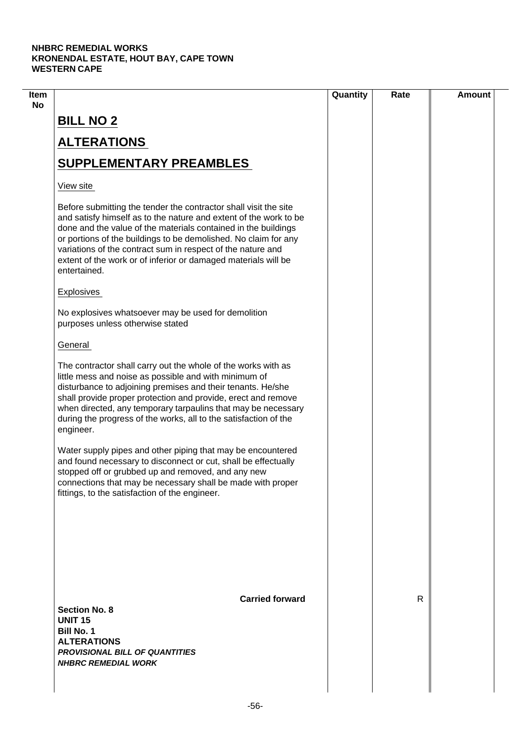| Item |                                                                                                                                                                                                                                                                                                                                                                                                                             | Quantity | Rate | <b>Amount</b> |
|------|-----------------------------------------------------------------------------------------------------------------------------------------------------------------------------------------------------------------------------------------------------------------------------------------------------------------------------------------------------------------------------------------------------------------------------|----------|------|---------------|
| No   | <b>BILL NO 2</b>                                                                                                                                                                                                                                                                                                                                                                                                            |          |      |               |
|      | <b>ALTERATIONS</b>                                                                                                                                                                                                                                                                                                                                                                                                          |          |      |               |
|      | <b>SUPPLEMENTARY PREAMBLES</b>                                                                                                                                                                                                                                                                                                                                                                                              |          |      |               |
|      | View site                                                                                                                                                                                                                                                                                                                                                                                                                   |          |      |               |
|      | Before submitting the tender the contractor shall visit the site<br>and satisfy himself as to the nature and extent of the work to be<br>done and the value of the materials contained in the buildings<br>or portions of the buildings to be demolished. No claim for any<br>variations of the contract sum in respect of the nature and<br>extent of the work or of inferior or damaged materials will be<br>entertained. |          |      |               |
|      | <b>Explosives</b>                                                                                                                                                                                                                                                                                                                                                                                                           |          |      |               |
|      | No explosives whatsoever may be used for demolition<br>purposes unless otherwise stated                                                                                                                                                                                                                                                                                                                                     |          |      |               |
|      | General                                                                                                                                                                                                                                                                                                                                                                                                                     |          |      |               |
|      | The contractor shall carry out the whole of the works with as<br>little mess and noise as possible and with minimum of<br>disturbance to adjoining premises and their tenants. He/she<br>shall provide proper protection and provide, erect and remove<br>when directed, any temporary tarpaulins that may be necessary<br>during the progress of the works, all to the satisfaction of the<br>engineer.                    |          |      |               |
|      | Water supply pipes and other piping that may be encountered<br>and found necessary to disconnect or cut, shall be effectually<br>stopped off or grubbed up and removed, and any new<br>connections that may be necessary shall be made with proper<br>fittings, to the satisfaction of the engineer.                                                                                                                        |          |      |               |
|      |                                                                                                                                                                                                                                                                                                                                                                                                                             |          |      |               |
|      | <b>Carried forward</b><br><b>Section No. 8</b><br><b>UNIT 15</b><br><b>Bill No. 1</b><br><b>ALTERATIONS</b><br><b>PROVISIONAL BILL OF QUANTITIES</b><br><b>NHBRC REMEDIAL WORK</b>                                                                                                                                                                                                                                          |          | R    |               |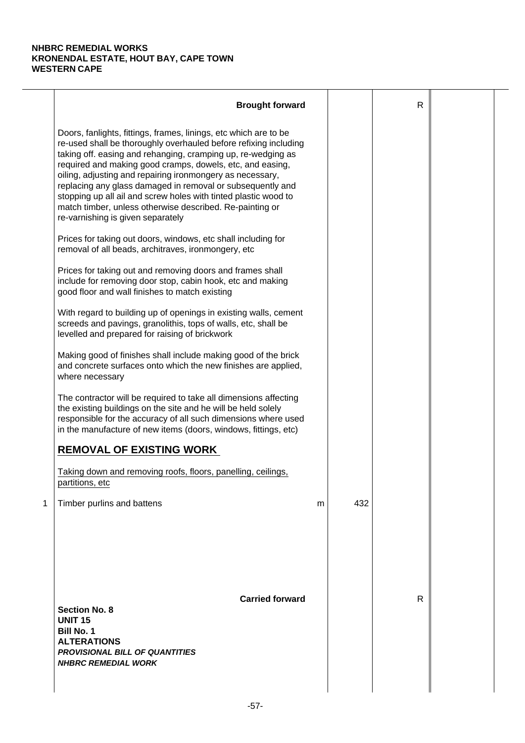|   | <b>Brought forward</b>                                                                                                                                                                                                                                                                                                                                                                                                                                                                                                                                           |   |     | $\mathsf{R}$ |  |
|---|------------------------------------------------------------------------------------------------------------------------------------------------------------------------------------------------------------------------------------------------------------------------------------------------------------------------------------------------------------------------------------------------------------------------------------------------------------------------------------------------------------------------------------------------------------------|---|-----|--------------|--|
|   | Doors, fanlights, fittings, frames, linings, etc which are to be<br>re-used shall be thoroughly overhauled before refixing including<br>taking off. easing and rehanging, cramping up, re-wedging as<br>required and making good cramps, dowels, etc, and easing,<br>oiling, adjusting and repairing ironmongery as necessary,<br>replacing any glass damaged in removal or subsequently and<br>stopping up all ail and screw holes with tinted plastic wood to<br>match timber, unless otherwise described. Re-painting or<br>re-varnishing is given separately |   |     |              |  |
|   | Prices for taking out doors, windows, etc shall including for<br>removal of all beads, architraves, ironmongery, etc                                                                                                                                                                                                                                                                                                                                                                                                                                             |   |     |              |  |
|   | Prices for taking out and removing doors and frames shall<br>include for removing door stop, cabin hook, etc and making<br>good floor and wall finishes to match existing                                                                                                                                                                                                                                                                                                                                                                                        |   |     |              |  |
|   | With regard to building up of openings in existing walls, cement<br>screeds and pavings, granolithis, tops of walls, etc, shall be<br>levelled and prepared for raising of brickwork                                                                                                                                                                                                                                                                                                                                                                             |   |     |              |  |
|   | Making good of finishes shall include making good of the brick<br>and concrete surfaces onto which the new finishes are applied,<br>where necessary                                                                                                                                                                                                                                                                                                                                                                                                              |   |     |              |  |
|   | The contractor will be required to take all dimensions affecting<br>the existing buildings on the site and he will be held solely<br>responsible for the accuracy of all such dimensions where used<br>in the manufacture of new items (doors, windows, fittings, etc)                                                                                                                                                                                                                                                                                           |   |     |              |  |
|   | <b>REMOVAL OF EXISTING WORK</b>                                                                                                                                                                                                                                                                                                                                                                                                                                                                                                                                  |   |     |              |  |
|   | Taking down and removing roofs, floors, panelling, ceilings,<br>partitions, etc                                                                                                                                                                                                                                                                                                                                                                                                                                                                                  |   |     |              |  |
| 1 | Timber purlins and battens                                                                                                                                                                                                                                                                                                                                                                                                                                                                                                                                       | m | 432 |              |  |
|   | <b>Carried forward</b><br><b>Section No. 8</b><br><b>UNIT 15</b><br><b>Bill No. 1</b><br><b>ALTERATIONS</b><br><b>PROVISIONAL BILL OF QUANTITIES</b><br><b>NHBRC REMEDIAL WORK</b>                                                                                                                                                                                                                                                                                                                                                                               |   |     | R            |  |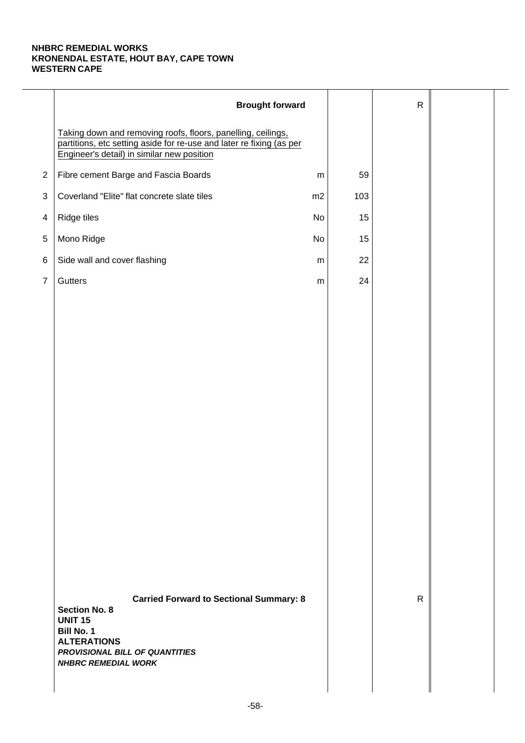|                | <b>Brought forward</b>                                                                                                                                                                       |           |     | $\mathsf{R}$ |  |
|----------------|----------------------------------------------------------------------------------------------------------------------------------------------------------------------------------------------|-----------|-----|--------------|--|
|                | Taking down and removing roofs, floors, panelling, ceilings,<br>partitions, etc setting aside for re-use and later re fixing (as per<br>Engineer's detail) in similar new position           |           |     |              |  |
| $\overline{2}$ | Fibre cement Barge and Fascia Boards                                                                                                                                                         | ${\sf m}$ | 59  |              |  |
| $\sqrt{3}$     | Coverland "Elite" flat concrete slate tiles                                                                                                                                                  | m2        | 103 |              |  |
| $\overline{4}$ | Ridge tiles                                                                                                                                                                                  | No        | 15  |              |  |
| 5              | Mono Ridge                                                                                                                                                                                   | No        | 15  |              |  |
| $\,6$          | Side wall and cover flashing                                                                                                                                                                 | m         | 22  |              |  |
| $\overline{7}$ | Gutters                                                                                                                                                                                      | ${\sf m}$ | 24  |              |  |
|                |                                                                                                                                                                                              |           |     |              |  |
|                |                                                                                                                                                                                              |           |     |              |  |
|                |                                                                                                                                                                                              |           |     |              |  |
|                |                                                                                                                                                                                              |           |     |              |  |
|                |                                                                                                                                                                                              |           |     |              |  |
|                |                                                                                                                                                                                              |           |     |              |  |
|                |                                                                                                                                                                                              |           |     |              |  |
|                |                                                                                                                                                                                              |           |     |              |  |
|                |                                                                                                                                                                                              |           |     |              |  |
|                |                                                                                                                                                                                              |           |     |              |  |
|                |                                                                                                                                                                                              |           |     |              |  |
|                |                                                                                                                                                                                              |           |     |              |  |
|                |                                                                                                                                                                                              |           |     |              |  |
|                |                                                                                                                                                                                              |           |     |              |  |
|                | <b>Carried Forward to Sectional Summary: 8</b><br><b>Section No. 8</b><br><b>UNIT 15</b><br>Bill No. 1<br><b>ALTERATIONS</b><br>PROVISIONAL BILL OF QUANTITIES<br><b>NHBRC REMEDIAL WORK</b> |           |     | $\mathsf{R}$ |  |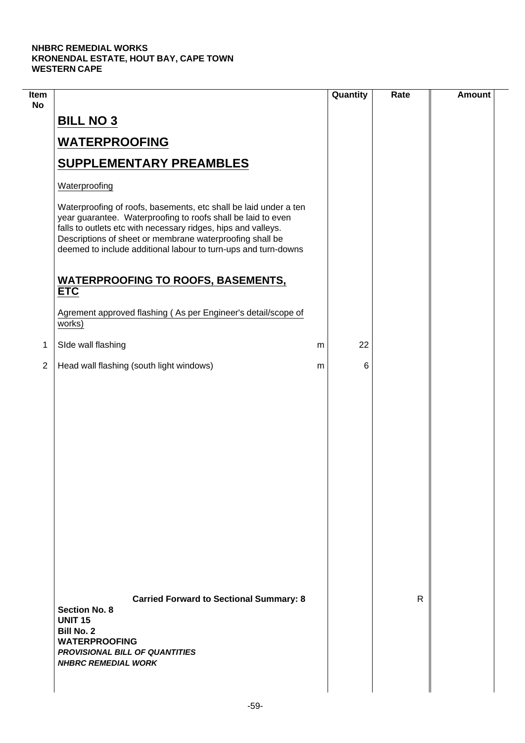$\mathcal{L}$ 

| Item<br><b>No</b> |                                                                                                                                                                                                                                                                                                                                 |   | Quantity | Rate | <b>Amount</b> |
|-------------------|---------------------------------------------------------------------------------------------------------------------------------------------------------------------------------------------------------------------------------------------------------------------------------------------------------------------------------|---|----------|------|---------------|
|                   | <b>BILL NO 3</b>                                                                                                                                                                                                                                                                                                                |   |          |      |               |
|                   | <b>WATERPROOFING</b>                                                                                                                                                                                                                                                                                                            |   |          |      |               |
|                   | <b>SUPPLEMENTARY PREAMBLES</b>                                                                                                                                                                                                                                                                                                  |   |          |      |               |
|                   | Waterproofing                                                                                                                                                                                                                                                                                                                   |   |          |      |               |
|                   | Waterproofing of roofs, basements, etc shall be laid under a ten<br>year guarantee. Waterproofing to roofs shall be laid to even<br>falls to outlets etc with necessary ridges, hips and valleys.<br>Descriptions of sheet or membrane waterproofing shall be<br>deemed to include additional labour to turn-ups and turn-downs |   |          |      |               |
|                   | <b>WATERPROOFING TO ROOFS, BASEMENTS,</b><br><b>ETC</b>                                                                                                                                                                                                                                                                         |   |          |      |               |
|                   | Agrement approved flashing (As per Engineer's detail/scope of<br>works)                                                                                                                                                                                                                                                         |   |          |      |               |
| 1                 | SIde wall flashing                                                                                                                                                                                                                                                                                                              | m | 22       |      |               |
| $\overline{2}$    | Head wall flashing (south light windows)                                                                                                                                                                                                                                                                                        | m | 6        |      |               |
|                   |                                                                                                                                                                                                                                                                                                                                 |   |          |      |               |
|                   | <b>Carried Forward to Sectional Summary: 8</b><br><b>Section No. 8</b><br><b>UNIT 15</b><br><b>Bill No. 2</b><br><b>WATERPROOFING</b><br><b>PROVISIONAL BILL OF QUANTITIES</b><br><b>NHBRC REMEDIAL WORK</b>                                                                                                                    |   |          | R    |               |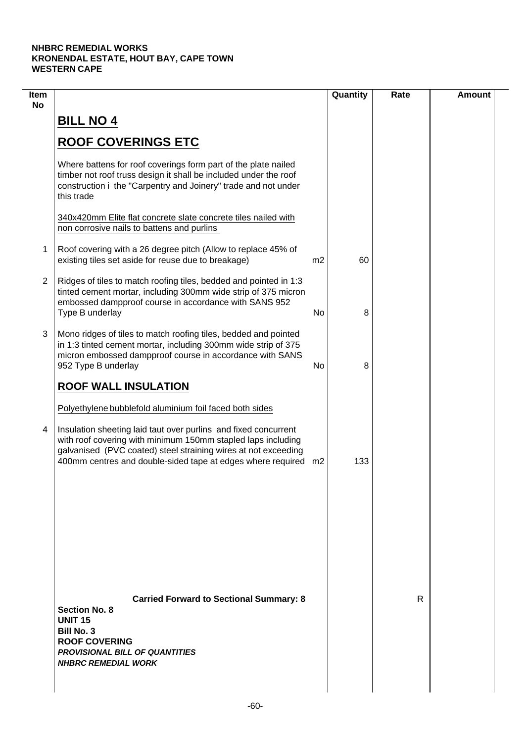| Item<br><b>No</b> |                                                                                                                                                                                                                                                                     |                | Quantity | Rate | <b>Amount</b> |
|-------------------|---------------------------------------------------------------------------------------------------------------------------------------------------------------------------------------------------------------------------------------------------------------------|----------------|----------|------|---------------|
|                   | <b>BILL NO 4</b>                                                                                                                                                                                                                                                    |                |          |      |               |
|                   | <b>ROOF COVERINGS ETC</b>                                                                                                                                                                                                                                           |                |          |      |               |
|                   | Where battens for roof coverings form part of the plate nailed<br>timber not roof truss design it shall be included under the roof<br>construction i the "Carpentry and Joinery" trade and not under<br>this trade                                                  |                |          |      |               |
|                   | 340x420mm Elite flat concrete slate concrete tiles nailed with<br>non corrosive nails to battens and purlins                                                                                                                                                        |                |          |      |               |
| 1                 | Roof covering with a 26 degree pitch (Allow to replace 45% of<br>existing tiles set aside for reuse due to breakage)                                                                                                                                                | m <sub>2</sub> | 60       |      |               |
| $\overline{2}$    | Ridges of tiles to match roofing tiles, bedded and pointed in 1:3<br>tinted cement mortar, including 300mm wide strip of 375 micron<br>embossed dampproof course in accordance with SANS 952<br>Type B underlay                                                     | No             | 8        |      |               |
| 3                 | Mono ridges of tiles to match roofing tiles, bedded and pointed<br>in 1:3 tinted cement mortar, including 300mm wide strip of 375<br>micron embossed dampproof course in accordance with SANS<br>952 Type B underlay                                                | No             | 8        |      |               |
|                   | <b>ROOF WALL INSULATION</b><br>Polyethylene bubblefold aluminium foil faced both sides                                                                                                                                                                              |                |          |      |               |
| 4                 | Insulation sheeting laid taut over purlins and fixed concurrent<br>with roof covering with minimum 150mm stapled laps including<br>galvanised (PVC coated) steel straining wires at not exceeding<br>400mm centres and double-sided tape at edges where required m2 |                | 133      |      |               |
|                   |                                                                                                                                                                                                                                                                     |                |          |      |               |
|                   |                                                                                                                                                                                                                                                                     |                |          |      |               |
|                   | <b>Carried Forward to Sectional Summary: 8</b><br><b>Section No. 8</b><br><b>UNIT 15</b><br><b>Bill No. 3</b><br><b>ROOF COVERING</b><br><b>PROVISIONAL BILL OF QUANTITIES</b><br><b>NHBRC REMEDIAL WORK</b>                                                        |                |          | R    |               |
|                   |                                                                                                                                                                                                                                                                     |                |          |      |               |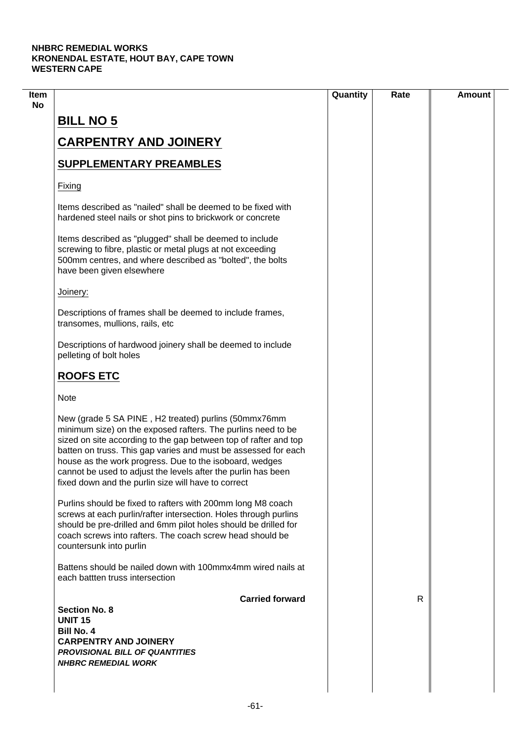|                                                                                                                                                                                                                                                                                                                                                                                                                                               | Quantity | Rate | <b>Amount</b> |
|-----------------------------------------------------------------------------------------------------------------------------------------------------------------------------------------------------------------------------------------------------------------------------------------------------------------------------------------------------------------------------------------------------------------------------------------------|----------|------|---------------|
| <b>BILL NO 5</b>                                                                                                                                                                                                                                                                                                                                                                                                                              |          |      |               |
|                                                                                                                                                                                                                                                                                                                                                                                                                                               |          |      |               |
| <b>CARPENTRY AND JOINERY</b>                                                                                                                                                                                                                                                                                                                                                                                                                  |          |      |               |
| <b>SUPPLEMENTARY PREAMBLES</b>                                                                                                                                                                                                                                                                                                                                                                                                                |          |      |               |
| Fixing                                                                                                                                                                                                                                                                                                                                                                                                                                        |          |      |               |
| Items described as "nailed" shall be deemed to be fixed with<br>hardened steel nails or shot pins to brickwork or concrete                                                                                                                                                                                                                                                                                                                    |          |      |               |
| Items described as "plugged" shall be deemed to include<br>screwing to fibre, plastic or metal plugs at not exceeding<br>500mm centres, and where described as "bolted", the bolts<br>have been given elsewhere                                                                                                                                                                                                                               |          |      |               |
| Joinery:                                                                                                                                                                                                                                                                                                                                                                                                                                      |          |      |               |
| Descriptions of frames shall be deemed to include frames,<br>transomes, mullions, rails, etc                                                                                                                                                                                                                                                                                                                                                  |          |      |               |
| Descriptions of hardwood joinery shall be deemed to include<br>pelleting of bolt holes                                                                                                                                                                                                                                                                                                                                                        |          |      |               |
| <b>ROOFS ETC</b>                                                                                                                                                                                                                                                                                                                                                                                                                              |          |      |               |
| <b>Note</b>                                                                                                                                                                                                                                                                                                                                                                                                                                   |          |      |               |
| New (grade 5 SA PINE, H2 treated) purlins (50mmx76mm<br>minimum size) on the exposed rafters. The purlins need to be<br>sized on site according to the gap between top of rafter and top<br>batten on truss. This gap varies and must be assessed for each<br>house as the work progress. Due to the isoboard, wedges<br>cannot be used to adjust the levels after the purlin has been<br>fixed down and the purlin size will have to correct |          |      |               |
| Purlins should be fixed to rafters with 200mm long M8 coach<br>screws at each purlin/rafter intersection. Holes through purlins<br>should be pre-drilled and 6mm pilot holes should be drilled for<br>coach screws into rafters. The coach screw head should be<br>countersunk into purlin                                                                                                                                                    |          |      |               |
| Battens should be nailed down with 100mmx4mm wired nails at<br>each battten truss intersection                                                                                                                                                                                                                                                                                                                                                |          |      |               |
| <b>Carried forward</b>                                                                                                                                                                                                                                                                                                                                                                                                                        |          | R    |               |
| <b>Section No. 8</b><br><b>UNIT 15</b>                                                                                                                                                                                                                                                                                                                                                                                                        |          |      |               |
| <b>Bill No. 4</b>                                                                                                                                                                                                                                                                                                                                                                                                                             |          |      |               |
| <b>CARPENTRY AND JOINERY</b>                                                                                                                                                                                                                                                                                                                                                                                                                  |          |      |               |
| <b>PROVISIONAL BILL OF QUANTITIES</b>                                                                                                                                                                                                                                                                                                                                                                                                         |          |      |               |
| <b>NHBRC REMEDIAL WORK</b>                                                                                                                                                                                                                                                                                                                                                                                                                    |          |      |               |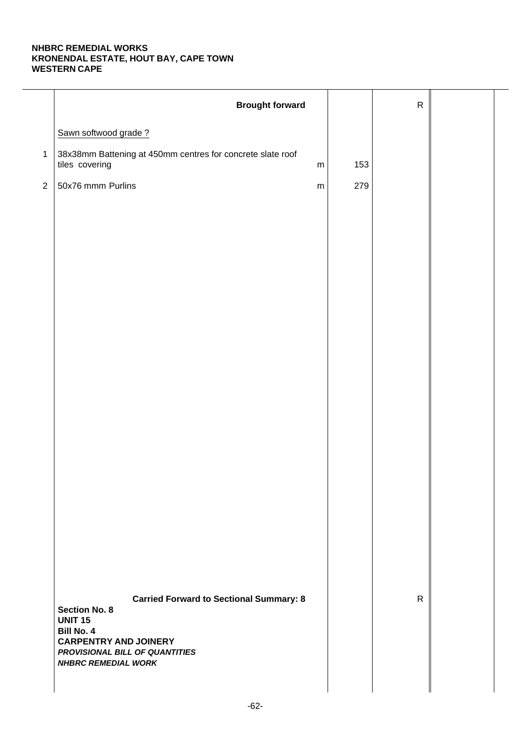|                | <b>Brought forward</b>                                                                    |     | ${\sf R}$    |  |
|----------------|-------------------------------------------------------------------------------------------|-----|--------------|--|
|                | Sawn softwood grade?                                                                      |     |              |  |
| $\mathbf{1}$   | 38x38mm Battening at 450mm centres for concrete slate roof<br>tiles covering<br>${\sf m}$ | 153 |              |  |
| $\overline{2}$ | 50x76 mmm Purlins<br>${\sf m}$                                                            | 279 |              |  |
|                |                                                                                           |     |              |  |
|                |                                                                                           |     |              |  |
|                |                                                                                           |     |              |  |
|                |                                                                                           |     |              |  |
|                |                                                                                           |     |              |  |
|                |                                                                                           |     |              |  |
|                |                                                                                           |     |              |  |
|                |                                                                                           |     |              |  |
|                |                                                                                           |     |              |  |
|                |                                                                                           |     |              |  |
|                |                                                                                           |     |              |  |
|                |                                                                                           |     |              |  |
|                |                                                                                           |     |              |  |
|                |                                                                                           |     |              |  |
|                |                                                                                           |     |              |  |
|                |                                                                                           |     |              |  |
|                |                                                                                           |     |              |  |
|                |                                                                                           |     |              |  |
|                | <b>Carried Forward to Sectional Summary: 8</b><br><b>Section No. 8</b><br><b>UNIT 15</b>  |     | $\mathsf{R}$ |  |
|                | <b>Bill No. 4</b><br><b>CARPENTRY AND JOINERY</b>                                         |     |              |  |
|                | PROVISIONAL BILL OF QUANTITIES<br><b>NHBRC REMEDIAL WORK</b>                              |     |              |  |
|                |                                                                                           |     |              |  |
|                |                                                                                           |     |              |  |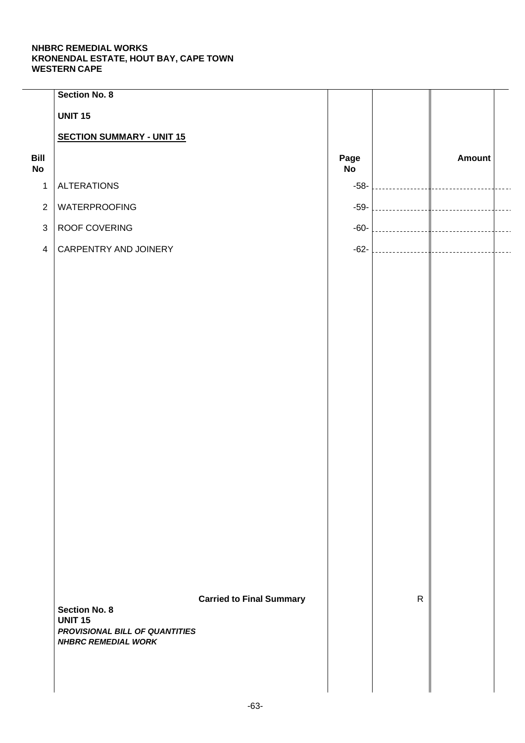|                   | <b>Section No. 8</b>                                         |                                 |            |              |               |  |
|-------------------|--------------------------------------------------------------|---------------------------------|------------|--------------|---------------|--|
|                   | <b>UNIT 15</b>                                               |                                 |            |              |               |  |
|                   | <b>SECTION SUMMARY - UNIT 15</b>                             |                                 |            |              |               |  |
| Bill<br><b>No</b> |                                                              |                                 | Page<br>No |              | <b>Amount</b> |  |
| $\mathbf{1}$      | <b>ALTERATIONS</b>                                           |                                 | $-58-$     |              |               |  |
| $\sqrt{2}$        | WATERPROOFING                                                |                                 | $-59-$     |              |               |  |
| $\mathfrak{S}$    | ROOF COVERING                                                |                                 | $-60-$     |              |               |  |
| $\overline{4}$    | CARPENTRY AND JOINERY                                        |                                 | $-62-$     |              |               |  |
|                   |                                                              |                                 |            |              |               |  |
|                   |                                                              |                                 |            |              |               |  |
|                   |                                                              |                                 |            |              |               |  |
|                   |                                                              |                                 |            |              |               |  |
|                   |                                                              |                                 |            |              |               |  |
|                   |                                                              |                                 |            |              |               |  |
|                   |                                                              |                                 |            |              |               |  |
|                   |                                                              |                                 |            |              |               |  |
|                   |                                                              |                                 |            |              |               |  |
|                   |                                                              |                                 |            |              |               |  |
|                   |                                                              |                                 |            |              |               |  |
|                   |                                                              |                                 |            |              |               |  |
|                   |                                                              |                                 |            |              |               |  |
|                   |                                                              |                                 |            |              |               |  |
|                   |                                                              |                                 |            |              |               |  |
|                   |                                                              |                                 |            |              |               |  |
|                   |                                                              | <b>Carried to Final Summary</b> |            | $\mathsf{R}$ |               |  |
|                   | <b>Section No. 8</b><br><b>UNIT 15</b>                       |                                 |            |              |               |  |
|                   | PROVISIONAL BILL OF QUANTITIES<br><b>NHBRC REMEDIAL WORK</b> |                                 |            |              |               |  |
|                   |                                                              |                                 |            |              |               |  |
|                   |                                                              |                                 |            |              |               |  |
|                   |                                                              |                                 |            |              |               |  |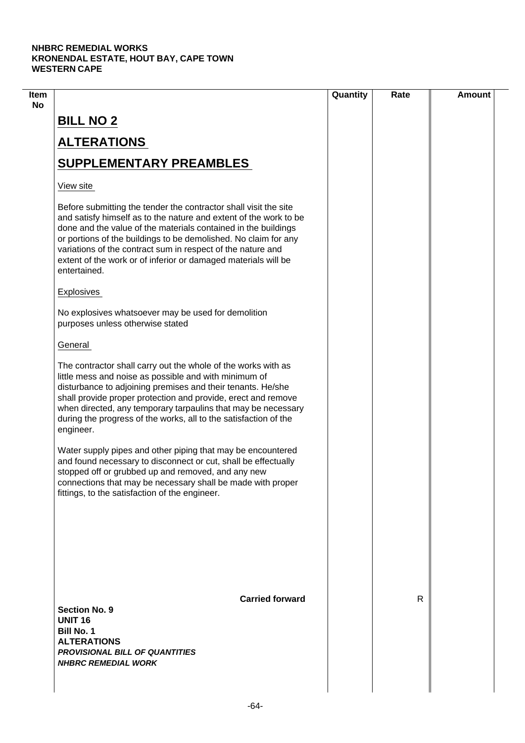| R |  |
|---|--|
|   |  |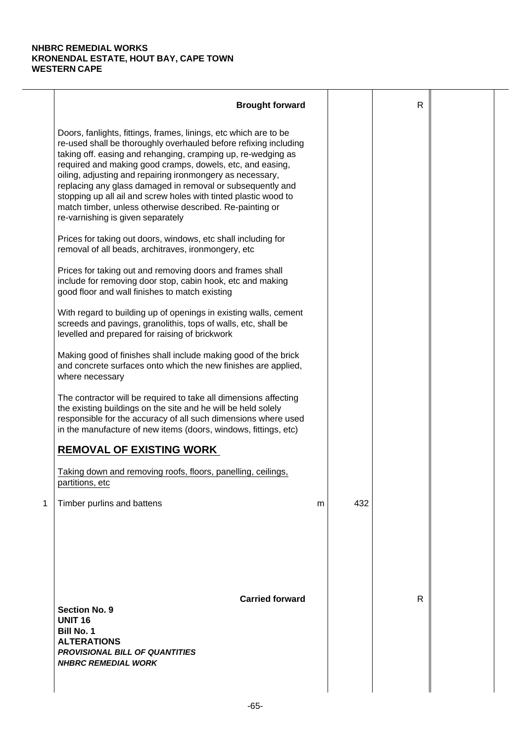|   | <b>Brought forward</b>                                                                                                                                                                                                                                                                                                                                                                                                                                                                                                                                           |   |     | R |  |
|---|------------------------------------------------------------------------------------------------------------------------------------------------------------------------------------------------------------------------------------------------------------------------------------------------------------------------------------------------------------------------------------------------------------------------------------------------------------------------------------------------------------------------------------------------------------------|---|-----|---|--|
|   | Doors, fanlights, fittings, frames, linings, etc which are to be<br>re-used shall be thoroughly overhauled before refixing including<br>taking off. easing and rehanging, cramping up, re-wedging as<br>required and making good cramps, dowels, etc, and easing,<br>oiling, adjusting and repairing ironmongery as necessary,<br>replacing any glass damaged in removal or subsequently and<br>stopping up all ail and screw holes with tinted plastic wood to<br>match timber, unless otherwise described. Re-painting or<br>re-varnishing is given separately |   |     |   |  |
|   | Prices for taking out doors, windows, etc shall including for<br>removal of all beads, architraves, ironmongery, etc                                                                                                                                                                                                                                                                                                                                                                                                                                             |   |     |   |  |
|   | Prices for taking out and removing doors and frames shall<br>include for removing door stop, cabin hook, etc and making<br>good floor and wall finishes to match existing                                                                                                                                                                                                                                                                                                                                                                                        |   |     |   |  |
|   | With regard to building up of openings in existing walls, cement<br>screeds and pavings, granolithis, tops of walls, etc, shall be<br>levelled and prepared for raising of brickwork                                                                                                                                                                                                                                                                                                                                                                             |   |     |   |  |
|   | Making good of finishes shall include making good of the brick<br>and concrete surfaces onto which the new finishes are applied,<br>where necessary                                                                                                                                                                                                                                                                                                                                                                                                              |   |     |   |  |
|   | The contractor will be required to take all dimensions affecting<br>the existing buildings on the site and he will be held solely<br>responsible for the accuracy of all such dimensions where used<br>in the manufacture of new items (doors, windows, fittings, etc)                                                                                                                                                                                                                                                                                           |   |     |   |  |
|   | <b>REMOVAL OF EXISTING WORK</b>                                                                                                                                                                                                                                                                                                                                                                                                                                                                                                                                  |   |     |   |  |
|   | Taking down and removing roofs, floors, panelling, ceilings,<br>partitions, etc                                                                                                                                                                                                                                                                                                                                                                                                                                                                                  |   |     |   |  |
| 1 | Timber purlins and battens                                                                                                                                                                                                                                                                                                                                                                                                                                                                                                                                       | m | 432 |   |  |
|   | <b>Carried forward</b><br><b>Section No. 9</b><br><b>UNIT 16</b><br><b>Bill No. 1</b><br><b>ALTERATIONS</b><br><b>PROVISIONAL BILL OF QUANTITIES</b><br><b>NHBRC REMEDIAL WORK</b>                                                                                                                                                                                                                                                                                                                                                                               |   |     | R |  |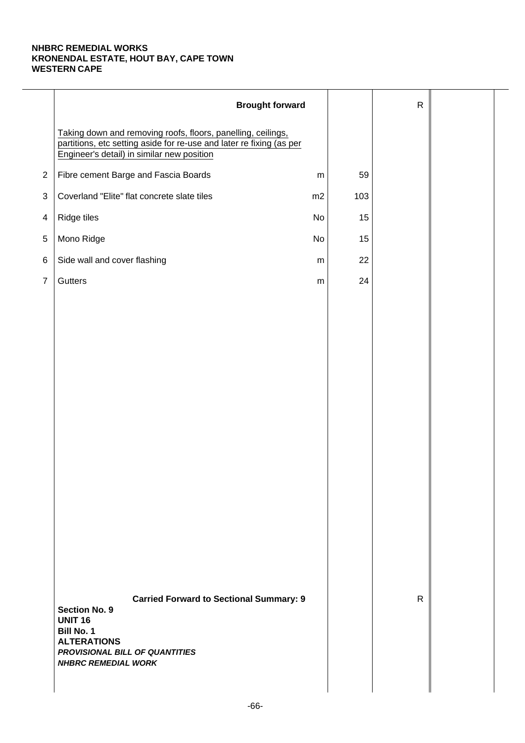|                | <b>Brought forward</b>                                                                                                                                                                              |           |     | $\mathsf{R}$ |  |
|----------------|-----------------------------------------------------------------------------------------------------------------------------------------------------------------------------------------------------|-----------|-----|--------------|--|
|                | Taking down and removing roofs, floors, panelling, ceilings,<br>partitions, etc setting aside for re-use and later re fixing (as per<br>Engineer's detail) in similar new position                  |           |     |              |  |
| $\overline{2}$ | Fibre cement Barge and Fascia Boards                                                                                                                                                                | ${\sf m}$ | 59  |              |  |
| $\sqrt{3}$     | Coverland "Elite" flat concrete slate tiles                                                                                                                                                         | m2        | 103 |              |  |
| $\overline{4}$ | Ridge tiles                                                                                                                                                                                         | No        | 15  |              |  |
| 5              | Mono Ridge                                                                                                                                                                                          | No        | 15  |              |  |
| $\,6$          | Side wall and cover flashing                                                                                                                                                                        | m         | 22  |              |  |
| $\overline{7}$ | Gutters                                                                                                                                                                                             | ${\sf m}$ | 24  |              |  |
|                |                                                                                                                                                                                                     |           |     |              |  |
|                |                                                                                                                                                                                                     |           |     |              |  |
|                |                                                                                                                                                                                                     |           |     |              |  |
|                |                                                                                                                                                                                                     |           |     |              |  |
|                |                                                                                                                                                                                                     |           |     |              |  |
|                |                                                                                                                                                                                                     |           |     |              |  |
|                |                                                                                                                                                                                                     |           |     |              |  |
|                |                                                                                                                                                                                                     |           |     |              |  |
|                |                                                                                                                                                                                                     |           |     |              |  |
|                |                                                                                                                                                                                                     |           |     |              |  |
|                |                                                                                                                                                                                                     |           |     |              |  |
|                |                                                                                                                                                                                                     |           |     |              |  |
|                |                                                                                                                                                                                                     |           |     |              |  |
|                |                                                                                                                                                                                                     |           |     |              |  |
|                | <b>Carried Forward to Sectional Summary: 9</b><br><b>Section No. 9</b><br><b>UNIT 16</b><br><b>Bill No. 1</b><br><b>ALTERATIONS</b><br>PROVISIONAL BILL OF QUANTITIES<br><b>NHBRC REMEDIAL WORK</b> |           |     | $\mathsf{R}$ |  |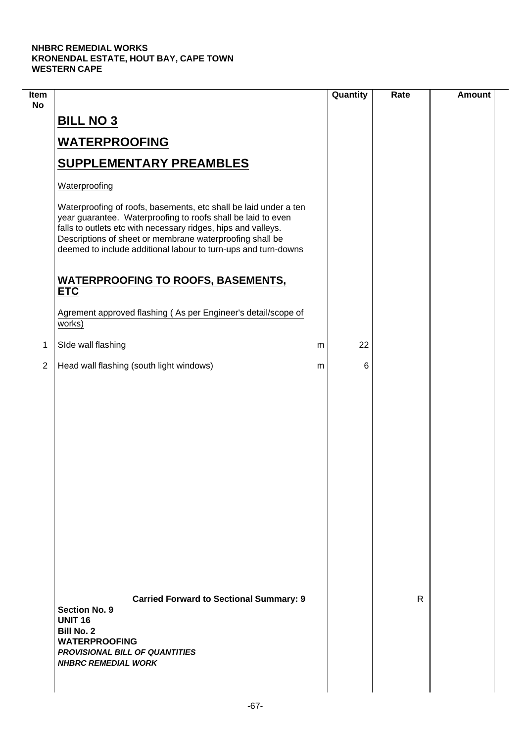$\mathcal{L}$ 

| Item<br><b>No</b> |                                                                                                                                                                                                                                                                                                                                 | Quantity | Rate | <b>Amount</b> |
|-------------------|---------------------------------------------------------------------------------------------------------------------------------------------------------------------------------------------------------------------------------------------------------------------------------------------------------------------------------|----------|------|---------------|
|                   | <b>BILL NO 3</b>                                                                                                                                                                                                                                                                                                                |          |      |               |
|                   | <b>WATERPROOFING</b>                                                                                                                                                                                                                                                                                                            |          |      |               |
|                   | <b>SUPPLEMENTARY PREAMBLES</b>                                                                                                                                                                                                                                                                                                  |          |      |               |
|                   | Waterproofing                                                                                                                                                                                                                                                                                                                   |          |      |               |
|                   | Waterproofing of roofs, basements, etc shall be laid under a ten<br>year guarantee. Waterproofing to roofs shall be laid to even<br>falls to outlets etc with necessary ridges, hips and valleys.<br>Descriptions of sheet or membrane waterproofing shall be<br>deemed to include additional labour to turn-ups and turn-downs |          |      |               |
|                   | <b>WATERPROOFING TO ROOFS, BASEMENTS,</b><br><b>ETC</b>                                                                                                                                                                                                                                                                         |          |      |               |
|                   | Agrement approved flashing (As per Engineer's detail/scope of<br>works)                                                                                                                                                                                                                                                         |          |      |               |
| 1                 | SIde wall flashing                                                                                                                                                                                                                                                                                                              | 22<br>m  |      |               |
| $\overline{2}$    | Head wall flashing (south light windows)                                                                                                                                                                                                                                                                                        | 6<br>m   |      |               |
|                   |                                                                                                                                                                                                                                                                                                                                 |          |      |               |
|                   | <b>Carried Forward to Sectional Summary: 9</b><br><b>Section No. 9</b><br><b>UNIT 16</b><br><b>Bill No. 2</b><br><b>WATERPROOFING</b><br><b>PROVISIONAL BILL OF QUANTITIES</b><br><b>NHBRC REMEDIAL WORK</b>                                                                                                                    |          | R    |               |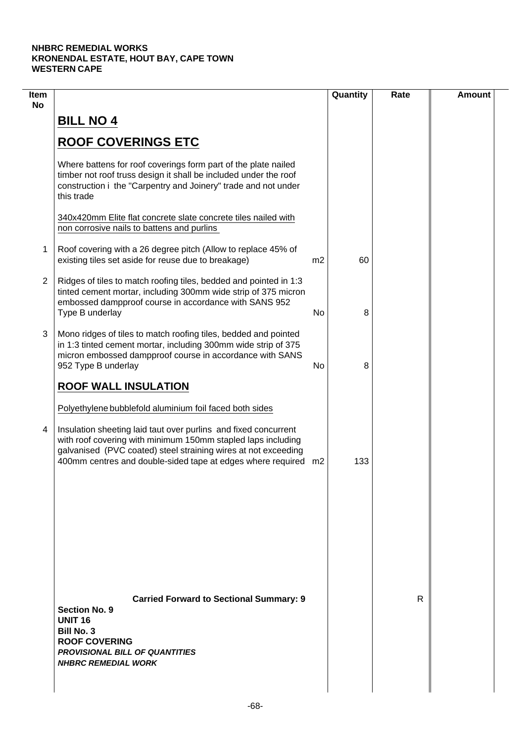| <b>No</b>      |                                                                                                                                                                                                                                                                                                                                |                |     |   |  |
|----------------|--------------------------------------------------------------------------------------------------------------------------------------------------------------------------------------------------------------------------------------------------------------------------------------------------------------------------------|----------------|-----|---|--|
|                | <b>BILL NO 4</b>                                                                                                                                                                                                                                                                                                               |                |     |   |  |
|                | <b>ROOF COVERINGS ETC</b>                                                                                                                                                                                                                                                                                                      |                |     |   |  |
|                | Where battens for roof coverings form part of the plate nailed<br>timber not roof truss design it shall be included under the roof<br>construction i the "Carpentry and Joinery" trade and not under<br>this trade                                                                                                             |                |     |   |  |
|                | 340x420mm Elite flat concrete slate concrete tiles nailed with<br>non corrosive nails to battens and purlins                                                                                                                                                                                                                   |                |     |   |  |
| 1              | Roof covering with a 26 degree pitch (Allow to replace 45% of<br>existing tiles set aside for reuse due to breakage)                                                                                                                                                                                                           | m <sub>2</sub> | 60  |   |  |
| $\overline{2}$ | Ridges of tiles to match roofing tiles, bedded and pointed in 1:3<br>tinted cement mortar, including 300mm wide strip of 375 micron<br>embossed dampproof course in accordance with SANS 952<br>Type B underlay                                                                                                                | No             | 8   |   |  |
| 3              | Mono ridges of tiles to match roofing tiles, bedded and pointed<br>in 1:3 tinted cement mortar, including 300mm wide strip of 375<br>micron embossed dampproof course in accordance with SANS<br>952 Type B underlay                                                                                                           | No             | 8   |   |  |
|                | <b>ROOF WALL INSULATION</b>                                                                                                                                                                                                                                                                                                    |                |     |   |  |
| 4              | Polyethylene bubblefold aluminium foil faced both sides<br>Insulation sheeting laid taut over purlins and fixed concurrent<br>with roof covering with minimum 150mm stapled laps including<br>galvanised (PVC coated) steel straining wires at not exceeding<br>400mm centres and double-sided tape at edges where required m2 |                | 133 |   |  |
|                |                                                                                                                                                                                                                                                                                                                                |                |     |   |  |
|                | <b>Carried Forward to Sectional Summary: 9</b><br><b>Section No. 9</b><br><b>UNIT 16</b><br><b>Bill No. 3</b><br><b>ROOF COVERING</b><br><b>PROVISIONAL BILL OF QUANTITIES</b><br><b>NHBRC REMEDIAL WORK</b>                                                                                                                   |                |     | R |  |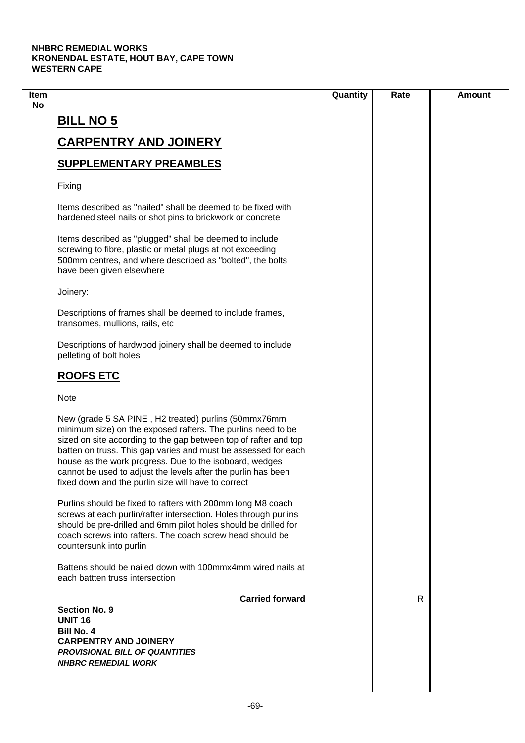| <b>BILL NO 5</b><br><b>CARPENTRY AND JOINERY</b><br><b>SUPPLEMENTARY PREAMBLES</b><br>Fixing<br>Items described as "nailed" shall be deemed to be fixed with<br>hardened steel nails or shot pins to brickwork or concrete<br>Items described as "plugged" shall be deemed to include<br>screwing to fibre, plastic or metal plugs at not exceeding<br>500mm centres, and where described as "bolted", the bolts<br>have been given elsewhere<br>Joinery: |    |  |
|-----------------------------------------------------------------------------------------------------------------------------------------------------------------------------------------------------------------------------------------------------------------------------------------------------------------------------------------------------------------------------------------------------------------------------------------------------------|----|--|
|                                                                                                                                                                                                                                                                                                                                                                                                                                                           |    |  |
|                                                                                                                                                                                                                                                                                                                                                                                                                                                           |    |  |
|                                                                                                                                                                                                                                                                                                                                                                                                                                                           |    |  |
|                                                                                                                                                                                                                                                                                                                                                                                                                                                           |    |  |
|                                                                                                                                                                                                                                                                                                                                                                                                                                                           |    |  |
|                                                                                                                                                                                                                                                                                                                                                                                                                                                           |    |  |
|                                                                                                                                                                                                                                                                                                                                                                                                                                                           |    |  |
|                                                                                                                                                                                                                                                                                                                                                                                                                                                           |    |  |
| Descriptions of frames shall be deemed to include frames,<br>transomes, mullions, rails, etc                                                                                                                                                                                                                                                                                                                                                              |    |  |
| Descriptions of hardwood joinery shall be deemed to include<br>pelleting of bolt holes                                                                                                                                                                                                                                                                                                                                                                    |    |  |
| <b>ROOFS ETC</b>                                                                                                                                                                                                                                                                                                                                                                                                                                          |    |  |
| <b>Note</b>                                                                                                                                                                                                                                                                                                                                                                                                                                               |    |  |
| New (grade 5 SA PINE, H2 treated) purlins (50mmx76mm<br>minimum size) on the exposed rafters. The purlins need to be<br>sized on site according to the gap between top of rafter and top<br>batten on truss. This gap varies and must be assessed for each<br>house as the work progress. Due to the isoboard, wedges<br>cannot be used to adjust the levels after the purlin has been<br>fixed down and the purlin size will have to correct             |    |  |
| Purlins should be fixed to rafters with 200mm long M8 coach<br>screws at each purlin/rafter intersection. Holes through purlins<br>should be pre-drilled and 6mm pilot holes should be drilled for<br>coach screws into rafters. The coach screw head should be<br>countersunk into purlin                                                                                                                                                                |    |  |
| Battens should be nailed down with 100mmx4mm wired nails at<br>each battten truss intersection                                                                                                                                                                                                                                                                                                                                                            |    |  |
| <b>Carried forward</b>                                                                                                                                                                                                                                                                                                                                                                                                                                    | R. |  |
| <b>Section No. 9</b><br><b>UNIT 16</b>                                                                                                                                                                                                                                                                                                                                                                                                                    |    |  |
| <b>Bill No. 4</b>                                                                                                                                                                                                                                                                                                                                                                                                                                         |    |  |
| <b>CARPENTRY AND JOINERY</b>                                                                                                                                                                                                                                                                                                                                                                                                                              |    |  |
| <b>PROVISIONAL BILL OF QUANTITIES</b><br><b>NHBRC REMEDIAL WORK</b>                                                                                                                                                                                                                                                                                                                                                                                       |    |  |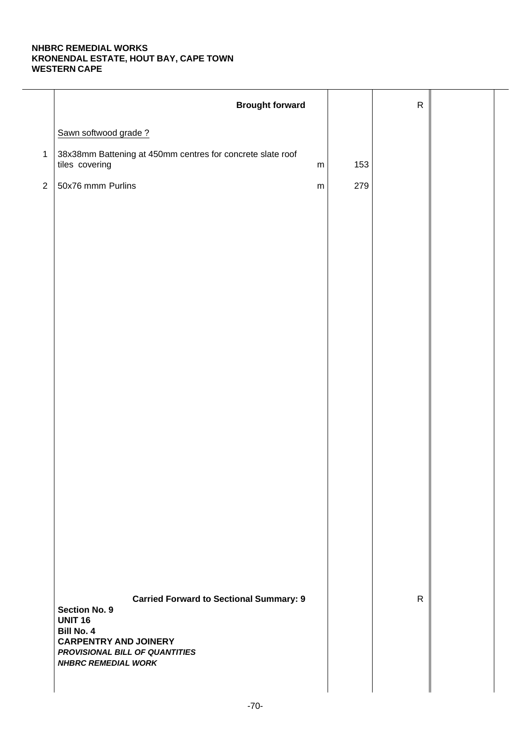|                | <b>Brought forward</b>                                                                    |     | ${\sf R}$    |  |
|----------------|-------------------------------------------------------------------------------------------|-----|--------------|--|
|                | Sawn softwood grade?                                                                      |     |              |  |
| $\mathbf{1}$   | 38x38mm Battening at 450mm centres for concrete slate roof<br>tiles covering<br>${\sf m}$ | 153 |              |  |
| $\overline{2}$ | 50x76 mmm Purlins<br>${\sf m}$                                                            | 279 |              |  |
|                |                                                                                           |     |              |  |
|                |                                                                                           |     |              |  |
|                |                                                                                           |     |              |  |
|                |                                                                                           |     |              |  |
|                |                                                                                           |     |              |  |
|                |                                                                                           |     |              |  |
|                |                                                                                           |     |              |  |
|                |                                                                                           |     |              |  |
|                |                                                                                           |     |              |  |
|                |                                                                                           |     |              |  |
|                |                                                                                           |     |              |  |
|                |                                                                                           |     |              |  |
|                |                                                                                           |     |              |  |
|                |                                                                                           |     |              |  |
|                |                                                                                           |     |              |  |
|                |                                                                                           |     |              |  |
|                |                                                                                           |     |              |  |
|                | <b>Carried Forward to Sectional Summary: 9</b><br><b>Section No. 9</b>                    |     | $\mathsf{R}$ |  |
|                | <b>UNIT 16</b><br><b>Bill No. 4</b>                                                       |     |              |  |
|                | <b>CARPENTRY AND JOINERY</b><br>PROVISIONAL BILL OF QUANTITIES                            |     |              |  |
|                | <b>NHBRC REMEDIAL WORK</b>                                                                |     |              |  |
|                |                                                                                           |     |              |  |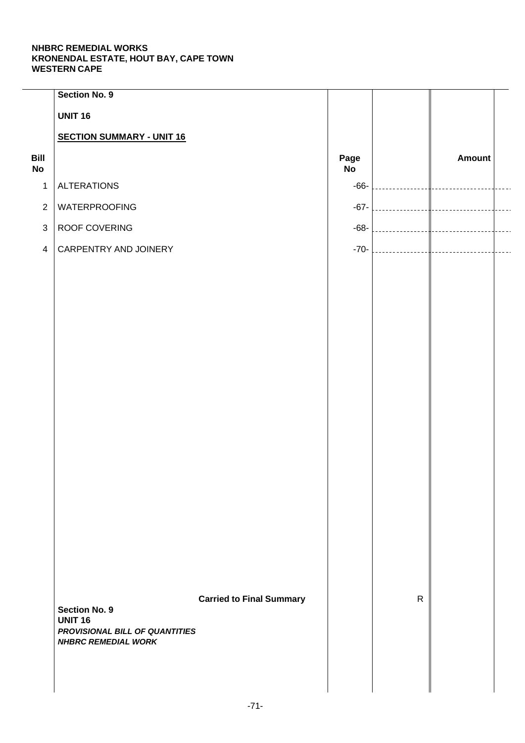|                   | Section No. 9                          |                                 |            |              |        |  |
|-------------------|----------------------------------------|---------------------------------|------------|--------------|--------|--|
|                   | <b>UNIT 16</b>                         |                                 |            |              |        |  |
|                   | <b>SECTION SUMMARY - UNIT 16</b>       |                                 |            |              |        |  |
| Bill<br><b>No</b> |                                        |                                 | Page<br>No |              | Amount |  |
| $\mathbf 1$       | <b>ALTERATIONS</b>                     |                                 | $-66-$     |              |        |  |
| $\overline{2}$    | <b>WATERPROOFING</b>                   |                                 | $-67-$     |              |        |  |
| $\mathbf{3}$      | ROOF COVERING                          |                                 | $-68-$     |              |        |  |
| $\overline{4}$    | CARPENTRY AND JOINERY                  |                                 | $-70-$     |              |        |  |
|                   |                                        |                                 |            |              |        |  |
|                   |                                        |                                 |            |              |        |  |
|                   |                                        |                                 |            |              |        |  |
|                   |                                        |                                 |            |              |        |  |
|                   |                                        |                                 |            |              |        |  |
|                   |                                        |                                 |            |              |        |  |
|                   |                                        |                                 |            |              |        |  |
|                   |                                        |                                 |            |              |        |  |
|                   |                                        |                                 |            |              |        |  |
|                   |                                        |                                 |            |              |        |  |
|                   |                                        |                                 |            |              |        |  |
|                   |                                        |                                 |            |              |        |  |
|                   |                                        |                                 |            |              |        |  |
|                   |                                        |                                 |            |              |        |  |
|                   |                                        |                                 |            |              |        |  |
|                   |                                        |                                 |            |              |        |  |
|                   |                                        | <b>Carried to Final Summary</b> |            | $\mathsf{R}$ |        |  |
|                   | <b>Section No. 9</b><br><b>UNIT 16</b> |                                 |            |              |        |  |
|                   | PROVISIONAL BILL OF QUANTITIES         |                                 |            |              |        |  |
|                   | <b>NHBRC REMEDIAL WORK</b>             |                                 |            |              |        |  |
|                   |                                        |                                 |            |              |        |  |
|                   |                                        |                                 |            |              |        |  |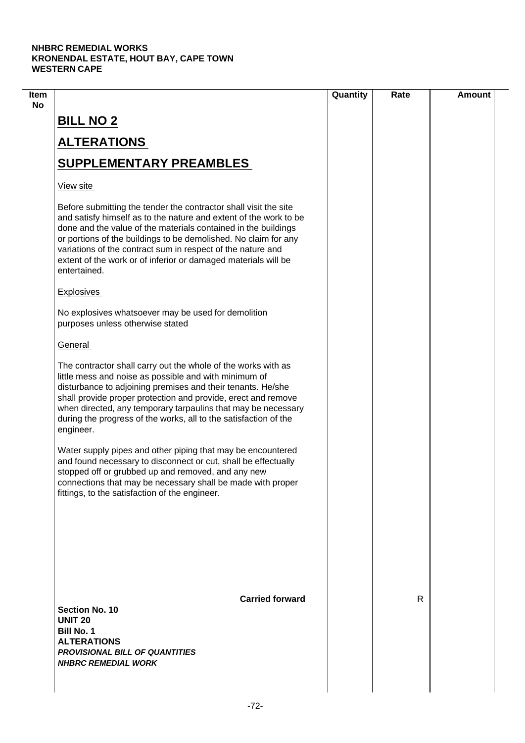|                                                                                                                                                                                                                                                                                                                                                                                                                             | Quantity | Rate         | <b>Amount</b> |
|-----------------------------------------------------------------------------------------------------------------------------------------------------------------------------------------------------------------------------------------------------------------------------------------------------------------------------------------------------------------------------------------------------------------------------|----------|--------------|---------------|
| <b>BILL NO 2</b>                                                                                                                                                                                                                                                                                                                                                                                                            |          |              |               |
| <b>ALTERATIONS</b>                                                                                                                                                                                                                                                                                                                                                                                                          |          |              |               |
| <b>SUPPLEMENTARY PREAMBLES</b>                                                                                                                                                                                                                                                                                                                                                                                              |          |              |               |
| View site                                                                                                                                                                                                                                                                                                                                                                                                                   |          |              |               |
| Before submitting the tender the contractor shall visit the site<br>and satisfy himself as to the nature and extent of the work to be<br>done and the value of the materials contained in the buildings<br>or portions of the buildings to be demolished. No claim for any<br>variations of the contract sum in respect of the nature and<br>extent of the work or of inferior or damaged materials will be<br>entertained. |          |              |               |
| Explosives                                                                                                                                                                                                                                                                                                                                                                                                                  |          |              |               |
| No explosives whatsoever may be used for demolition<br>purposes unless otherwise stated                                                                                                                                                                                                                                                                                                                                     |          |              |               |
| General                                                                                                                                                                                                                                                                                                                                                                                                                     |          |              |               |
| The contractor shall carry out the whole of the works with as<br>little mess and noise as possible and with minimum of<br>disturbance to adjoining premises and their tenants. He/she<br>shall provide proper protection and provide, erect and remove<br>when directed, any temporary tarpaulins that may be necessary<br>during the progress of the works, all to the satisfaction of the<br>engineer.                    |          |              |               |
| Water supply pipes and other piping that may be encountered<br>and found necessary to disconnect or cut, shall be effectually<br>stopped off or grubbed up and removed, and any new<br>connections that may be necessary shall be made with proper<br>fittings, to the satisfaction of the engineer.                                                                                                                        |          |              |               |
| <b>Carried forward</b>                                                                                                                                                                                                                                                                                                                                                                                                      |          | $\mathsf{R}$ |               |
| Section No. 10<br><b>UNIT 20</b><br><b>Bill No. 1</b><br><b>ALTERATIONS</b><br><b>PROVISIONAL BILL OF QUANTITIES</b><br><b>NHBRC REMEDIAL WORK</b>                                                                                                                                                                                                                                                                          |          |              |               |
|                                                                                                                                                                                                                                                                                                                                                                                                                             |          |              |               |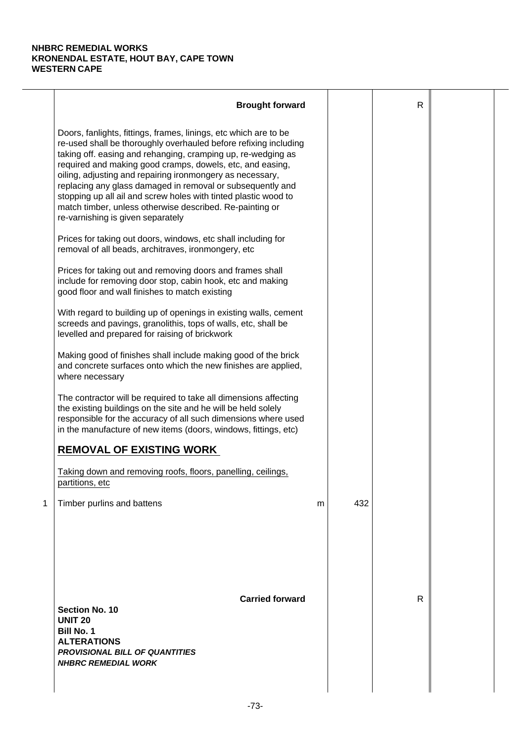|   | <b>Brought forward</b>                                                                                                                                                                                                                                                                                                                                                                                                                                                                                                                                           |   |     | $\mathsf{R}$ |  |
|---|------------------------------------------------------------------------------------------------------------------------------------------------------------------------------------------------------------------------------------------------------------------------------------------------------------------------------------------------------------------------------------------------------------------------------------------------------------------------------------------------------------------------------------------------------------------|---|-----|--------------|--|
|   | Doors, fanlights, fittings, frames, linings, etc which are to be<br>re-used shall be thoroughly overhauled before refixing including<br>taking off. easing and rehanging, cramping up, re-wedging as<br>required and making good cramps, dowels, etc, and easing,<br>oiling, adjusting and repairing ironmongery as necessary,<br>replacing any glass damaged in removal or subsequently and<br>stopping up all ail and screw holes with tinted plastic wood to<br>match timber, unless otherwise described. Re-painting or<br>re-varnishing is given separately |   |     |              |  |
|   | Prices for taking out doors, windows, etc shall including for<br>removal of all beads, architraves, ironmongery, etc                                                                                                                                                                                                                                                                                                                                                                                                                                             |   |     |              |  |
|   | Prices for taking out and removing doors and frames shall<br>include for removing door stop, cabin hook, etc and making<br>good floor and wall finishes to match existing                                                                                                                                                                                                                                                                                                                                                                                        |   |     |              |  |
|   | With regard to building up of openings in existing walls, cement<br>screeds and pavings, granolithis, tops of walls, etc, shall be<br>levelled and prepared for raising of brickwork                                                                                                                                                                                                                                                                                                                                                                             |   |     |              |  |
|   | Making good of finishes shall include making good of the brick<br>and concrete surfaces onto which the new finishes are applied,<br>where necessary                                                                                                                                                                                                                                                                                                                                                                                                              |   |     |              |  |
|   | The contractor will be required to take all dimensions affecting<br>the existing buildings on the site and he will be held solely<br>responsible for the accuracy of all such dimensions where used<br>in the manufacture of new items (doors, windows, fittings, etc)                                                                                                                                                                                                                                                                                           |   |     |              |  |
|   | <b>REMOVAL OF EXISTING WORK</b>                                                                                                                                                                                                                                                                                                                                                                                                                                                                                                                                  |   |     |              |  |
|   | Taking down and removing roofs, floors, panelling, ceilings,<br>partitions, etc                                                                                                                                                                                                                                                                                                                                                                                                                                                                                  |   |     |              |  |
| 1 | Timber purlins and battens                                                                                                                                                                                                                                                                                                                                                                                                                                                                                                                                       | m | 432 |              |  |
|   | <b>Carried forward</b><br><b>Section No. 10</b><br><b>UNIT 20</b><br><b>Bill No. 1</b><br><b>ALTERATIONS</b><br><b>PROVISIONAL BILL OF QUANTITIES</b><br><b>NHBRC REMEDIAL WORK</b>                                                                                                                                                                                                                                                                                                                                                                              |   |     | R            |  |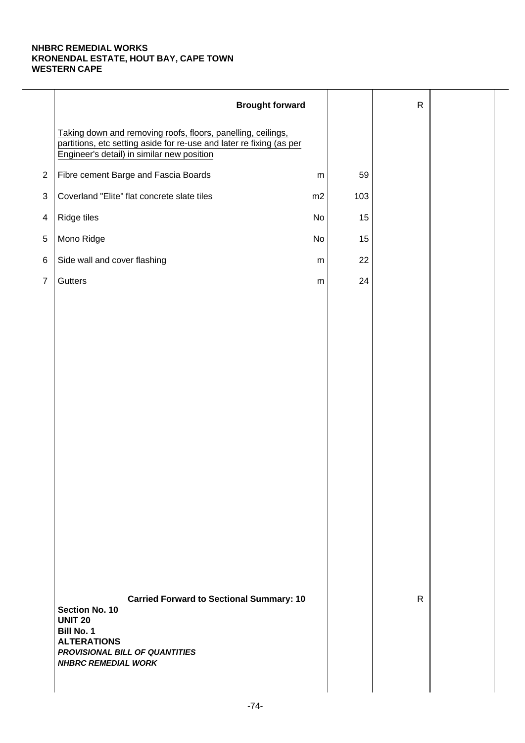|                | <b>Brought forward</b>                                                                                                                                                                                |           |     | $\mathsf{R}$ |  |
|----------------|-------------------------------------------------------------------------------------------------------------------------------------------------------------------------------------------------------|-----------|-----|--------------|--|
|                | Taking down and removing roofs, floors, panelling, ceilings,<br>partitions, etc setting aside for re-use and later re fixing (as per<br>Engineer's detail) in similar new position                    |           |     |              |  |
| $\overline{2}$ | Fibre cement Barge and Fascia Boards                                                                                                                                                                  | ${\sf m}$ | 59  |              |  |
| 3              | Coverland "Elite" flat concrete slate tiles                                                                                                                                                           | m2        | 103 |              |  |
| 4              | Ridge tiles                                                                                                                                                                                           | No        | 15  |              |  |
| $\,$ 5 $\,$    | Mono Ridge                                                                                                                                                                                            | No        | 15  |              |  |
| 6              | Side wall and cover flashing                                                                                                                                                                          | ${\sf m}$ | 22  |              |  |
| $\overline{7}$ | Gutters                                                                                                                                                                                               | ${\sf m}$ | 24  |              |  |
|                |                                                                                                                                                                                                       |           |     |              |  |
|                |                                                                                                                                                                                                       |           |     |              |  |
|                |                                                                                                                                                                                                       |           |     |              |  |
|                |                                                                                                                                                                                                       |           |     |              |  |
|                |                                                                                                                                                                                                       |           |     |              |  |
|                |                                                                                                                                                                                                       |           |     |              |  |
|                |                                                                                                                                                                                                       |           |     |              |  |
|                |                                                                                                                                                                                                       |           |     |              |  |
|                |                                                                                                                                                                                                       |           |     |              |  |
|                |                                                                                                                                                                                                       |           |     |              |  |
|                |                                                                                                                                                                                                       |           |     |              |  |
|                |                                                                                                                                                                                                       |           |     |              |  |
|                |                                                                                                                                                                                                       |           |     |              |  |
|                |                                                                                                                                                                                                       |           |     |              |  |
|                | <b>Carried Forward to Sectional Summary: 10</b><br><b>Section No. 10</b><br><b>UNIT 20</b><br><b>Bill No. 1</b><br><b>ALTERATIONS</b><br>PROVISIONAL BILL OF QUANTITIES<br><b>NHBRC REMEDIAL WORK</b> |           |     | $\mathsf{R}$ |  |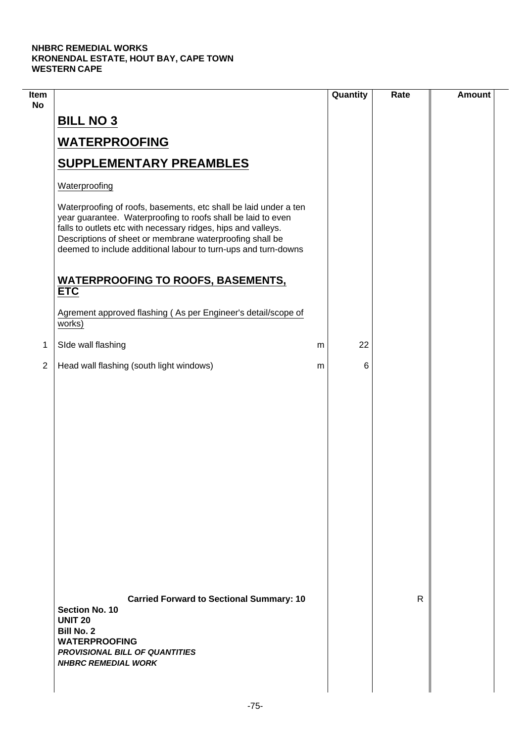| Item<br><b>No</b> |                                                                                                                                                                                                                                                                                                                                 |   | Quantity | Rate | <b>Amount</b> |
|-------------------|---------------------------------------------------------------------------------------------------------------------------------------------------------------------------------------------------------------------------------------------------------------------------------------------------------------------------------|---|----------|------|---------------|
|                   | <b>BILL NO 3</b>                                                                                                                                                                                                                                                                                                                |   |          |      |               |
|                   | <b>WATERPROOFING</b>                                                                                                                                                                                                                                                                                                            |   |          |      |               |
|                   | <b>SUPPLEMENTARY PREAMBLES</b>                                                                                                                                                                                                                                                                                                  |   |          |      |               |
|                   | Waterproofing                                                                                                                                                                                                                                                                                                                   |   |          |      |               |
|                   | Waterproofing of roofs, basements, etc shall be laid under a ten<br>year guarantee. Waterproofing to roofs shall be laid to even<br>falls to outlets etc with necessary ridges, hips and valleys.<br>Descriptions of sheet or membrane waterproofing shall be<br>deemed to include additional labour to turn-ups and turn-downs |   |          |      |               |
|                   | <b>WATERPROOFING TO ROOFS, BASEMENTS,</b><br><b>ETC</b>                                                                                                                                                                                                                                                                         |   |          |      |               |
|                   | Agrement approved flashing (As per Engineer's detail/scope of<br>works)                                                                                                                                                                                                                                                         |   |          |      |               |
| 1                 | SIde wall flashing                                                                                                                                                                                                                                                                                                              | m | 22       |      |               |
| $\overline{2}$    | Head wall flashing (south light windows)                                                                                                                                                                                                                                                                                        | m | 6        |      |               |
|                   |                                                                                                                                                                                                                                                                                                                                 |   |          |      |               |
|                   | <b>Carried Forward to Sectional Summary: 10</b><br><b>Section No. 10</b><br><b>UNIT 20</b><br><b>Bill No. 2</b><br><b>WATERPROOFING</b><br><b>PROVISIONAL BILL OF QUANTITIES</b><br><b>NHBRC REMEDIAL WORK</b>                                                                                                                  |   |          | R    |               |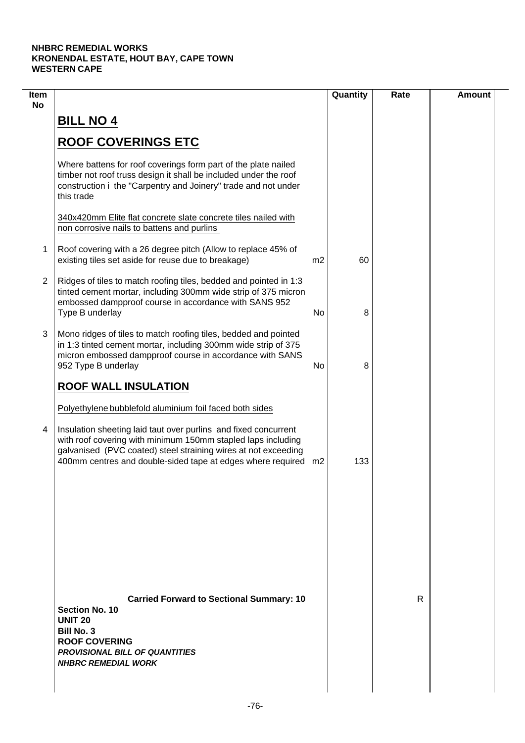| Item<br><b>No</b> |                                                                                                                                                                                                                                                                     |                | Quantity | Rate | <b>Amount</b> |
|-------------------|---------------------------------------------------------------------------------------------------------------------------------------------------------------------------------------------------------------------------------------------------------------------|----------------|----------|------|---------------|
|                   | <b>BILL NO 4</b>                                                                                                                                                                                                                                                    |                |          |      |               |
|                   | <b>ROOF COVERINGS ETC</b>                                                                                                                                                                                                                                           |                |          |      |               |
|                   | Where battens for roof coverings form part of the plate nailed<br>timber not roof truss design it shall be included under the roof<br>construction i the "Carpentry and Joinery" trade and not under<br>this trade                                                  |                |          |      |               |
|                   | 340x420mm Elite flat concrete slate concrete tiles nailed with<br>non corrosive nails to battens and purlins                                                                                                                                                        |                |          |      |               |
| 1                 | Roof covering with a 26 degree pitch (Allow to replace 45% of<br>existing tiles set aside for reuse due to breakage)                                                                                                                                                | m <sub>2</sub> | 60       |      |               |
| $\overline{2}$    | Ridges of tiles to match roofing tiles, bedded and pointed in 1:3<br>tinted cement mortar, including 300mm wide strip of 375 micron<br>embossed dampproof course in accordance with SANS 952<br>Type B underlay                                                     | No             | 8        |      |               |
| 3                 | Mono ridges of tiles to match roofing tiles, bedded and pointed<br>in 1:3 tinted cement mortar, including 300mm wide strip of 375<br>micron embossed dampproof course in accordance with SANS<br>952 Type B underlay                                                | No             | 8        |      |               |
|                   | <b>ROOF WALL INSULATION</b>                                                                                                                                                                                                                                         |                |          |      |               |
|                   | Polyethylene bubblefold aluminium foil faced both sides                                                                                                                                                                                                             |                |          |      |               |
| 4                 | Insulation sheeting laid taut over purlins and fixed concurrent<br>with roof covering with minimum 150mm stapled laps including<br>galvanised (PVC coated) steel straining wires at not exceeding<br>400mm centres and double-sided tape at edges where required m2 |                | 133      |      |               |
|                   |                                                                                                                                                                                                                                                                     |                |          |      |               |
|                   |                                                                                                                                                                                                                                                                     |                |          |      |               |
|                   |                                                                                                                                                                                                                                                                     |                |          |      |               |
|                   | <b>Carried Forward to Sectional Summary: 10</b><br><b>Section No. 10</b><br><b>UNIT 20</b><br><b>Bill No. 3</b><br><b>ROOF COVERING</b><br><b>PROVISIONAL BILL OF QUANTITIES</b><br><b>NHBRC REMEDIAL WORK</b>                                                      |                |          | R    |               |
|                   |                                                                                                                                                                                                                                                                     |                |          |      |               |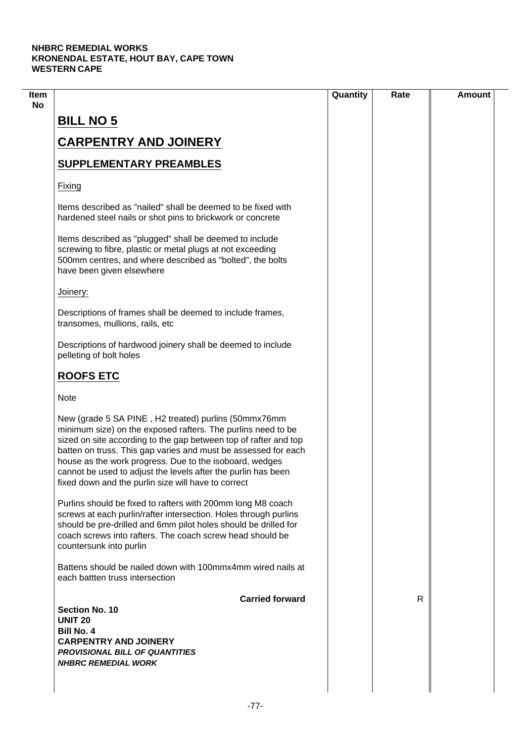|                                                                                                                                                                                                                                                                                                                                                                                                                                               | Quantity | Rate | <b>Amount</b> |
|-----------------------------------------------------------------------------------------------------------------------------------------------------------------------------------------------------------------------------------------------------------------------------------------------------------------------------------------------------------------------------------------------------------------------------------------------|----------|------|---------------|
| <b>BILL NO 5</b>                                                                                                                                                                                                                                                                                                                                                                                                                              |          |      |               |
| <b>CARPENTRY AND JOINERY</b>                                                                                                                                                                                                                                                                                                                                                                                                                  |          |      |               |
|                                                                                                                                                                                                                                                                                                                                                                                                                                               |          |      |               |
| <b>SUPPLEMENTARY PREAMBLES</b>                                                                                                                                                                                                                                                                                                                                                                                                                |          |      |               |
| Fixing                                                                                                                                                                                                                                                                                                                                                                                                                                        |          |      |               |
| Items described as "nailed" shall be deemed to be fixed with<br>hardened steel nails or shot pins to brickwork or concrete                                                                                                                                                                                                                                                                                                                    |          |      |               |
| Items described as "plugged" shall be deemed to include<br>screwing to fibre, plastic or metal plugs at not exceeding<br>500mm centres, and where described as "bolted", the bolts<br>have been given elsewhere                                                                                                                                                                                                                               |          |      |               |
| Joinery:                                                                                                                                                                                                                                                                                                                                                                                                                                      |          |      |               |
| Descriptions of frames shall be deemed to include frames,<br>transomes, mullions, rails, etc                                                                                                                                                                                                                                                                                                                                                  |          |      |               |
| Descriptions of hardwood joinery shall be deemed to include<br>pelleting of bolt holes                                                                                                                                                                                                                                                                                                                                                        |          |      |               |
| <b>ROOFS ETC</b>                                                                                                                                                                                                                                                                                                                                                                                                                              |          |      |               |
| <b>Note</b>                                                                                                                                                                                                                                                                                                                                                                                                                                   |          |      |               |
| New (grade 5 SA PINE, H2 treated) purlins (50mmx76mm<br>minimum size) on the exposed rafters. The purlins need to be<br>sized on site according to the gap between top of rafter and top<br>batten on truss. This gap varies and must be assessed for each<br>house as the work progress. Due to the isoboard, wedges<br>cannot be used to adjust the levels after the purlin has been<br>fixed down and the purlin size will have to correct |          |      |               |
| Purlins should be fixed to rafters with 200mm long M8 coach<br>screws at each purlin/rafter intersection. Holes through purlins<br>should be pre-drilled and 6mm pilot holes should be drilled for<br>coach screws into rafters. The coach screw head should be<br>countersunk into purlin                                                                                                                                                    |          |      |               |
| Battens should be nailed down with 100mmx4mm wired nails at<br>each battten truss intersection                                                                                                                                                                                                                                                                                                                                                |          |      |               |
| <b>Carried forward</b>                                                                                                                                                                                                                                                                                                                                                                                                                        |          | R    |               |
| Section No. 10<br><b>UNIT 20</b>                                                                                                                                                                                                                                                                                                                                                                                                              |          |      |               |
| <b>Bill No. 4</b>                                                                                                                                                                                                                                                                                                                                                                                                                             |          |      |               |
| <b>CARPENTRY AND JOINERY</b>                                                                                                                                                                                                                                                                                                                                                                                                                  |          |      |               |
| <b>PROVISIONAL BILL OF QUANTITIES</b>                                                                                                                                                                                                                                                                                                                                                                                                         |          |      |               |
|                                                                                                                                                                                                                                                                                                                                                                                                                                               |          |      |               |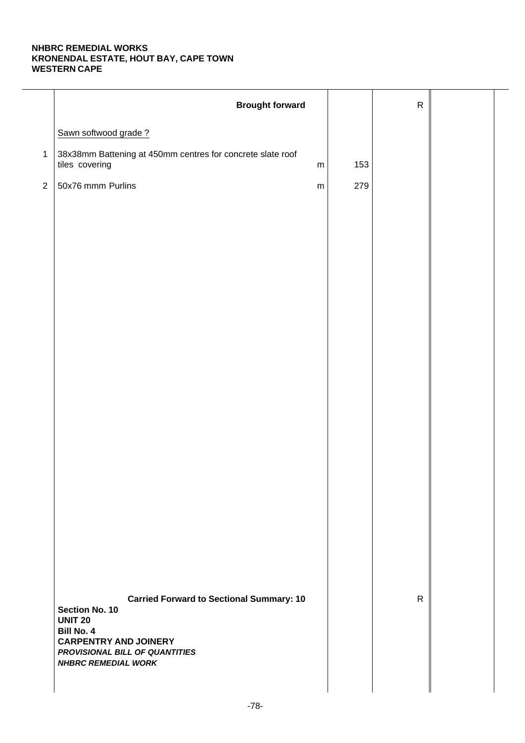|                | <b>Brought forward</b>                                                                                                                                                                                          |     | ${\sf R}$    |  |
|----------------|-----------------------------------------------------------------------------------------------------------------------------------------------------------------------------------------------------------------|-----|--------------|--|
|                | Sawn softwood grade?                                                                                                                                                                                            |     |              |  |
| $\mathbf{1}$   | 38x38mm Battening at 450mm centres for concrete slate roof<br>tiles covering<br>${\sf m}$                                                                                                                       | 153 |              |  |
| $\overline{2}$ | 50x76 mmm Purlins<br>${\sf m}$                                                                                                                                                                                  | 279 |              |  |
|                |                                                                                                                                                                                                                 |     |              |  |
|                |                                                                                                                                                                                                                 |     |              |  |
|                |                                                                                                                                                                                                                 |     |              |  |
|                |                                                                                                                                                                                                                 |     |              |  |
|                |                                                                                                                                                                                                                 |     |              |  |
|                |                                                                                                                                                                                                                 |     |              |  |
|                |                                                                                                                                                                                                                 |     |              |  |
|                |                                                                                                                                                                                                                 |     |              |  |
|                |                                                                                                                                                                                                                 |     |              |  |
|                |                                                                                                                                                                                                                 |     |              |  |
|                |                                                                                                                                                                                                                 |     |              |  |
|                |                                                                                                                                                                                                                 |     |              |  |
|                |                                                                                                                                                                                                                 |     |              |  |
|                |                                                                                                                                                                                                                 |     |              |  |
|                |                                                                                                                                                                                                                 |     |              |  |
|                |                                                                                                                                                                                                                 |     |              |  |
|                | <b>Carried Forward to Sectional Summary: 10</b><br><b>Section No. 10</b><br><b>UNIT 20</b><br><b>Bill No. 4</b><br><b>CARPENTRY AND JOINERY</b><br>PROVISIONAL BILL OF QUANTITIES<br><b>NHBRC REMEDIAL WORK</b> |     | $\mathsf{R}$ |  |
|                |                                                                                                                                                                                                                 |     |              |  |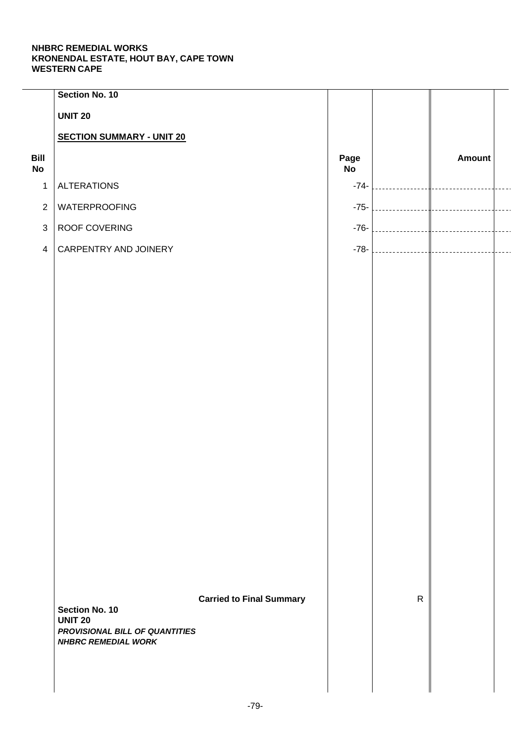| Section No. 10                   |                |                                                                   |              |               |  |
|----------------------------------|----------------|-------------------------------------------------------------------|--------------|---------------|--|
| <b>UNIT 20</b>                   |                |                                                                   |              |               |  |
| <b>SECTION SUMMARY - UNIT 20</b> |                |                                                                   |              |               |  |
|                                  |                | Page<br><b>No</b>                                                 |              | <b>Amount</b> |  |
| <b>ALTERATIONS</b>               |                | $-74-$                                                            |              |               |  |
| WATERPROOFING                    |                | $-75-$                                                            |              |               |  |
| ROOF COVERING                    |                | $-76-$                                                            |              |               |  |
| CARPENTRY AND JOINERY            |                | $-78-$                                                            |              |               |  |
|                                  |                |                                                                   |              |               |  |
|                                  |                |                                                                   |              |               |  |
|                                  |                |                                                                   |              |               |  |
|                                  |                |                                                                   |              |               |  |
|                                  |                |                                                                   |              |               |  |
|                                  |                |                                                                   |              |               |  |
|                                  |                |                                                                   |              |               |  |
|                                  |                |                                                                   |              |               |  |
|                                  |                |                                                                   |              |               |  |
|                                  |                |                                                                   |              |               |  |
|                                  |                |                                                                   |              |               |  |
|                                  |                |                                                                   |              |               |  |
|                                  |                |                                                                   |              |               |  |
|                                  |                |                                                                   |              |               |  |
|                                  |                |                                                                   |              |               |  |
|                                  |                |                                                                   |              |               |  |
|                                  |                |                                                                   | $\mathsf{R}$ |               |  |
| <b>UNIT 20</b>                   |                |                                                                   |              |               |  |
| <b>NHBRC REMEDIAL WORK</b>       |                |                                                                   |              |               |  |
|                                  |                |                                                                   |              |               |  |
|                                  |                |                                                                   |              |               |  |
|                                  | Section No. 10 | <b>Carried to Final Summary</b><br>PROVISIONAL BILL OF QUANTITIES |              |               |  |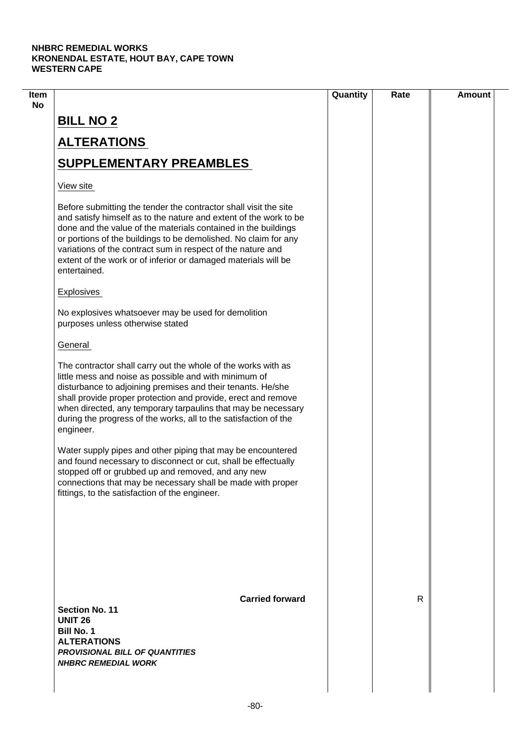| $\mathsf{R}$ |  |
|--------------|--|
|              |  |
|              |  |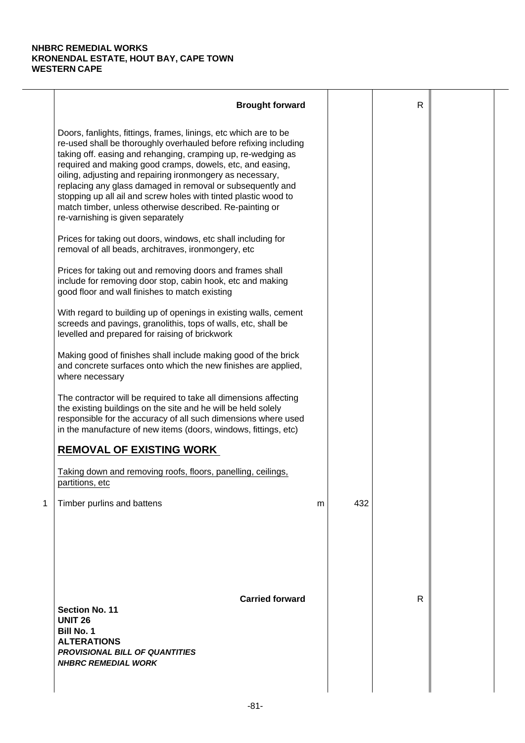|   | <b>Brought forward</b>                                                                                                                                                                                                                                                                                                                                                                                                                                                                                                                                           |   |     | R |  |
|---|------------------------------------------------------------------------------------------------------------------------------------------------------------------------------------------------------------------------------------------------------------------------------------------------------------------------------------------------------------------------------------------------------------------------------------------------------------------------------------------------------------------------------------------------------------------|---|-----|---|--|
|   | Doors, fanlights, fittings, frames, linings, etc which are to be<br>re-used shall be thoroughly overhauled before refixing including<br>taking off. easing and rehanging, cramping up, re-wedging as<br>required and making good cramps, dowels, etc, and easing,<br>oiling, adjusting and repairing ironmongery as necessary,<br>replacing any glass damaged in removal or subsequently and<br>stopping up all ail and screw holes with tinted plastic wood to<br>match timber, unless otherwise described. Re-painting or<br>re-varnishing is given separately |   |     |   |  |
|   | Prices for taking out doors, windows, etc shall including for<br>removal of all beads, architraves, ironmongery, etc                                                                                                                                                                                                                                                                                                                                                                                                                                             |   |     |   |  |
|   | Prices for taking out and removing doors and frames shall<br>include for removing door stop, cabin hook, etc and making<br>good floor and wall finishes to match existing                                                                                                                                                                                                                                                                                                                                                                                        |   |     |   |  |
|   | With regard to building up of openings in existing walls, cement<br>screeds and pavings, granolithis, tops of walls, etc, shall be<br>levelled and prepared for raising of brickwork                                                                                                                                                                                                                                                                                                                                                                             |   |     |   |  |
|   | Making good of finishes shall include making good of the brick<br>and concrete surfaces onto which the new finishes are applied,<br>where necessary                                                                                                                                                                                                                                                                                                                                                                                                              |   |     |   |  |
|   | The contractor will be required to take all dimensions affecting<br>the existing buildings on the site and he will be held solely<br>responsible for the accuracy of all such dimensions where used<br>in the manufacture of new items (doors, windows, fittings, etc)                                                                                                                                                                                                                                                                                           |   |     |   |  |
|   | <b>REMOVAL OF EXISTING WORK</b>                                                                                                                                                                                                                                                                                                                                                                                                                                                                                                                                  |   |     |   |  |
|   | Taking down and removing roofs, floors, panelling, ceilings,<br>partitions, etc                                                                                                                                                                                                                                                                                                                                                                                                                                                                                  |   |     |   |  |
| 1 | Timber purlins and battens                                                                                                                                                                                                                                                                                                                                                                                                                                                                                                                                       | m | 432 |   |  |
|   | <b>Carried forward</b><br><b>Section No. 11</b><br><b>UNIT 26</b><br><b>Bill No. 1</b><br><b>ALTERATIONS</b><br><b>PROVISIONAL BILL OF QUANTITIES</b><br><b>NHBRC REMEDIAL WORK</b>                                                                                                                                                                                                                                                                                                                                                                              |   |     | R |  |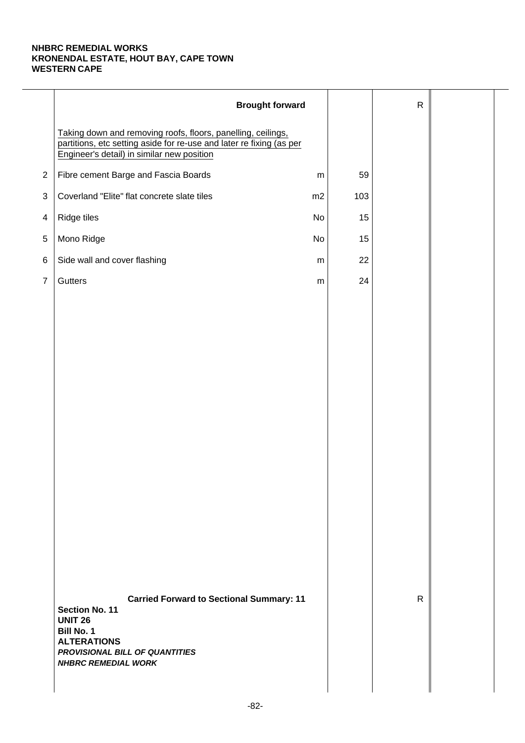|                | <b>Brought forward</b>                                                                                                                                                                         |           |     | $\mathsf{R}$ |  |
|----------------|------------------------------------------------------------------------------------------------------------------------------------------------------------------------------------------------|-----------|-----|--------------|--|
|                | Taking down and removing roofs, floors, panelling, ceilings,<br>partitions, etc setting aside for re-use and later re fixing (as per<br>Engineer's detail) in similar new position             |           |     |              |  |
| $\overline{2}$ | Fibre cement Barge and Fascia Boards                                                                                                                                                           | ${\sf m}$ | 59  |              |  |
| 3              | Coverland "Elite" flat concrete slate tiles                                                                                                                                                    | m2        | 103 |              |  |
| 4              | Ridge tiles                                                                                                                                                                                    | No        | 15  |              |  |
| $\,$ 5 $\,$    | Mono Ridge                                                                                                                                                                                     | No        | 15  |              |  |
| 6              | Side wall and cover flashing                                                                                                                                                                   | ${\sf m}$ | 22  |              |  |
| $\overline{7}$ | Gutters                                                                                                                                                                                        | ${\sf m}$ | 24  |              |  |
|                |                                                                                                                                                                                                |           |     |              |  |
|                |                                                                                                                                                                                                |           |     |              |  |
|                |                                                                                                                                                                                                |           |     |              |  |
|                |                                                                                                                                                                                                |           |     |              |  |
|                |                                                                                                                                                                                                |           |     |              |  |
|                |                                                                                                                                                                                                |           |     |              |  |
|                |                                                                                                                                                                                                |           |     |              |  |
|                |                                                                                                                                                                                                |           |     |              |  |
|                |                                                                                                                                                                                                |           |     |              |  |
|                |                                                                                                                                                                                                |           |     |              |  |
|                |                                                                                                                                                                                                |           |     |              |  |
|                |                                                                                                                                                                                                |           |     |              |  |
|                |                                                                                                                                                                                                |           |     |              |  |
|                |                                                                                                                                                                                                |           |     |              |  |
|                | <b>Carried Forward to Sectional Summary: 11</b><br>Section No. 11<br><b>UNIT 26</b><br><b>Bill No. 1</b><br><b>ALTERATIONS</b><br>PROVISIONAL BILL OF QUANTITIES<br><b>NHBRC REMEDIAL WORK</b> |           |     | $\mathsf{R}$ |  |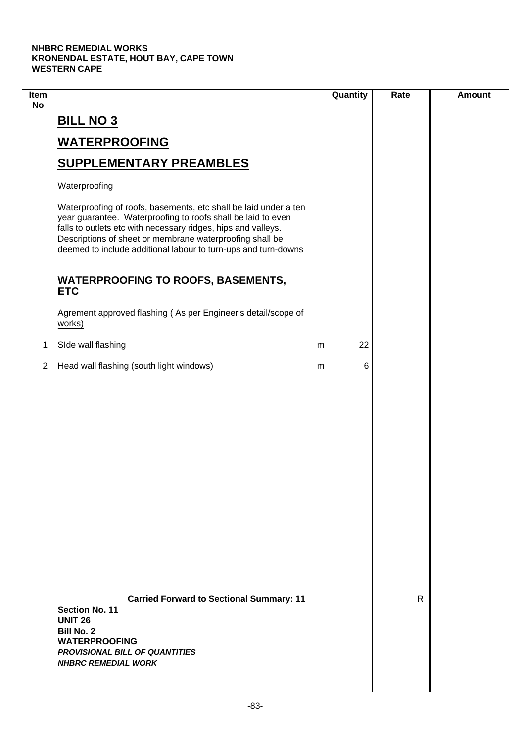$\mathcal{L}$ 

| Item<br><b>No</b> |                                                                                                                                                                                                                                                                                                                                 |   | Quantity | Rate | <b>Amount</b> |
|-------------------|---------------------------------------------------------------------------------------------------------------------------------------------------------------------------------------------------------------------------------------------------------------------------------------------------------------------------------|---|----------|------|---------------|
|                   | <b>BILL NO 3</b>                                                                                                                                                                                                                                                                                                                |   |          |      |               |
|                   | <b>WATERPROOFING</b>                                                                                                                                                                                                                                                                                                            |   |          |      |               |
|                   | <b>SUPPLEMENTARY PREAMBLES</b>                                                                                                                                                                                                                                                                                                  |   |          |      |               |
|                   | Waterproofing                                                                                                                                                                                                                                                                                                                   |   |          |      |               |
|                   | Waterproofing of roofs, basements, etc shall be laid under a ten<br>year guarantee. Waterproofing to roofs shall be laid to even<br>falls to outlets etc with necessary ridges, hips and valleys.<br>Descriptions of sheet or membrane waterproofing shall be<br>deemed to include additional labour to turn-ups and turn-downs |   |          |      |               |
|                   | <b>WATERPROOFING TO ROOFS, BASEMENTS,</b><br><b>ETC</b>                                                                                                                                                                                                                                                                         |   |          |      |               |
|                   | Agrement approved flashing (As per Engineer's detail/scope of<br>works)                                                                                                                                                                                                                                                         |   |          |      |               |
| 1                 | SIde wall flashing                                                                                                                                                                                                                                                                                                              | m | 22       |      |               |
| $\overline{2}$    | Head wall flashing (south light windows)                                                                                                                                                                                                                                                                                        | m | 6        |      |               |
|                   |                                                                                                                                                                                                                                                                                                                                 |   |          |      |               |
|                   | <b>Carried Forward to Sectional Summary: 11</b><br><b>Section No. 11</b><br><b>UNIT 26</b><br><b>Bill No. 2</b><br><b>WATERPROOFING</b><br><b>PROVISIONAL BILL OF QUANTITIES</b><br><b>NHBRC REMEDIAL WORK</b>                                                                                                                  |   |          | R    |               |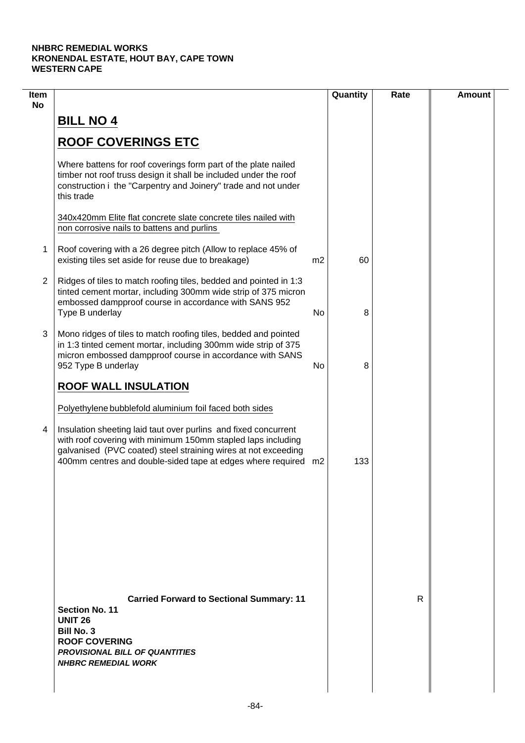| Item<br><b>No</b> |                                                                                                                                                                                                                                                                     |                | Quantity | Rate | <b>Amount</b> |
|-------------------|---------------------------------------------------------------------------------------------------------------------------------------------------------------------------------------------------------------------------------------------------------------------|----------------|----------|------|---------------|
|                   | <b>BILL NO 4</b>                                                                                                                                                                                                                                                    |                |          |      |               |
|                   | <b>ROOF COVERINGS ETC</b>                                                                                                                                                                                                                                           |                |          |      |               |
|                   | Where battens for roof coverings form part of the plate nailed<br>timber not roof truss design it shall be included under the roof<br>construction i the "Carpentry and Joinery" trade and not under<br>this trade                                                  |                |          |      |               |
|                   | 340x420mm Elite flat concrete slate concrete tiles nailed with<br>non corrosive nails to battens and purlins                                                                                                                                                        |                |          |      |               |
| 1                 | Roof covering with a 26 degree pitch (Allow to replace 45% of<br>existing tiles set aside for reuse due to breakage)                                                                                                                                                | m <sub>2</sub> | 60       |      |               |
| $\overline{2}$    | Ridges of tiles to match roofing tiles, bedded and pointed in 1:3<br>tinted cement mortar, including 300mm wide strip of 375 micron<br>embossed dampproof course in accordance with SANS 952<br>Type B underlay                                                     | No             | 8        |      |               |
| 3                 | Mono ridges of tiles to match roofing tiles, bedded and pointed<br>in 1:3 tinted cement mortar, including 300mm wide strip of 375<br>micron embossed dampproof course in accordance with SANS<br>952 Type B underlay                                                | No             | 8        |      |               |
|                   | <b>ROOF WALL INSULATION</b>                                                                                                                                                                                                                                         |                |          |      |               |
|                   | Polyethylene bubblefold aluminium foil faced both sides                                                                                                                                                                                                             |                |          |      |               |
| 4                 | Insulation sheeting laid taut over purlins and fixed concurrent<br>with roof covering with minimum 150mm stapled laps including<br>galvanised (PVC coated) steel straining wires at not exceeding<br>400mm centres and double-sided tape at edges where required m2 |                | 133      |      |               |
|                   |                                                                                                                                                                                                                                                                     |                |          |      |               |
|                   |                                                                                                                                                                                                                                                                     |                |          |      |               |
|                   |                                                                                                                                                                                                                                                                     |                |          |      |               |
|                   | <b>Carried Forward to Sectional Summary: 11</b><br><b>Section No. 11</b><br><b>UNIT 26</b><br><b>Bill No. 3</b><br><b>ROOF COVERING</b><br><b>PROVISIONAL BILL OF QUANTITIES</b><br><b>NHBRC REMEDIAL WORK</b>                                                      |                |          | R    |               |
|                   |                                                                                                                                                                                                                                                                     |                |          |      |               |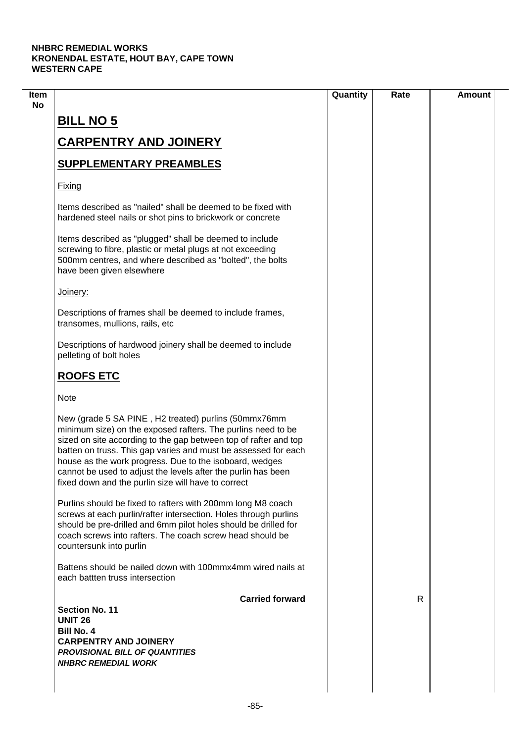| <b>BILL NO 5</b><br><b>CARPENTRY AND JOINERY</b><br><b>SUPPLEMENTARY PREAMBLES</b><br>Fixing<br>Items described as "nailed" shall be deemed to be fixed with<br>hardened steel nails or shot pins to brickwork or concrete<br>Items described as "plugged" shall be deemed to include<br>screwing to fibre, plastic or metal plugs at not exceeding<br>500mm centres, and where described as "bolted", the bolts<br>have been given elsewhere<br>Joinery:<br>Descriptions of frames shall be deemed to include frames,<br>transomes, mullions, rails, etc<br>Descriptions of hardwood joinery shall be deemed to include<br>pelleting of bolt holes<br><b>ROOFS ETC</b><br><b>Note</b><br>New (grade 5 SA PINE, H2 treated) purlins (50mmx76mm<br>minimum size) on the exposed rafters. The purlins need to be<br>sized on site according to the gap between top of rafter and top<br>batten on truss. This gap varies and must be assessed for each<br>house as the work progress. Due to the isoboard, wedges<br>cannot be used to adjust the levels after the purlin has been<br>fixed down and the purlin size will have to correct<br>Purlins should be fixed to rafters with 200mm long M8 coach<br>screws at each purlin/rafter intersection. Holes through purlins<br>should be pre-drilled and 6mm pilot holes should be drilled for<br>coach screws into rafters. The coach screw head should be<br>countersunk into purlin<br>Battens should be nailed down with 100mmx4mm wired nails at<br>each battten truss intersection<br><b>Carried forward</b> |    |  |
|-------------------------------------------------------------------------------------------------------------------------------------------------------------------------------------------------------------------------------------------------------------------------------------------------------------------------------------------------------------------------------------------------------------------------------------------------------------------------------------------------------------------------------------------------------------------------------------------------------------------------------------------------------------------------------------------------------------------------------------------------------------------------------------------------------------------------------------------------------------------------------------------------------------------------------------------------------------------------------------------------------------------------------------------------------------------------------------------------------------------------------------------------------------------------------------------------------------------------------------------------------------------------------------------------------------------------------------------------------------------------------------------------------------------------------------------------------------------------------------------------------------------------------------------------------------------|----|--|
|                                                                                                                                                                                                                                                                                                                                                                                                                                                                                                                                                                                                                                                                                                                                                                                                                                                                                                                                                                                                                                                                                                                                                                                                                                                                                                                                                                                                                                                                                                                                                                   |    |  |
|                                                                                                                                                                                                                                                                                                                                                                                                                                                                                                                                                                                                                                                                                                                                                                                                                                                                                                                                                                                                                                                                                                                                                                                                                                                                                                                                                                                                                                                                                                                                                                   |    |  |
|                                                                                                                                                                                                                                                                                                                                                                                                                                                                                                                                                                                                                                                                                                                                                                                                                                                                                                                                                                                                                                                                                                                                                                                                                                                                                                                                                                                                                                                                                                                                                                   |    |  |
|                                                                                                                                                                                                                                                                                                                                                                                                                                                                                                                                                                                                                                                                                                                                                                                                                                                                                                                                                                                                                                                                                                                                                                                                                                                                                                                                                                                                                                                                                                                                                                   |    |  |
|                                                                                                                                                                                                                                                                                                                                                                                                                                                                                                                                                                                                                                                                                                                                                                                                                                                                                                                                                                                                                                                                                                                                                                                                                                                                                                                                                                                                                                                                                                                                                                   |    |  |
|                                                                                                                                                                                                                                                                                                                                                                                                                                                                                                                                                                                                                                                                                                                                                                                                                                                                                                                                                                                                                                                                                                                                                                                                                                                                                                                                                                                                                                                                                                                                                                   |    |  |
|                                                                                                                                                                                                                                                                                                                                                                                                                                                                                                                                                                                                                                                                                                                                                                                                                                                                                                                                                                                                                                                                                                                                                                                                                                                                                                                                                                                                                                                                                                                                                                   |    |  |
|                                                                                                                                                                                                                                                                                                                                                                                                                                                                                                                                                                                                                                                                                                                                                                                                                                                                                                                                                                                                                                                                                                                                                                                                                                                                                                                                                                                                                                                                                                                                                                   |    |  |
|                                                                                                                                                                                                                                                                                                                                                                                                                                                                                                                                                                                                                                                                                                                                                                                                                                                                                                                                                                                                                                                                                                                                                                                                                                                                                                                                                                                                                                                                                                                                                                   |    |  |
|                                                                                                                                                                                                                                                                                                                                                                                                                                                                                                                                                                                                                                                                                                                                                                                                                                                                                                                                                                                                                                                                                                                                                                                                                                                                                                                                                                                                                                                                                                                                                                   |    |  |
|                                                                                                                                                                                                                                                                                                                                                                                                                                                                                                                                                                                                                                                                                                                                                                                                                                                                                                                                                                                                                                                                                                                                                                                                                                                                                                                                                                                                                                                                                                                                                                   |    |  |
|                                                                                                                                                                                                                                                                                                                                                                                                                                                                                                                                                                                                                                                                                                                                                                                                                                                                                                                                                                                                                                                                                                                                                                                                                                                                                                                                                                                                                                                                                                                                                                   |    |  |
|                                                                                                                                                                                                                                                                                                                                                                                                                                                                                                                                                                                                                                                                                                                                                                                                                                                                                                                                                                                                                                                                                                                                                                                                                                                                                                                                                                                                                                                                                                                                                                   |    |  |
|                                                                                                                                                                                                                                                                                                                                                                                                                                                                                                                                                                                                                                                                                                                                                                                                                                                                                                                                                                                                                                                                                                                                                                                                                                                                                                                                                                                                                                                                                                                                                                   |    |  |
|                                                                                                                                                                                                                                                                                                                                                                                                                                                                                                                                                                                                                                                                                                                                                                                                                                                                                                                                                                                                                                                                                                                                                                                                                                                                                                                                                                                                                                                                                                                                                                   |    |  |
|                                                                                                                                                                                                                                                                                                                                                                                                                                                                                                                                                                                                                                                                                                                                                                                                                                                                                                                                                                                                                                                                                                                                                                                                                                                                                                                                                                                                                                                                                                                                                                   | R. |  |
| <b>Section No. 11</b><br><b>UNIT 26</b>                                                                                                                                                                                                                                                                                                                                                                                                                                                                                                                                                                                                                                                                                                                                                                                                                                                                                                                                                                                                                                                                                                                                                                                                                                                                                                                                                                                                                                                                                                                           |    |  |
| <b>Bill No. 4</b>                                                                                                                                                                                                                                                                                                                                                                                                                                                                                                                                                                                                                                                                                                                                                                                                                                                                                                                                                                                                                                                                                                                                                                                                                                                                                                                                                                                                                                                                                                                                                 |    |  |
| <b>CARPENTRY AND JOINERY</b>                                                                                                                                                                                                                                                                                                                                                                                                                                                                                                                                                                                                                                                                                                                                                                                                                                                                                                                                                                                                                                                                                                                                                                                                                                                                                                                                                                                                                                                                                                                                      |    |  |
| <b>PROVISIONAL BILL OF QUANTITIES</b><br><b>NHBRC REMEDIAL WORK</b>                                                                                                                                                                                                                                                                                                                                                                                                                                                                                                                                                                                                                                                                                                                                                                                                                                                                                                                                                                                                                                                                                                                                                                                                                                                                                                                                                                                                                                                                                               |    |  |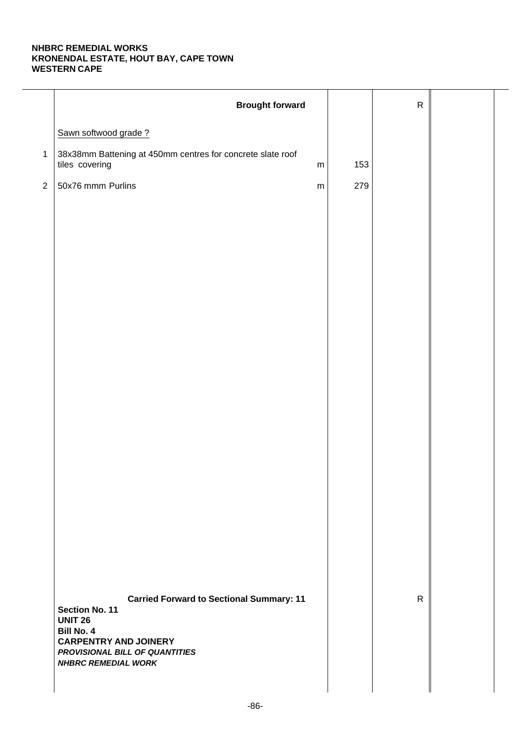|              | <b>Brought forward</b>                                                                                                                                                                                   |           |     | ${\sf R}$    |  |
|--------------|----------------------------------------------------------------------------------------------------------------------------------------------------------------------------------------------------------|-----------|-----|--------------|--|
|              | Sawn softwood grade?                                                                                                                                                                                     |           |     |              |  |
| $\mathbf{1}$ | 38x38mm Battening at 450mm centres for concrete slate roof<br>tiles covering                                                                                                                             | ${\sf m}$ | 153 |              |  |
| $\sqrt{2}$   | 50x76 mmm Purlins                                                                                                                                                                                        | ${\sf m}$ | 279 |              |  |
|              |                                                                                                                                                                                                          |           |     |              |  |
|              |                                                                                                                                                                                                          |           |     |              |  |
|              |                                                                                                                                                                                                          |           |     |              |  |
|              |                                                                                                                                                                                                          |           |     |              |  |
|              |                                                                                                                                                                                                          |           |     |              |  |
|              |                                                                                                                                                                                                          |           |     |              |  |
|              |                                                                                                                                                                                                          |           |     |              |  |
|              |                                                                                                                                                                                                          |           |     |              |  |
|              |                                                                                                                                                                                                          |           |     |              |  |
|              |                                                                                                                                                                                                          |           |     |              |  |
|              |                                                                                                                                                                                                          |           |     |              |  |
|              |                                                                                                                                                                                                          |           |     |              |  |
|              |                                                                                                                                                                                                          |           |     |              |  |
|              |                                                                                                                                                                                                          |           |     |              |  |
|              |                                                                                                                                                                                                          |           |     |              |  |
|              | <b>Carried Forward to Sectional Summary: 11</b><br>Section No. 11<br><b>UNIT 26</b><br><b>Bill No. 4</b><br><b>CARPENTRY AND JOINERY</b><br>PROVISIONAL BILL OF QUANTITIES<br><b>NHBRC REMEDIAL WORK</b> |           |     | $\mathsf{R}$ |  |
|              |                                                                                                                                                                                                          |           |     |              |  |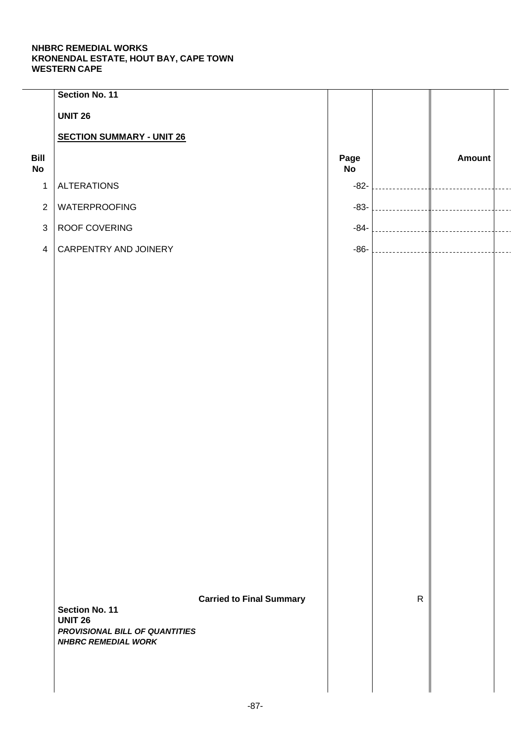| Section No. 11                   |                |                                                                   |              |               |  |
|----------------------------------|----------------|-------------------------------------------------------------------|--------------|---------------|--|
| <b>UNIT 26</b>                   |                |                                                                   |              |               |  |
| <b>SECTION SUMMARY - UNIT 26</b> |                |                                                                   |              |               |  |
|                                  |                | Page<br>No                                                        |              | <b>Amount</b> |  |
| <b>ALTERATIONS</b>               |                | $-82-$                                                            |              |               |  |
| WATERPROOFING                    |                | $-83-$                                                            |              |               |  |
| ROOF COVERING                    |                | $-84-$                                                            |              |               |  |
| CARPENTRY AND JOINERY            |                | $-86-$                                                            |              |               |  |
|                                  |                |                                                                   |              |               |  |
|                                  |                |                                                                   |              |               |  |
|                                  |                |                                                                   |              |               |  |
|                                  |                |                                                                   |              |               |  |
|                                  |                |                                                                   |              |               |  |
|                                  |                |                                                                   |              |               |  |
|                                  |                |                                                                   |              |               |  |
|                                  |                |                                                                   |              |               |  |
|                                  |                |                                                                   |              |               |  |
|                                  |                |                                                                   |              |               |  |
|                                  |                |                                                                   |              |               |  |
|                                  |                |                                                                   |              |               |  |
|                                  |                |                                                                   |              |               |  |
|                                  |                |                                                                   |              |               |  |
|                                  |                |                                                                   |              |               |  |
|                                  |                |                                                                   |              |               |  |
|                                  |                |                                                                   | $\mathsf{R}$ |               |  |
| <b>UNIT 26</b>                   |                |                                                                   |              |               |  |
| <b>NHBRC REMEDIAL WORK</b>       |                |                                                                   |              |               |  |
|                                  |                |                                                                   |              |               |  |
|                                  |                |                                                                   |              |               |  |
|                                  | Section No. 11 | <b>Carried to Final Summary</b><br>PROVISIONAL BILL OF QUANTITIES |              |               |  |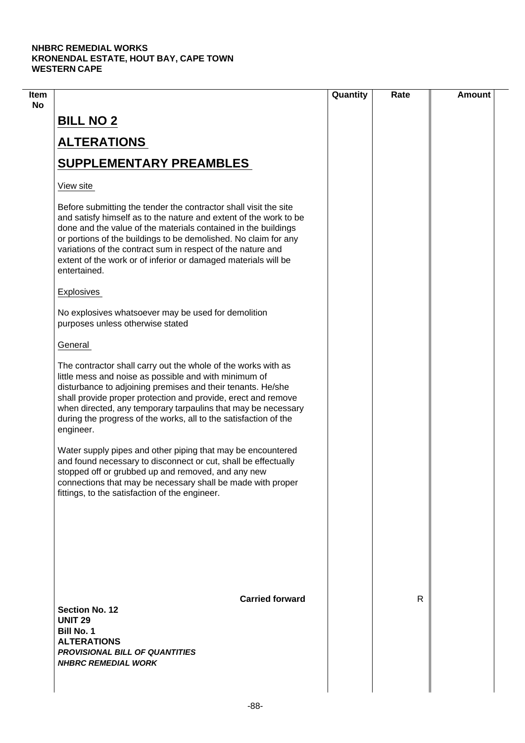|                                                                                                                                                                                                                                                                                                                                                                                                                             | Quantity | Rate         | <b>Amount</b> |
|-----------------------------------------------------------------------------------------------------------------------------------------------------------------------------------------------------------------------------------------------------------------------------------------------------------------------------------------------------------------------------------------------------------------------------|----------|--------------|---------------|
| <b>BILL NO 2</b>                                                                                                                                                                                                                                                                                                                                                                                                            |          |              |               |
| <b>ALTERATIONS</b>                                                                                                                                                                                                                                                                                                                                                                                                          |          |              |               |
| <b>SUPPLEMENTARY PREAMBLES</b>                                                                                                                                                                                                                                                                                                                                                                                              |          |              |               |
| View site                                                                                                                                                                                                                                                                                                                                                                                                                   |          |              |               |
| Before submitting the tender the contractor shall visit the site<br>and satisfy himself as to the nature and extent of the work to be<br>done and the value of the materials contained in the buildings<br>or portions of the buildings to be demolished. No claim for any<br>variations of the contract sum in respect of the nature and<br>extent of the work or of inferior or damaged materials will be<br>entertained. |          |              |               |
| Explosives                                                                                                                                                                                                                                                                                                                                                                                                                  |          |              |               |
| No explosives whatsoever may be used for demolition<br>purposes unless otherwise stated                                                                                                                                                                                                                                                                                                                                     |          |              |               |
| General                                                                                                                                                                                                                                                                                                                                                                                                                     |          |              |               |
| The contractor shall carry out the whole of the works with as<br>little mess and noise as possible and with minimum of<br>disturbance to adjoining premises and their tenants. He/she<br>shall provide proper protection and provide, erect and remove<br>when directed, any temporary tarpaulins that may be necessary<br>during the progress of the works, all to the satisfaction of the<br>engineer.                    |          |              |               |
| Water supply pipes and other piping that may be encountered<br>and found necessary to disconnect or cut, shall be effectually<br>stopped off or grubbed up and removed, and any new<br>connections that may be necessary shall be made with proper<br>fittings, to the satisfaction of the engineer.                                                                                                                        |          |              |               |
| <b>Carried forward</b>                                                                                                                                                                                                                                                                                                                                                                                                      |          | $\mathsf{R}$ |               |
| <b>Section No. 12</b><br><b>UNIT 29</b><br><b>Bill No. 1</b><br><b>ALTERATIONS</b><br><b>PROVISIONAL BILL OF QUANTITIES</b><br><b>NHBRC REMEDIAL WORK</b>                                                                                                                                                                                                                                                                   |          |              |               |
|                                                                                                                                                                                                                                                                                                                                                                                                                             |          |              |               |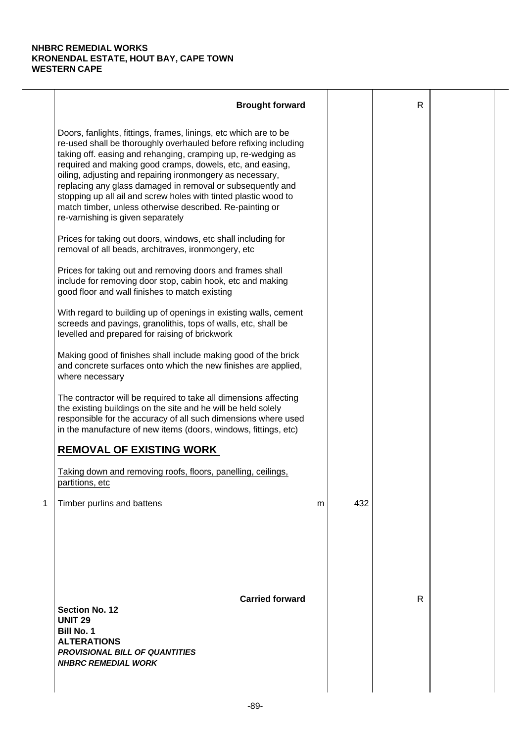|   | <b>Brought forward</b>                                                                                                                                                                                                                                                                                                                                                                                                                                                                                                                                           |   |     | $\mathsf{R}$ |  |
|---|------------------------------------------------------------------------------------------------------------------------------------------------------------------------------------------------------------------------------------------------------------------------------------------------------------------------------------------------------------------------------------------------------------------------------------------------------------------------------------------------------------------------------------------------------------------|---|-----|--------------|--|
|   | Doors, fanlights, fittings, frames, linings, etc which are to be<br>re-used shall be thoroughly overhauled before refixing including<br>taking off. easing and rehanging, cramping up, re-wedging as<br>required and making good cramps, dowels, etc, and easing,<br>oiling, adjusting and repairing ironmongery as necessary,<br>replacing any glass damaged in removal or subsequently and<br>stopping up all ail and screw holes with tinted plastic wood to<br>match timber, unless otherwise described. Re-painting or<br>re-varnishing is given separately |   |     |              |  |
|   | Prices for taking out doors, windows, etc shall including for<br>removal of all beads, architraves, ironmongery, etc                                                                                                                                                                                                                                                                                                                                                                                                                                             |   |     |              |  |
|   | Prices for taking out and removing doors and frames shall<br>include for removing door stop, cabin hook, etc and making<br>good floor and wall finishes to match existing                                                                                                                                                                                                                                                                                                                                                                                        |   |     |              |  |
|   | With regard to building up of openings in existing walls, cement<br>screeds and pavings, granolithis, tops of walls, etc, shall be<br>levelled and prepared for raising of brickwork                                                                                                                                                                                                                                                                                                                                                                             |   |     |              |  |
|   | Making good of finishes shall include making good of the brick<br>and concrete surfaces onto which the new finishes are applied,<br>where necessary                                                                                                                                                                                                                                                                                                                                                                                                              |   |     |              |  |
|   | The contractor will be required to take all dimensions affecting<br>the existing buildings on the site and he will be held solely<br>responsible for the accuracy of all such dimensions where used<br>in the manufacture of new items (doors, windows, fittings, etc)                                                                                                                                                                                                                                                                                           |   |     |              |  |
|   | <b>REMOVAL OF EXISTING WORK</b>                                                                                                                                                                                                                                                                                                                                                                                                                                                                                                                                  |   |     |              |  |
|   | Taking down and removing roofs, floors, panelling, ceilings,<br>partitions, etc                                                                                                                                                                                                                                                                                                                                                                                                                                                                                  |   |     |              |  |
| 1 | Timber purlins and battens                                                                                                                                                                                                                                                                                                                                                                                                                                                                                                                                       | m | 432 |              |  |
|   | <b>Carried forward</b><br><b>Section No. 12</b><br><b>UNIT 29</b><br><b>Bill No. 1</b><br><b>ALTERATIONS</b><br><b>PROVISIONAL BILL OF QUANTITIES</b><br><b>NHBRC REMEDIAL WORK</b>                                                                                                                                                                                                                                                                                                                                                                              |   |     | R            |  |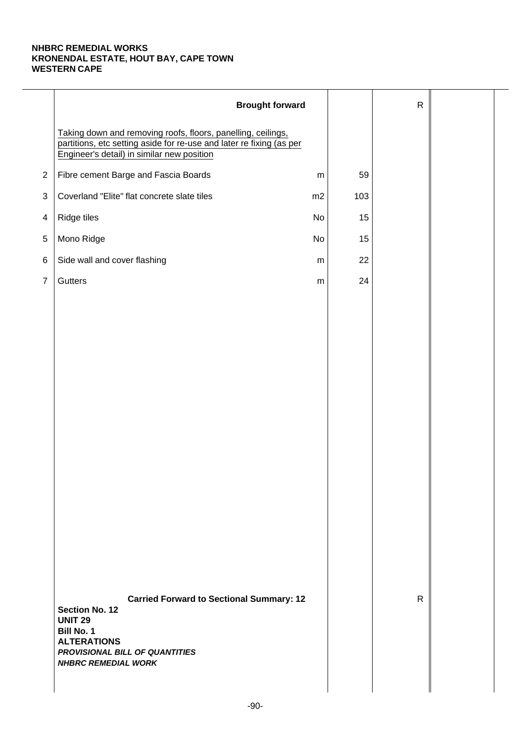|                | <b>Brought forward</b>                                                                                                                                                                         |           |     | ${\sf R}$    |  |
|----------------|------------------------------------------------------------------------------------------------------------------------------------------------------------------------------------------------|-----------|-----|--------------|--|
|                | Taking down and removing roofs, floors, panelling, ceilings,<br>partitions, etc setting aside for re-use and later re fixing (as per<br>Engineer's detail) in similar new position             |           |     |              |  |
| $\mathbf{2}$   | Fibre cement Barge and Fascia Boards                                                                                                                                                           | ${\sf m}$ | 59  |              |  |
| $\sqrt{3}$     | Coverland "Elite" flat concrete slate tiles                                                                                                                                                    | m2        | 103 |              |  |
| $\overline{4}$ | Ridge tiles                                                                                                                                                                                    | No        | 15  |              |  |
| 5              | Mono Ridge                                                                                                                                                                                     | No        | 15  |              |  |
| 6              | Side wall and cover flashing                                                                                                                                                                   | ${\sf m}$ | 22  |              |  |
| $\overline{7}$ | Gutters                                                                                                                                                                                        | ${\sf m}$ | 24  |              |  |
|                |                                                                                                                                                                                                |           |     |              |  |
|                |                                                                                                                                                                                                |           |     |              |  |
|                |                                                                                                                                                                                                |           |     |              |  |
|                |                                                                                                                                                                                                |           |     |              |  |
|                |                                                                                                                                                                                                |           |     |              |  |
|                |                                                                                                                                                                                                |           |     |              |  |
|                |                                                                                                                                                                                                |           |     |              |  |
|                |                                                                                                                                                                                                |           |     |              |  |
|                |                                                                                                                                                                                                |           |     |              |  |
|                |                                                                                                                                                                                                |           |     |              |  |
|                |                                                                                                                                                                                                |           |     |              |  |
|                |                                                                                                                                                                                                |           |     |              |  |
|                |                                                                                                                                                                                                |           |     |              |  |
|                |                                                                                                                                                                                                |           |     |              |  |
|                | <b>Carried Forward to Sectional Summary: 12</b><br><b>Section No. 12</b><br><b>UNIT 29</b><br>Bill No. 1<br><b>ALTERATIONS</b><br>PROVISIONAL BILL OF QUANTITIES<br><b>NHBRC REMEDIAL WORK</b> |           |     | $\mathsf{R}$ |  |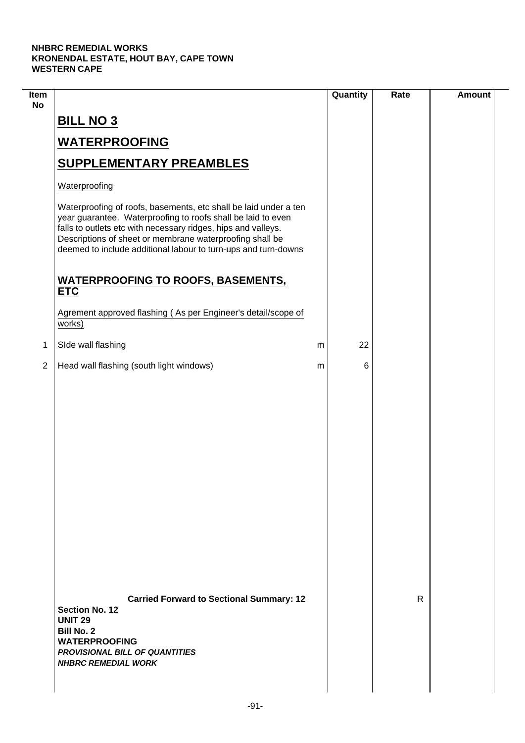| Item<br><b>No</b> |                                                                                                                                                                                                                                                                                                                                 |   | Quantity | Rate | <b>Amount</b> |
|-------------------|---------------------------------------------------------------------------------------------------------------------------------------------------------------------------------------------------------------------------------------------------------------------------------------------------------------------------------|---|----------|------|---------------|
|                   | <b>BILL NO 3</b>                                                                                                                                                                                                                                                                                                                |   |          |      |               |
|                   | <b>WATERPROOFING</b>                                                                                                                                                                                                                                                                                                            |   |          |      |               |
|                   | <b>SUPPLEMENTARY PREAMBLES</b>                                                                                                                                                                                                                                                                                                  |   |          |      |               |
|                   | Waterproofing                                                                                                                                                                                                                                                                                                                   |   |          |      |               |
|                   | Waterproofing of roofs, basements, etc shall be laid under a ten<br>year guarantee. Waterproofing to roofs shall be laid to even<br>falls to outlets etc with necessary ridges, hips and valleys.<br>Descriptions of sheet or membrane waterproofing shall be<br>deemed to include additional labour to turn-ups and turn-downs |   |          |      |               |
|                   | <b>WATERPROOFING TO ROOFS, BASEMENTS,</b><br><b>ETC</b>                                                                                                                                                                                                                                                                         |   |          |      |               |
|                   | Agrement approved flashing (As per Engineer's detail/scope of<br>works)                                                                                                                                                                                                                                                         |   |          |      |               |
| 1                 | SIde wall flashing                                                                                                                                                                                                                                                                                                              | m | 22       |      |               |
| $\overline{2}$    | Head wall flashing (south light windows)                                                                                                                                                                                                                                                                                        | m | 6        |      |               |
|                   |                                                                                                                                                                                                                                                                                                                                 |   |          |      |               |
|                   | <b>Carried Forward to Sectional Summary: 12</b><br><b>Section No. 12</b><br><b>UNIT 29</b><br><b>Bill No. 2</b><br><b>WATERPROOFING</b><br><b>PROVISIONAL BILL OF QUANTITIES</b><br><b>NHBRC REMEDIAL WORK</b>                                                                                                                  |   |          | R    |               |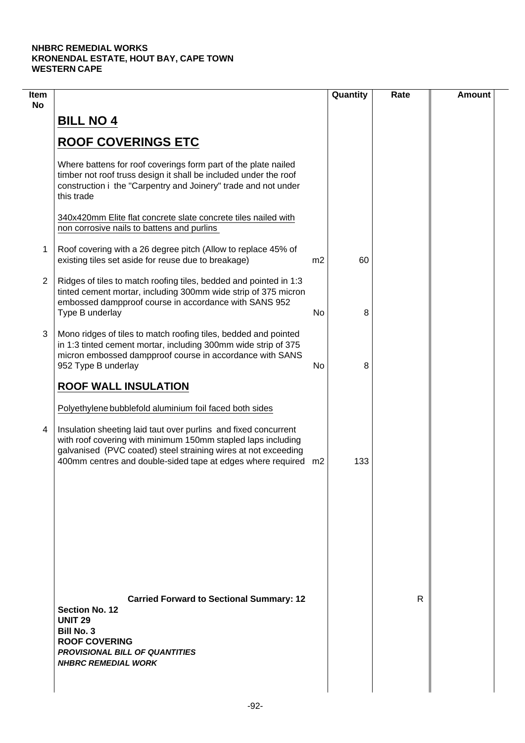| Item<br><b>No</b> |                                                                                                                                                                                                                                                                     |                | Quantity | Rate | <b>Amount</b> |
|-------------------|---------------------------------------------------------------------------------------------------------------------------------------------------------------------------------------------------------------------------------------------------------------------|----------------|----------|------|---------------|
|                   | <b>BILL NO 4</b>                                                                                                                                                                                                                                                    |                |          |      |               |
|                   | <b>ROOF COVERINGS ETC</b>                                                                                                                                                                                                                                           |                |          |      |               |
|                   | Where battens for roof coverings form part of the plate nailed<br>timber not roof truss design it shall be included under the roof<br>construction i the "Carpentry and Joinery" trade and not under<br>this trade                                                  |                |          |      |               |
|                   | 340x420mm Elite flat concrete slate concrete tiles nailed with<br>non corrosive nails to battens and purlins                                                                                                                                                        |                |          |      |               |
| 1                 | Roof covering with a 26 degree pitch (Allow to replace 45% of<br>existing tiles set aside for reuse due to breakage)                                                                                                                                                | m <sub>2</sub> | 60       |      |               |
| $\overline{2}$    | Ridges of tiles to match roofing tiles, bedded and pointed in 1:3<br>tinted cement mortar, including 300mm wide strip of 375 micron<br>embossed dampproof course in accordance with SANS 952<br>Type B underlay                                                     | No             | 8        |      |               |
| 3                 | Mono ridges of tiles to match roofing tiles, bedded and pointed<br>in 1:3 tinted cement mortar, including 300mm wide strip of 375<br>micron embossed dampproof course in accordance with SANS<br>952 Type B underlay                                                | No             | 8        |      |               |
|                   | <b>ROOF WALL INSULATION</b>                                                                                                                                                                                                                                         |                |          |      |               |
|                   | Polyethylene bubblefold aluminium foil faced both sides                                                                                                                                                                                                             |                |          |      |               |
| 4                 | Insulation sheeting laid taut over purlins and fixed concurrent<br>with roof covering with minimum 150mm stapled laps including<br>galvanised (PVC coated) steel straining wires at not exceeding<br>400mm centres and double-sided tape at edges where required m2 |                | 133      |      |               |
|                   |                                                                                                                                                                                                                                                                     |                |          |      |               |
|                   |                                                                                                                                                                                                                                                                     |                |          |      |               |
|                   |                                                                                                                                                                                                                                                                     |                |          |      |               |
|                   | <b>Carried Forward to Sectional Summary: 12</b><br><b>Section No. 12</b><br><b>UNIT 29</b><br><b>Bill No. 3</b><br><b>ROOF COVERING</b><br><b>PROVISIONAL BILL OF QUANTITIES</b><br><b>NHBRC REMEDIAL WORK</b>                                                      |                |          | R    |               |
|                   |                                                                                                                                                                                                                                                                     |                |          |      |               |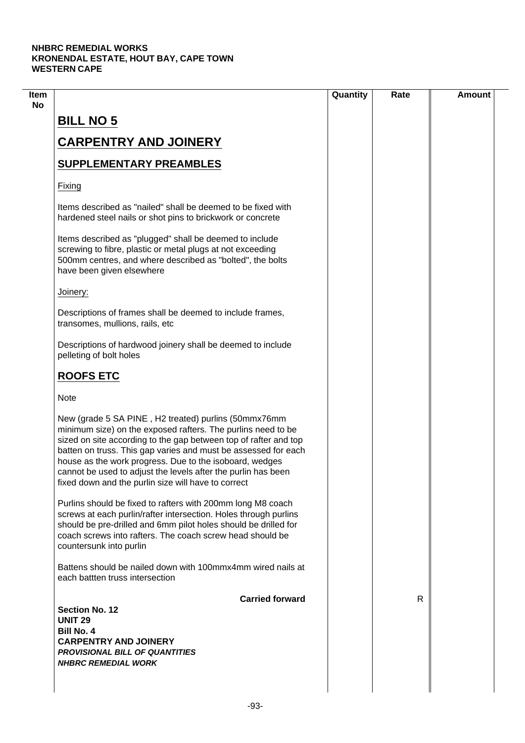|                                                                                                                                                                                                                                                                                                                                                                                                                                               | Quantity | Rate | <b>Amount</b> |
|-----------------------------------------------------------------------------------------------------------------------------------------------------------------------------------------------------------------------------------------------------------------------------------------------------------------------------------------------------------------------------------------------------------------------------------------------|----------|------|---------------|
| <b>BILL NO 5</b>                                                                                                                                                                                                                                                                                                                                                                                                                              |          |      |               |
| <b>CARPENTRY AND JOINERY</b>                                                                                                                                                                                                                                                                                                                                                                                                                  |          |      |               |
|                                                                                                                                                                                                                                                                                                                                                                                                                                               |          |      |               |
| <b>SUPPLEMENTARY PREAMBLES</b>                                                                                                                                                                                                                                                                                                                                                                                                                |          |      |               |
| Fixing                                                                                                                                                                                                                                                                                                                                                                                                                                        |          |      |               |
| Items described as "nailed" shall be deemed to be fixed with<br>hardened steel nails or shot pins to brickwork or concrete                                                                                                                                                                                                                                                                                                                    |          |      |               |
| Items described as "plugged" shall be deemed to include<br>screwing to fibre, plastic or metal plugs at not exceeding<br>500mm centres, and where described as "bolted", the bolts<br>have been given elsewhere                                                                                                                                                                                                                               |          |      |               |
| Joinery:                                                                                                                                                                                                                                                                                                                                                                                                                                      |          |      |               |
| Descriptions of frames shall be deemed to include frames,<br>transomes, mullions, rails, etc                                                                                                                                                                                                                                                                                                                                                  |          |      |               |
| Descriptions of hardwood joinery shall be deemed to include<br>pelleting of bolt holes                                                                                                                                                                                                                                                                                                                                                        |          |      |               |
| <b>ROOFS ETC</b>                                                                                                                                                                                                                                                                                                                                                                                                                              |          |      |               |
| <b>Note</b>                                                                                                                                                                                                                                                                                                                                                                                                                                   |          |      |               |
| New (grade 5 SA PINE, H2 treated) purlins (50mmx76mm<br>minimum size) on the exposed rafters. The purlins need to be<br>sized on site according to the gap between top of rafter and top<br>batten on truss. This gap varies and must be assessed for each<br>house as the work progress. Due to the isoboard, wedges<br>cannot be used to adjust the levels after the purlin has been<br>fixed down and the purlin size will have to correct |          |      |               |
| Purlins should be fixed to rafters with 200mm long M8 coach<br>screws at each purlin/rafter intersection. Holes through purlins<br>should be pre-drilled and 6mm pilot holes should be drilled for<br>coach screws into rafters. The coach screw head should be<br>countersunk into purlin                                                                                                                                                    |          |      |               |
| Battens should be nailed down with 100mmx4mm wired nails at<br>each battten truss intersection                                                                                                                                                                                                                                                                                                                                                |          |      |               |
| <b>Carried forward</b>                                                                                                                                                                                                                                                                                                                                                                                                                        |          | R    |               |
| <b>Section No. 12</b><br><b>UNIT 29</b>                                                                                                                                                                                                                                                                                                                                                                                                       |          |      |               |
| <b>Bill No. 4</b>                                                                                                                                                                                                                                                                                                                                                                                                                             |          |      |               |
| <b>CARPENTRY AND JOINERY</b>                                                                                                                                                                                                                                                                                                                                                                                                                  |          |      |               |
| <b>PROVISIONAL BILL OF QUANTITIES</b>                                                                                                                                                                                                                                                                                                                                                                                                         |          |      |               |
| <b>NHBRC REMEDIAL WORK</b>                                                                                                                                                                                                                                                                                                                                                                                                                    |          |      |               |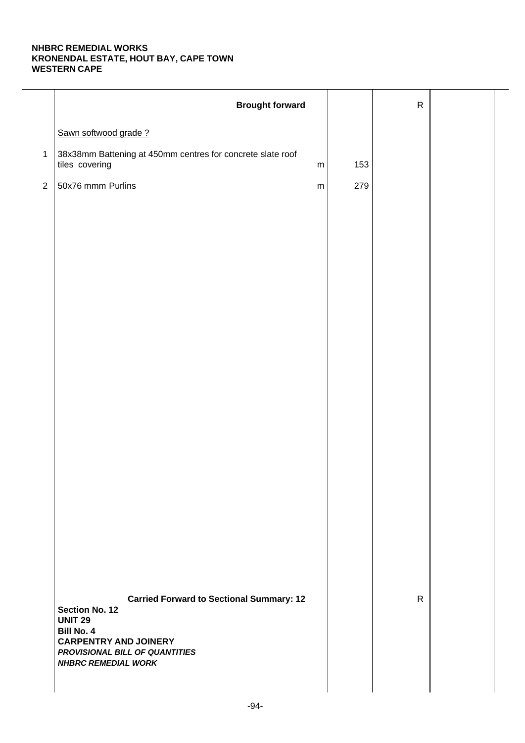|                | <b>Brought forward</b>                                                                    |     | ${\sf R}$    |  |
|----------------|-------------------------------------------------------------------------------------------|-----|--------------|--|
|                | Sawn softwood grade?                                                                      |     |              |  |
| $\mathbf{1}$   | 38x38mm Battening at 450mm centres for concrete slate roof<br>tiles covering<br>${\sf m}$ | 153 |              |  |
| $\overline{2}$ | 50x76 mmm Purlins<br>${\sf m}$                                                            | 279 |              |  |
|                |                                                                                           |     |              |  |
|                |                                                                                           |     |              |  |
|                |                                                                                           |     |              |  |
|                |                                                                                           |     |              |  |
|                |                                                                                           |     |              |  |
|                |                                                                                           |     |              |  |
|                |                                                                                           |     |              |  |
|                |                                                                                           |     |              |  |
|                |                                                                                           |     |              |  |
|                |                                                                                           |     |              |  |
|                |                                                                                           |     |              |  |
|                |                                                                                           |     |              |  |
|                |                                                                                           |     |              |  |
|                |                                                                                           |     |              |  |
|                |                                                                                           |     |              |  |
|                |                                                                                           |     |              |  |
|                |                                                                                           |     |              |  |
|                | <b>Carried Forward to Sectional Summary: 12</b><br><b>Section No. 12</b>                  |     | $\mathsf{R}$ |  |
|                | <b>UNIT 29</b><br><b>Bill No. 4</b><br><b>CARPENTRY AND JOINERY</b>                       |     |              |  |
|                | PROVISIONAL BILL OF QUANTITIES<br><b>NHBRC REMEDIAL WORK</b>                              |     |              |  |
|                |                                                                                           |     |              |  |
|                |                                                                                           |     |              |  |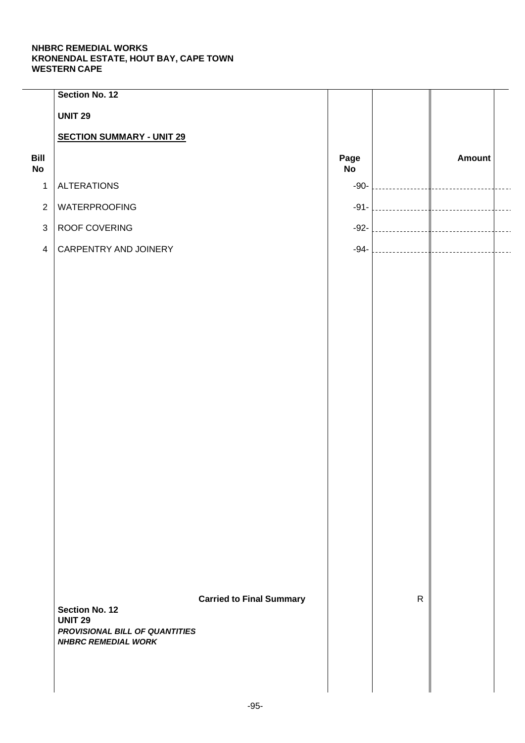|                   | Section No. 12                                               |                                 |            |              |               |  |
|-------------------|--------------------------------------------------------------|---------------------------------|------------|--------------|---------------|--|
|                   | <b>UNIT 29</b>                                               |                                 |            |              |               |  |
|                   | <b>SECTION SUMMARY - UNIT 29</b>                             |                                 |            |              |               |  |
| Bill<br><b>No</b> |                                                              |                                 | Page<br>No |              | <b>Amount</b> |  |
| $\mathbf{1}$      | <b>ALTERATIONS</b>                                           |                                 | $-90-$     |              |               |  |
| $\overline{2}$    | WATERPROOFING                                                |                                 | $-91-$     |              |               |  |
| $\mathfrak{S}$    | ROOF COVERING                                                |                                 | $-92-$     |              |               |  |
| $\overline{4}$    | CARPENTRY AND JOINERY                                        |                                 | $-94-$     |              |               |  |
|                   |                                                              |                                 |            |              |               |  |
|                   |                                                              |                                 |            |              |               |  |
|                   |                                                              |                                 |            |              |               |  |
|                   |                                                              |                                 |            |              |               |  |
|                   |                                                              |                                 |            |              |               |  |
|                   |                                                              |                                 |            |              |               |  |
|                   |                                                              |                                 |            |              |               |  |
|                   |                                                              |                                 |            |              |               |  |
|                   |                                                              |                                 |            |              |               |  |
|                   |                                                              |                                 |            |              |               |  |
|                   |                                                              |                                 |            |              |               |  |
|                   |                                                              |                                 |            |              |               |  |
|                   |                                                              |                                 |            |              |               |  |
|                   |                                                              |                                 |            |              |               |  |
|                   |                                                              |                                 |            |              |               |  |
|                   |                                                              |                                 |            |              |               |  |
|                   |                                                              | <b>Carried to Final Summary</b> |            | $\mathsf{R}$ |               |  |
|                   | Section No. 12<br><b>UNIT 29</b>                             |                                 |            |              |               |  |
|                   | PROVISIONAL BILL OF QUANTITIES<br><b>NHBRC REMEDIAL WORK</b> |                                 |            |              |               |  |
|                   |                                                              |                                 |            |              |               |  |
|                   |                                                              |                                 |            |              |               |  |
|                   |                                                              |                                 |            |              |               |  |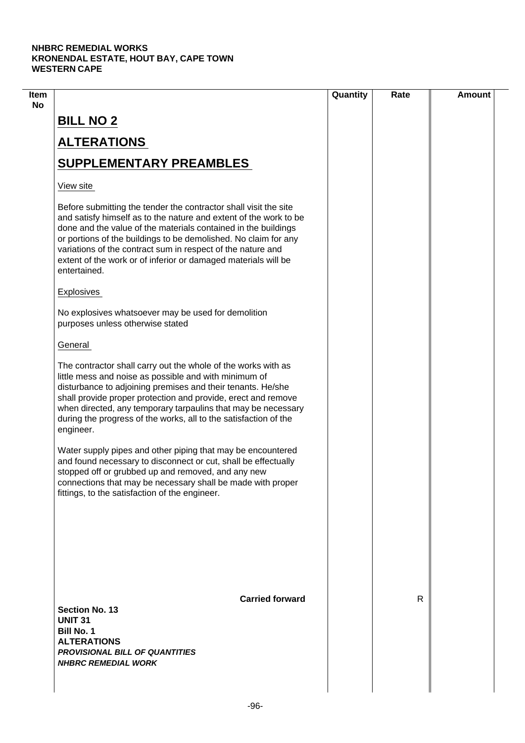| Item |                                                                                                                                                                                                                                                                                                                                                                                                                             | Quantity | Rate | <b>Amount</b> |
|------|-----------------------------------------------------------------------------------------------------------------------------------------------------------------------------------------------------------------------------------------------------------------------------------------------------------------------------------------------------------------------------------------------------------------------------|----------|------|---------------|
| No   | <b>BILL NO 2</b>                                                                                                                                                                                                                                                                                                                                                                                                            |          |      |               |
|      | <b>ALTERATIONS</b>                                                                                                                                                                                                                                                                                                                                                                                                          |          |      |               |
|      | <b>SUPPLEMENTARY PREAMBLES</b>                                                                                                                                                                                                                                                                                                                                                                                              |          |      |               |
|      | View site                                                                                                                                                                                                                                                                                                                                                                                                                   |          |      |               |
|      | Before submitting the tender the contractor shall visit the site<br>and satisfy himself as to the nature and extent of the work to be<br>done and the value of the materials contained in the buildings<br>or portions of the buildings to be demolished. No claim for any<br>variations of the contract sum in respect of the nature and<br>extent of the work or of inferior or damaged materials will be<br>entertained. |          |      |               |
|      | <b>Explosives</b>                                                                                                                                                                                                                                                                                                                                                                                                           |          |      |               |
|      | No explosives whatsoever may be used for demolition<br>purposes unless otherwise stated                                                                                                                                                                                                                                                                                                                                     |          |      |               |
|      | General                                                                                                                                                                                                                                                                                                                                                                                                                     |          |      |               |
|      | The contractor shall carry out the whole of the works with as<br>little mess and noise as possible and with minimum of<br>disturbance to adjoining premises and their tenants. He/she<br>shall provide proper protection and provide, erect and remove<br>when directed, any temporary tarpaulins that may be necessary<br>during the progress of the works, all to the satisfaction of the<br>engineer.                    |          |      |               |
|      | Water supply pipes and other piping that may be encountered<br>and found necessary to disconnect or cut, shall be effectually<br>stopped off or grubbed up and removed, and any new<br>connections that may be necessary shall be made with proper<br>fittings, to the satisfaction of the engineer.                                                                                                                        |          |      |               |
|      |                                                                                                                                                                                                                                                                                                                                                                                                                             |          |      |               |
|      | <b>Carried forward</b><br>Section No. 13<br><b>UNIT 31</b><br><b>Bill No. 1</b><br><b>ALTERATIONS</b><br><b>PROVISIONAL BILL OF QUANTITIES</b><br><b>NHBRC REMEDIAL WORK</b>                                                                                                                                                                                                                                                |          | R    |               |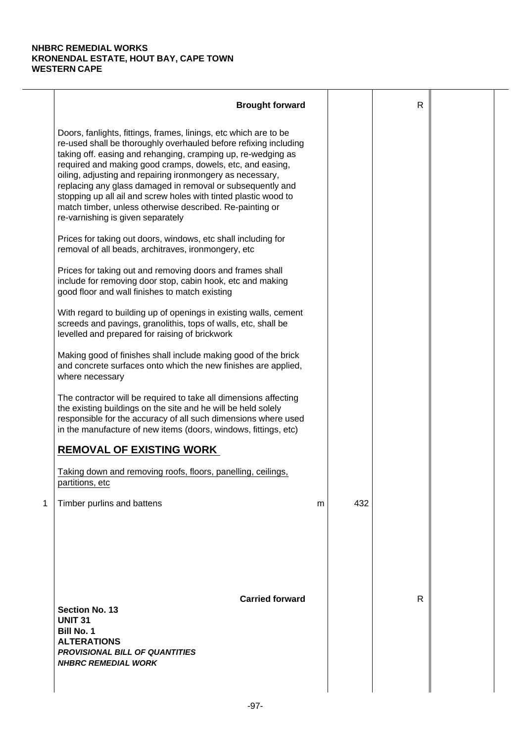|   | <b>Brought forward</b>                                                                                                                                                                                                                                                                                                                                                                                                                                                                                                                                           |   |     | R |  |
|---|------------------------------------------------------------------------------------------------------------------------------------------------------------------------------------------------------------------------------------------------------------------------------------------------------------------------------------------------------------------------------------------------------------------------------------------------------------------------------------------------------------------------------------------------------------------|---|-----|---|--|
|   | Doors, fanlights, fittings, frames, linings, etc which are to be<br>re-used shall be thoroughly overhauled before refixing including<br>taking off. easing and rehanging, cramping up, re-wedging as<br>required and making good cramps, dowels, etc, and easing,<br>oiling, adjusting and repairing ironmongery as necessary,<br>replacing any glass damaged in removal or subsequently and<br>stopping up all ail and screw holes with tinted plastic wood to<br>match timber, unless otherwise described. Re-painting or<br>re-varnishing is given separately |   |     |   |  |
|   | Prices for taking out doors, windows, etc shall including for<br>removal of all beads, architraves, ironmongery, etc                                                                                                                                                                                                                                                                                                                                                                                                                                             |   |     |   |  |
|   | Prices for taking out and removing doors and frames shall<br>include for removing door stop, cabin hook, etc and making<br>good floor and wall finishes to match existing                                                                                                                                                                                                                                                                                                                                                                                        |   |     |   |  |
|   | With regard to building up of openings in existing walls, cement<br>screeds and pavings, granolithis, tops of walls, etc, shall be<br>levelled and prepared for raising of brickwork                                                                                                                                                                                                                                                                                                                                                                             |   |     |   |  |
|   | Making good of finishes shall include making good of the brick<br>and concrete surfaces onto which the new finishes are applied,<br>where necessary                                                                                                                                                                                                                                                                                                                                                                                                              |   |     |   |  |
|   | The contractor will be required to take all dimensions affecting<br>the existing buildings on the site and he will be held solely<br>responsible for the accuracy of all such dimensions where used<br>in the manufacture of new items (doors, windows, fittings, etc)                                                                                                                                                                                                                                                                                           |   |     |   |  |
|   | <b>REMOVAL OF EXISTING WORK</b>                                                                                                                                                                                                                                                                                                                                                                                                                                                                                                                                  |   |     |   |  |
|   | Taking down and removing roofs, floors, panelling, ceilings,<br>partitions, etc                                                                                                                                                                                                                                                                                                                                                                                                                                                                                  |   |     |   |  |
| 1 | Timber purlins and battens                                                                                                                                                                                                                                                                                                                                                                                                                                                                                                                                       | m | 432 |   |  |
|   | <b>Carried forward</b><br><b>Section No. 13</b><br><b>UNIT 31</b><br><b>Bill No. 1</b><br><b>ALTERATIONS</b><br><b>PROVISIONAL BILL OF QUANTITIES</b><br><b>NHBRC REMEDIAL WORK</b>                                                                                                                                                                                                                                                                                                                                                                              |   |     | R |  |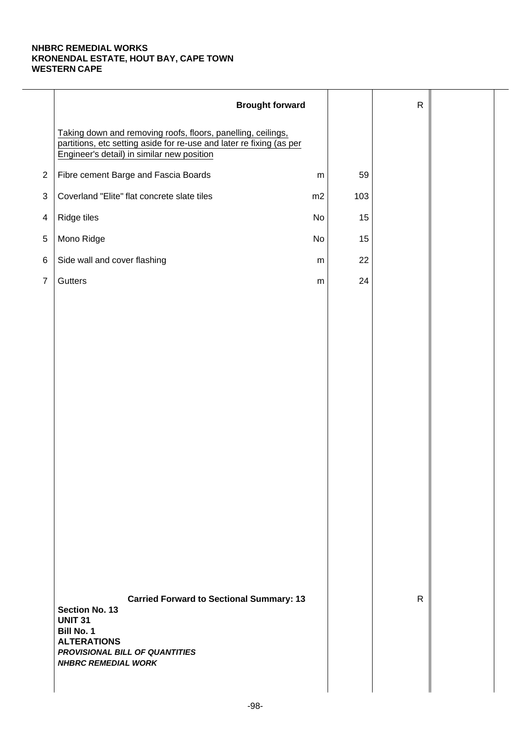|                | <b>Brought forward</b>                                                                                                                                                                                |           |     | $\mathsf{R}$ |  |
|----------------|-------------------------------------------------------------------------------------------------------------------------------------------------------------------------------------------------------|-----------|-----|--------------|--|
|                | Taking down and removing roofs, floors, panelling, ceilings,<br>partitions, etc setting aside for re-use and later re fixing (as per<br>Engineer's detail) in similar new position                    |           |     |              |  |
| $\mathbf{2}$   | Fibre cement Barge and Fascia Boards                                                                                                                                                                  | ${\sf m}$ | 59  |              |  |
| 3              | Coverland "Elite" flat concrete slate tiles                                                                                                                                                           | m2        | 103 |              |  |
| 4              | Ridge tiles                                                                                                                                                                                           | No        | 15  |              |  |
| $\,$ 5 $\,$    | Mono Ridge                                                                                                                                                                                            | No        | 15  |              |  |
| 6              | Side wall and cover flashing                                                                                                                                                                          | ${\sf m}$ | 22  |              |  |
| $\overline{7}$ | Gutters                                                                                                                                                                                               | ${\sf m}$ | 24  |              |  |
|                |                                                                                                                                                                                                       |           |     |              |  |
|                |                                                                                                                                                                                                       |           |     |              |  |
|                |                                                                                                                                                                                                       |           |     |              |  |
|                |                                                                                                                                                                                                       |           |     |              |  |
|                |                                                                                                                                                                                                       |           |     |              |  |
|                |                                                                                                                                                                                                       |           |     |              |  |
|                |                                                                                                                                                                                                       |           |     |              |  |
|                |                                                                                                                                                                                                       |           |     |              |  |
|                |                                                                                                                                                                                                       |           |     |              |  |
|                |                                                                                                                                                                                                       |           |     |              |  |
|                |                                                                                                                                                                                                       |           |     |              |  |
|                |                                                                                                                                                                                                       |           |     |              |  |
|                |                                                                                                                                                                                                       |           |     |              |  |
|                |                                                                                                                                                                                                       |           |     |              |  |
|                | <b>Carried Forward to Sectional Summary: 13</b><br><b>Section No. 13</b><br><b>UNIT 31</b><br><b>Bill No. 1</b><br><b>ALTERATIONS</b><br>PROVISIONAL BILL OF QUANTITIES<br><b>NHBRC REMEDIAL WORK</b> |           |     | $\mathsf{R}$ |  |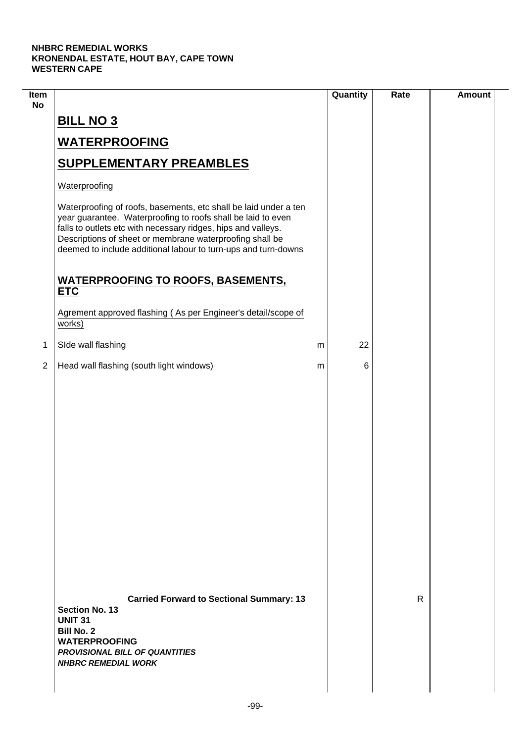$\mathcal{L}$ 

| Item<br><b>No</b> |                                                                                                                                                                                                                                                                                                                                 |   | Quantity | Rate         | <b>Amount</b> |
|-------------------|---------------------------------------------------------------------------------------------------------------------------------------------------------------------------------------------------------------------------------------------------------------------------------------------------------------------------------|---|----------|--------------|---------------|
|                   | <b>BILL NO 3</b>                                                                                                                                                                                                                                                                                                                |   |          |              |               |
|                   | <b>WATERPROOFING</b>                                                                                                                                                                                                                                                                                                            |   |          |              |               |
|                   | <b>SUPPLEMENTARY PREAMBLES</b>                                                                                                                                                                                                                                                                                                  |   |          |              |               |
|                   | Waterproofing                                                                                                                                                                                                                                                                                                                   |   |          |              |               |
|                   | Waterproofing of roofs, basements, etc shall be laid under a ten<br>year guarantee. Waterproofing to roofs shall be laid to even<br>falls to outlets etc with necessary ridges, hips and valleys.<br>Descriptions of sheet or membrane waterproofing shall be<br>deemed to include additional labour to turn-ups and turn-downs |   |          |              |               |
|                   | <b>WATERPROOFING TO ROOFS, BASEMENTS,</b><br><b>ETC</b>                                                                                                                                                                                                                                                                         |   |          |              |               |
|                   | Agrement approved flashing (As per Engineer's detail/scope of<br>works)                                                                                                                                                                                                                                                         |   |          |              |               |
| $\mathbf{1}$      | SIde wall flashing                                                                                                                                                                                                                                                                                                              | m | 22       |              |               |
| $\overline{2}$    | Head wall flashing (south light windows)                                                                                                                                                                                                                                                                                        | m | 6        |              |               |
|                   |                                                                                                                                                                                                                                                                                                                                 |   |          |              |               |
|                   | <b>Carried Forward to Sectional Summary: 13</b><br><b>Section No. 13</b><br><b>UNIT 31</b><br><b>Bill No. 2</b><br><b>WATERPROOFING</b><br><b>PROVISIONAL BILL OF QUANTITIES</b><br><b>NHBRC REMEDIAL WORK</b>                                                                                                                  |   |          | $\mathsf{R}$ |               |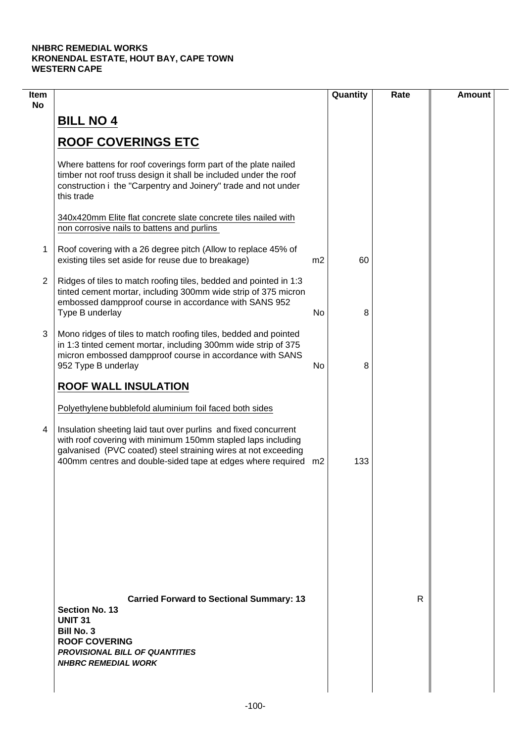| Item<br><b>No</b> |                                                                                                                                                                                                                                                                     |    | Quantity | Rate | <b>Amount</b> |
|-------------------|---------------------------------------------------------------------------------------------------------------------------------------------------------------------------------------------------------------------------------------------------------------------|----|----------|------|---------------|
|                   | <b>BILL NO 4</b>                                                                                                                                                                                                                                                    |    |          |      |               |
|                   | <b>ROOF COVERINGS ETC</b>                                                                                                                                                                                                                                           |    |          |      |               |
|                   | Where battens for roof coverings form part of the plate nailed<br>timber not roof truss design it shall be included under the roof<br>construction i the "Carpentry and Joinery" trade and not under<br>this trade                                                  |    |          |      |               |
|                   | 340x420mm Elite flat concrete slate concrete tiles nailed with<br>non corrosive nails to battens and purlins                                                                                                                                                        |    |          |      |               |
| 1                 | Roof covering with a 26 degree pitch (Allow to replace 45% of<br>existing tiles set aside for reuse due to breakage)                                                                                                                                                | m2 | 60       |      |               |
| 2                 | Ridges of tiles to match roofing tiles, bedded and pointed in 1:3<br>tinted cement mortar, including 300mm wide strip of 375 micron<br>embossed dampproof course in accordance with SANS 952<br>Type B underlay                                                     | No | 8        |      |               |
| 3                 | Mono ridges of tiles to match roofing tiles, bedded and pointed<br>in 1:3 tinted cement mortar, including 300mm wide strip of 375<br>micron embossed dampproof course in accordance with SANS<br>952 Type B underlay                                                | No | 8        |      |               |
|                   | <b>ROOF WALL INSULATION</b>                                                                                                                                                                                                                                         |    |          |      |               |
|                   | Polyethylene bubblefold aluminium foil faced both sides                                                                                                                                                                                                             |    |          |      |               |
| 4                 | Insulation sheeting laid taut over purlins and fixed concurrent<br>with roof covering with minimum 150mm stapled laps including<br>galvanised (PVC coated) steel straining wires at not exceeding<br>400mm centres and double-sided tape at edges where required m2 |    | 133      |      |               |
|                   |                                                                                                                                                                                                                                                                     |    |          |      |               |
|                   |                                                                                                                                                                                                                                                                     |    |          |      |               |
|                   |                                                                                                                                                                                                                                                                     |    |          |      |               |
|                   | <b>Carried Forward to Sectional Summary: 13</b><br><b>Section No. 13</b><br><b>UNIT 31</b><br><b>Bill No. 3</b><br><b>ROOF COVERING</b><br><b>PROVISIONAL BILL OF QUANTITIES</b><br><b>NHBRC REMEDIAL WORK</b>                                                      |    |          | R    |               |
|                   |                                                                                                                                                                                                                                                                     |    |          |      |               |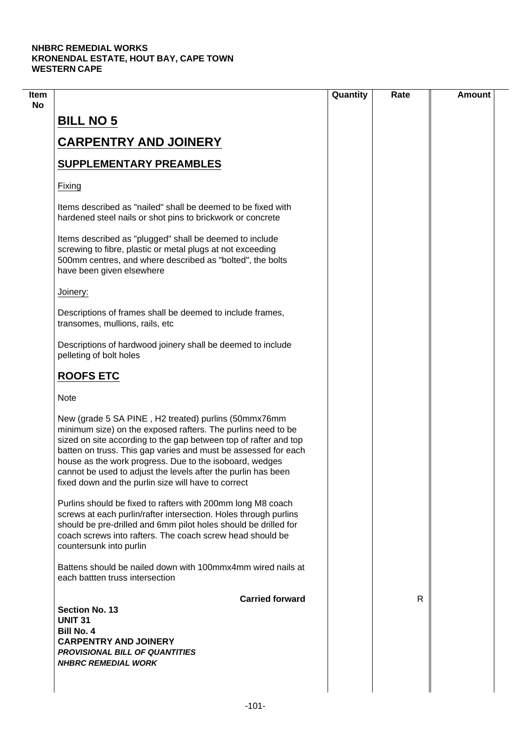|                                                                                                                                                                                                                                                                                                                                                                                                                                               | Quantity | Rate | <b>Amount</b> |
|-----------------------------------------------------------------------------------------------------------------------------------------------------------------------------------------------------------------------------------------------------------------------------------------------------------------------------------------------------------------------------------------------------------------------------------------------|----------|------|---------------|
| <b>BILL NO 5</b>                                                                                                                                                                                                                                                                                                                                                                                                                              |          |      |               |
| <b>CARPENTRY AND JOINERY</b>                                                                                                                                                                                                                                                                                                                                                                                                                  |          |      |               |
| <b>SUPPLEMENTARY PREAMBLES</b>                                                                                                                                                                                                                                                                                                                                                                                                                |          |      |               |
| Fixing                                                                                                                                                                                                                                                                                                                                                                                                                                        |          |      |               |
| Items described as "nailed" shall be deemed to be fixed with<br>hardened steel nails or shot pins to brickwork or concrete                                                                                                                                                                                                                                                                                                                    |          |      |               |
| Items described as "plugged" shall be deemed to include<br>screwing to fibre, plastic or metal plugs at not exceeding<br>500mm centres, and where described as "bolted", the bolts<br>have been given elsewhere                                                                                                                                                                                                                               |          |      |               |
| Joinery:                                                                                                                                                                                                                                                                                                                                                                                                                                      |          |      |               |
| Descriptions of frames shall be deemed to include frames,<br>transomes, mullions, rails, etc                                                                                                                                                                                                                                                                                                                                                  |          |      |               |
| Descriptions of hardwood joinery shall be deemed to include<br>pelleting of bolt holes                                                                                                                                                                                                                                                                                                                                                        |          |      |               |
| <b>ROOFS ETC</b>                                                                                                                                                                                                                                                                                                                                                                                                                              |          |      |               |
| <b>Note</b>                                                                                                                                                                                                                                                                                                                                                                                                                                   |          |      |               |
| New (grade 5 SA PINE, H2 treated) purlins (50mmx76mm<br>minimum size) on the exposed rafters. The purlins need to be<br>sized on site according to the gap between top of rafter and top<br>batten on truss. This gap varies and must be assessed for each<br>house as the work progress. Due to the isoboard, wedges<br>cannot be used to adjust the levels after the purlin has been<br>fixed down and the purlin size will have to correct |          |      |               |
| Purlins should be fixed to rafters with 200mm long M8 coach<br>screws at each purlin/rafter intersection. Holes through purlins<br>should be pre-drilled and 6mm pilot holes should be drilled for<br>coach screws into rafters. The coach screw head should be<br>countersunk into purlin                                                                                                                                                    |          |      |               |
| Battens should be nailed down with 100mmx4mm wired nails at<br>each battten truss intersection                                                                                                                                                                                                                                                                                                                                                |          |      |               |
| <b>Carried forward</b><br><b>Section No. 13</b>                                                                                                                                                                                                                                                                                                                                                                                               |          | R    |               |
| <b>UNIT 31</b>                                                                                                                                                                                                                                                                                                                                                                                                                                |          |      |               |
| <b>Bill No. 4</b>                                                                                                                                                                                                                                                                                                                                                                                                                             |          |      |               |
| <b>CARPENTRY AND JOINERY</b>                                                                                                                                                                                                                                                                                                                                                                                                                  |          |      |               |
| <b>PROVISIONAL BILL OF QUANTITIES</b><br><b>NHBRC REMEDIAL WORK</b>                                                                                                                                                                                                                                                                                                                                                                           |          |      |               |
|                                                                                                                                                                                                                                                                                                                                                                                                                                               |          |      |               |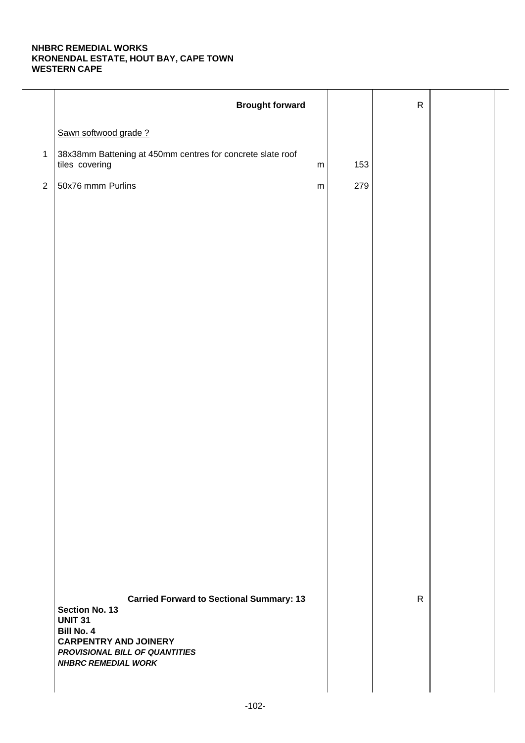|              | <b>Brought forward</b>                                                                     |     | ${\sf R}$    |  |
|--------------|--------------------------------------------------------------------------------------------|-----|--------------|--|
|              | Sawn softwood grade?                                                                       |     |              |  |
| $\mathbf{1}$ | 38x38mm Battening at 450mm centres for concrete slate roof<br>tiles covering<br>${\sf m}$  | 153 |              |  |
| $\sqrt{2}$   | 50x76 mmm Purlins<br>${\sf m}$                                                             | 279 |              |  |
|              |                                                                                            |     |              |  |
|              |                                                                                            |     |              |  |
|              |                                                                                            |     |              |  |
|              |                                                                                            |     |              |  |
|              |                                                                                            |     |              |  |
|              |                                                                                            |     |              |  |
|              |                                                                                            |     |              |  |
|              |                                                                                            |     |              |  |
|              |                                                                                            |     |              |  |
|              |                                                                                            |     |              |  |
|              |                                                                                            |     |              |  |
|              |                                                                                            |     |              |  |
|              |                                                                                            |     |              |  |
|              |                                                                                            |     |              |  |
|              |                                                                                            |     |              |  |
|              |                                                                                            |     |              |  |
|              | <b>Carried Forward to Sectional Summary: 13</b><br><b>Section No. 13</b><br><b>UNIT 31</b> |     | $\mathsf{R}$ |  |
|              | Bill No. 4<br><b>CARPENTRY AND JOINERY</b>                                                 |     |              |  |
|              | PROVISIONAL BILL OF QUANTITIES<br><b>NHBRC REMEDIAL WORK</b>                               |     |              |  |
|              |                                                                                            |     |              |  |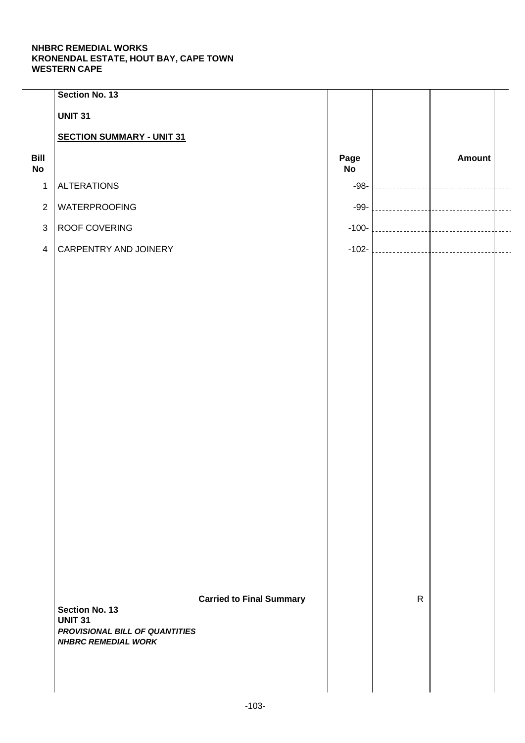|                   | Section No. 13                                   |                                 |                   |              |               |  |
|-------------------|--------------------------------------------------|---------------------------------|-------------------|--------------|---------------|--|
|                   | <b>UNIT 31</b>                                   |                                 |                   |              |               |  |
|                   | <b>SECTION SUMMARY - UNIT 31</b>                 |                                 |                   |              |               |  |
| Bill<br><b>No</b> |                                                  |                                 | Page<br><b>No</b> |              | <b>Amount</b> |  |
| $\mathbf{1}$      | <b>ALTERATIONS</b>                               |                                 | $-98-$            |              |               |  |
| $\overline{2}$    | WATERPROOFING                                    |                                 | $-99-$            |              |               |  |
| $\mathfrak{S}$    | ROOF COVERING                                    |                                 | $-100-$           |              |               |  |
| $\overline{4}$    | CARPENTRY AND JOINERY                            |                                 | $-102-$           |              |               |  |
|                   |                                                  |                                 |                   |              |               |  |
|                   |                                                  |                                 |                   |              |               |  |
|                   |                                                  |                                 |                   |              |               |  |
|                   |                                                  |                                 |                   |              |               |  |
|                   |                                                  |                                 |                   |              |               |  |
|                   |                                                  |                                 |                   |              |               |  |
|                   |                                                  |                                 |                   |              |               |  |
|                   |                                                  |                                 |                   |              |               |  |
|                   |                                                  |                                 |                   |              |               |  |
|                   |                                                  |                                 |                   |              |               |  |
|                   |                                                  |                                 |                   |              |               |  |
|                   |                                                  |                                 |                   |              |               |  |
|                   |                                                  |                                 |                   |              |               |  |
|                   |                                                  |                                 |                   |              |               |  |
|                   |                                                  |                                 |                   |              |               |  |
|                   |                                                  |                                 |                   |              |               |  |
|                   |                                                  |                                 |                   |              |               |  |
|                   | Section No. 13                                   | <b>Carried to Final Summary</b> |                   | $\mathsf{R}$ |               |  |
|                   | <b>UNIT 31</b><br>PROVISIONAL BILL OF QUANTITIES |                                 |                   |              |               |  |
|                   | <b>NHBRC REMEDIAL WORK</b>                       |                                 |                   |              |               |  |
|                   |                                                  |                                 |                   |              |               |  |
|                   |                                                  |                                 |                   |              |               |  |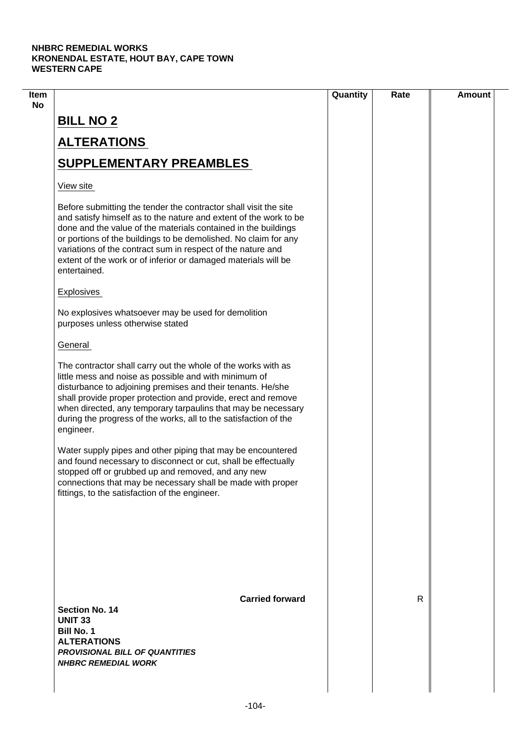|                                                                                                                                                                                                                                                                                                                                                                                                                             | Quantity | Rate         | <b>Amount</b> |
|-----------------------------------------------------------------------------------------------------------------------------------------------------------------------------------------------------------------------------------------------------------------------------------------------------------------------------------------------------------------------------------------------------------------------------|----------|--------------|---------------|
| <b>BILL NO 2</b>                                                                                                                                                                                                                                                                                                                                                                                                            |          |              |               |
| <b>ALTERATIONS</b>                                                                                                                                                                                                                                                                                                                                                                                                          |          |              |               |
| <b>SUPPLEMENTARY PREAMBLES</b>                                                                                                                                                                                                                                                                                                                                                                                              |          |              |               |
| View site                                                                                                                                                                                                                                                                                                                                                                                                                   |          |              |               |
| Before submitting the tender the contractor shall visit the site<br>and satisfy himself as to the nature and extent of the work to be<br>done and the value of the materials contained in the buildings<br>or portions of the buildings to be demolished. No claim for any<br>variations of the contract sum in respect of the nature and<br>extent of the work or of inferior or damaged materials will be<br>entertained. |          |              |               |
| Explosives                                                                                                                                                                                                                                                                                                                                                                                                                  |          |              |               |
| No explosives whatsoever may be used for demolition<br>purposes unless otherwise stated                                                                                                                                                                                                                                                                                                                                     |          |              |               |
| General                                                                                                                                                                                                                                                                                                                                                                                                                     |          |              |               |
| The contractor shall carry out the whole of the works with as<br>little mess and noise as possible and with minimum of<br>disturbance to adjoining premises and their tenants. He/she<br>shall provide proper protection and provide, erect and remove<br>when directed, any temporary tarpaulins that may be necessary<br>during the progress of the works, all to the satisfaction of the<br>engineer.                    |          |              |               |
| Water supply pipes and other piping that may be encountered<br>and found necessary to disconnect or cut, shall be effectually<br>stopped off or grubbed up and removed, and any new<br>connections that may be necessary shall be made with proper<br>fittings, to the satisfaction of the engineer.                                                                                                                        |          |              |               |
| <b>Carried forward</b>                                                                                                                                                                                                                                                                                                                                                                                                      |          | $\mathsf{R}$ |               |
| <b>Section No. 14</b><br><b>UNIT 33</b><br><b>Bill No. 1</b><br><b>ALTERATIONS</b><br><b>PROVISIONAL BILL OF QUANTITIES</b><br><b>NHBRC REMEDIAL WORK</b>                                                                                                                                                                                                                                                                   |          |              |               |
|                                                                                                                                                                                                                                                                                                                                                                                                                             |          |              |               |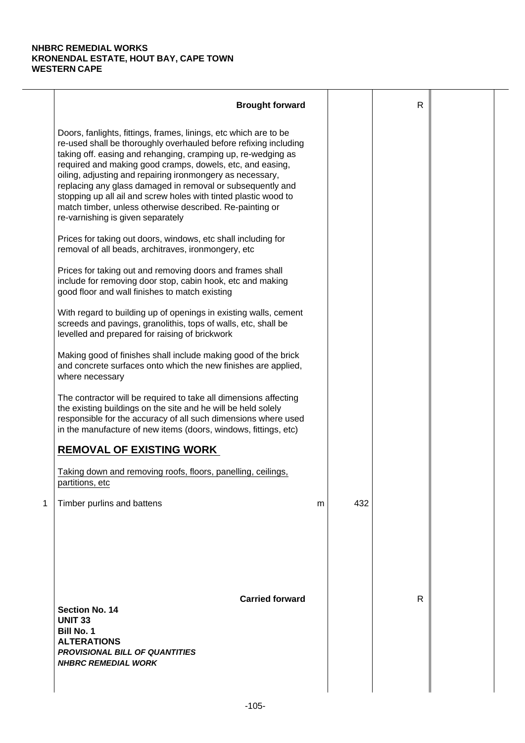|   | <b>Brought forward</b>                                                                                                                                                                                                                                                                                                                                                                                                                                                                                                                                           |   |     | $\mathsf{R}$ |  |
|---|------------------------------------------------------------------------------------------------------------------------------------------------------------------------------------------------------------------------------------------------------------------------------------------------------------------------------------------------------------------------------------------------------------------------------------------------------------------------------------------------------------------------------------------------------------------|---|-----|--------------|--|
|   | Doors, fanlights, fittings, frames, linings, etc which are to be<br>re-used shall be thoroughly overhauled before refixing including<br>taking off. easing and rehanging, cramping up, re-wedging as<br>required and making good cramps, dowels, etc, and easing,<br>oiling, adjusting and repairing ironmongery as necessary,<br>replacing any glass damaged in removal or subsequently and<br>stopping up all ail and screw holes with tinted plastic wood to<br>match timber, unless otherwise described. Re-painting or<br>re-varnishing is given separately |   |     |              |  |
|   | Prices for taking out doors, windows, etc shall including for<br>removal of all beads, architraves, ironmongery, etc                                                                                                                                                                                                                                                                                                                                                                                                                                             |   |     |              |  |
|   | Prices for taking out and removing doors and frames shall<br>include for removing door stop, cabin hook, etc and making<br>good floor and wall finishes to match existing                                                                                                                                                                                                                                                                                                                                                                                        |   |     |              |  |
|   | With regard to building up of openings in existing walls, cement<br>screeds and pavings, granolithis, tops of walls, etc, shall be<br>levelled and prepared for raising of brickwork                                                                                                                                                                                                                                                                                                                                                                             |   |     |              |  |
|   | Making good of finishes shall include making good of the brick<br>and concrete surfaces onto which the new finishes are applied,<br>where necessary                                                                                                                                                                                                                                                                                                                                                                                                              |   |     |              |  |
|   | The contractor will be required to take all dimensions affecting<br>the existing buildings on the site and he will be held solely<br>responsible for the accuracy of all such dimensions where used<br>in the manufacture of new items (doors, windows, fittings, etc)                                                                                                                                                                                                                                                                                           |   |     |              |  |
|   | <b>REMOVAL OF EXISTING WORK</b>                                                                                                                                                                                                                                                                                                                                                                                                                                                                                                                                  |   |     |              |  |
|   | Taking down and removing roofs, floors, panelling, ceilings,<br>partitions, etc                                                                                                                                                                                                                                                                                                                                                                                                                                                                                  |   |     |              |  |
| 1 | Timber purlins and battens                                                                                                                                                                                                                                                                                                                                                                                                                                                                                                                                       | m | 432 |              |  |
|   | <b>Carried forward</b><br><b>Section No. 14</b><br><b>UNIT 33</b><br><b>Bill No. 1</b><br><b>ALTERATIONS</b><br><b>PROVISIONAL BILL OF QUANTITIES</b><br><b>NHBRC REMEDIAL WORK</b>                                                                                                                                                                                                                                                                                                                                                                              |   |     | R            |  |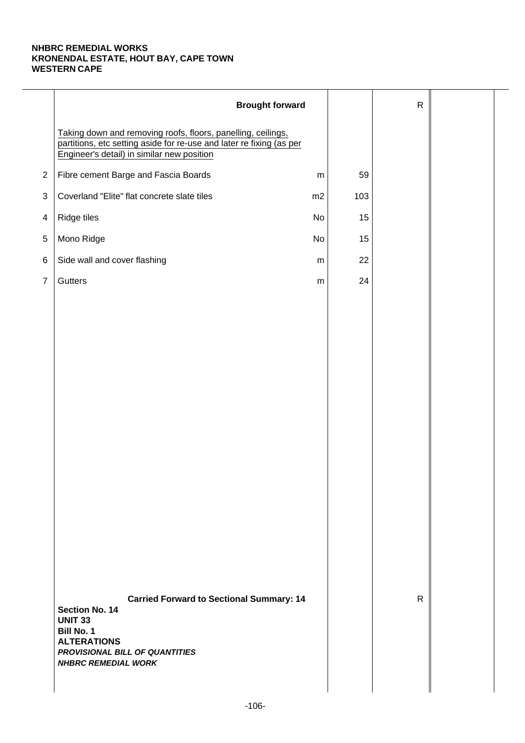|                | <b>Brought forward</b>                                                                                                                                                                                |           |     | $\mathsf{R}$ |  |
|----------------|-------------------------------------------------------------------------------------------------------------------------------------------------------------------------------------------------------|-----------|-----|--------------|--|
|                | Taking down and removing roofs, floors, panelling, ceilings,<br>partitions, etc setting aside for re-use and later re fixing (as per<br>Engineer's detail) in similar new position                    |           |     |              |  |
| $\mathbf{2}$   | Fibre cement Barge and Fascia Boards                                                                                                                                                                  | ${\sf m}$ | 59  |              |  |
| 3              | Coverland "Elite" flat concrete slate tiles                                                                                                                                                           | m2        | 103 |              |  |
| 4              | Ridge tiles                                                                                                                                                                                           | No        | 15  |              |  |
| $\,$ 5 $\,$    | Mono Ridge                                                                                                                                                                                            | No        | 15  |              |  |
| 6              | Side wall and cover flashing                                                                                                                                                                          | ${\sf m}$ | 22  |              |  |
| $\overline{7}$ | Gutters                                                                                                                                                                                               | ${\sf m}$ | 24  |              |  |
|                |                                                                                                                                                                                                       |           |     |              |  |
|                |                                                                                                                                                                                                       |           |     |              |  |
|                |                                                                                                                                                                                                       |           |     |              |  |
|                |                                                                                                                                                                                                       |           |     |              |  |
|                |                                                                                                                                                                                                       |           |     |              |  |
|                |                                                                                                                                                                                                       |           |     |              |  |
|                |                                                                                                                                                                                                       |           |     |              |  |
|                |                                                                                                                                                                                                       |           |     |              |  |
|                |                                                                                                                                                                                                       |           |     |              |  |
|                |                                                                                                                                                                                                       |           |     |              |  |
|                |                                                                                                                                                                                                       |           |     |              |  |
|                |                                                                                                                                                                                                       |           |     |              |  |
|                |                                                                                                                                                                                                       |           |     |              |  |
|                |                                                                                                                                                                                                       |           |     |              |  |
|                | <b>Carried Forward to Sectional Summary: 14</b><br><b>Section No. 14</b><br><b>UNIT 33</b><br><b>Bill No. 1</b><br><b>ALTERATIONS</b><br>PROVISIONAL BILL OF QUANTITIES<br><b>NHBRC REMEDIAL WORK</b> |           |     | $\mathsf{R}$ |  |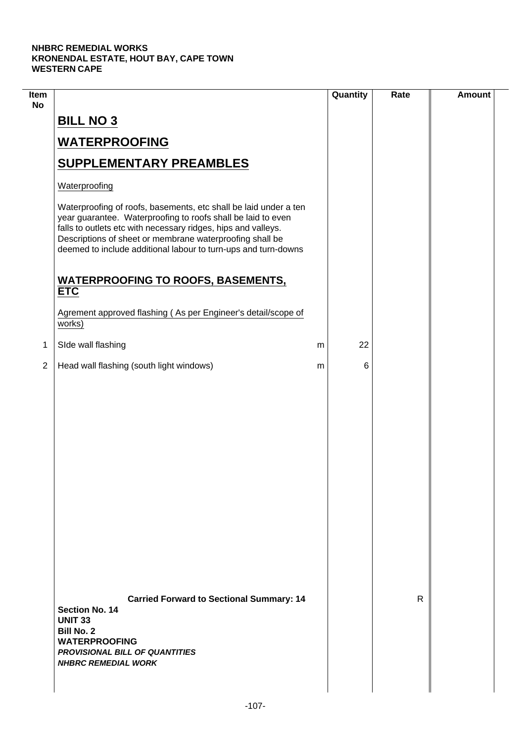$\mathcal{L}$ 

| Item<br><b>No</b> |                                                                                                                                                                                                                                                                                                                                 |   | Quantity | Rate | <b>Amount</b> |
|-------------------|---------------------------------------------------------------------------------------------------------------------------------------------------------------------------------------------------------------------------------------------------------------------------------------------------------------------------------|---|----------|------|---------------|
|                   | <b>BILL NO 3</b>                                                                                                                                                                                                                                                                                                                |   |          |      |               |
|                   | <b>WATERPROOFING</b>                                                                                                                                                                                                                                                                                                            |   |          |      |               |
|                   | <b>SUPPLEMENTARY PREAMBLES</b>                                                                                                                                                                                                                                                                                                  |   |          |      |               |
|                   | Waterproofing                                                                                                                                                                                                                                                                                                                   |   |          |      |               |
|                   | Waterproofing of roofs, basements, etc shall be laid under a ten<br>year guarantee. Waterproofing to roofs shall be laid to even<br>falls to outlets etc with necessary ridges, hips and valleys.<br>Descriptions of sheet or membrane waterproofing shall be<br>deemed to include additional labour to turn-ups and turn-downs |   |          |      |               |
|                   | <b>WATERPROOFING TO ROOFS, BASEMENTS,</b><br><b>ETC</b>                                                                                                                                                                                                                                                                         |   |          |      |               |
|                   | Agrement approved flashing (As per Engineer's detail/scope of<br>works)                                                                                                                                                                                                                                                         |   |          |      |               |
| 1                 | SIde wall flashing                                                                                                                                                                                                                                                                                                              | m | 22       |      |               |
| $\overline{2}$    | Head wall flashing (south light windows)                                                                                                                                                                                                                                                                                        | m | 6        |      |               |
|                   |                                                                                                                                                                                                                                                                                                                                 |   |          |      |               |
|                   | <b>Carried Forward to Sectional Summary: 14</b><br><b>Section No. 14</b><br><b>UNIT 33</b><br><b>Bill No. 2</b><br><b>WATERPROOFING</b><br><b>PROVISIONAL BILL OF QUANTITIES</b><br><b>NHBRC REMEDIAL WORK</b>                                                                                                                  |   |          | R    |               |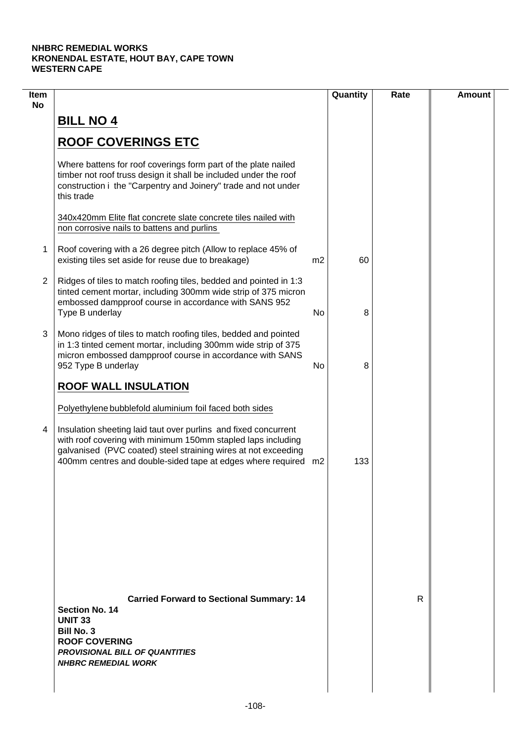| Item<br><b>No</b> |                                                                                                                                                                                                                                                                                                                                |                | Quantity | Rate | <b>Amount</b> |
|-------------------|--------------------------------------------------------------------------------------------------------------------------------------------------------------------------------------------------------------------------------------------------------------------------------------------------------------------------------|----------------|----------|------|---------------|
|                   | <b>BILL NO 4</b>                                                                                                                                                                                                                                                                                                               |                |          |      |               |
|                   | <b>ROOF COVERINGS ETC</b>                                                                                                                                                                                                                                                                                                      |                |          |      |               |
|                   | Where battens for roof coverings form part of the plate nailed<br>timber not roof truss design it shall be included under the roof<br>construction i the "Carpentry and Joinery" trade and not under<br>this trade                                                                                                             |                |          |      |               |
|                   | 340x420mm Elite flat concrete slate concrete tiles nailed with<br>non corrosive nails to battens and purlins                                                                                                                                                                                                                   |                |          |      |               |
| 1                 | Roof covering with a 26 degree pitch (Allow to replace 45% of<br>existing tiles set aside for reuse due to breakage)                                                                                                                                                                                                           | m <sub>2</sub> | 60       |      |               |
| $\overline{2}$    | Ridges of tiles to match roofing tiles, bedded and pointed in 1:3<br>tinted cement mortar, including 300mm wide strip of 375 micron<br>embossed dampproof course in accordance with SANS 952<br>Type B underlay                                                                                                                | No             | 8        |      |               |
| 3                 | Mono ridges of tiles to match roofing tiles, bedded and pointed<br>in 1:3 tinted cement mortar, including 300mm wide strip of 375<br>micron embossed dampproof course in accordance with SANS<br>952 Type B underlay                                                                                                           | No             | 8        |      |               |
|                   | <b>ROOF WALL INSULATION</b>                                                                                                                                                                                                                                                                                                    |                |          |      |               |
| 4                 | Polyethylene bubblefold aluminium foil faced both sides<br>Insulation sheeting laid taut over purlins and fixed concurrent<br>with roof covering with minimum 150mm stapled laps including<br>galvanised (PVC coated) steel straining wires at not exceeding<br>400mm centres and double-sided tape at edges where required m2 |                | 133      |      |               |
|                   |                                                                                                                                                                                                                                                                                                                                |                |          |      |               |
|                   | <b>Carried Forward to Sectional Summary: 14</b><br><b>Section No. 14</b>                                                                                                                                                                                                                                                       |                |          | R    |               |
|                   | <b>UNIT 33</b><br><b>Bill No. 3</b><br><b>ROOF COVERING</b><br><b>PROVISIONAL BILL OF QUANTITIES</b><br><b>NHBRC REMEDIAL WORK</b>                                                                                                                                                                                             |                |          |      |               |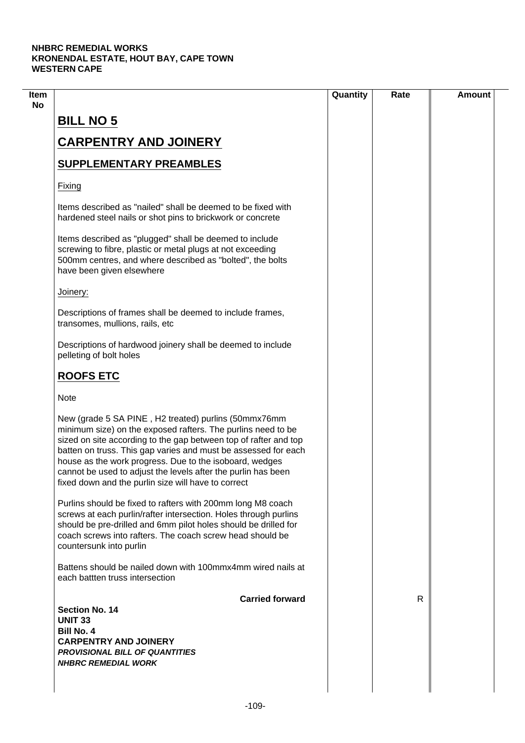|                                                                                                                                                                                                                                                                                                                                                                                                                                               | Quantity | Rate | <b>Amount</b> |
|-----------------------------------------------------------------------------------------------------------------------------------------------------------------------------------------------------------------------------------------------------------------------------------------------------------------------------------------------------------------------------------------------------------------------------------------------|----------|------|---------------|
| <b>BILL NO 5</b>                                                                                                                                                                                                                                                                                                                                                                                                                              |          |      |               |
| <b>CARPENTRY AND JOINERY</b>                                                                                                                                                                                                                                                                                                                                                                                                                  |          |      |               |
|                                                                                                                                                                                                                                                                                                                                                                                                                                               |          |      |               |
| <b>SUPPLEMENTARY PREAMBLES</b>                                                                                                                                                                                                                                                                                                                                                                                                                |          |      |               |
| Fixing                                                                                                                                                                                                                                                                                                                                                                                                                                        |          |      |               |
| Items described as "nailed" shall be deemed to be fixed with<br>hardened steel nails or shot pins to brickwork or concrete                                                                                                                                                                                                                                                                                                                    |          |      |               |
| Items described as "plugged" shall be deemed to include<br>screwing to fibre, plastic or metal plugs at not exceeding<br>500mm centres, and where described as "bolted", the bolts<br>have been given elsewhere                                                                                                                                                                                                                               |          |      |               |
| Joinery:                                                                                                                                                                                                                                                                                                                                                                                                                                      |          |      |               |
| Descriptions of frames shall be deemed to include frames,<br>transomes, mullions, rails, etc                                                                                                                                                                                                                                                                                                                                                  |          |      |               |
| Descriptions of hardwood joinery shall be deemed to include<br>pelleting of bolt holes                                                                                                                                                                                                                                                                                                                                                        |          |      |               |
| <b>ROOFS ETC</b>                                                                                                                                                                                                                                                                                                                                                                                                                              |          |      |               |
| <b>Note</b>                                                                                                                                                                                                                                                                                                                                                                                                                                   |          |      |               |
| New (grade 5 SA PINE, H2 treated) purlins (50mmx76mm<br>minimum size) on the exposed rafters. The purlins need to be<br>sized on site according to the gap between top of rafter and top<br>batten on truss. This gap varies and must be assessed for each<br>house as the work progress. Due to the isoboard, wedges<br>cannot be used to adjust the levels after the purlin has been<br>fixed down and the purlin size will have to correct |          |      |               |
| Purlins should be fixed to rafters with 200mm long M8 coach<br>screws at each purlin/rafter intersection. Holes through purlins<br>should be pre-drilled and 6mm pilot holes should be drilled for<br>coach screws into rafters. The coach screw head should be<br>countersunk into purlin                                                                                                                                                    |          |      |               |
| Battens should be nailed down with 100mmx4mm wired nails at<br>each battten truss intersection                                                                                                                                                                                                                                                                                                                                                |          |      |               |
| <b>Carried forward</b>                                                                                                                                                                                                                                                                                                                                                                                                                        |          | R    |               |
| Section No. 14<br><b>UNIT 33</b>                                                                                                                                                                                                                                                                                                                                                                                                              |          |      |               |
| <b>Bill No. 4</b>                                                                                                                                                                                                                                                                                                                                                                                                                             |          |      |               |
| <b>CARPENTRY AND JOINERY</b>                                                                                                                                                                                                                                                                                                                                                                                                                  |          |      |               |
| <b>PROVISIONAL BILL OF QUANTITIES</b><br><b>NHBRC REMEDIAL WORK</b>                                                                                                                                                                                                                                                                                                                                                                           |          |      |               |
|                                                                                                                                                                                                                                                                                                                                                                                                                                               |          |      |               |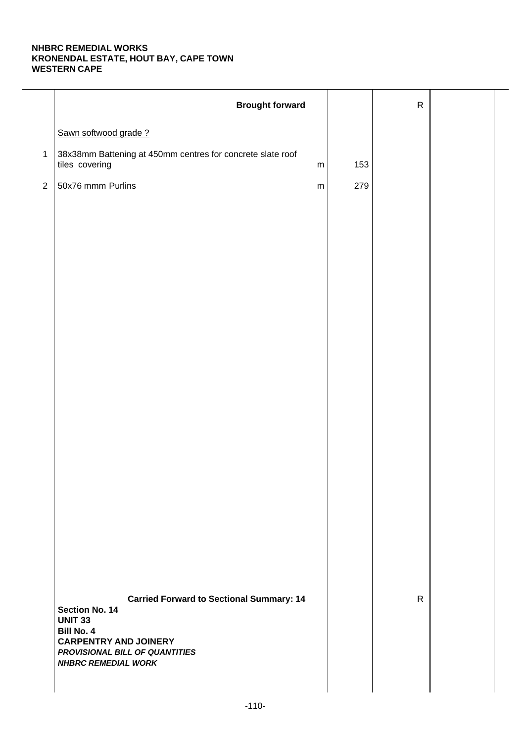|                | <b>Brought forward</b>                                                       |           |     | ${\sf R}$    |  |
|----------------|------------------------------------------------------------------------------|-----------|-----|--------------|--|
|                | Sawn softwood grade?                                                         |           |     |              |  |
|                | 38x38mm Battening at 450mm centres for concrete slate roof<br>tiles covering | ${\sf m}$ | 153 |              |  |
| $\overline{2}$ | 50x76 mmm Purlins                                                            | ${\sf m}$ | 279 |              |  |
|                |                                                                              |           |     |              |  |
|                |                                                                              |           |     |              |  |
|                |                                                                              |           |     |              |  |
|                |                                                                              |           |     |              |  |
|                |                                                                              |           |     |              |  |
|                |                                                                              |           |     |              |  |
|                |                                                                              |           |     |              |  |
|                |                                                                              |           |     |              |  |
|                |                                                                              |           |     |              |  |
|                |                                                                              |           |     |              |  |
|                |                                                                              |           |     |              |  |
|                |                                                                              |           |     |              |  |
|                |                                                                              |           |     |              |  |
|                |                                                                              |           |     |              |  |
|                |                                                                              |           |     |              |  |
|                |                                                                              |           |     |              |  |
|                | <b>Carried Forward to Sectional Summary: 14</b><br><b>Section No. 14</b>     |           |     | $\mathsf{R}$ |  |
|                | <b>UNIT 33</b><br><b>Bill No. 4</b>                                          |           |     |              |  |
|                | <b>CARPENTRY AND JOINERY</b><br>PROVISIONAL BILL OF QUANTITIES               |           |     |              |  |
|                | <b>NHBRC REMEDIAL WORK</b>                                                   |           |     |              |  |
|                |                                                                              |           |     |              |  |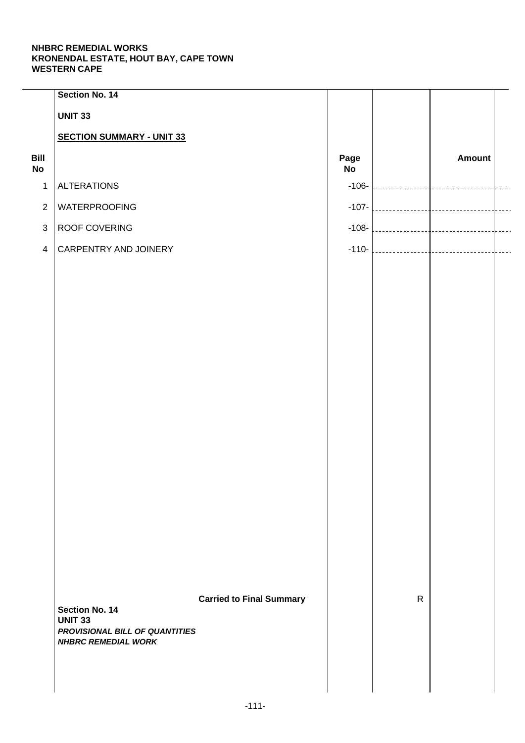| Section No. 14                   |                       |                                                                   |              |                                          |                         |
|----------------------------------|-----------------------|-------------------------------------------------------------------|--------------|------------------------------------------|-------------------------|
| <b>UNIT 33</b>                   |                       |                                                                   |              |                                          |                         |
| <b>SECTION SUMMARY - UNIT 33</b> |                       |                                                                   |              |                                          |                         |
|                                  |                       | Page<br>No                                                        |              | Amount                                   |                         |
| <b>ALTERATIONS</b>               |                       |                                                                   |              | ____________                             |                         |
| <b>WATERPROOFING</b>             |                       |                                                                   |              |                                          | $- - - -$               |
| ROOF COVERING                    |                       |                                                                   |              |                                          | $\overline{a}$          |
| CARPENTRY AND JOINERY            |                       |                                                                   |              |                                          | $\overline{a}$          |
|                                  |                       |                                                                   |              |                                          |                         |
|                                  |                       |                                                                   |              |                                          |                         |
|                                  |                       |                                                                   |              |                                          |                         |
|                                  |                       |                                                                   |              |                                          |                         |
|                                  |                       |                                                                   |              |                                          |                         |
|                                  |                       |                                                                   |              |                                          |                         |
|                                  |                       |                                                                   |              |                                          |                         |
|                                  |                       |                                                                   |              |                                          |                         |
|                                  |                       |                                                                   |              |                                          |                         |
|                                  |                       |                                                                   |              |                                          |                         |
|                                  |                       |                                                                   |              |                                          |                         |
|                                  |                       |                                                                   |              |                                          |                         |
|                                  |                       |                                                                   |              |                                          |                         |
|                                  |                       |                                                                   |              |                                          |                         |
|                                  |                       |                                                                   |              |                                          |                         |
|                                  |                       |                                                                   |              |                                          |                         |
|                                  |                       |                                                                   | $\mathsf{R}$ |                                          |                         |
| <b>UNIT 33</b>                   |                       |                                                                   |              |                                          |                         |
| <b>NHBRC REMEDIAL WORK</b>       |                       |                                                                   |              |                                          |                         |
|                                  |                       |                                                                   |              |                                          |                         |
|                                  |                       |                                                                   |              |                                          |                         |
|                                  | <b>Section No. 14</b> | <b>Carried to Final Summary</b><br>PROVISIONAL BILL OF QUANTITIES |              | $-106-$<br>$-107-$<br>$-108-$<br>$-110-$ | <br> ------------------ |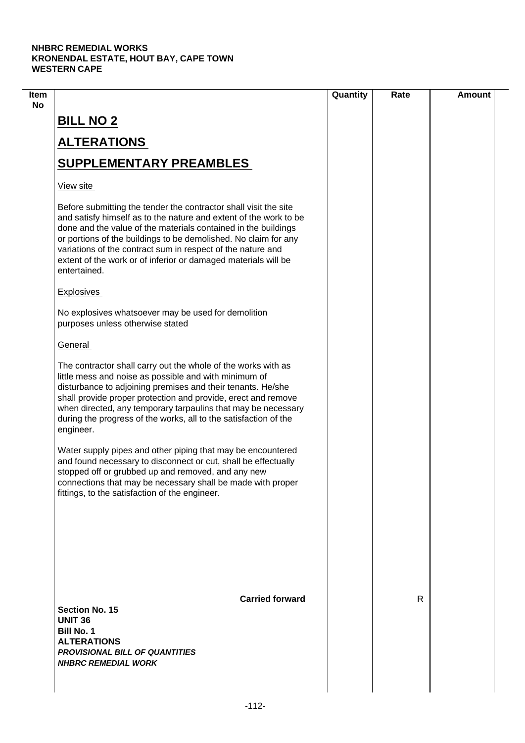| Item |                                                                                                                                                                                                                                                                                                                                                                                                                             | Quantity | Rate | <b>Amount</b> |
|------|-----------------------------------------------------------------------------------------------------------------------------------------------------------------------------------------------------------------------------------------------------------------------------------------------------------------------------------------------------------------------------------------------------------------------------|----------|------|---------------|
| No   | <b>BILL NO 2</b>                                                                                                                                                                                                                                                                                                                                                                                                            |          |      |               |
|      | <b>ALTERATIONS</b>                                                                                                                                                                                                                                                                                                                                                                                                          |          |      |               |
|      | <b>SUPPLEMENTARY PREAMBLES</b>                                                                                                                                                                                                                                                                                                                                                                                              |          |      |               |
|      | View site                                                                                                                                                                                                                                                                                                                                                                                                                   |          |      |               |
|      | Before submitting the tender the contractor shall visit the site<br>and satisfy himself as to the nature and extent of the work to be<br>done and the value of the materials contained in the buildings<br>or portions of the buildings to be demolished. No claim for any<br>variations of the contract sum in respect of the nature and<br>extent of the work or of inferior or damaged materials will be<br>entertained. |          |      |               |
|      | <b>Explosives</b>                                                                                                                                                                                                                                                                                                                                                                                                           |          |      |               |
|      | No explosives whatsoever may be used for demolition<br>purposes unless otherwise stated                                                                                                                                                                                                                                                                                                                                     |          |      |               |
|      | General                                                                                                                                                                                                                                                                                                                                                                                                                     |          |      |               |
|      | The contractor shall carry out the whole of the works with as<br>little mess and noise as possible and with minimum of<br>disturbance to adjoining premises and their tenants. He/she<br>shall provide proper protection and provide, erect and remove<br>when directed, any temporary tarpaulins that may be necessary<br>during the progress of the works, all to the satisfaction of the<br>engineer.                    |          |      |               |
|      | Water supply pipes and other piping that may be encountered<br>and found necessary to disconnect or cut, shall be effectually<br>stopped off or grubbed up and removed, and any new<br>connections that may be necessary shall be made with proper<br>fittings, to the satisfaction of the engineer.                                                                                                                        |          |      |               |
|      |                                                                                                                                                                                                                                                                                                                                                                                                                             |          |      |               |
|      | <b>Carried forward</b><br><b>Section No. 15</b><br><b>UNIT 36</b><br><b>Bill No. 1</b><br><b>ALTERATIONS</b><br><b>PROVISIONAL BILL OF QUANTITIES</b><br><b>NHBRC REMEDIAL WORK</b>                                                                                                                                                                                                                                         |          | R    |               |
|      |                                                                                                                                                                                                                                                                                                                                                                                                                             |          |      |               |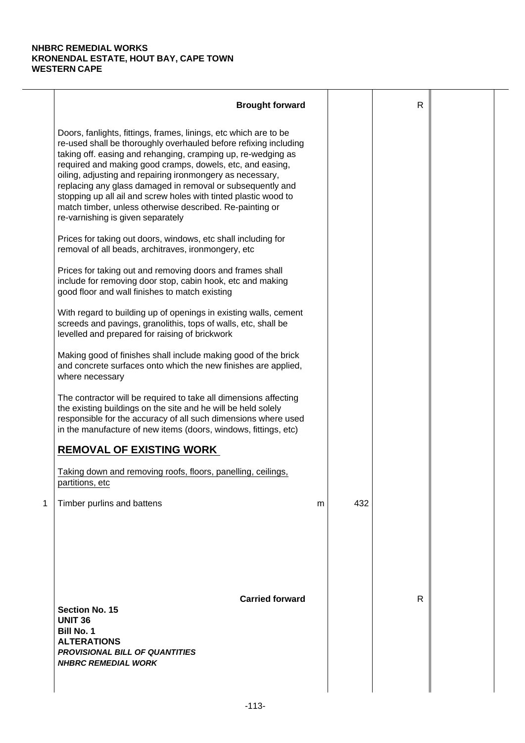|   | <b>Brought forward</b>                                                                                                                                                                                                                                                                                                                                                                                                                                                                                                                                           |   |     | $\mathsf{R}$ |  |
|---|------------------------------------------------------------------------------------------------------------------------------------------------------------------------------------------------------------------------------------------------------------------------------------------------------------------------------------------------------------------------------------------------------------------------------------------------------------------------------------------------------------------------------------------------------------------|---|-----|--------------|--|
|   | Doors, fanlights, fittings, frames, linings, etc which are to be<br>re-used shall be thoroughly overhauled before refixing including<br>taking off. easing and rehanging, cramping up, re-wedging as<br>required and making good cramps, dowels, etc, and easing,<br>oiling, adjusting and repairing ironmongery as necessary,<br>replacing any glass damaged in removal or subsequently and<br>stopping up all ail and screw holes with tinted plastic wood to<br>match timber, unless otherwise described. Re-painting or<br>re-varnishing is given separately |   |     |              |  |
|   | Prices for taking out doors, windows, etc shall including for<br>removal of all beads, architraves, ironmongery, etc                                                                                                                                                                                                                                                                                                                                                                                                                                             |   |     |              |  |
|   | Prices for taking out and removing doors and frames shall<br>include for removing door stop, cabin hook, etc and making<br>good floor and wall finishes to match existing                                                                                                                                                                                                                                                                                                                                                                                        |   |     |              |  |
|   | With regard to building up of openings in existing walls, cement<br>screeds and pavings, granolithis, tops of walls, etc, shall be<br>levelled and prepared for raising of brickwork                                                                                                                                                                                                                                                                                                                                                                             |   |     |              |  |
|   | Making good of finishes shall include making good of the brick<br>and concrete surfaces onto which the new finishes are applied,<br>where necessary                                                                                                                                                                                                                                                                                                                                                                                                              |   |     |              |  |
|   | The contractor will be required to take all dimensions affecting<br>the existing buildings on the site and he will be held solely<br>responsible for the accuracy of all such dimensions where used<br>in the manufacture of new items (doors, windows, fittings, etc)                                                                                                                                                                                                                                                                                           |   |     |              |  |
|   | <b>REMOVAL OF EXISTING WORK</b>                                                                                                                                                                                                                                                                                                                                                                                                                                                                                                                                  |   |     |              |  |
|   | Taking down and removing roofs, floors, panelling, ceilings,<br>partitions, etc                                                                                                                                                                                                                                                                                                                                                                                                                                                                                  |   |     |              |  |
| 1 | Timber purlins and battens                                                                                                                                                                                                                                                                                                                                                                                                                                                                                                                                       | m | 432 |              |  |
|   | <b>Carried forward</b><br><b>Section No. 15</b><br><b>UNIT 36</b><br><b>Bill No. 1</b><br><b>ALTERATIONS</b><br><b>PROVISIONAL BILL OF QUANTITIES</b><br><b>NHBRC REMEDIAL WORK</b>                                                                                                                                                                                                                                                                                                                                                                              |   |     | R            |  |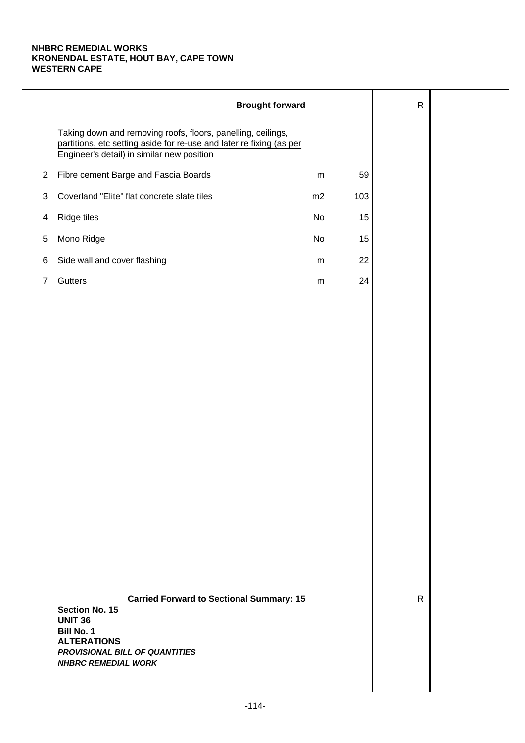|                | <b>Brought forward</b>                                                                                                                                                                                |           |     | $\mathsf{R}$ |  |
|----------------|-------------------------------------------------------------------------------------------------------------------------------------------------------------------------------------------------------|-----------|-----|--------------|--|
|                | Taking down and removing roofs, floors, panelling, ceilings,<br>partitions, etc setting aside for re-use and later re fixing (as per<br>Engineer's detail) in similar new position                    |           |     |              |  |
| $\overline{2}$ | Fibre cement Barge and Fascia Boards                                                                                                                                                                  | ${\sf m}$ | 59  |              |  |
| 3              | Coverland "Elite" flat concrete slate tiles                                                                                                                                                           | m2        | 103 |              |  |
| 4              | Ridge tiles                                                                                                                                                                                           | No        | 15  |              |  |
| $\,$ 5 $\,$    | Mono Ridge                                                                                                                                                                                            | No        | 15  |              |  |
| 6              | Side wall and cover flashing                                                                                                                                                                          | ${\sf m}$ | 22  |              |  |
| $\overline{7}$ | Gutters                                                                                                                                                                                               | ${\sf m}$ | 24  |              |  |
|                |                                                                                                                                                                                                       |           |     |              |  |
|                |                                                                                                                                                                                                       |           |     |              |  |
|                |                                                                                                                                                                                                       |           |     |              |  |
|                |                                                                                                                                                                                                       |           |     |              |  |
|                |                                                                                                                                                                                                       |           |     |              |  |
|                |                                                                                                                                                                                                       |           |     |              |  |
|                |                                                                                                                                                                                                       |           |     |              |  |
|                |                                                                                                                                                                                                       |           |     |              |  |
|                |                                                                                                                                                                                                       |           |     |              |  |
|                |                                                                                                                                                                                                       |           |     |              |  |
|                |                                                                                                                                                                                                       |           |     |              |  |
|                |                                                                                                                                                                                                       |           |     |              |  |
|                |                                                                                                                                                                                                       |           |     |              |  |
|                |                                                                                                                                                                                                       |           |     |              |  |
|                | <b>Carried Forward to Sectional Summary: 15</b><br><b>Section No. 15</b><br><b>UNIT 36</b><br><b>Bill No. 1</b><br><b>ALTERATIONS</b><br>PROVISIONAL BILL OF QUANTITIES<br><b>NHBRC REMEDIAL WORK</b> |           |     | $\mathsf{R}$ |  |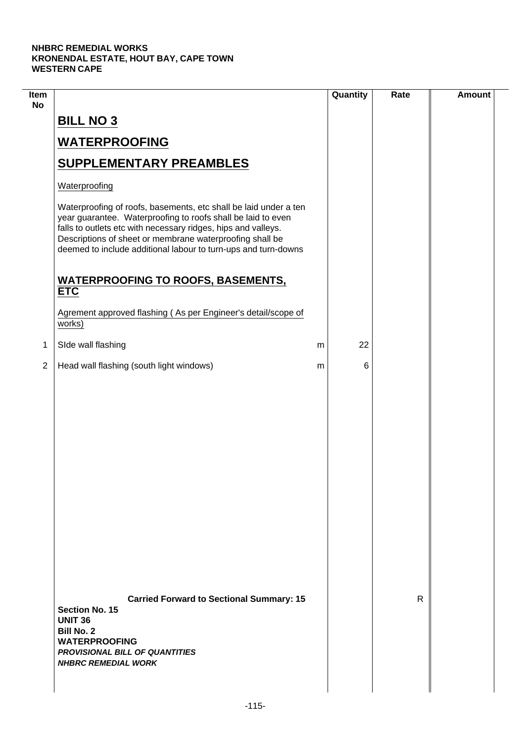$\overline{\phantom{a}}$ 

| Item<br><b>No</b> |                                                                                                                                                                                                                                                                                                                                 | Quantity | Rate | <b>Amount</b> |
|-------------------|---------------------------------------------------------------------------------------------------------------------------------------------------------------------------------------------------------------------------------------------------------------------------------------------------------------------------------|----------|------|---------------|
|                   | <b>BILL NO 3</b>                                                                                                                                                                                                                                                                                                                |          |      |               |
|                   | <b>WATERPROOFING</b>                                                                                                                                                                                                                                                                                                            |          |      |               |
|                   | <b>SUPPLEMENTARY PREAMBLES</b>                                                                                                                                                                                                                                                                                                  |          |      |               |
|                   | Waterproofing                                                                                                                                                                                                                                                                                                                   |          |      |               |
|                   | Waterproofing of roofs, basements, etc shall be laid under a ten<br>year guarantee. Waterproofing to roofs shall be laid to even<br>falls to outlets etc with necessary ridges, hips and valleys.<br>Descriptions of sheet or membrane waterproofing shall be<br>deemed to include additional labour to turn-ups and turn-downs |          |      |               |
|                   | <b>WATERPROOFING TO ROOFS, BASEMENTS,</b><br><b>ETC</b>                                                                                                                                                                                                                                                                         |          |      |               |
|                   | Agrement approved flashing (As per Engineer's detail/scope of<br>works)                                                                                                                                                                                                                                                         |          |      |               |
| 1                 | SIde wall flashing                                                                                                                                                                                                                                                                                                              | 22<br>m  |      |               |
| $\overline{2}$    | Head wall flashing (south light windows)                                                                                                                                                                                                                                                                                        | 6<br>m   |      |               |
|                   |                                                                                                                                                                                                                                                                                                                                 |          |      |               |
|                   | <b>Carried Forward to Sectional Summary: 15</b><br><b>Section No. 15</b><br><b>UNIT 36</b><br><b>Bill No. 2</b><br><b>WATERPROOFING</b><br><b>PROVISIONAL BILL OF QUANTITIES</b><br><b>NHBRC REMEDIAL WORK</b>                                                                                                                  |          | R    |               |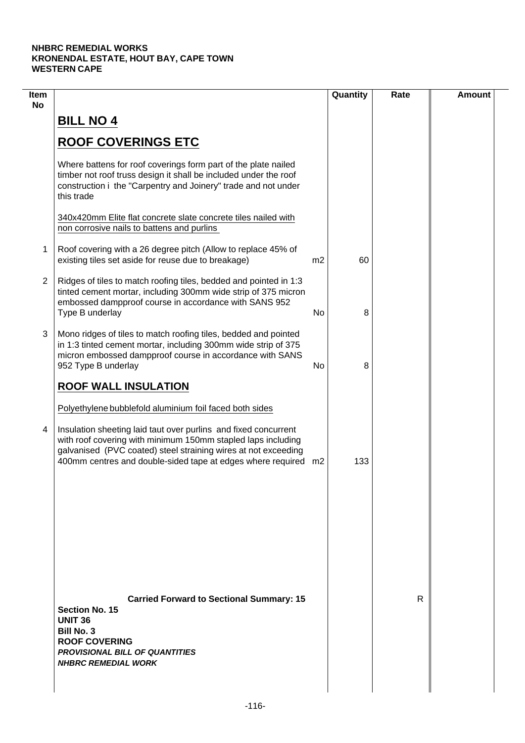| Item<br><b>No</b> |                                                                                                                                                                                                                                                                                                                                |                | Quantity | Rate | <b>Amount</b> |
|-------------------|--------------------------------------------------------------------------------------------------------------------------------------------------------------------------------------------------------------------------------------------------------------------------------------------------------------------------------|----------------|----------|------|---------------|
|                   | <b>BILL NO 4</b>                                                                                                                                                                                                                                                                                                               |                |          |      |               |
|                   | <b>ROOF COVERINGS ETC</b>                                                                                                                                                                                                                                                                                                      |                |          |      |               |
|                   | Where battens for roof coverings form part of the plate nailed<br>timber not roof truss design it shall be included under the roof<br>construction i the "Carpentry and Joinery" trade and not under<br>this trade                                                                                                             |                |          |      |               |
|                   | 340x420mm Elite flat concrete slate concrete tiles nailed with<br>non corrosive nails to battens and purlins                                                                                                                                                                                                                   |                |          |      |               |
| 1                 | Roof covering with a 26 degree pitch (Allow to replace 45% of<br>existing tiles set aside for reuse due to breakage)                                                                                                                                                                                                           | m <sub>2</sub> | 60       |      |               |
| $\overline{2}$    | Ridges of tiles to match roofing tiles, bedded and pointed in 1:3<br>tinted cement mortar, including 300mm wide strip of 375 micron<br>embossed dampproof course in accordance with SANS 952<br>Type B underlay                                                                                                                | No             | 8        |      |               |
| 3                 | Mono ridges of tiles to match roofing tiles, bedded and pointed<br>in 1:3 tinted cement mortar, including 300mm wide strip of 375<br>micron embossed dampproof course in accordance with SANS<br>952 Type B underlay                                                                                                           | No             | 8        |      |               |
|                   | <b>ROOF WALL INSULATION</b>                                                                                                                                                                                                                                                                                                    |                |          |      |               |
| 4                 | Polyethylene bubblefold aluminium foil faced both sides<br>Insulation sheeting laid taut over purlins and fixed concurrent<br>with roof covering with minimum 150mm stapled laps including<br>galvanised (PVC coated) steel straining wires at not exceeding<br>400mm centres and double-sided tape at edges where required m2 |                | 133      |      |               |
|                   |                                                                                                                                                                                                                                                                                                                                |                |          |      |               |
|                   | <b>Carried Forward to Sectional Summary: 15</b><br><b>Section No. 15</b>                                                                                                                                                                                                                                                       |                |          | R    |               |
|                   | <b>UNIT 36</b><br><b>Bill No. 3</b><br><b>ROOF COVERING</b><br><b>PROVISIONAL BILL OF QUANTITIES</b><br><b>NHBRC REMEDIAL WORK</b>                                                                                                                                                                                             |                |          |      |               |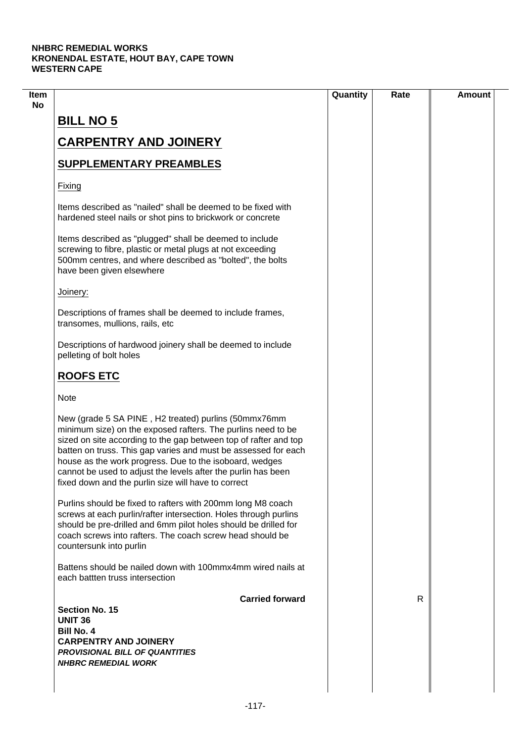|                                                                                                                                                                                                                                                                                                                                                                                                                                               | Quantity | Rate | <b>Amount</b> |
|-----------------------------------------------------------------------------------------------------------------------------------------------------------------------------------------------------------------------------------------------------------------------------------------------------------------------------------------------------------------------------------------------------------------------------------------------|----------|------|---------------|
| <b>BILL NO 5</b>                                                                                                                                                                                                                                                                                                                                                                                                                              |          |      |               |
| <b>CARPENTRY AND JOINERY</b>                                                                                                                                                                                                                                                                                                                                                                                                                  |          |      |               |
|                                                                                                                                                                                                                                                                                                                                                                                                                                               |          |      |               |
| <b>SUPPLEMENTARY PREAMBLES</b>                                                                                                                                                                                                                                                                                                                                                                                                                |          |      |               |
| Fixing                                                                                                                                                                                                                                                                                                                                                                                                                                        |          |      |               |
| Items described as "nailed" shall be deemed to be fixed with<br>hardened steel nails or shot pins to brickwork or concrete                                                                                                                                                                                                                                                                                                                    |          |      |               |
| Items described as "plugged" shall be deemed to include<br>screwing to fibre, plastic or metal plugs at not exceeding<br>500mm centres, and where described as "bolted", the bolts<br>have been given elsewhere                                                                                                                                                                                                                               |          |      |               |
| Joinery:                                                                                                                                                                                                                                                                                                                                                                                                                                      |          |      |               |
| Descriptions of frames shall be deemed to include frames,<br>transomes, mullions, rails, etc                                                                                                                                                                                                                                                                                                                                                  |          |      |               |
| Descriptions of hardwood joinery shall be deemed to include<br>pelleting of bolt holes                                                                                                                                                                                                                                                                                                                                                        |          |      |               |
| <b>ROOFS ETC</b>                                                                                                                                                                                                                                                                                                                                                                                                                              |          |      |               |
| <b>Note</b>                                                                                                                                                                                                                                                                                                                                                                                                                                   |          |      |               |
| New (grade 5 SA PINE, H2 treated) purlins (50mmx76mm<br>minimum size) on the exposed rafters. The purlins need to be<br>sized on site according to the gap between top of rafter and top<br>batten on truss. This gap varies and must be assessed for each<br>house as the work progress. Due to the isoboard, wedges<br>cannot be used to adjust the levels after the purlin has been<br>fixed down and the purlin size will have to correct |          |      |               |
| Purlins should be fixed to rafters with 200mm long M8 coach<br>screws at each purlin/rafter intersection. Holes through purlins<br>should be pre-drilled and 6mm pilot holes should be drilled for<br>coach screws into rafters. The coach screw head should be<br>countersunk into purlin                                                                                                                                                    |          |      |               |
| Battens should be nailed down with 100mmx4mm wired nails at<br>each battten truss intersection                                                                                                                                                                                                                                                                                                                                                |          |      |               |
| <b>Carried forward</b>                                                                                                                                                                                                                                                                                                                                                                                                                        |          | R    |               |
| Section No. 15<br><b>UNIT 36</b>                                                                                                                                                                                                                                                                                                                                                                                                              |          |      |               |
| <b>Bill No. 4</b>                                                                                                                                                                                                                                                                                                                                                                                                                             |          |      |               |
| <b>CARPENTRY AND JOINERY</b>                                                                                                                                                                                                                                                                                                                                                                                                                  |          |      |               |
| <b>PROVISIONAL BILL OF QUANTITIES</b>                                                                                                                                                                                                                                                                                                                                                                                                         |          |      |               |
| <b>NHBRC REMEDIAL WORK</b>                                                                                                                                                                                                                                                                                                                                                                                                                    |          |      |               |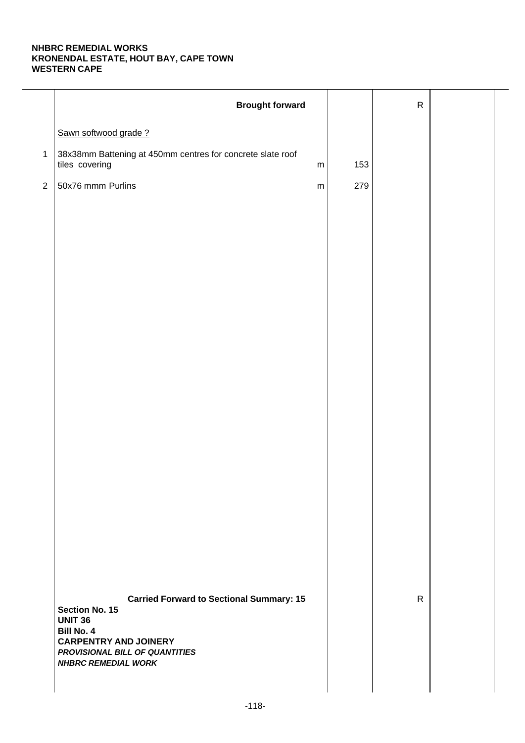|              | <b>Brought forward</b>                                                                       |           |     | ${\sf R}$    |  |
|--------------|----------------------------------------------------------------------------------------------|-----------|-----|--------------|--|
|              | Sawn softwood grade?                                                                         |           |     |              |  |
| $\mathbf{1}$ | 38x38mm Battening at 450mm centres for concrete slate roof<br>tiles covering                 | m         | 153 |              |  |
| $\sqrt{2}$   | 50x76 mmm Purlins                                                                            | ${\sf m}$ | 279 |              |  |
|              |                                                                                              |           |     |              |  |
|              |                                                                                              |           |     |              |  |
|              |                                                                                              |           |     |              |  |
|              |                                                                                              |           |     |              |  |
|              |                                                                                              |           |     |              |  |
|              |                                                                                              |           |     |              |  |
|              |                                                                                              |           |     |              |  |
|              |                                                                                              |           |     |              |  |
|              |                                                                                              |           |     |              |  |
|              |                                                                                              |           |     |              |  |
|              |                                                                                              |           |     |              |  |
|              |                                                                                              |           |     |              |  |
|              |                                                                                              |           |     |              |  |
|              |                                                                                              |           |     |              |  |
|              |                                                                                              |           |     |              |  |
|              |                                                                                              |           |     |              |  |
|              | <b>Carried Forward to Sectional Summary: 15</b><br>Section No. 15                            |           |     | $\mathsf{R}$ |  |
|              | <b>UNIT 36</b><br><b>Bill No. 4</b>                                                          |           |     |              |  |
|              | <b>CARPENTRY AND JOINERY</b><br>PROVISIONAL BILL OF QUANTITIES<br><b>NHBRC REMEDIAL WORK</b> |           |     |              |  |
|              |                                                                                              |           |     |              |  |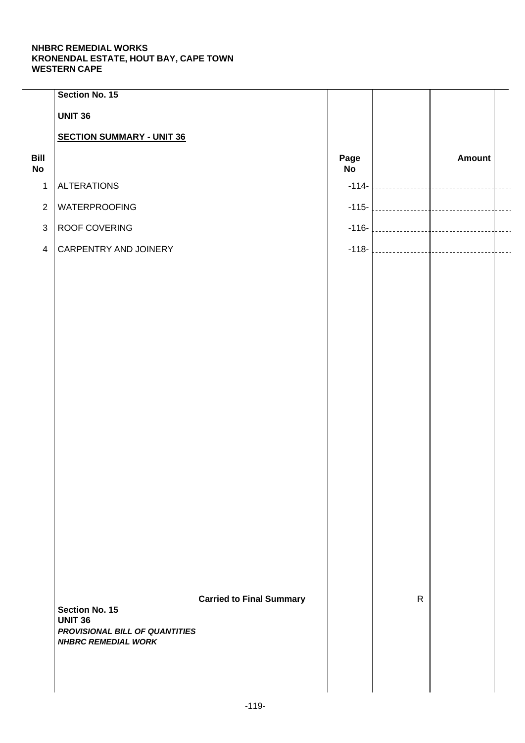|                   | Section No. 15                                   |                                 |                   |              |                   |  |
|-------------------|--------------------------------------------------|---------------------------------|-------------------|--------------|-------------------|--|
|                   | <b>UNIT 36</b>                                   |                                 |                   |              |                   |  |
|                   | <b>SECTION SUMMARY - UNIT 36</b>                 |                                 |                   |              |                   |  |
| Bill<br><b>No</b> |                                                  |                                 | Page<br><b>No</b> |              | Amount            |  |
| $\mathbf{1}$      | <b>ALTERATIONS</b>                               |                                 | $-114-$           |              |                   |  |
| $\overline{2}$    | WATERPROOFING                                    |                                 | $-115-$           |              |                   |  |
| $\mathbf{3}$      | ROOF COVERING                                    |                                 |                   |              | $-116$ - $\Big\}$ |  |
| $\overline{4}$    | CARPENTRY AND JOINERY                            |                                 |                   |              | $-118$ - $\Big\}$ |  |
|                   |                                                  |                                 |                   |              |                   |  |
|                   |                                                  |                                 |                   |              |                   |  |
|                   |                                                  |                                 |                   |              |                   |  |
|                   |                                                  |                                 |                   |              |                   |  |
|                   |                                                  |                                 |                   |              |                   |  |
|                   |                                                  |                                 |                   |              |                   |  |
|                   |                                                  |                                 |                   |              |                   |  |
|                   |                                                  |                                 |                   |              |                   |  |
|                   |                                                  |                                 |                   |              |                   |  |
|                   |                                                  |                                 |                   |              |                   |  |
|                   |                                                  |                                 |                   |              |                   |  |
|                   |                                                  |                                 |                   |              |                   |  |
|                   |                                                  |                                 |                   |              |                   |  |
|                   |                                                  |                                 |                   |              |                   |  |
|                   |                                                  |                                 |                   |              |                   |  |
|                   |                                                  |                                 |                   |              |                   |  |
|                   |                                                  |                                 |                   | $\mathsf{R}$ |                   |  |
|                   | <b>Section No. 15</b>                            | <b>Carried to Final Summary</b> |                   |              |                   |  |
|                   | <b>UNIT 36</b><br>PROVISIONAL BILL OF QUANTITIES |                                 |                   |              |                   |  |
|                   | <b>NHBRC REMEDIAL WORK</b>                       |                                 |                   |              |                   |  |
|                   |                                                  |                                 |                   |              |                   |  |
|                   |                                                  |                                 |                   |              |                   |  |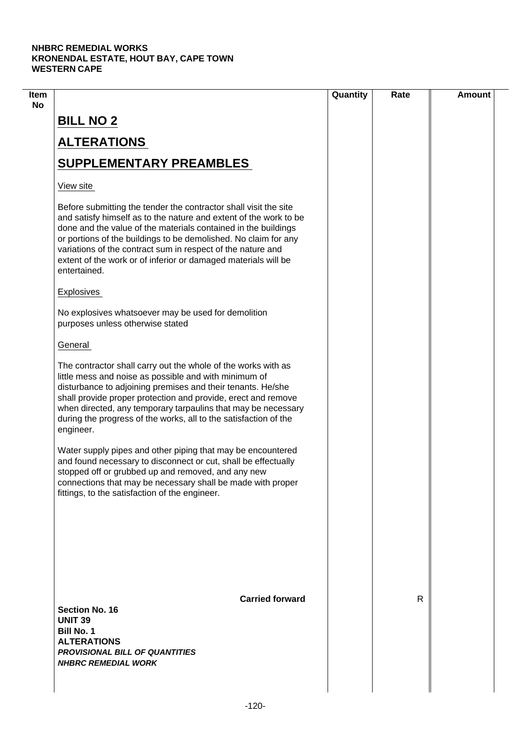| $\mathsf{R}$ |  |
|--------------|--|
|              |  |
|              |  |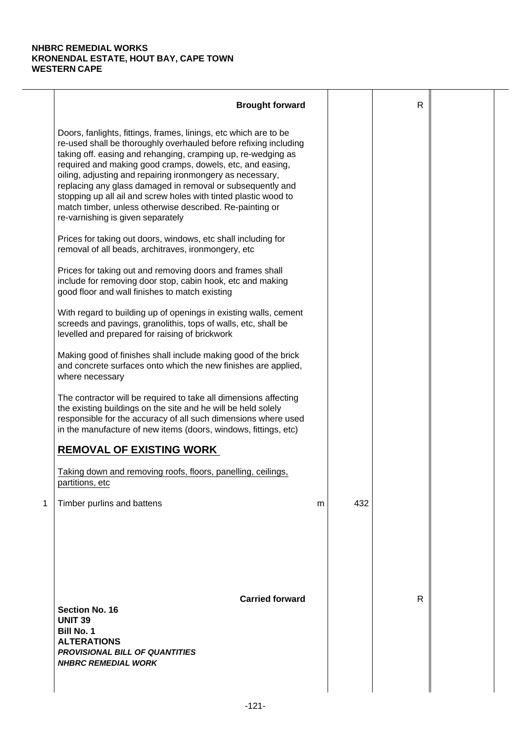|   | <b>Brought forward</b>                                                                                                                                                                                                                                                                                                                                                                                                                                                                                                                                           |   |     | $\mathsf{R}$ |  |
|---|------------------------------------------------------------------------------------------------------------------------------------------------------------------------------------------------------------------------------------------------------------------------------------------------------------------------------------------------------------------------------------------------------------------------------------------------------------------------------------------------------------------------------------------------------------------|---|-----|--------------|--|
|   | Doors, fanlights, fittings, frames, linings, etc which are to be<br>re-used shall be thoroughly overhauled before refixing including<br>taking off. easing and rehanging, cramping up, re-wedging as<br>required and making good cramps, dowels, etc, and easing,<br>oiling, adjusting and repairing ironmongery as necessary,<br>replacing any glass damaged in removal or subsequently and<br>stopping up all ail and screw holes with tinted plastic wood to<br>match timber, unless otherwise described. Re-painting or<br>re-varnishing is given separately |   |     |              |  |
|   | Prices for taking out doors, windows, etc shall including for<br>removal of all beads, architraves, ironmongery, etc                                                                                                                                                                                                                                                                                                                                                                                                                                             |   |     |              |  |
|   | Prices for taking out and removing doors and frames shall<br>include for removing door stop, cabin hook, etc and making<br>good floor and wall finishes to match existing                                                                                                                                                                                                                                                                                                                                                                                        |   |     |              |  |
|   | With regard to building up of openings in existing walls, cement<br>screeds and pavings, granolithis, tops of walls, etc, shall be<br>levelled and prepared for raising of brickwork                                                                                                                                                                                                                                                                                                                                                                             |   |     |              |  |
|   | Making good of finishes shall include making good of the brick<br>and concrete surfaces onto which the new finishes are applied,<br>where necessary                                                                                                                                                                                                                                                                                                                                                                                                              |   |     |              |  |
|   | The contractor will be required to take all dimensions affecting<br>the existing buildings on the site and he will be held solely<br>responsible for the accuracy of all such dimensions where used<br>in the manufacture of new items (doors, windows, fittings, etc)                                                                                                                                                                                                                                                                                           |   |     |              |  |
|   | <b>REMOVAL OF EXISTING WORK</b>                                                                                                                                                                                                                                                                                                                                                                                                                                                                                                                                  |   |     |              |  |
|   | Taking down and removing roofs, floors, panelling, ceilings,<br>partitions, etc                                                                                                                                                                                                                                                                                                                                                                                                                                                                                  |   |     |              |  |
| 1 | Timber purlins and battens                                                                                                                                                                                                                                                                                                                                                                                                                                                                                                                                       | m | 432 |              |  |
|   | <b>Carried forward</b><br><b>Section No. 16</b><br><b>UNIT 39</b><br><b>Bill No. 1</b><br><b>ALTERATIONS</b><br><b>PROVISIONAL BILL OF QUANTITIES</b><br><b>NHBRC REMEDIAL WORK</b>                                                                                                                                                                                                                                                                                                                                                                              |   |     | R            |  |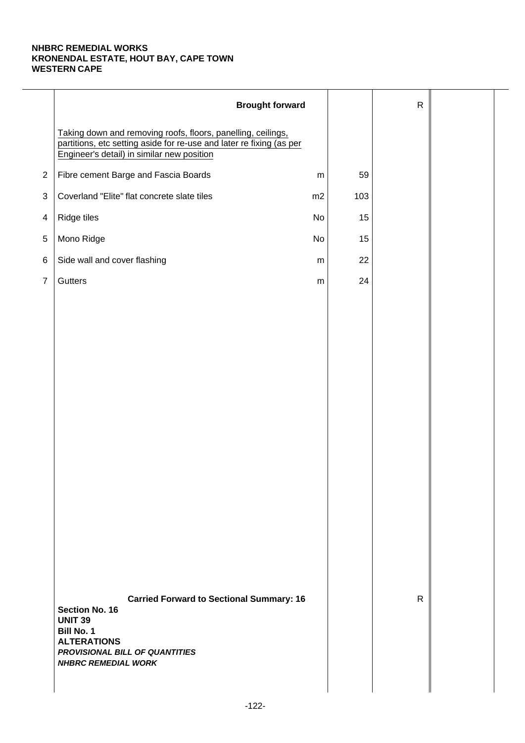|                | <b>Brought forward</b>                                                                                                                                                                                |           |     | $\mathsf{R}$ |  |
|----------------|-------------------------------------------------------------------------------------------------------------------------------------------------------------------------------------------------------|-----------|-----|--------------|--|
|                | Taking down and removing roofs, floors, panelling, ceilings,<br>partitions, etc setting aside for re-use and later re fixing (as per<br>Engineer's detail) in similar new position                    |           |     |              |  |
| $\overline{2}$ | Fibre cement Barge and Fascia Boards                                                                                                                                                                  | ${\sf m}$ | 59  |              |  |
| 3              | Coverland "Elite" flat concrete slate tiles                                                                                                                                                           | m2        | 103 |              |  |
| 4              | Ridge tiles                                                                                                                                                                                           | No        | 15  |              |  |
| $\,$ 5 $\,$    | Mono Ridge                                                                                                                                                                                            | No        | 15  |              |  |
| 6              | Side wall and cover flashing                                                                                                                                                                          | ${\sf m}$ | 22  |              |  |
| $\overline{7}$ | Gutters                                                                                                                                                                                               | ${\sf m}$ | 24  |              |  |
|                |                                                                                                                                                                                                       |           |     |              |  |
|                |                                                                                                                                                                                                       |           |     |              |  |
|                |                                                                                                                                                                                                       |           |     |              |  |
|                |                                                                                                                                                                                                       |           |     |              |  |
|                |                                                                                                                                                                                                       |           |     |              |  |
|                |                                                                                                                                                                                                       |           |     |              |  |
|                |                                                                                                                                                                                                       |           |     |              |  |
|                |                                                                                                                                                                                                       |           |     |              |  |
|                |                                                                                                                                                                                                       |           |     |              |  |
|                |                                                                                                                                                                                                       |           |     |              |  |
|                |                                                                                                                                                                                                       |           |     |              |  |
|                |                                                                                                                                                                                                       |           |     |              |  |
|                |                                                                                                                                                                                                       |           |     |              |  |
|                |                                                                                                                                                                                                       |           |     |              |  |
|                | <b>Carried Forward to Sectional Summary: 16</b><br><b>Section No. 16</b><br><b>UNIT 39</b><br><b>Bill No. 1</b><br><b>ALTERATIONS</b><br>PROVISIONAL BILL OF QUANTITIES<br><b>NHBRC REMEDIAL WORK</b> |           |     | $\mathsf{R}$ |  |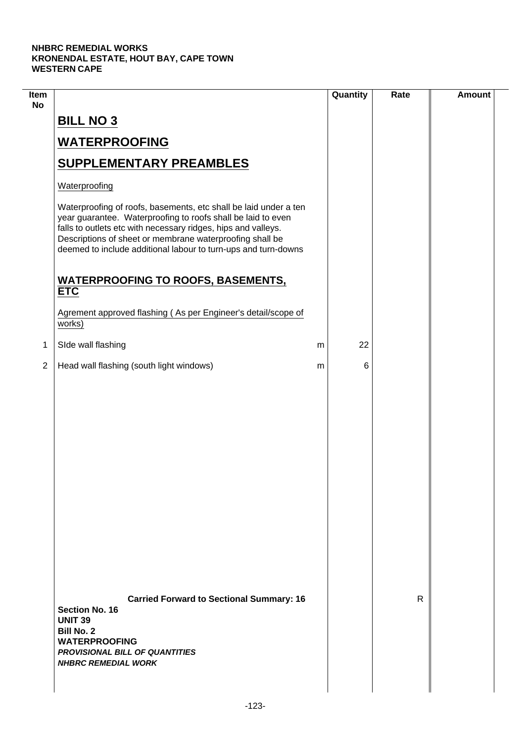$\mathcal{L}$ 

| Item<br><b>No</b> |                                                                                                                                                                                                                                                                                                                                 |   | Quantity | Rate | <b>Amount</b> |
|-------------------|---------------------------------------------------------------------------------------------------------------------------------------------------------------------------------------------------------------------------------------------------------------------------------------------------------------------------------|---|----------|------|---------------|
|                   | <b>BILL NO 3</b>                                                                                                                                                                                                                                                                                                                |   |          |      |               |
|                   | <b>WATERPROOFING</b>                                                                                                                                                                                                                                                                                                            |   |          |      |               |
|                   | <b>SUPPLEMENTARY PREAMBLES</b>                                                                                                                                                                                                                                                                                                  |   |          |      |               |
|                   | Waterproofing                                                                                                                                                                                                                                                                                                                   |   |          |      |               |
|                   | Waterproofing of roofs, basements, etc shall be laid under a ten<br>year guarantee. Waterproofing to roofs shall be laid to even<br>falls to outlets etc with necessary ridges, hips and valleys.<br>Descriptions of sheet or membrane waterproofing shall be<br>deemed to include additional labour to turn-ups and turn-downs |   |          |      |               |
|                   | <b>WATERPROOFING TO ROOFS, BASEMENTS,</b><br><b>ETC</b>                                                                                                                                                                                                                                                                         |   |          |      |               |
|                   | Agrement approved flashing (As per Engineer's detail/scope of<br>works)                                                                                                                                                                                                                                                         |   |          |      |               |
| 1                 | SIde wall flashing                                                                                                                                                                                                                                                                                                              | m | 22       |      |               |
| $\overline{2}$    | Head wall flashing (south light windows)                                                                                                                                                                                                                                                                                        | m | 6        |      |               |
|                   |                                                                                                                                                                                                                                                                                                                                 |   |          |      |               |
|                   | <b>Carried Forward to Sectional Summary: 16</b><br><b>Section No. 16</b><br><b>UNIT 39</b><br><b>Bill No. 2</b><br><b>WATERPROOFING</b><br><b>PROVISIONAL BILL OF QUANTITIES</b><br><b>NHBRC REMEDIAL WORK</b>                                                                                                                  |   |          | R    |               |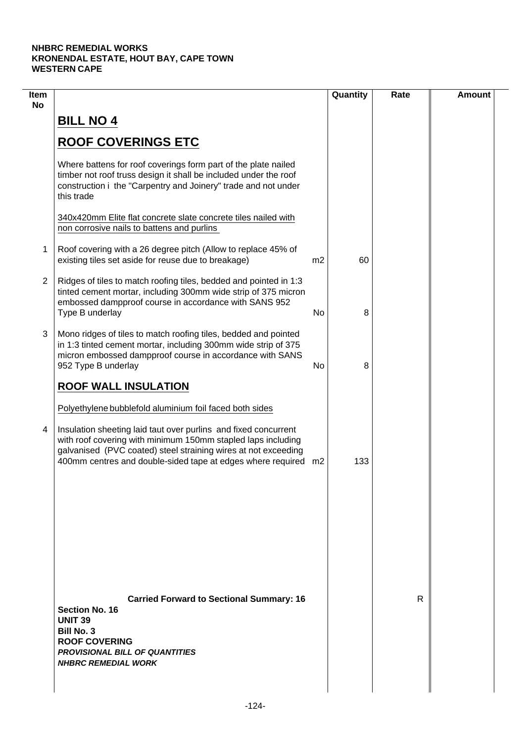| Item<br><b>No</b> |                                                                                                                                                                                                                                                                                                                                |                | Quantity | Rate | <b>Amount</b> |
|-------------------|--------------------------------------------------------------------------------------------------------------------------------------------------------------------------------------------------------------------------------------------------------------------------------------------------------------------------------|----------------|----------|------|---------------|
|                   | <b>BILL NO 4</b>                                                                                                                                                                                                                                                                                                               |                |          |      |               |
|                   | <b>ROOF COVERINGS ETC</b>                                                                                                                                                                                                                                                                                                      |                |          |      |               |
|                   | Where battens for roof coverings form part of the plate nailed<br>timber not roof truss design it shall be included under the roof<br>construction i the "Carpentry and Joinery" trade and not under<br>this trade                                                                                                             |                |          |      |               |
|                   | 340x420mm Elite flat concrete slate concrete tiles nailed with<br>non corrosive nails to battens and purlins                                                                                                                                                                                                                   |                |          |      |               |
| 1                 | Roof covering with a 26 degree pitch (Allow to replace 45% of<br>existing tiles set aside for reuse due to breakage)                                                                                                                                                                                                           | m <sub>2</sub> | 60       |      |               |
| $\overline{2}$    | Ridges of tiles to match roofing tiles, bedded and pointed in 1:3<br>tinted cement mortar, including 300mm wide strip of 375 micron<br>embossed dampproof course in accordance with SANS 952<br>Type B underlay                                                                                                                | No             | 8        |      |               |
| 3                 | Mono ridges of tiles to match roofing tiles, bedded and pointed<br>in 1:3 tinted cement mortar, including 300mm wide strip of 375<br>micron embossed dampproof course in accordance with SANS<br>952 Type B underlay                                                                                                           | No             | 8        |      |               |
|                   | <b>ROOF WALL INSULATION</b>                                                                                                                                                                                                                                                                                                    |                |          |      |               |
| 4                 | Polyethylene bubblefold aluminium foil faced both sides<br>Insulation sheeting laid taut over purlins and fixed concurrent<br>with roof covering with minimum 150mm stapled laps including<br>galvanised (PVC coated) steel straining wires at not exceeding<br>400mm centres and double-sided tape at edges where required m2 |                | 133      |      |               |
|                   |                                                                                                                                                                                                                                                                                                                                |                |          |      |               |
|                   | <b>Carried Forward to Sectional Summary: 16</b><br><b>Section No. 16</b>                                                                                                                                                                                                                                                       |                |          | R    |               |
|                   | <b>UNIT 39</b><br><b>Bill No. 3</b><br><b>ROOF COVERING</b><br><b>PROVISIONAL BILL OF QUANTITIES</b><br><b>NHBRC REMEDIAL WORK</b>                                                                                                                                                                                             |                |          |      |               |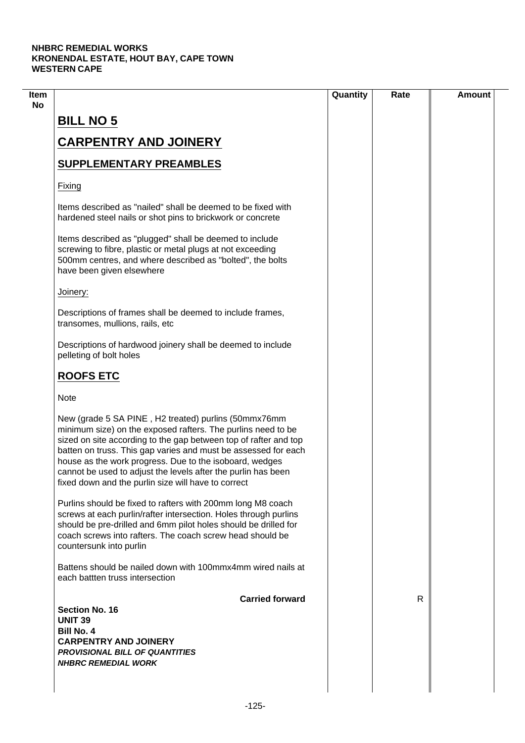$\overline{\phantom{a}}$ 

|                                                                                                                                                                                                                                                                                                                                                                                                                                               | Quantity | Rate | <b>Amount</b> |
|-----------------------------------------------------------------------------------------------------------------------------------------------------------------------------------------------------------------------------------------------------------------------------------------------------------------------------------------------------------------------------------------------------------------------------------------------|----------|------|---------------|
|                                                                                                                                                                                                                                                                                                                                                                                                                                               |          |      |               |
| <b>BILL NO 5</b>                                                                                                                                                                                                                                                                                                                                                                                                                              |          |      |               |
| <b>CARPENTRY AND JOINERY</b>                                                                                                                                                                                                                                                                                                                                                                                                                  |          |      |               |
| <b>SUPPLEMENTARY PREAMBLES</b>                                                                                                                                                                                                                                                                                                                                                                                                                |          |      |               |
| Fixing                                                                                                                                                                                                                                                                                                                                                                                                                                        |          |      |               |
| Items described as "nailed" shall be deemed to be fixed with<br>hardened steel nails or shot pins to brickwork or concrete                                                                                                                                                                                                                                                                                                                    |          |      |               |
| Items described as "plugged" shall be deemed to include<br>screwing to fibre, plastic or metal plugs at not exceeding<br>500mm centres, and where described as "bolted", the bolts<br>have been given elsewhere                                                                                                                                                                                                                               |          |      |               |
| Joinery:                                                                                                                                                                                                                                                                                                                                                                                                                                      |          |      |               |
| Descriptions of frames shall be deemed to include frames,<br>transomes, mullions, rails, etc                                                                                                                                                                                                                                                                                                                                                  |          |      |               |
| Descriptions of hardwood joinery shall be deemed to include<br>pelleting of bolt holes                                                                                                                                                                                                                                                                                                                                                        |          |      |               |
| <b>ROOFS ETC</b>                                                                                                                                                                                                                                                                                                                                                                                                                              |          |      |               |
| <b>Note</b>                                                                                                                                                                                                                                                                                                                                                                                                                                   |          |      |               |
| New (grade 5 SA PINE, H2 treated) purlins (50mmx76mm<br>minimum size) on the exposed rafters. The purlins need to be<br>sized on site according to the gap between top of rafter and top<br>batten on truss. This gap varies and must be assessed for each<br>house as the work progress. Due to the isoboard, wedges<br>cannot be used to adjust the levels after the purlin has been<br>fixed down and the purlin size will have to correct |          |      |               |
| Purlins should be fixed to rafters with 200mm long M8 coach<br>screws at each purlin/rafter intersection. Holes through purlins<br>should be pre-drilled and 6mm pilot holes should be drilled for<br>coach screws into rafters. The coach screw head should be<br>countersunk into purlin                                                                                                                                                    |          |      |               |
| Battens should be nailed down with 100mmx4mm wired nails at<br>each battten truss intersection                                                                                                                                                                                                                                                                                                                                                |          |      |               |
| <b>Carried forward</b>                                                                                                                                                                                                                                                                                                                                                                                                                        |          | R    |               |
| Section No. 16<br><b>UNIT 39</b>                                                                                                                                                                                                                                                                                                                                                                                                              |          |      |               |
| <b>Bill No. 4</b>                                                                                                                                                                                                                                                                                                                                                                                                                             |          |      |               |
| <b>CARPENTRY AND JOINERY</b>                                                                                                                                                                                                                                                                                                                                                                                                                  |          |      |               |
| <b>PROVISIONAL BILL OF QUANTITIES</b><br><b>NHBRC REMEDIAL WORK</b>                                                                                                                                                                                                                                                                                                                                                                           |          |      |               |
|                                                                                                                                                                                                                                                                                                                                                                                                                                               |          |      |               |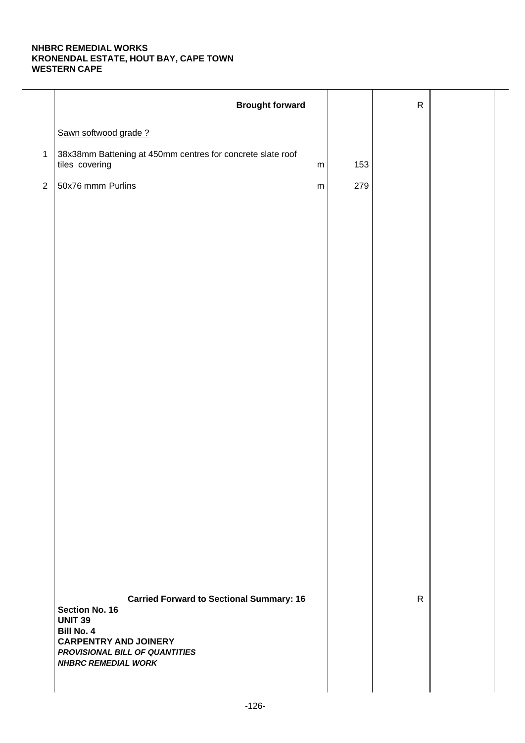|              | <b>Brought forward</b>                                                                     |     | ${\sf R}$    |  |
|--------------|--------------------------------------------------------------------------------------------|-----|--------------|--|
|              | Sawn softwood grade?                                                                       |     |              |  |
| $\mathbf{1}$ | 38x38mm Battening at 450mm centres for concrete slate roof<br>tiles covering<br>${\sf m}$  | 153 |              |  |
| $\sqrt{2}$   | 50x76 mmm Purlins<br>${\sf m}$                                                             | 279 |              |  |
|              |                                                                                            |     |              |  |
|              |                                                                                            |     |              |  |
|              |                                                                                            |     |              |  |
|              |                                                                                            |     |              |  |
|              |                                                                                            |     |              |  |
|              |                                                                                            |     |              |  |
|              |                                                                                            |     |              |  |
|              |                                                                                            |     |              |  |
|              |                                                                                            |     |              |  |
|              |                                                                                            |     |              |  |
|              |                                                                                            |     |              |  |
|              |                                                                                            |     |              |  |
|              |                                                                                            |     |              |  |
|              |                                                                                            |     |              |  |
|              |                                                                                            |     |              |  |
|              |                                                                                            |     |              |  |
|              | <b>Carried Forward to Sectional Summary: 16</b><br><b>Section No. 16</b><br><b>UNIT 39</b> |     | $\mathsf{R}$ |  |
|              | Bill No. 4<br><b>CARPENTRY AND JOINERY</b>                                                 |     |              |  |
|              | PROVISIONAL BILL OF QUANTITIES<br><b>NHBRC REMEDIAL WORK</b>                               |     |              |  |
|              |                                                                                            |     |              |  |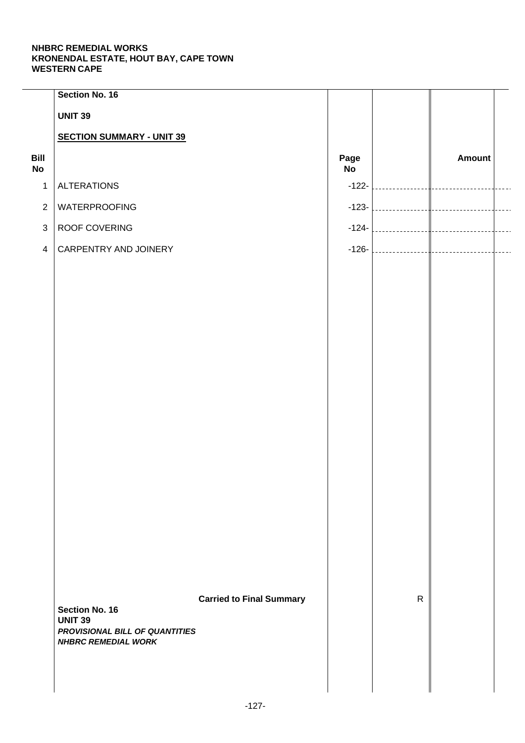|                   | Section No. 16                                   |                                 |            |                                   |                |                |
|-------------------|--------------------------------------------------|---------------------------------|------------|-----------------------------------|----------------|----------------|
|                   | <b>UNIT 39</b>                                   |                                 |            |                                   |                |                |
|                   | <b>SECTION SUMMARY - UNIT 39</b>                 |                                 |            |                                   |                |                |
| Bill<br><b>No</b> |                                                  |                                 | Page<br>No |                                   | Amount         |                |
| $\mathbf{1}$      | <b>ALTERATIONS</b>                               |                                 | $-122-$    | and the state of the state of the | $\mathbb{R}^n$ |                |
| $\overline{2}$    | WATERPROOFING                                    |                                 | $-123-$    |                                   |                | $\overline{a}$ |
| $\mathbf{3}$      | ROOF COVERING                                    |                                 | $-124-$    |                                   |                | $\overline{a}$ |
| $\overline{4}$    | CARPENTRY AND JOINERY                            |                                 | $-126-$    |                                   |                | $\overline{a}$ |
|                   |                                                  |                                 |            |                                   |                |                |
|                   |                                                  |                                 |            |                                   |                |                |
|                   |                                                  |                                 |            |                                   |                |                |
|                   |                                                  |                                 |            |                                   |                |                |
|                   |                                                  |                                 |            |                                   |                |                |
|                   |                                                  |                                 |            |                                   |                |                |
|                   |                                                  |                                 |            |                                   |                |                |
|                   |                                                  |                                 |            |                                   |                |                |
|                   |                                                  |                                 |            |                                   |                |                |
|                   |                                                  |                                 |            |                                   |                |                |
|                   |                                                  |                                 |            |                                   |                |                |
|                   |                                                  |                                 |            |                                   |                |                |
|                   |                                                  |                                 |            |                                   |                |                |
|                   |                                                  |                                 |            |                                   |                |                |
|                   |                                                  |                                 |            |                                   |                |                |
|                   |                                                  |                                 |            |                                   |                |                |
|                   |                                                  |                                 |            | $\mathsf{R}$                      |                |                |
|                   | <b>Section No. 16</b>                            | <b>Carried to Final Summary</b> |            |                                   |                |                |
|                   | <b>UNIT 39</b><br>PROVISIONAL BILL OF QUANTITIES |                                 |            |                                   |                |                |
|                   | <b>NHBRC REMEDIAL WORK</b>                       |                                 |            |                                   |                |                |
|                   |                                                  |                                 |            |                                   |                |                |
|                   |                                                  |                                 |            |                                   |                |                |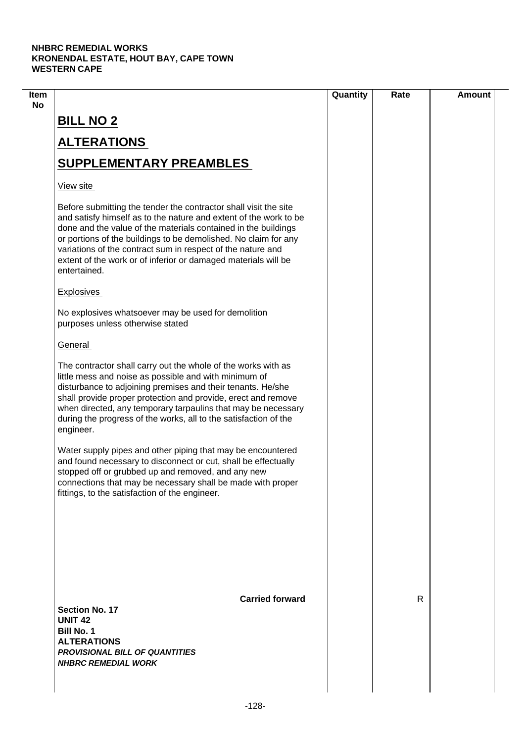| Item |                                                                                                                                                                                                                                                                                                                                                                                                                             | Quantity | Rate | <b>Amount</b> |
|------|-----------------------------------------------------------------------------------------------------------------------------------------------------------------------------------------------------------------------------------------------------------------------------------------------------------------------------------------------------------------------------------------------------------------------------|----------|------|---------------|
| No   | <b>BILL NO 2</b>                                                                                                                                                                                                                                                                                                                                                                                                            |          |      |               |
|      | <b>ALTERATIONS</b>                                                                                                                                                                                                                                                                                                                                                                                                          |          |      |               |
|      | <b>SUPPLEMENTARY PREAMBLES</b>                                                                                                                                                                                                                                                                                                                                                                                              |          |      |               |
|      | View site                                                                                                                                                                                                                                                                                                                                                                                                                   |          |      |               |
|      | Before submitting the tender the contractor shall visit the site<br>and satisfy himself as to the nature and extent of the work to be<br>done and the value of the materials contained in the buildings<br>or portions of the buildings to be demolished. No claim for any<br>variations of the contract sum in respect of the nature and<br>extent of the work or of inferior or damaged materials will be<br>entertained. |          |      |               |
|      | <b>Explosives</b>                                                                                                                                                                                                                                                                                                                                                                                                           |          |      |               |
|      | No explosives whatsoever may be used for demolition<br>purposes unless otherwise stated                                                                                                                                                                                                                                                                                                                                     |          |      |               |
|      | General                                                                                                                                                                                                                                                                                                                                                                                                                     |          |      |               |
|      | The contractor shall carry out the whole of the works with as<br>little mess and noise as possible and with minimum of<br>disturbance to adjoining premises and their tenants. He/she<br>shall provide proper protection and provide, erect and remove<br>when directed, any temporary tarpaulins that may be necessary<br>during the progress of the works, all to the satisfaction of the<br>engineer.                    |          |      |               |
|      | Water supply pipes and other piping that may be encountered<br>and found necessary to disconnect or cut, shall be effectually<br>stopped off or grubbed up and removed, and any new<br>connections that may be necessary shall be made with proper<br>fittings, to the satisfaction of the engineer.                                                                                                                        |          |      |               |
|      |                                                                                                                                                                                                                                                                                                                                                                                                                             |          |      |               |
|      | <b>Carried forward</b><br>Section No. 17<br><b>UNIT 42</b><br><b>Bill No. 1</b><br><b>ALTERATIONS</b><br><b>PROVISIONAL BILL OF QUANTITIES</b><br><b>NHBRC REMEDIAL WORK</b>                                                                                                                                                                                                                                                |          | R    |               |
|      |                                                                                                                                                                                                                                                                                                                                                                                                                             |          |      |               |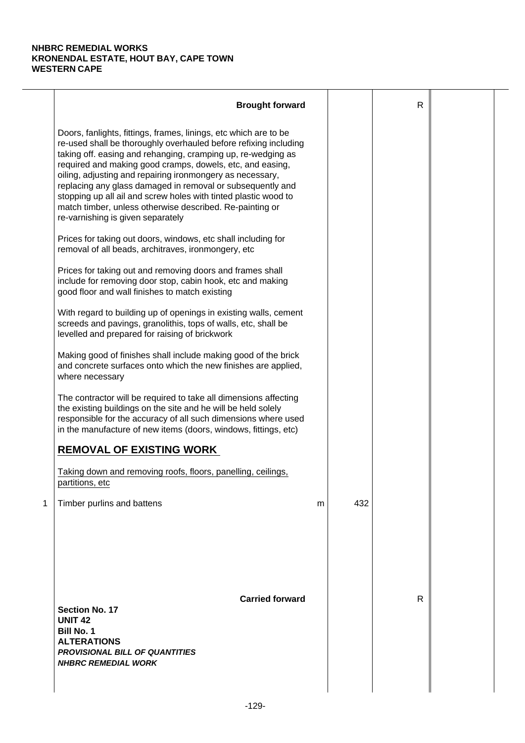|   | <b>Brought forward</b>                                                                                                                                                                                                                                                                                                                                                                                                                                                                                                                                           |   |     | $\mathsf{R}$ |  |
|---|------------------------------------------------------------------------------------------------------------------------------------------------------------------------------------------------------------------------------------------------------------------------------------------------------------------------------------------------------------------------------------------------------------------------------------------------------------------------------------------------------------------------------------------------------------------|---|-----|--------------|--|
|   | Doors, fanlights, fittings, frames, linings, etc which are to be<br>re-used shall be thoroughly overhauled before refixing including<br>taking off. easing and rehanging, cramping up, re-wedging as<br>required and making good cramps, dowels, etc, and easing,<br>oiling, adjusting and repairing ironmongery as necessary,<br>replacing any glass damaged in removal or subsequently and<br>stopping up all ail and screw holes with tinted plastic wood to<br>match timber, unless otherwise described. Re-painting or<br>re-varnishing is given separately |   |     |              |  |
|   | Prices for taking out doors, windows, etc shall including for<br>removal of all beads, architraves, ironmongery, etc                                                                                                                                                                                                                                                                                                                                                                                                                                             |   |     |              |  |
|   | Prices for taking out and removing doors and frames shall<br>include for removing door stop, cabin hook, etc and making<br>good floor and wall finishes to match existing                                                                                                                                                                                                                                                                                                                                                                                        |   |     |              |  |
|   | With regard to building up of openings in existing walls, cement<br>screeds and pavings, granolithis, tops of walls, etc, shall be<br>levelled and prepared for raising of brickwork                                                                                                                                                                                                                                                                                                                                                                             |   |     |              |  |
|   | Making good of finishes shall include making good of the brick<br>and concrete surfaces onto which the new finishes are applied,<br>where necessary                                                                                                                                                                                                                                                                                                                                                                                                              |   |     |              |  |
|   | The contractor will be required to take all dimensions affecting<br>the existing buildings on the site and he will be held solely<br>responsible for the accuracy of all such dimensions where used<br>in the manufacture of new items (doors, windows, fittings, etc)                                                                                                                                                                                                                                                                                           |   |     |              |  |
|   | <b>REMOVAL OF EXISTING WORK</b>                                                                                                                                                                                                                                                                                                                                                                                                                                                                                                                                  |   |     |              |  |
|   | Taking down and removing roofs, floors, panelling, ceilings,<br>partitions, etc                                                                                                                                                                                                                                                                                                                                                                                                                                                                                  |   |     |              |  |
| 1 | Timber purlins and battens                                                                                                                                                                                                                                                                                                                                                                                                                                                                                                                                       | m | 432 |              |  |
|   | <b>Carried forward</b><br><b>Section No. 17</b><br><b>UNIT 42</b><br><b>Bill No. 1</b><br><b>ALTERATIONS</b><br><b>PROVISIONAL BILL OF QUANTITIES</b><br><b>NHBRC REMEDIAL WORK</b>                                                                                                                                                                                                                                                                                                                                                                              |   |     | R            |  |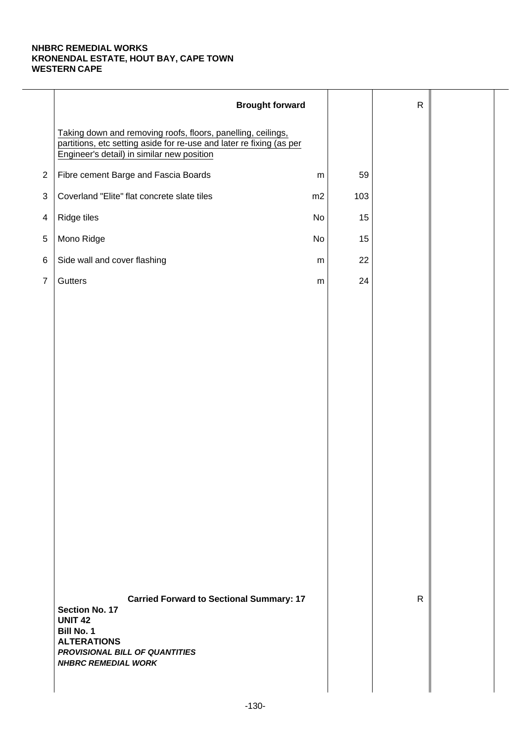|                | <b>Brought forward</b>                                                                                                                                                                                |           |     | $\mathsf{R}$ |  |
|----------------|-------------------------------------------------------------------------------------------------------------------------------------------------------------------------------------------------------|-----------|-----|--------------|--|
|                | Taking down and removing roofs, floors, panelling, ceilings,<br>partitions, etc setting aside for re-use and later re fixing (as per<br>Engineer's detail) in similar new position                    |           |     |              |  |
| $\overline{2}$ | Fibre cement Barge and Fascia Boards                                                                                                                                                                  | ${\sf m}$ | 59  |              |  |
| 3              | Coverland "Elite" flat concrete slate tiles                                                                                                                                                           | m2        | 103 |              |  |
| 4              | Ridge tiles                                                                                                                                                                                           | No        | 15  |              |  |
| $\,$ 5 $\,$    | Mono Ridge                                                                                                                                                                                            | No        | 15  |              |  |
| 6              | Side wall and cover flashing                                                                                                                                                                          | ${\sf m}$ | 22  |              |  |
| $\overline{7}$ | Gutters                                                                                                                                                                                               | ${\sf m}$ | 24  |              |  |
|                |                                                                                                                                                                                                       |           |     |              |  |
|                |                                                                                                                                                                                                       |           |     |              |  |
|                |                                                                                                                                                                                                       |           |     |              |  |
|                |                                                                                                                                                                                                       |           |     |              |  |
|                |                                                                                                                                                                                                       |           |     |              |  |
|                |                                                                                                                                                                                                       |           |     |              |  |
|                |                                                                                                                                                                                                       |           |     |              |  |
|                |                                                                                                                                                                                                       |           |     |              |  |
|                |                                                                                                                                                                                                       |           |     |              |  |
|                |                                                                                                                                                                                                       |           |     |              |  |
|                |                                                                                                                                                                                                       |           |     |              |  |
|                |                                                                                                                                                                                                       |           |     |              |  |
|                |                                                                                                                                                                                                       |           |     |              |  |
|                |                                                                                                                                                                                                       |           |     |              |  |
|                | <b>Carried Forward to Sectional Summary: 17</b><br><b>Section No. 17</b><br><b>UNIT 42</b><br><b>Bill No. 1</b><br><b>ALTERATIONS</b><br>PROVISIONAL BILL OF QUANTITIES<br><b>NHBRC REMEDIAL WORK</b> |           |     | $\mathsf{R}$ |  |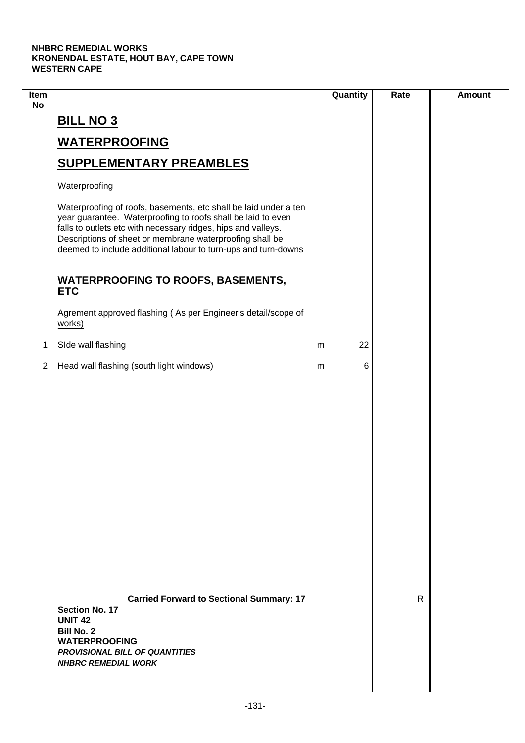$\overline{\phantom{a}}$ 

| Item<br><b>No</b> |                                                                                                                                                                                                                                                                                                                                 |   | Quantity | Rate | <b>Amount</b> |
|-------------------|---------------------------------------------------------------------------------------------------------------------------------------------------------------------------------------------------------------------------------------------------------------------------------------------------------------------------------|---|----------|------|---------------|
|                   | <b>BILL NO 3</b>                                                                                                                                                                                                                                                                                                                |   |          |      |               |
|                   | <b>WATERPROOFING</b>                                                                                                                                                                                                                                                                                                            |   |          |      |               |
|                   | <b>SUPPLEMENTARY PREAMBLES</b>                                                                                                                                                                                                                                                                                                  |   |          |      |               |
|                   | Waterproofing                                                                                                                                                                                                                                                                                                                   |   |          |      |               |
|                   | Waterproofing of roofs, basements, etc shall be laid under a ten<br>year guarantee. Waterproofing to roofs shall be laid to even<br>falls to outlets etc with necessary ridges, hips and valleys.<br>Descriptions of sheet or membrane waterproofing shall be<br>deemed to include additional labour to turn-ups and turn-downs |   |          |      |               |
|                   | <b>WATERPROOFING TO ROOFS, BASEMENTS,</b><br><b>ETC</b>                                                                                                                                                                                                                                                                         |   |          |      |               |
|                   | Agrement approved flashing (As per Engineer's detail/scope of<br>works)                                                                                                                                                                                                                                                         |   |          |      |               |
| 1                 | SIde wall flashing                                                                                                                                                                                                                                                                                                              | m | 22       |      |               |
| $\overline{2}$    | Head wall flashing (south light windows)                                                                                                                                                                                                                                                                                        | m | 6        |      |               |
|                   |                                                                                                                                                                                                                                                                                                                                 |   |          |      |               |
|                   | <b>Carried Forward to Sectional Summary: 17</b><br>Section No. 17<br><b>UNIT 42</b><br><b>Bill No. 2</b><br><b>WATERPROOFING</b><br><b>PROVISIONAL BILL OF QUANTITIES</b><br><b>NHBRC REMEDIAL WORK</b>                                                                                                                         |   |          | R.   |               |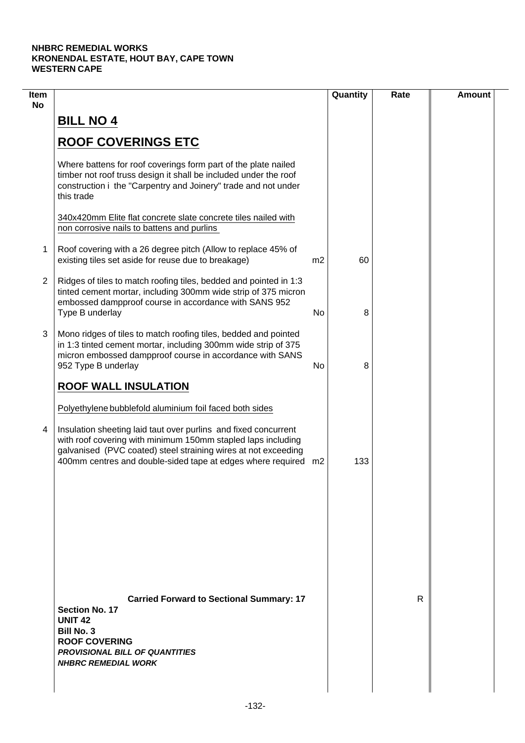| Item<br><b>No</b> |                                                                                                                                                                                                                                                                                                                                |                | Quantity | Rate | <b>Amount</b> |
|-------------------|--------------------------------------------------------------------------------------------------------------------------------------------------------------------------------------------------------------------------------------------------------------------------------------------------------------------------------|----------------|----------|------|---------------|
|                   | <b>BILL NO 4</b>                                                                                                                                                                                                                                                                                                               |                |          |      |               |
|                   | <b>ROOF COVERINGS ETC</b>                                                                                                                                                                                                                                                                                                      |                |          |      |               |
|                   | Where battens for roof coverings form part of the plate nailed<br>timber not roof truss design it shall be included under the roof<br>construction i the "Carpentry and Joinery" trade and not under<br>this trade                                                                                                             |                |          |      |               |
|                   | 340x420mm Elite flat concrete slate concrete tiles nailed with<br>non corrosive nails to battens and purlins                                                                                                                                                                                                                   |                |          |      |               |
| 1                 | Roof covering with a 26 degree pitch (Allow to replace 45% of<br>existing tiles set aside for reuse due to breakage)                                                                                                                                                                                                           | m <sub>2</sub> | 60       |      |               |
| $\overline{2}$    | Ridges of tiles to match roofing tiles, bedded and pointed in 1:3<br>tinted cement mortar, including 300mm wide strip of 375 micron<br>embossed dampproof course in accordance with SANS 952<br>Type B underlay                                                                                                                | No             | 8        |      |               |
| 3                 | Mono ridges of tiles to match roofing tiles, bedded and pointed<br>in 1:3 tinted cement mortar, including 300mm wide strip of 375<br>micron embossed dampproof course in accordance with SANS<br>952 Type B underlay                                                                                                           | No             | 8        |      |               |
|                   | <b>ROOF WALL INSULATION</b>                                                                                                                                                                                                                                                                                                    |                |          |      |               |
| 4                 | Polyethylene bubblefold aluminium foil faced both sides<br>Insulation sheeting laid taut over purlins and fixed concurrent<br>with roof covering with minimum 150mm stapled laps including<br>galvanised (PVC coated) steel straining wires at not exceeding<br>400mm centres and double-sided tape at edges where required m2 |                | 133      |      |               |
|                   |                                                                                                                                                                                                                                                                                                                                |                |          |      |               |
|                   |                                                                                                                                                                                                                                                                                                                                |                |          |      |               |
|                   | <b>Carried Forward to Sectional Summary: 17</b><br><b>Section No. 17</b><br><b>UNIT 42</b><br><b>Bill No. 3</b><br><b>ROOF COVERING</b><br><b>PROVISIONAL BILL OF QUANTITIES</b><br><b>NHBRC REMEDIAL WORK</b>                                                                                                                 |                |          | R    |               |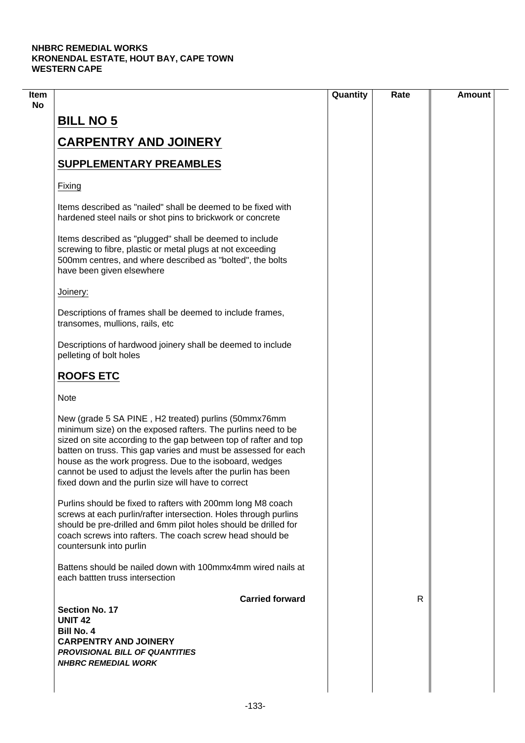|                                                                                                                                                                                                                                                                                                                                                                                                                                               | Quantity | Rate | <b>Amount</b> |
|-----------------------------------------------------------------------------------------------------------------------------------------------------------------------------------------------------------------------------------------------------------------------------------------------------------------------------------------------------------------------------------------------------------------------------------------------|----------|------|---------------|
| <b>BILL NO 5</b>                                                                                                                                                                                                                                                                                                                                                                                                                              |          |      |               |
|                                                                                                                                                                                                                                                                                                                                                                                                                                               |          |      |               |
| <b>CARPENTRY AND JOINERY</b>                                                                                                                                                                                                                                                                                                                                                                                                                  |          |      |               |
| <b>SUPPLEMENTARY PREAMBLES</b>                                                                                                                                                                                                                                                                                                                                                                                                                |          |      |               |
| Fixing                                                                                                                                                                                                                                                                                                                                                                                                                                        |          |      |               |
| Items described as "nailed" shall be deemed to be fixed with<br>hardened steel nails or shot pins to brickwork or concrete                                                                                                                                                                                                                                                                                                                    |          |      |               |
| Items described as "plugged" shall be deemed to include<br>screwing to fibre, plastic or metal plugs at not exceeding<br>500mm centres, and where described as "bolted", the bolts<br>have been given elsewhere                                                                                                                                                                                                                               |          |      |               |
| Joinery:                                                                                                                                                                                                                                                                                                                                                                                                                                      |          |      |               |
| Descriptions of frames shall be deemed to include frames,<br>transomes, mullions, rails, etc                                                                                                                                                                                                                                                                                                                                                  |          |      |               |
| Descriptions of hardwood joinery shall be deemed to include<br>pelleting of bolt holes                                                                                                                                                                                                                                                                                                                                                        |          |      |               |
| <b>ROOFS ETC</b>                                                                                                                                                                                                                                                                                                                                                                                                                              |          |      |               |
| <b>Note</b>                                                                                                                                                                                                                                                                                                                                                                                                                                   |          |      |               |
| New (grade 5 SA PINE, H2 treated) purlins (50mmx76mm<br>minimum size) on the exposed rafters. The purlins need to be<br>sized on site according to the gap between top of rafter and top<br>batten on truss. This gap varies and must be assessed for each<br>house as the work progress. Due to the isoboard, wedges<br>cannot be used to adjust the levels after the purlin has been<br>fixed down and the purlin size will have to correct |          |      |               |
| Purlins should be fixed to rafters with 200mm long M8 coach<br>screws at each purlin/rafter intersection. Holes through purlins<br>should be pre-drilled and 6mm pilot holes should be drilled for<br>coach screws into rafters. The coach screw head should be<br>countersunk into purlin                                                                                                                                                    |          |      |               |
| Battens should be nailed down with 100mmx4mm wired nails at<br>each battten truss intersection                                                                                                                                                                                                                                                                                                                                                |          |      |               |
| <b>Carried forward</b>                                                                                                                                                                                                                                                                                                                                                                                                                        |          | R.   |               |
| <b>Section No. 17</b><br><b>UNIT 42</b>                                                                                                                                                                                                                                                                                                                                                                                                       |          |      |               |
| <b>Bill No. 4</b>                                                                                                                                                                                                                                                                                                                                                                                                                             |          |      |               |
| <b>CARPENTRY AND JOINERY</b>                                                                                                                                                                                                                                                                                                                                                                                                                  |          |      |               |
| <b>PROVISIONAL BILL OF QUANTITIES</b><br><b>NHBRC REMEDIAL WORK</b>                                                                                                                                                                                                                                                                                                                                                                           |          |      |               |
|                                                                                                                                                                                                                                                                                                                                                                                                                                               |          |      |               |
|                                                                                                                                                                                                                                                                                                                                                                                                                                               |          |      |               |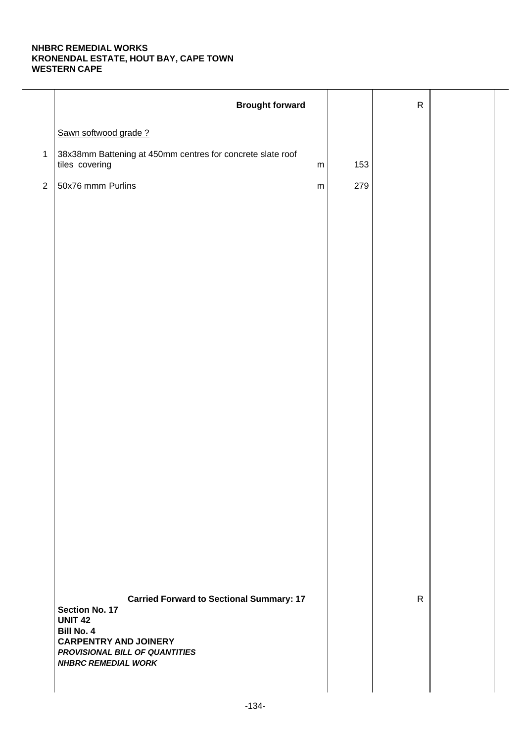|                | <b>Brought forward</b>                                                                                                                                                                                          |     | ${\sf R}$    |  |
|----------------|-----------------------------------------------------------------------------------------------------------------------------------------------------------------------------------------------------------------|-----|--------------|--|
|                | Sawn softwood grade?                                                                                                                                                                                            |     |              |  |
| $\mathbf{1}$   | 38x38mm Battening at 450mm centres for concrete slate roof<br>tiles covering<br>${\sf m}$                                                                                                                       | 153 |              |  |
| $\overline{2}$ | 50x76 mmm Purlins<br>${\sf m}$                                                                                                                                                                                  | 279 |              |  |
|                |                                                                                                                                                                                                                 |     |              |  |
|                |                                                                                                                                                                                                                 |     |              |  |
|                |                                                                                                                                                                                                                 |     |              |  |
|                |                                                                                                                                                                                                                 |     |              |  |
|                |                                                                                                                                                                                                                 |     |              |  |
|                |                                                                                                                                                                                                                 |     |              |  |
|                |                                                                                                                                                                                                                 |     |              |  |
|                |                                                                                                                                                                                                                 |     |              |  |
|                |                                                                                                                                                                                                                 |     |              |  |
|                |                                                                                                                                                                                                                 |     |              |  |
|                |                                                                                                                                                                                                                 |     |              |  |
|                |                                                                                                                                                                                                                 |     |              |  |
|                |                                                                                                                                                                                                                 |     |              |  |
|                |                                                                                                                                                                                                                 |     |              |  |
|                |                                                                                                                                                                                                                 |     |              |  |
|                | <b>Carried Forward to Sectional Summary: 17</b><br><b>Section No. 17</b><br><b>UNIT 42</b><br><b>Bill No. 4</b><br><b>CARPENTRY AND JOINERY</b><br>PROVISIONAL BILL OF QUANTITIES<br><b>NHBRC REMEDIAL WORK</b> |     | $\mathsf{R}$ |  |
|                |                                                                                                                                                                                                                 |     |              |  |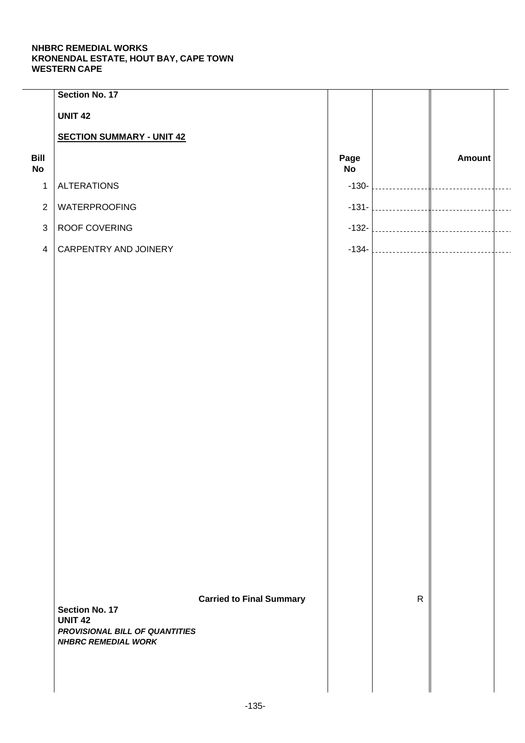|                   | Section No. 17                                   |                                 |            |              |                         |                |
|-------------------|--------------------------------------------------|---------------------------------|------------|--------------|-------------------------|----------------|
|                   | <b>UNIT 42</b>                                   |                                 |            |              |                         |                |
|                   | <b>SECTION SUMMARY - UNIT 42</b>                 |                                 |            |              |                         |                |
| Bill<br><b>No</b> |                                                  |                                 | Page<br>No |              | Amount                  |                |
| $\mathbf{1}$      | <b>ALTERATIONS</b>                               |                                 | $-130-$    | .            |                         |                |
| $\overline{2}$    | <b>WATERPROOFING</b>                             |                                 | $-131-$    |              |                         | $\overline{a}$ |
| $\mathbf{3}$      | ROOF COVERING                                    |                                 | $-132-$    |              |                         | $\overline{a}$ |
| $\overline{4}$    | CARPENTRY AND JOINERY                            |                                 | $-134-$    | . 1          | <br> ------------------ | $\overline{a}$ |
|                   |                                                  |                                 |            |              |                         |                |
|                   |                                                  |                                 |            |              |                         |                |
|                   |                                                  |                                 |            |              |                         |                |
|                   |                                                  |                                 |            |              |                         |                |
|                   |                                                  |                                 |            |              |                         |                |
|                   |                                                  |                                 |            |              |                         |                |
|                   |                                                  |                                 |            |              |                         |                |
|                   |                                                  |                                 |            |              |                         |                |
|                   |                                                  |                                 |            |              |                         |                |
|                   |                                                  |                                 |            |              |                         |                |
|                   |                                                  |                                 |            |              |                         |                |
|                   |                                                  |                                 |            |              |                         |                |
|                   |                                                  |                                 |            |              |                         |                |
|                   |                                                  |                                 |            |              |                         |                |
|                   |                                                  |                                 |            |              |                         |                |
|                   |                                                  |                                 |            |              |                         |                |
|                   |                                                  |                                 |            | $\mathsf{R}$ |                         |                |
|                   | <b>Section No. 17</b>                            | <b>Carried to Final Summary</b> |            |              |                         |                |
|                   | <b>UNIT 42</b><br>PROVISIONAL BILL OF QUANTITIES |                                 |            |              |                         |                |
|                   | <b>NHBRC REMEDIAL WORK</b>                       |                                 |            |              |                         |                |
|                   |                                                  |                                 |            |              |                         |                |
|                   |                                                  |                                 |            |              |                         |                |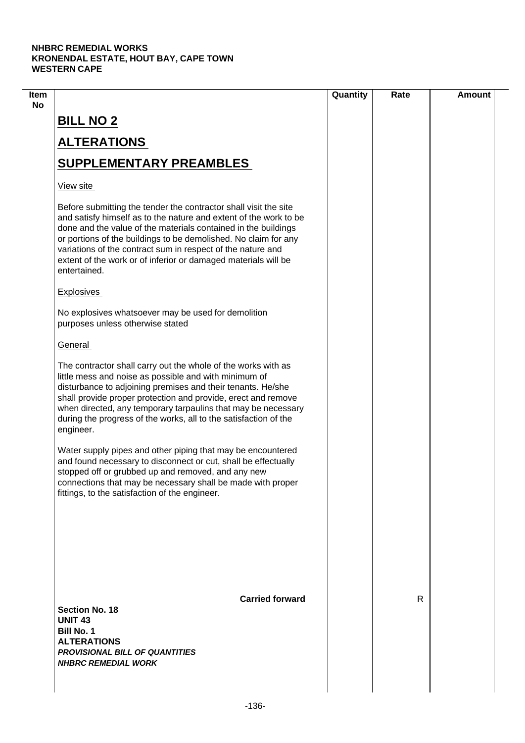|                                                                                                                                                                                                                                                                                                                                                                                                                             | Quantity | Rate         | <b>Amount</b> |
|-----------------------------------------------------------------------------------------------------------------------------------------------------------------------------------------------------------------------------------------------------------------------------------------------------------------------------------------------------------------------------------------------------------------------------|----------|--------------|---------------|
| <b>BILL NO 2</b>                                                                                                                                                                                                                                                                                                                                                                                                            |          |              |               |
| <b>ALTERATIONS</b>                                                                                                                                                                                                                                                                                                                                                                                                          |          |              |               |
| <b>SUPPLEMENTARY PREAMBLES</b>                                                                                                                                                                                                                                                                                                                                                                                              |          |              |               |
| View site                                                                                                                                                                                                                                                                                                                                                                                                                   |          |              |               |
| Before submitting the tender the contractor shall visit the site<br>and satisfy himself as to the nature and extent of the work to be<br>done and the value of the materials contained in the buildings<br>or portions of the buildings to be demolished. No claim for any<br>variations of the contract sum in respect of the nature and<br>extent of the work or of inferior or damaged materials will be<br>entertained. |          |              |               |
| Explosives                                                                                                                                                                                                                                                                                                                                                                                                                  |          |              |               |
| No explosives whatsoever may be used for demolition<br>purposes unless otherwise stated                                                                                                                                                                                                                                                                                                                                     |          |              |               |
| General                                                                                                                                                                                                                                                                                                                                                                                                                     |          |              |               |
| The contractor shall carry out the whole of the works with as<br>little mess and noise as possible and with minimum of<br>disturbance to adjoining premises and their tenants. He/she<br>shall provide proper protection and provide, erect and remove<br>when directed, any temporary tarpaulins that may be necessary<br>during the progress of the works, all to the satisfaction of the<br>engineer.                    |          |              |               |
| Water supply pipes and other piping that may be encountered<br>and found necessary to disconnect or cut, shall be effectually<br>stopped off or grubbed up and removed, and any new<br>connections that may be necessary shall be made with proper<br>fittings, to the satisfaction of the engineer.                                                                                                                        |          |              |               |
| <b>Carried forward</b><br><b>Section No. 18</b>                                                                                                                                                                                                                                                                                                                                                                             |          | $\mathsf{R}$ |               |
| <b>UNIT 43</b><br><b>Bill No. 1</b><br><b>ALTERATIONS</b><br><b>PROVISIONAL BILL OF QUANTITIES</b><br><b>NHBRC REMEDIAL WORK</b>                                                                                                                                                                                                                                                                                            |          |              |               |
|                                                                                                                                                                                                                                                                                                                                                                                                                             |          |              |               |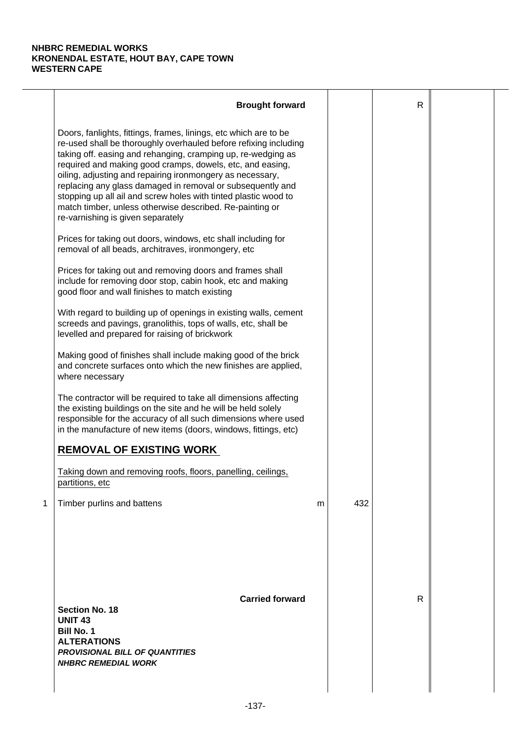|   | <b>Brought forward</b>                                                                                                                                                                                                                                                                                                                                                                                                                                                                                                                                           |   |     | $\mathsf{R}$ |  |
|---|------------------------------------------------------------------------------------------------------------------------------------------------------------------------------------------------------------------------------------------------------------------------------------------------------------------------------------------------------------------------------------------------------------------------------------------------------------------------------------------------------------------------------------------------------------------|---|-----|--------------|--|
|   | Doors, fanlights, fittings, frames, linings, etc which are to be<br>re-used shall be thoroughly overhauled before refixing including<br>taking off. easing and rehanging, cramping up, re-wedging as<br>required and making good cramps, dowels, etc, and easing,<br>oiling, adjusting and repairing ironmongery as necessary,<br>replacing any glass damaged in removal or subsequently and<br>stopping up all ail and screw holes with tinted plastic wood to<br>match timber, unless otherwise described. Re-painting or<br>re-varnishing is given separately |   |     |              |  |
|   | Prices for taking out doors, windows, etc shall including for<br>removal of all beads, architraves, ironmongery, etc                                                                                                                                                                                                                                                                                                                                                                                                                                             |   |     |              |  |
|   | Prices for taking out and removing doors and frames shall<br>include for removing door stop, cabin hook, etc and making<br>good floor and wall finishes to match existing                                                                                                                                                                                                                                                                                                                                                                                        |   |     |              |  |
|   | With regard to building up of openings in existing walls, cement<br>screeds and pavings, granolithis, tops of walls, etc, shall be<br>levelled and prepared for raising of brickwork                                                                                                                                                                                                                                                                                                                                                                             |   |     |              |  |
|   | Making good of finishes shall include making good of the brick<br>and concrete surfaces onto which the new finishes are applied,<br>where necessary                                                                                                                                                                                                                                                                                                                                                                                                              |   |     |              |  |
|   | The contractor will be required to take all dimensions affecting<br>the existing buildings on the site and he will be held solely<br>responsible for the accuracy of all such dimensions where used<br>in the manufacture of new items (doors, windows, fittings, etc)                                                                                                                                                                                                                                                                                           |   |     |              |  |
|   | <b>REMOVAL OF EXISTING WORK</b>                                                                                                                                                                                                                                                                                                                                                                                                                                                                                                                                  |   |     |              |  |
|   | Taking down and removing roofs, floors, panelling, ceilings,<br>partitions, etc                                                                                                                                                                                                                                                                                                                                                                                                                                                                                  |   |     |              |  |
| 1 | Timber purlins and battens                                                                                                                                                                                                                                                                                                                                                                                                                                                                                                                                       | m | 432 |              |  |
|   | <b>Carried forward</b><br><b>Section No. 18</b><br><b>UNIT 43</b><br><b>Bill No. 1</b><br><b>ALTERATIONS</b><br><b>PROVISIONAL BILL OF QUANTITIES</b><br><b>NHBRC REMEDIAL WORK</b>                                                                                                                                                                                                                                                                                                                                                                              |   |     | R            |  |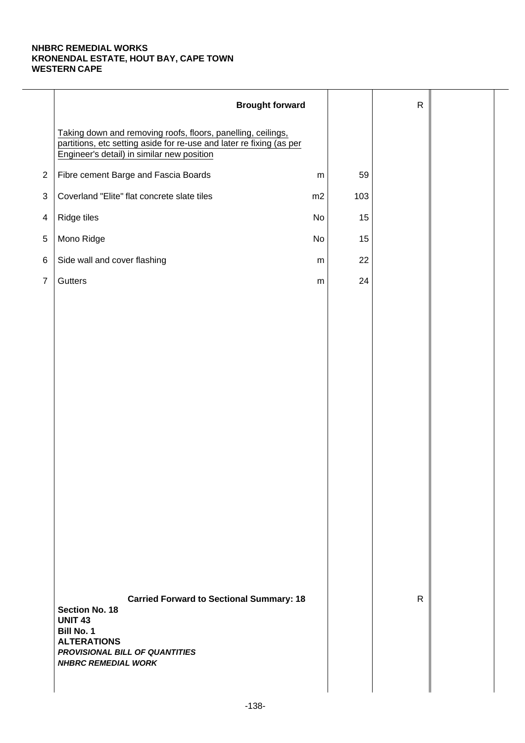|                | <b>Brought forward</b>                                                                                                                                                                                |           |     | $\mathsf{R}$ |  |
|----------------|-------------------------------------------------------------------------------------------------------------------------------------------------------------------------------------------------------|-----------|-----|--------------|--|
|                | Taking down and removing roofs, floors, panelling, ceilings,<br>partitions, etc setting aside for re-use and later re fixing (as per<br>Engineer's detail) in similar new position                    |           |     |              |  |
| $\overline{2}$ | Fibre cement Barge and Fascia Boards                                                                                                                                                                  | ${\sf m}$ | 59  |              |  |
| 3              | Coverland "Elite" flat concrete slate tiles                                                                                                                                                           | m2        | 103 |              |  |
| 4              | Ridge tiles                                                                                                                                                                                           | No        | 15  |              |  |
| $\,$ 5 $\,$    | Mono Ridge                                                                                                                                                                                            | No        | 15  |              |  |
| 6              | Side wall and cover flashing                                                                                                                                                                          | ${\sf m}$ | 22  |              |  |
| $\overline{7}$ | Gutters                                                                                                                                                                                               | ${\sf m}$ | 24  |              |  |
|                |                                                                                                                                                                                                       |           |     |              |  |
|                |                                                                                                                                                                                                       |           |     |              |  |
|                |                                                                                                                                                                                                       |           |     |              |  |
|                |                                                                                                                                                                                                       |           |     |              |  |
|                |                                                                                                                                                                                                       |           |     |              |  |
|                |                                                                                                                                                                                                       |           |     |              |  |
|                |                                                                                                                                                                                                       |           |     |              |  |
|                |                                                                                                                                                                                                       |           |     |              |  |
|                |                                                                                                                                                                                                       |           |     |              |  |
|                |                                                                                                                                                                                                       |           |     |              |  |
|                |                                                                                                                                                                                                       |           |     |              |  |
|                |                                                                                                                                                                                                       |           |     |              |  |
|                |                                                                                                                                                                                                       |           |     |              |  |
|                |                                                                                                                                                                                                       |           |     |              |  |
|                | <b>Carried Forward to Sectional Summary: 18</b><br><b>Section No. 18</b><br><b>UNIT 43</b><br><b>Bill No. 1</b><br><b>ALTERATIONS</b><br>PROVISIONAL BILL OF QUANTITIES<br><b>NHBRC REMEDIAL WORK</b> |           |     | $\mathsf{R}$ |  |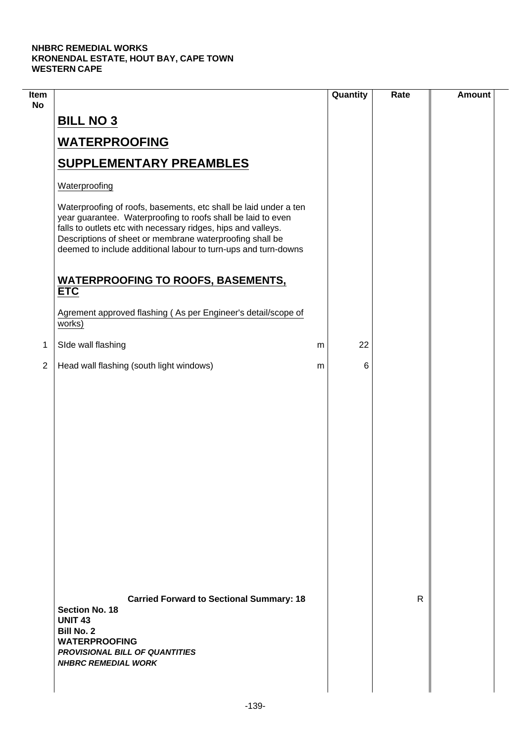$\mathcal{L}$ 

| Item<br><b>No</b> |                                                                                                                                                                                                                                                                                                                                 |   | Quantity | Rate | <b>Amount</b> |
|-------------------|---------------------------------------------------------------------------------------------------------------------------------------------------------------------------------------------------------------------------------------------------------------------------------------------------------------------------------|---|----------|------|---------------|
|                   | <b>BILL NO 3</b>                                                                                                                                                                                                                                                                                                                |   |          |      |               |
|                   | <b>WATERPROOFING</b>                                                                                                                                                                                                                                                                                                            |   |          |      |               |
|                   | <b>SUPPLEMENTARY PREAMBLES</b>                                                                                                                                                                                                                                                                                                  |   |          |      |               |
|                   | Waterproofing                                                                                                                                                                                                                                                                                                                   |   |          |      |               |
|                   | Waterproofing of roofs, basements, etc shall be laid under a ten<br>year guarantee. Waterproofing to roofs shall be laid to even<br>falls to outlets etc with necessary ridges, hips and valleys.<br>Descriptions of sheet or membrane waterproofing shall be<br>deemed to include additional labour to turn-ups and turn-downs |   |          |      |               |
|                   | <b>WATERPROOFING TO ROOFS, BASEMENTS,</b><br><b>ETC</b>                                                                                                                                                                                                                                                                         |   |          |      |               |
|                   | Agrement approved flashing (As per Engineer's detail/scope of<br>works)                                                                                                                                                                                                                                                         |   |          |      |               |
| 1                 | SIde wall flashing                                                                                                                                                                                                                                                                                                              | m | 22       |      |               |
| $\overline{2}$    | Head wall flashing (south light windows)                                                                                                                                                                                                                                                                                        | m | 6        |      |               |
|                   |                                                                                                                                                                                                                                                                                                                                 |   |          |      |               |
|                   | <b>Carried Forward to Sectional Summary: 18</b><br><b>Section No. 18</b><br><b>UNIT 43</b><br><b>Bill No. 2</b><br><b>WATERPROOFING</b><br><b>PROVISIONAL BILL OF QUANTITIES</b><br><b>NHBRC REMEDIAL WORK</b>                                                                                                                  |   |          | R.   |               |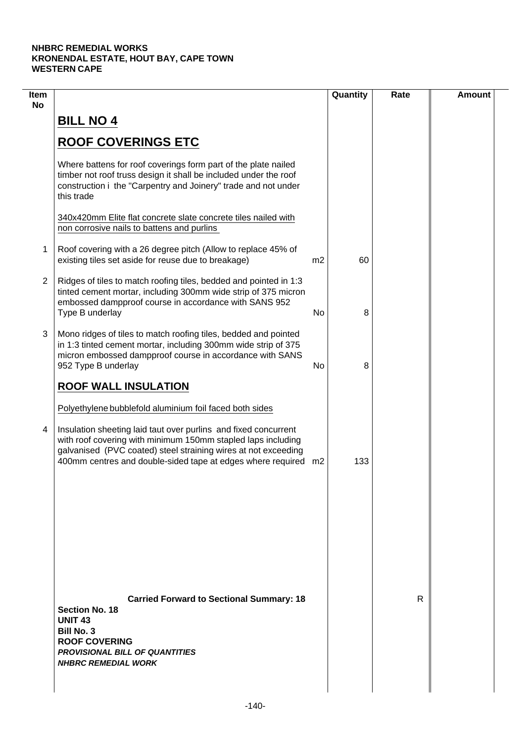| Item<br><b>No</b> |                                                                                                                                                                                                                                                                     |                | Quantity | Rate | <b>Amount</b> |
|-------------------|---------------------------------------------------------------------------------------------------------------------------------------------------------------------------------------------------------------------------------------------------------------------|----------------|----------|------|---------------|
|                   | <b>BILL NO 4</b>                                                                                                                                                                                                                                                    |                |          |      |               |
|                   | <b>ROOF COVERINGS ETC</b>                                                                                                                                                                                                                                           |                |          |      |               |
|                   | Where battens for roof coverings form part of the plate nailed<br>timber not roof truss design it shall be included under the roof<br>construction i the "Carpentry and Joinery" trade and not under<br>this trade                                                  |                |          |      |               |
|                   | 340x420mm Elite flat concrete slate concrete tiles nailed with<br>non corrosive nails to battens and purlins                                                                                                                                                        |                |          |      |               |
| 1                 | Roof covering with a 26 degree pitch (Allow to replace 45% of<br>existing tiles set aside for reuse due to breakage)                                                                                                                                                | m <sub>2</sub> | 60       |      |               |
| $\overline{2}$    | Ridges of tiles to match roofing tiles, bedded and pointed in 1:3<br>tinted cement mortar, including 300mm wide strip of 375 micron<br>embossed dampproof course in accordance with SANS 952<br>Type B underlay                                                     | No             | 8        |      |               |
| 3                 | Mono ridges of tiles to match roofing tiles, bedded and pointed<br>in 1:3 tinted cement mortar, including 300mm wide strip of 375<br>micron embossed dampproof course in accordance with SANS<br>952 Type B underlay                                                | No             | 8        |      |               |
|                   | <b>ROOF WALL INSULATION</b>                                                                                                                                                                                                                                         |                |          |      |               |
|                   | Polyethylene bubblefold aluminium foil faced both sides                                                                                                                                                                                                             |                |          |      |               |
| 4                 | Insulation sheeting laid taut over purlins and fixed concurrent<br>with roof covering with minimum 150mm stapled laps including<br>galvanised (PVC coated) steel straining wires at not exceeding<br>400mm centres and double-sided tape at edges where required m2 |                | 133      |      |               |
|                   |                                                                                                                                                                                                                                                                     |                |          |      |               |
|                   |                                                                                                                                                                                                                                                                     |                |          |      |               |
|                   |                                                                                                                                                                                                                                                                     |                |          |      |               |
|                   | <b>Carried Forward to Sectional Summary: 18</b><br><b>Section No. 18</b><br><b>UNIT 43</b><br><b>Bill No. 3</b><br><b>ROOF COVERING</b><br><b>PROVISIONAL BILL OF QUANTITIES</b><br><b>NHBRC REMEDIAL WORK</b>                                                      |                |          | R    |               |
|                   |                                                                                                                                                                                                                                                                     |                |          |      |               |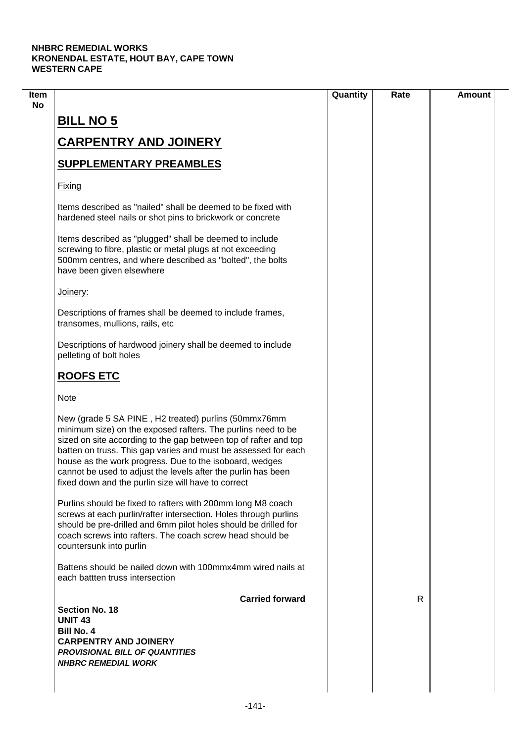|                                                                                                                                                                                                                                                                                                                                                                                                                                               | Quantity | Rate | <b>Amount</b> |
|-----------------------------------------------------------------------------------------------------------------------------------------------------------------------------------------------------------------------------------------------------------------------------------------------------------------------------------------------------------------------------------------------------------------------------------------------|----------|------|---------------|
| <b>BILL NO 5</b>                                                                                                                                                                                                                                                                                                                                                                                                                              |          |      |               |
| <b>CARPENTRY AND JOINERY</b>                                                                                                                                                                                                                                                                                                                                                                                                                  |          |      |               |
| <b>SUPPLEMENTARY PREAMBLES</b>                                                                                                                                                                                                                                                                                                                                                                                                                |          |      |               |
| Fixing                                                                                                                                                                                                                                                                                                                                                                                                                                        |          |      |               |
| Items described as "nailed" shall be deemed to be fixed with<br>hardened steel nails or shot pins to brickwork or concrete                                                                                                                                                                                                                                                                                                                    |          |      |               |
| Items described as "plugged" shall be deemed to include<br>screwing to fibre, plastic or metal plugs at not exceeding<br>500mm centres, and where described as "bolted", the bolts<br>have been given elsewhere                                                                                                                                                                                                                               |          |      |               |
| Joinery:                                                                                                                                                                                                                                                                                                                                                                                                                                      |          |      |               |
| Descriptions of frames shall be deemed to include frames,<br>transomes, mullions, rails, etc                                                                                                                                                                                                                                                                                                                                                  |          |      |               |
| Descriptions of hardwood joinery shall be deemed to include<br>pelleting of bolt holes                                                                                                                                                                                                                                                                                                                                                        |          |      |               |
| <b>ROOFS ETC</b>                                                                                                                                                                                                                                                                                                                                                                                                                              |          |      |               |
| <b>Note</b>                                                                                                                                                                                                                                                                                                                                                                                                                                   |          |      |               |
| New (grade 5 SA PINE, H2 treated) purlins (50mmx76mm<br>minimum size) on the exposed rafters. The purlins need to be<br>sized on site according to the gap between top of rafter and top<br>batten on truss. This gap varies and must be assessed for each<br>house as the work progress. Due to the isoboard, wedges<br>cannot be used to adjust the levels after the purlin has been<br>fixed down and the purlin size will have to correct |          |      |               |
| Purlins should be fixed to rafters with 200mm long M8 coach<br>screws at each purlin/rafter intersection. Holes through purlins<br>should be pre-drilled and 6mm pilot holes should be drilled for<br>coach screws into rafters. The coach screw head should be<br>countersunk into purlin                                                                                                                                                    |          |      |               |
| Battens should be nailed down with 100mmx4mm wired nails at<br>each battten truss intersection                                                                                                                                                                                                                                                                                                                                                |          |      |               |
| <b>Carried forward</b><br><b>Section No. 18</b>                                                                                                                                                                                                                                                                                                                                                                                               |          | R    |               |
| <b>UNIT 43</b><br><b>Bill No. 4</b><br><b>CARPENTRY AND JOINERY</b><br><b>PROVISIONAL BILL OF QUANTITIES</b>                                                                                                                                                                                                                                                                                                                                  |          |      |               |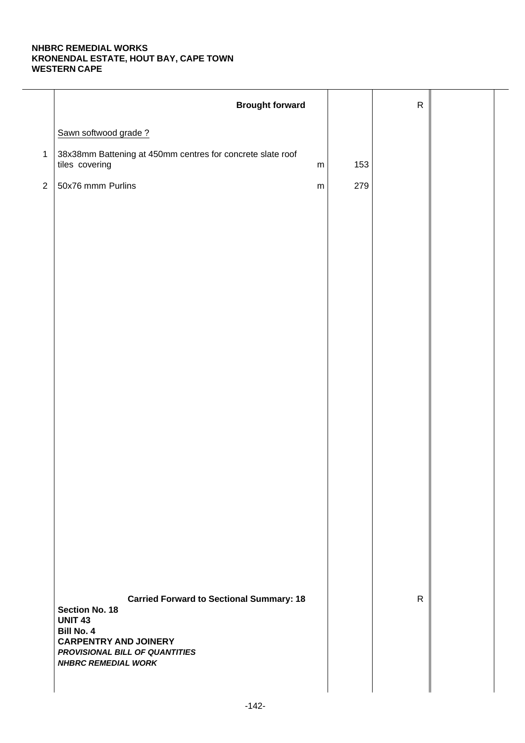|              | <b>Brought forward</b>                                                                                                                                                                                          |           |     | ${\sf R}$    |  |
|--------------|-----------------------------------------------------------------------------------------------------------------------------------------------------------------------------------------------------------------|-----------|-----|--------------|--|
|              | Sawn softwood grade?                                                                                                                                                                                            |           |     |              |  |
| $\mathbf{1}$ | 38x38mm Battening at 450mm centres for concrete slate roof<br>tiles covering                                                                                                                                    | m         | 153 |              |  |
| $\sqrt{2}$   | 50x76 mmm Purlins                                                                                                                                                                                               | ${\sf m}$ | 279 |              |  |
|              |                                                                                                                                                                                                                 |           |     |              |  |
|              |                                                                                                                                                                                                                 |           |     |              |  |
|              |                                                                                                                                                                                                                 |           |     |              |  |
|              |                                                                                                                                                                                                                 |           |     |              |  |
|              |                                                                                                                                                                                                                 |           |     |              |  |
|              |                                                                                                                                                                                                                 |           |     |              |  |
|              |                                                                                                                                                                                                                 |           |     |              |  |
|              |                                                                                                                                                                                                                 |           |     |              |  |
|              |                                                                                                                                                                                                                 |           |     |              |  |
|              |                                                                                                                                                                                                                 |           |     |              |  |
|              |                                                                                                                                                                                                                 |           |     |              |  |
|              |                                                                                                                                                                                                                 |           |     |              |  |
|              |                                                                                                                                                                                                                 |           |     |              |  |
|              |                                                                                                                                                                                                                 |           |     |              |  |
|              |                                                                                                                                                                                                                 |           |     |              |  |
|              | <b>Carried Forward to Sectional Summary: 18</b><br><b>Section No. 18</b><br><b>UNIT 43</b><br><b>Bill No. 4</b><br><b>CARPENTRY AND JOINERY</b><br>PROVISIONAL BILL OF QUANTITIES<br><b>NHBRC REMEDIAL WORK</b> |           |     | $\mathsf{R}$ |  |
|              |                                                                                                                                                                                                                 |           |     |              |  |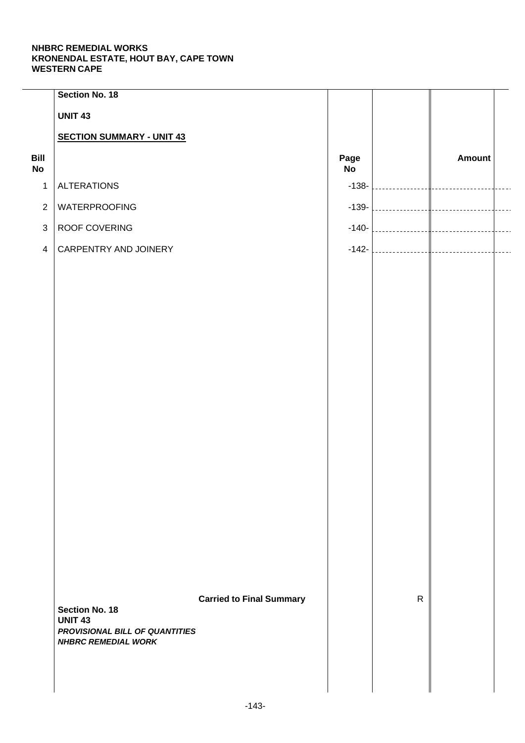|                   | Section No. 18                          |                                 |            |              |            |  |
|-------------------|-----------------------------------------|---------------------------------|------------|--------------|------------|--|
|                   | <b>UNIT 43</b>                          |                                 |            |              |            |  |
|                   | <b>SECTION SUMMARY - UNIT 43</b>        |                                 |            |              |            |  |
| Bill<br><b>No</b> |                                         |                                 | Page<br>No |              | Amount     |  |
| $\mathbf{1}$      | <b>ALTERATIONS</b>                      |                                 | $-138-$    |              |            |  |
| $\overline{2}$    | WATERPROOFING                           |                                 | $-139-$    |              | __________ |  |
| $\mathbf{3}$      | ROOF COVERING                           |                                 | $-140-$    |              | __________ |  |
| $\overline{4}$    | CARPENTRY AND JOINERY                   |                                 | $-142-$    |              |            |  |
|                   |                                         |                                 |            |              |            |  |
|                   |                                         |                                 |            |              |            |  |
|                   |                                         |                                 |            |              |            |  |
|                   |                                         |                                 |            |              |            |  |
|                   |                                         |                                 |            |              |            |  |
|                   |                                         |                                 |            |              |            |  |
|                   |                                         |                                 |            |              |            |  |
|                   |                                         |                                 |            |              |            |  |
|                   |                                         |                                 |            |              |            |  |
|                   |                                         |                                 |            |              |            |  |
|                   |                                         |                                 |            |              |            |  |
|                   |                                         |                                 |            |              |            |  |
|                   |                                         |                                 |            |              |            |  |
|                   |                                         |                                 |            |              |            |  |
|                   |                                         |                                 |            |              |            |  |
|                   |                                         |                                 |            |              |            |  |
|                   |                                         | <b>Carried to Final Summary</b> |            | $\mathsf{R}$ |            |  |
|                   | <b>Section No. 18</b><br><b>UNIT 43</b> |                                 |            |              |            |  |
|                   | PROVISIONAL BILL OF QUANTITIES          |                                 |            |              |            |  |
|                   | <b>NHBRC REMEDIAL WORK</b>              |                                 |            |              |            |  |
|                   |                                         |                                 |            |              |            |  |
|                   |                                         |                                 |            |              |            |  |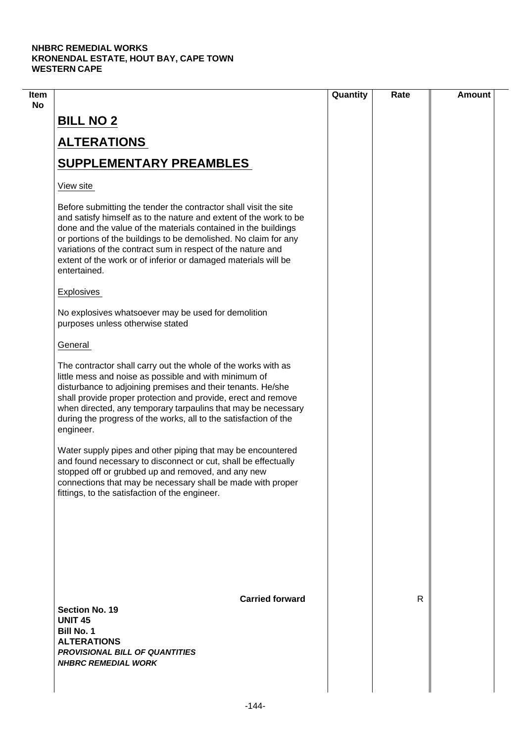| Item |                                                                                                                                                                                                                                                                                                                                                                                                                             | Quantity | Rate | <b>Amount</b> |
|------|-----------------------------------------------------------------------------------------------------------------------------------------------------------------------------------------------------------------------------------------------------------------------------------------------------------------------------------------------------------------------------------------------------------------------------|----------|------|---------------|
| No   | <b>BILL NO 2</b>                                                                                                                                                                                                                                                                                                                                                                                                            |          |      |               |
|      | <b>ALTERATIONS</b>                                                                                                                                                                                                                                                                                                                                                                                                          |          |      |               |
|      | <b>SUPPLEMENTARY PREAMBLES</b>                                                                                                                                                                                                                                                                                                                                                                                              |          |      |               |
|      | View site                                                                                                                                                                                                                                                                                                                                                                                                                   |          |      |               |
|      | Before submitting the tender the contractor shall visit the site<br>and satisfy himself as to the nature and extent of the work to be<br>done and the value of the materials contained in the buildings<br>or portions of the buildings to be demolished. No claim for any<br>variations of the contract sum in respect of the nature and<br>extent of the work or of inferior or damaged materials will be<br>entertained. |          |      |               |
|      | <b>Explosives</b>                                                                                                                                                                                                                                                                                                                                                                                                           |          |      |               |
|      | No explosives whatsoever may be used for demolition<br>purposes unless otherwise stated                                                                                                                                                                                                                                                                                                                                     |          |      |               |
|      | General                                                                                                                                                                                                                                                                                                                                                                                                                     |          |      |               |
|      | The contractor shall carry out the whole of the works with as<br>little mess and noise as possible and with minimum of<br>disturbance to adjoining premises and their tenants. He/she<br>shall provide proper protection and provide, erect and remove<br>when directed, any temporary tarpaulins that may be necessary<br>during the progress of the works, all to the satisfaction of the<br>engineer.                    |          |      |               |
|      | Water supply pipes and other piping that may be encountered<br>and found necessary to disconnect or cut, shall be effectually<br>stopped off or grubbed up and removed, and any new<br>connections that may be necessary shall be made with proper<br>fittings, to the satisfaction of the engineer.                                                                                                                        |          |      |               |
|      |                                                                                                                                                                                                                                                                                                                                                                                                                             |          |      |               |
|      | <b>Carried forward</b><br>Section No. 19<br><b>UNIT 45</b><br><b>Bill No. 1</b><br><b>ALTERATIONS</b><br><b>PROVISIONAL BILL OF QUANTITIES</b><br><b>NHBRC REMEDIAL WORK</b>                                                                                                                                                                                                                                                |          | R    |               |
|      |                                                                                                                                                                                                                                                                                                                                                                                                                             |          |      |               |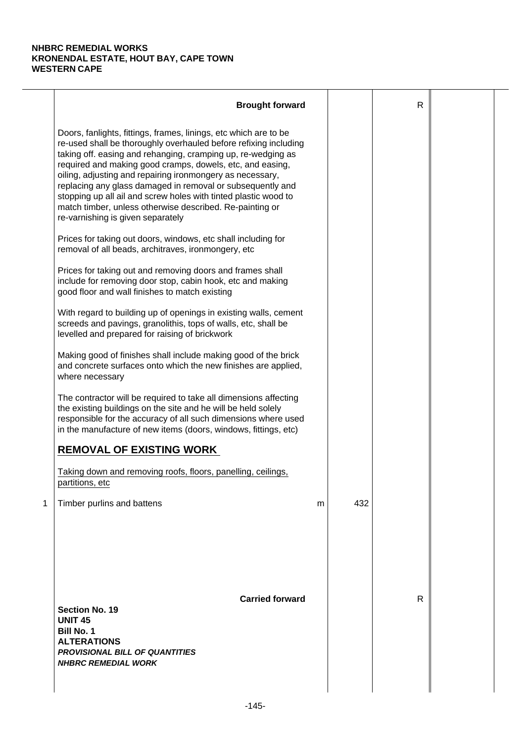|   | <b>Brought forward</b>                                                                                                                                                                                                                                                                                                                                                                                                                                                                                                                                           |   |     | $\mathsf{R}$ |  |
|---|------------------------------------------------------------------------------------------------------------------------------------------------------------------------------------------------------------------------------------------------------------------------------------------------------------------------------------------------------------------------------------------------------------------------------------------------------------------------------------------------------------------------------------------------------------------|---|-----|--------------|--|
|   | Doors, fanlights, fittings, frames, linings, etc which are to be<br>re-used shall be thoroughly overhauled before refixing including<br>taking off. easing and rehanging, cramping up, re-wedging as<br>required and making good cramps, dowels, etc, and easing,<br>oiling, adjusting and repairing ironmongery as necessary,<br>replacing any glass damaged in removal or subsequently and<br>stopping up all ail and screw holes with tinted plastic wood to<br>match timber, unless otherwise described. Re-painting or<br>re-varnishing is given separately |   |     |              |  |
|   | Prices for taking out doors, windows, etc shall including for<br>removal of all beads, architraves, ironmongery, etc                                                                                                                                                                                                                                                                                                                                                                                                                                             |   |     |              |  |
|   | Prices for taking out and removing doors and frames shall<br>include for removing door stop, cabin hook, etc and making<br>good floor and wall finishes to match existing                                                                                                                                                                                                                                                                                                                                                                                        |   |     |              |  |
|   | With regard to building up of openings in existing walls, cement<br>screeds and pavings, granolithis, tops of walls, etc, shall be<br>levelled and prepared for raising of brickwork                                                                                                                                                                                                                                                                                                                                                                             |   |     |              |  |
|   | Making good of finishes shall include making good of the brick<br>and concrete surfaces onto which the new finishes are applied,<br>where necessary                                                                                                                                                                                                                                                                                                                                                                                                              |   |     |              |  |
|   | The contractor will be required to take all dimensions affecting<br>the existing buildings on the site and he will be held solely<br>responsible for the accuracy of all such dimensions where used<br>in the manufacture of new items (doors, windows, fittings, etc)                                                                                                                                                                                                                                                                                           |   |     |              |  |
|   | <b>REMOVAL OF EXISTING WORK</b>                                                                                                                                                                                                                                                                                                                                                                                                                                                                                                                                  |   |     |              |  |
|   | Taking down and removing roofs, floors, panelling, ceilings,<br>partitions, etc                                                                                                                                                                                                                                                                                                                                                                                                                                                                                  |   |     |              |  |
| 1 | Timber purlins and battens                                                                                                                                                                                                                                                                                                                                                                                                                                                                                                                                       | m | 432 |              |  |
|   | <b>Carried forward</b><br><b>Section No. 19</b><br><b>UNIT 45</b><br><b>Bill No. 1</b><br><b>ALTERATIONS</b><br><b>PROVISIONAL BILL OF QUANTITIES</b><br><b>NHBRC REMEDIAL WORK</b>                                                                                                                                                                                                                                                                                                                                                                              |   |     | R            |  |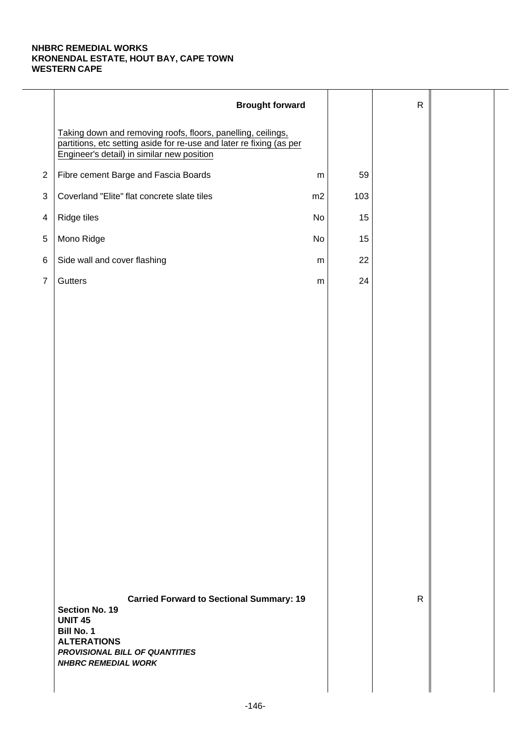|                | <b>Brought forward</b>                                                                                                                                                                                |           |     | $\mathsf{R}$ |  |
|----------------|-------------------------------------------------------------------------------------------------------------------------------------------------------------------------------------------------------|-----------|-----|--------------|--|
|                | Taking down and removing roofs, floors, panelling, ceilings,<br>partitions, etc setting aside for re-use and later re fixing (as per<br>Engineer's detail) in similar new position                    |           |     |              |  |
| $\overline{2}$ | Fibre cement Barge and Fascia Boards                                                                                                                                                                  | ${\sf m}$ | 59  |              |  |
| 3              | Coverland "Elite" flat concrete slate tiles                                                                                                                                                           | m2        | 103 |              |  |
| 4              | Ridge tiles                                                                                                                                                                                           | No        | 15  |              |  |
| $\,$ 5 $\,$    | Mono Ridge                                                                                                                                                                                            | No        | 15  |              |  |
| 6              | Side wall and cover flashing                                                                                                                                                                          | ${\sf m}$ | 22  |              |  |
| $\overline{7}$ | Gutters                                                                                                                                                                                               | ${\sf m}$ | 24  |              |  |
|                |                                                                                                                                                                                                       |           |     |              |  |
|                |                                                                                                                                                                                                       |           |     |              |  |
|                |                                                                                                                                                                                                       |           |     |              |  |
|                |                                                                                                                                                                                                       |           |     |              |  |
|                |                                                                                                                                                                                                       |           |     |              |  |
|                |                                                                                                                                                                                                       |           |     |              |  |
|                |                                                                                                                                                                                                       |           |     |              |  |
|                |                                                                                                                                                                                                       |           |     |              |  |
|                |                                                                                                                                                                                                       |           |     |              |  |
|                |                                                                                                                                                                                                       |           |     |              |  |
|                |                                                                                                                                                                                                       |           |     |              |  |
|                |                                                                                                                                                                                                       |           |     |              |  |
|                |                                                                                                                                                                                                       |           |     |              |  |
|                |                                                                                                                                                                                                       |           |     |              |  |
|                | <b>Carried Forward to Sectional Summary: 19</b><br><b>Section No. 19</b><br><b>UNIT 45</b><br><b>Bill No. 1</b><br><b>ALTERATIONS</b><br>PROVISIONAL BILL OF QUANTITIES<br><b>NHBRC REMEDIAL WORK</b> |           |     | $\mathsf{R}$ |  |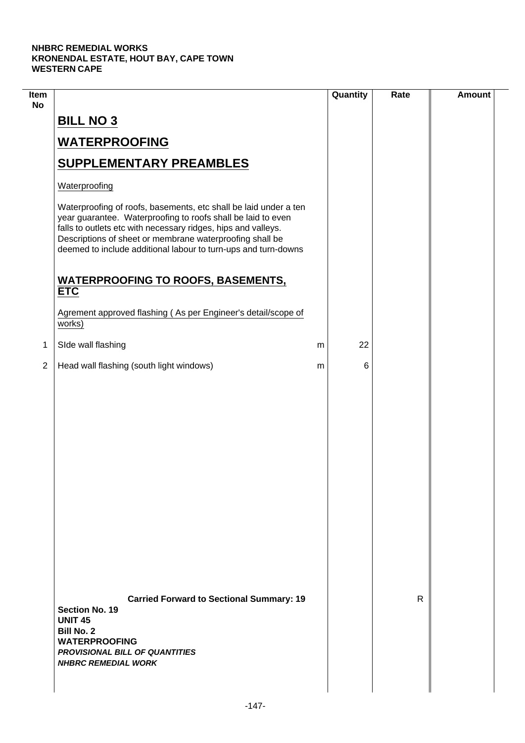$\overline{\phantom{a}}$ 

| Item<br><b>No</b> |                                                                                                                                                                                                                                                                                                                                 |   | Quantity | Rate | <b>Amount</b> |
|-------------------|---------------------------------------------------------------------------------------------------------------------------------------------------------------------------------------------------------------------------------------------------------------------------------------------------------------------------------|---|----------|------|---------------|
|                   | <b>BILL NO 3</b>                                                                                                                                                                                                                                                                                                                |   |          |      |               |
|                   | <b>WATERPROOFING</b>                                                                                                                                                                                                                                                                                                            |   |          |      |               |
|                   | <b>SUPPLEMENTARY PREAMBLES</b>                                                                                                                                                                                                                                                                                                  |   |          |      |               |
|                   | Waterproofing                                                                                                                                                                                                                                                                                                                   |   |          |      |               |
|                   | Waterproofing of roofs, basements, etc shall be laid under a ten<br>year guarantee. Waterproofing to roofs shall be laid to even<br>falls to outlets etc with necessary ridges, hips and valleys.<br>Descriptions of sheet or membrane waterproofing shall be<br>deemed to include additional labour to turn-ups and turn-downs |   |          |      |               |
|                   | <b>WATERPROOFING TO ROOFS, BASEMENTS,</b><br><b>ETC</b>                                                                                                                                                                                                                                                                         |   |          |      |               |
|                   | Agrement approved flashing (As per Engineer's detail/scope of<br>works)                                                                                                                                                                                                                                                         |   |          |      |               |
| 1                 | SIde wall flashing                                                                                                                                                                                                                                                                                                              | m | 22       |      |               |
| $\overline{2}$    | Head wall flashing (south light windows)                                                                                                                                                                                                                                                                                        | m | 6        |      |               |
|                   |                                                                                                                                                                                                                                                                                                                                 |   |          |      |               |
|                   | <b>Carried Forward to Sectional Summary: 19</b><br><b>Section No. 19</b><br><b>UNIT 45</b><br><b>Bill No. 2</b><br><b>WATERPROOFING</b><br><b>PROVISIONAL BILL OF QUANTITIES</b><br><b>NHBRC REMEDIAL WORK</b>                                                                                                                  |   |          | R    |               |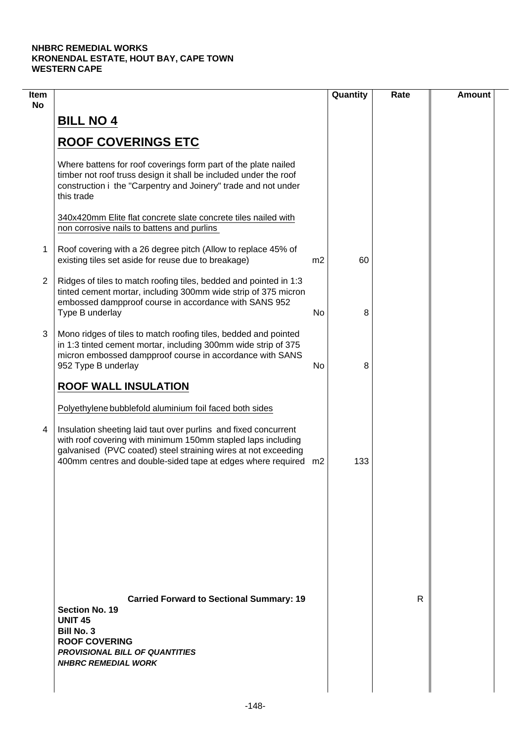| Item<br><b>No</b> |                                                                                                                                                                                                                                                                                                                                |                | Quantity | Rate | <b>Amount</b> |
|-------------------|--------------------------------------------------------------------------------------------------------------------------------------------------------------------------------------------------------------------------------------------------------------------------------------------------------------------------------|----------------|----------|------|---------------|
|                   | <b>BILL NO 4</b>                                                                                                                                                                                                                                                                                                               |                |          |      |               |
|                   | <b>ROOF COVERINGS ETC</b>                                                                                                                                                                                                                                                                                                      |                |          |      |               |
|                   | Where battens for roof coverings form part of the plate nailed<br>timber not roof truss design it shall be included under the roof<br>construction i the "Carpentry and Joinery" trade and not under<br>this trade                                                                                                             |                |          |      |               |
|                   | 340x420mm Elite flat concrete slate concrete tiles nailed with<br>non corrosive nails to battens and purlins                                                                                                                                                                                                                   |                |          |      |               |
| 1                 | Roof covering with a 26 degree pitch (Allow to replace 45% of<br>existing tiles set aside for reuse due to breakage)                                                                                                                                                                                                           | m <sub>2</sub> | 60       |      |               |
| $\overline{2}$    | Ridges of tiles to match roofing tiles, bedded and pointed in 1:3<br>tinted cement mortar, including 300mm wide strip of 375 micron<br>embossed dampproof course in accordance with SANS 952<br>Type B underlay                                                                                                                | No             | 8        |      |               |
| 3                 | Mono ridges of tiles to match roofing tiles, bedded and pointed<br>in 1:3 tinted cement mortar, including 300mm wide strip of 375<br>micron embossed dampproof course in accordance with SANS<br>952 Type B underlay                                                                                                           | No             | 8        |      |               |
|                   | <b>ROOF WALL INSULATION</b>                                                                                                                                                                                                                                                                                                    |                |          |      |               |
| 4                 | Polyethylene bubblefold aluminium foil faced both sides<br>Insulation sheeting laid taut over purlins and fixed concurrent<br>with roof covering with minimum 150mm stapled laps including<br>galvanised (PVC coated) steel straining wires at not exceeding<br>400mm centres and double-sided tape at edges where required m2 |                | 133      |      |               |
|                   |                                                                                                                                                                                                                                                                                                                                |                |          |      |               |
|                   | <b>Carried Forward to Sectional Summary: 19</b><br><b>Section No. 19</b>                                                                                                                                                                                                                                                       |                |          | R    |               |
|                   | <b>UNIT 45</b><br><b>Bill No. 3</b><br><b>ROOF COVERING</b><br><b>PROVISIONAL BILL OF QUANTITIES</b><br><b>NHBRC REMEDIAL WORK</b>                                                                                                                                                                                             |                |          |      |               |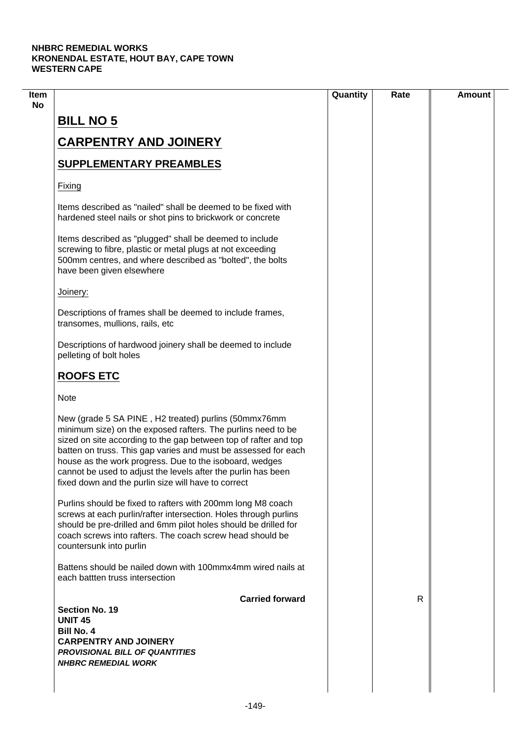|                                                                                                                                                                                                                                                                                                                                                                                                                                               | Quantity | Rate | <b>Amount</b> |
|-----------------------------------------------------------------------------------------------------------------------------------------------------------------------------------------------------------------------------------------------------------------------------------------------------------------------------------------------------------------------------------------------------------------------------------------------|----------|------|---------------|
| <b>BILL NO 5</b>                                                                                                                                                                                                                                                                                                                                                                                                                              |          |      |               |
| <b>CARPENTRY AND JOINERY</b>                                                                                                                                                                                                                                                                                                                                                                                                                  |          |      |               |
|                                                                                                                                                                                                                                                                                                                                                                                                                                               |          |      |               |
| <b>SUPPLEMENTARY PREAMBLES</b>                                                                                                                                                                                                                                                                                                                                                                                                                |          |      |               |
| Fixing                                                                                                                                                                                                                                                                                                                                                                                                                                        |          |      |               |
| Items described as "nailed" shall be deemed to be fixed with<br>hardened steel nails or shot pins to brickwork or concrete                                                                                                                                                                                                                                                                                                                    |          |      |               |
| Items described as "plugged" shall be deemed to include<br>screwing to fibre, plastic or metal plugs at not exceeding<br>500mm centres, and where described as "bolted", the bolts<br>have been given elsewhere                                                                                                                                                                                                                               |          |      |               |
| Joinery:                                                                                                                                                                                                                                                                                                                                                                                                                                      |          |      |               |
| Descriptions of frames shall be deemed to include frames,<br>transomes, mullions, rails, etc                                                                                                                                                                                                                                                                                                                                                  |          |      |               |
| Descriptions of hardwood joinery shall be deemed to include<br>pelleting of bolt holes                                                                                                                                                                                                                                                                                                                                                        |          |      |               |
| <b>ROOFS ETC</b>                                                                                                                                                                                                                                                                                                                                                                                                                              |          |      |               |
| <b>Note</b>                                                                                                                                                                                                                                                                                                                                                                                                                                   |          |      |               |
| New (grade 5 SA PINE, H2 treated) purlins (50mmx76mm<br>minimum size) on the exposed rafters. The purlins need to be<br>sized on site according to the gap between top of rafter and top<br>batten on truss. This gap varies and must be assessed for each<br>house as the work progress. Due to the isoboard, wedges<br>cannot be used to adjust the levels after the purlin has been<br>fixed down and the purlin size will have to correct |          |      |               |
| Purlins should be fixed to rafters with 200mm long M8 coach<br>screws at each purlin/rafter intersection. Holes through purlins<br>should be pre-drilled and 6mm pilot holes should be drilled for<br>coach screws into rafters. The coach screw head should be<br>countersunk into purlin                                                                                                                                                    |          |      |               |
| Battens should be nailed down with 100mmx4mm wired nails at<br>each battten truss intersection                                                                                                                                                                                                                                                                                                                                                |          |      |               |
| <b>Carried forward</b>                                                                                                                                                                                                                                                                                                                                                                                                                        |          | R    |               |
| <b>Section No. 19</b><br><b>UNIT 45</b>                                                                                                                                                                                                                                                                                                                                                                                                       |          |      |               |
| <b>Bill No. 4</b>                                                                                                                                                                                                                                                                                                                                                                                                                             |          |      |               |
| <b>CARPENTRY AND JOINERY</b>                                                                                                                                                                                                                                                                                                                                                                                                                  |          |      |               |
| <b>PROVISIONAL BILL OF QUANTITIES</b>                                                                                                                                                                                                                                                                                                                                                                                                         |          |      |               |
| <b>NHBRC REMEDIAL WORK</b>                                                                                                                                                                                                                                                                                                                                                                                                                    |          |      |               |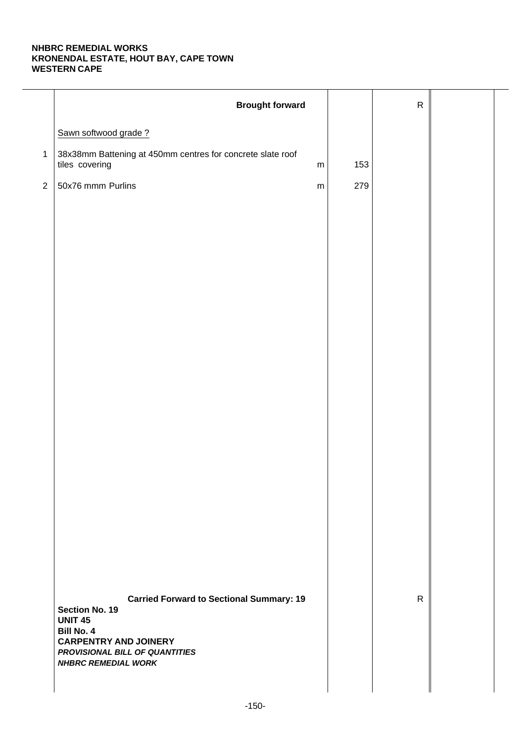|              | <b>Brought forward</b>                                                                       |     | ${\sf R}$    |  |
|--------------|----------------------------------------------------------------------------------------------|-----|--------------|--|
|              | Sawn softwood grade?                                                                         |     |              |  |
| $\mathbf{1}$ | 38x38mm Battening at 450mm centres for concrete slate roof<br>tiles covering<br>${\sf m}$    | 153 |              |  |
| $\sqrt{2}$   | 50x76 mmm Purlins<br>${\sf m}$                                                               | 279 |              |  |
|              |                                                                                              |     |              |  |
|              |                                                                                              |     |              |  |
|              |                                                                                              |     |              |  |
|              |                                                                                              |     |              |  |
|              |                                                                                              |     |              |  |
|              |                                                                                              |     |              |  |
|              |                                                                                              |     |              |  |
|              |                                                                                              |     |              |  |
|              |                                                                                              |     |              |  |
|              |                                                                                              |     |              |  |
|              |                                                                                              |     |              |  |
|              |                                                                                              |     |              |  |
|              |                                                                                              |     |              |  |
|              |                                                                                              |     |              |  |
|              |                                                                                              |     |              |  |
|              |                                                                                              |     |              |  |
|              | <b>Carried Forward to Sectional Summary: 19</b><br><b>Section No. 19</b>                     |     | $\mathsf{R}$ |  |
|              | <b>UNIT 45</b><br><b>Bill No. 4</b>                                                          |     |              |  |
|              | <b>CARPENTRY AND JOINERY</b><br>PROVISIONAL BILL OF QUANTITIES<br><b>NHBRC REMEDIAL WORK</b> |     |              |  |
|              |                                                                                              |     |              |  |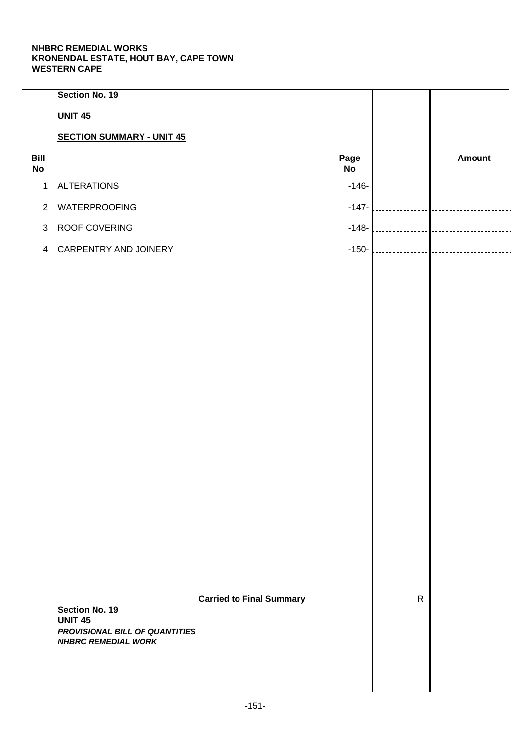|                   | Section No. 19                                               |                                 |            |              |                                |                |
|-------------------|--------------------------------------------------------------|---------------------------------|------------|--------------|--------------------------------|----------------|
|                   | <b>UNIT 45</b>                                               |                                 |            |              |                                |                |
|                   | <b>SECTION SUMMARY - UNIT 45</b>                             |                                 |            |              |                                |                |
| Bill<br><b>No</b> |                                                              |                                 | Page<br>No |              | Amount                         |                |
| $\mathbf{1}$      | <b>ALTERATIONS</b>                                           |                                 | $-146-$    | .            | <b>Contract Contract State</b> |                |
| $\overline{2}$    | <b>WATERPROOFING</b>                                         |                                 | $-147-$    |              |                                | $\overline{a}$ |
| $\mathbf{3}$      | ROOF COVERING                                                |                                 | $-148-$    |              |                                | $\overline{a}$ |
| $\overline{4}$    | CARPENTRY AND JOINERY                                        |                                 | $-150-$    |              |                                | $\overline{a}$ |
|                   |                                                              |                                 |            |              |                                |                |
|                   |                                                              |                                 |            |              |                                |                |
|                   |                                                              |                                 |            |              |                                |                |
|                   |                                                              |                                 |            |              |                                |                |
|                   |                                                              |                                 |            |              |                                |                |
|                   |                                                              |                                 |            |              |                                |                |
|                   |                                                              |                                 |            |              |                                |                |
|                   |                                                              |                                 |            |              |                                |                |
|                   |                                                              |                                 |            |              |                                |                |
|                   |                                                              |                                 |            |              |                                |                |
|                   |                                                              |                                 |            |              |                                |                |
|                   |                                                              |                                 |            |              |                                |                |
|                   |                                                              |                                 |            |              |                                |                |
|                   |                                                              |                                 |            |              |                                |                |
|                   |                                                              |                                 |            |              |                                |                |
|                   |                                                              |                                 |            |              |                                |                |
|                   |                                                              | <b>Carried to Final Summary</b> |            | $\mathsf{R}$ |                                |                |
|                   | <b>Section No. 19</b><br><b>UNIT 45</b>                      |                                 |            |              |                                |                |
|                   | PROVISIONAL BILL OF QUANTITIES<br><b>NHBRC REMEDIAL WORK</b> |                                 |            |              |                                |                |
|                   |                                                              |                                 |            |              |                                |                |
|                   |                                                              |                                 |            |              |                                |                |
|                   |                                                              |                                 |            |              |                                |                |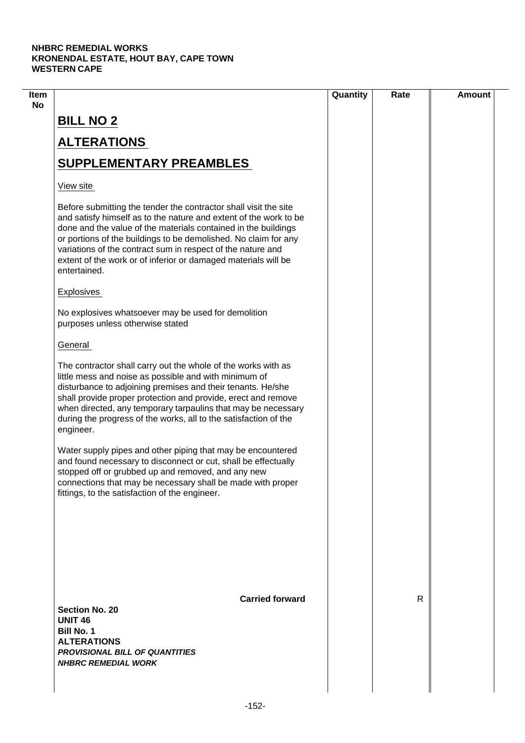| Item                                                                                                                                                                                                                                                                                                                                                                                                                        |                        | Quantity | Rate         | <b>Amount</b> |
|-----------------------------------------------------------------------------------------------------------------------------------------------------------------------------------------------------------------------------------------------------------------------------------------------------------------------------------------------------------------------------------------------------------------------------|------------------------|----------|--------------|---------------|
| <b>BILL NO 2</b>                                                                                                                                                                                                                                                                                                                                                                                                            |                        |          |              |               |
| <b>ALTERATIONS</b>                                                                                                                                                                                                                                                                                                                                                                                                          |                        |          |              |               |
| <b>SUPPLEMENTARY PREAMBLES</b>                                                                                                                                                                                                                                                                                                                                                                                              |                        |          |              |               |
| View site                                                                                                                                                                                                                                                                                                                                                                                                                   |                        |          |              |               |
| Before submitting the tender the contractor shall visit the site<br>and satisfy himself as to the nature and extent of the work to be<br>done and the value of the materials contained in the buildings<br>or portions of the buildings to be demolished. No claim for any<br>variations of the contract sum in respect of the nature and<br>extent of the work or of inferior or damaged materials will be<br>entertained. |                        |          |              |               |
| Explosives                                                                                                                                                                                                                                                                                                                                                                                                                  |                        |          |              |               |
| No explosives whatsoever may be used for demolition<br>purposes unless otherwise stated                                                                                                                                                                                                                                                                                                                                     |                        |          |              |               |
| General                                                                                                                                                                                                                                                                                                                                                                                                                     |                        |          |              |               |
| The contractor shall carry out the whole of the works with as<br>little mess and noise as possible and with minimum of<br>disturbance to adjoining premises and their tenants. He/she<br>shall provide proper protection and provide, erect and remove<br>when directed, any temporary tarpaulins that may be necessary<br>during the progress of the works, all to the satisfaction of the<br>engineer.                    |                        |          |              |               |
| Water supply pipes and other piping that may be encountered<br>and found necessary to disconnect or cut, shall be effectually<br>stopped off or grubbed up and removed, and any new<br>connections that may be necessary shall be made with proper<br>fittings, to the satisfaction of the engineer.                                                                                                                        |                        |          |              |               |
|                                                                                                                                                                                                                                                                                                                                                                                                                             | <b>Carried forward</b> |          | $\mathsf{R}$ |               |
| <b>Section No. 20</b><br><b>UNIT 46</b><br><b>Bill No. 1</b><br><b>ALTERATIONS</b><br><b>PROVISIONAL BILL OF QUANTITIES</b><br><b>NHBRC REMEDIAL WORK</b>                                                                                                                                                                                                                                                                   |                        |          |              |               |
|                                                                                                                                                                                                                                                                                                                                                                                                                             |                        |          |              |               |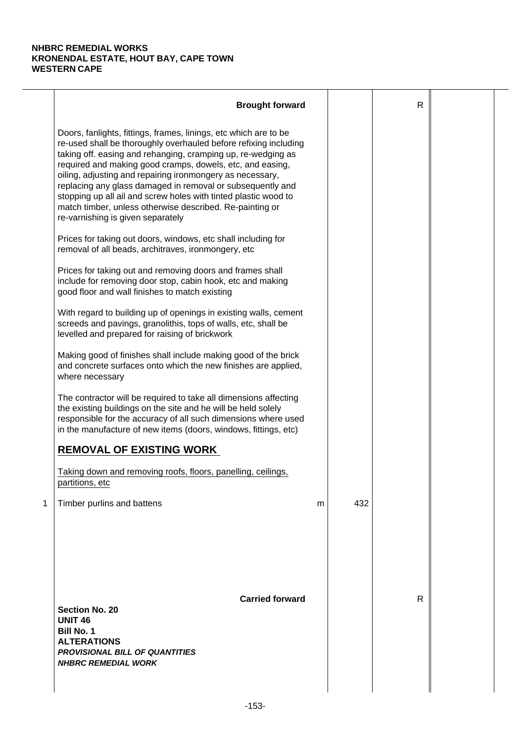|   | <b>Brought forward</b>                                                                                                                                                                                                                                                                                                                                                                                                                                                                                                                                           |   |     | $\mathsf{R}$ |  |
|---|------------------------------------------------------------------------------------------------------------------------------------------------------------------------------------------------------------------------------------------------------------------------------------------------------------------------------------------------------------------------------------------------------------------------------------------------------------------------------------------------------------------------------------------------------------------|---|-----|--------------|--|
|   | Doors, fanlights, fittings, frames, linings, etc which are to be<br>re-used shall be thoroughly overhauled before refixing including<br>taking off. easing and rehanging, cramping up, re-wedging as<br>required and making good cramps, dowels, etc, and easing,<br>oiling, adjusting and repairing ironmongery as necessary,<br>replacing any glass damaged in removal or subsequently and<br>stopping up all ail and screw holes with tinted plastic wood to<br>match timber, unless otherwise described. Re-painting or<br>re-varnishing is given separately |   |     |              |  |
|   | Prices for taking out doors, windows, etc shall including for<br>removal of all beads, architraves, ironmongery, etc                                                                                                                                                                                                                                                                                                                                                                                                                                             |   |     |              |  |
|   | Prices for taking out and removing doors and frames shall<br>include for removing door stop, cabin hook, etc and making<br>good floor and wall finishes to match existing                                                                                                                                                                                                                                                                                                                                                                                        |   |     |              |  |
|   | With regard to building up of openings in existing walls, cement<br>screeds and pavings, granolithis, tops of walls, etc, shall be<br>levelled and prepared for raising of brickwork                                                                                                                                                                                                                                                                                                                                                                             |   |     |              |  |
|   | Making good of finishes shall include making good of the brick<br>and concrete surfaces onto which the new finishes are applied,<br>where necessary                                                                                                                                                                                                                                                                                                                                                                                                              |   |     |              |  |
|   | The contractor will be required to take all dimensions affecting<br>the existing buildings on the site and he will be held solely<br>responsible for the accuracy of all such dimensions where used<br>in the manufacture of new items (doors, windows, fittings, etc)                                                                                                                                                                                                                                                                                           |   |     |              |  |
|   | <b>REMOVAL OF EXISTING WORK</b>                                                                                                                                                                                                                                                                                                                                                                                                                                                                                                                                  |   |     |              |  |
|   | Taking down and removing roofs, floors, panelling, ceilings,<br>partitions, etc                                                                                                                                                                                                                                                                                                                                                                                                                                                                                  |   |     |              |  |
| 1 | Timber purlins and battens                                                                                                                                                                                                                                                                                                                                                                                                                                                                                                                                       | m | 432 |              |  |
|   | <b>Carried forward</b><br><b>Section No. 20</b><br><b>UNIT 46</b><br><b>Bill No. 1</b><br><b>ALTERATIONS</b><br><b>PROVISIONAL BILL OF QUANTITIES</b><br><b>NHBRC REMEDIAL WORK</b>                                                                                                                                                                                                                                                                                                                                                                              |   |     | R            |  |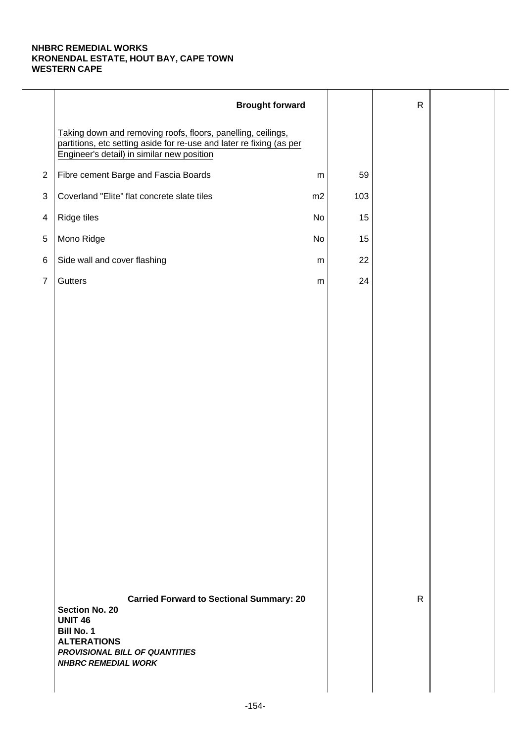|                | <b>Brought forward</b>                                                                                                                                                                                |           |     | $\mathsf{R}$ |  |
|----------------|-------------------------------------------------------------------------------------------------------------------------------------------------------------------------------------------------------|-----------|-----|--------------|--|
|                | Taking down and removing roofs, floors, panelling, ceilings,<br>partitions, etc setting aside for re-use and later re fixing (as per<br>Engineer's detail) in similar new position                    |           |     |              |  |
| $\overline{2}$ | Fibre cement Barge and Fascia Boards                                                                                                                                                                  | ${\sf m}$ | 59  |              |  |
| 3              | Coverland "Elite" flat concrete slate tiles                                                                                                                                                           | m2        | 103 |              |  |
| 4              | Ridge tiles                                                                                                                                                                                           | No        | 15  |              |  |
| $\,$ 5 $\,$    | Mono Ridge                                                                                                                                                                                            | No        | 15  |              |  |
| 6              | Side wall and cover flashing                                                                                                                                                                          | ${\sf m}$ | 22  |              |  |
| $\overline{7}$ | Gutters                                                                                                                                                                                               | ${\sf m}$ | 24  |              |  |
|                |                                                                                                                                                                                                       |           |     |              |  |
|                |                                                                                                                                                                                                       |           |     |              |  |
|                |                                                                                                                                                                                                       |           |     |              |  |
|                |                                                                                                                                                                                                       |           |     |              |  |
|                |                                                                                                                                                                                                       |           |     |              |  |
|                |                                                                                                                                                                                                       |           |     |              |  |
|                |                                                                                                                                                                                                       |           |     |              |  |
|                |                                                                                                                                                                                                       |           |     |              |  |
|                |                                                                                                                                                                                                       |           |     |              |  |
|                |                                                                                                                                                                                                       |           |     |              |  |
|                |                                                                                                                                                                                                       |           |     |              |  |
|                |                                                                                                                                                                                                       |           |     |              |  |
|                |                                                                                                                                                                                                       |           |     |              |  |
|                |                                                                                                                                                                                                       |           |     |              |  |
|                | <b>Carried Forward to Sectional Summary: 20</b><br><b>Section No. 20</b><br><b>UNIT 46</b><br><b>Bill No. 1</b><br><b>ALTERATIONS</b><br>PROVISIONAL BILL OF QUANTITIES<br><b>NHBRC REMEDIAL WORK</b> |           |     | $\mathsf{R}$ |  |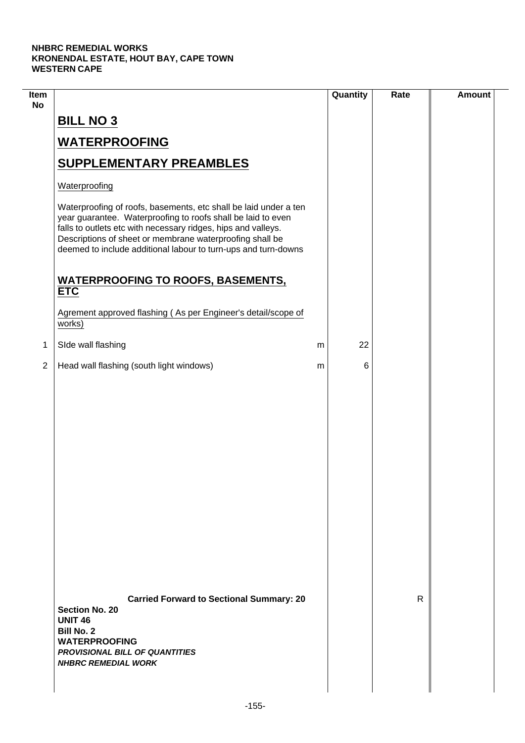$\mathcal{L}$ 

| Item<br><b>No</b> |                                                                                                                                                                                                                                                                                                                                 | Quantity | Rate | <b>Amount</b> |
|-------------------|---------------------------------------------------------------------------------------------------------------------------------------------------------------------------------------------------------------------------------------------------------------------------------------------------------------------------------|----------|------|---------------|
|                   | <b>BILL NO 3</b>                                                                                                                                                                                                                                                                                                                |          |      |               |
|                   | <b>WATERPROOFING</b>                                                                                                                                                                                                                                                                                                            |          |      |               |
|                   | <b>SUPPLEMENTARY PREAMBLES</b>                                                                                                                                                                                                                                                                                                  |          |      |               |
|                   | Waterproofing                                                                                                                                                                                                                                                                                                                   |          |      |               |
|                   | Waterproofing of roofs, basements, etc shall be laid under a ten<br>year guarantee. Waterproofing to roofs shall be laid to even<br>falls to outlets etc with necessary ridges, hips and valleys.<br>Descriptions of sheet or membrane waterproofing shall be<br>deemed to include additional labour to turn-ups and turn-downs |          |      |               |
|                   | <b>WATERPROOFING TO ROOFS, BASEMENTS,</b><br><b>ETC</b>                                                                                                                                                                                                                                                                         |          |      |               |
|                   | Agrement approved flashing (As per Engineer's detail/scope of<br>works)                                                                                                                                                                                                                                                         |          |      |               |
| 1                 | SIde wall flashing                                                                                                                                                                                                                                                                                                              | 22<br>m  |      |               |
| $\overline{2}$    | Head wall flashing (south light windows)                                                                                                                                                                                                                                                                                        | 6<br>m   |      |               |
|                   |                                                                                                                                                                                                                                                                                                                                 |          |      |               |
|                   | <b>Carried Forward to Sectional Summary: 20</b><br><b>Section No. 20</b><br><b>UNIT 46</b><br><b>Bill No. 2</b><br><b>WATERPROOFING</b><br><b>PROVISIONAL BILL OF QUANTITIES</b><br><b>NHBRC REMEDIAL WORK</b>                                                                                                                  |          | R    |               |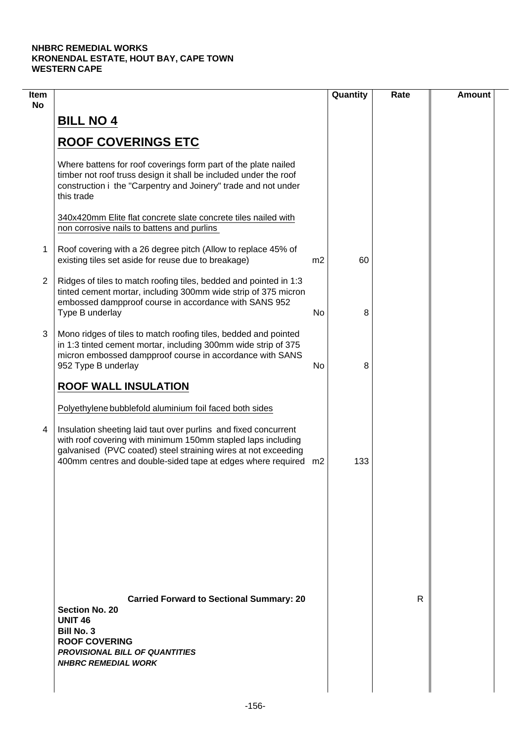| Item<br><b>No</b> |                                                                                                                                                                                                                                                                     |                | Quantity | Rate | <b>Amount</b> |
|-------------------|---------------------------------------------------------------------------------------------------------------------------------------------------------------------------------------------------------------------------------------------------------------------|----------------|----------|------|---------------|
|                   | <b>BILL NO 4</b>                                                                                                                                                                                                                                                    |                |          |      |               |
|                   | <b>ROOF COVERINGS ETC</b>                                                                                                                                                                                                                                           |                |          |      |               |
|                   | Where battens for roof coverings form part of the plate nailed<br>timber not roof truss design it shall be included under the roof<br>construction i the "Carpentry and Joinery" trade and not under<br>this trade                                                  |                |          |      |               |
|                   | 340x420mm Elite flat concrete slate concrete tiles nailed with<br>non corrosive nails to battens and purlins                                                                                                                                                        |                |          |      |               |
| 1                 | Roof covering with a 26 degree pitch (Allow to replace 45% of<br>existing tiles set aside for reuse due to breakage)                                                                                                                                                | m <sub>2</sub> | 60       |      |               |
| $\overline{2}$    | Ridges of tiles to match roofing tiles, bedded and pointed in 1:3<br>tinted cement mortar, including 300mm wide strip of 375 micron<br>embossed dampproof course in accordance with SANS 952<br>Type B underlay                                                     | No             | 8        |      |               |
| 3                 | Mono ridges of tiles to match roofing tiles, bedded and pointed<br>in 1:3 tinted cement mortar, including 300mm wide strip of 375<br>micron embossed dampproof course in accordance with SANS<br>952 Type B underlay                                                | No             | 8        |      |               |
|                   | <b>ROOF WALL INSULATION</b>                                                                                                                                                                                                                                         |                |          |      |               |
|                   | Polyethylene bubblefold aluminium foil faced both sides                                                                                                                                                                                                             |                |          |      |               |
| 4                 | Insulation sheeting laid taut over purlins and fixed concurrent<br>with roof covering with minimum 150mm stapled laps including<br>galvanised (PVC coated) steel straining wires at not exceeding<br>400mm centres and double-sided tape at edges where required m2 |                | 133      |      |               |
|                   |                                                                                                                                                                                                                                                                     |                |          |      |               |
|                   |                                                                                                                                                                                                                                                                     |                |          |      |               |
|                   |                                                                                                                                                                                                                                                                     |                |          |      |               |
|                   | <b>Carried Forward to Sectional Summary: 20</b><br><b>Section No. 20</b><br><b>UNIT 46</b><br><b>Bill No. 3</b><br><b>ROOF COVERING</b><br><b>PROVISIONAL BILL OF QUANTITIES</b><br><b>NHBRC REMEDIAL WORK</b>                                                      |                |          | R    |               |
|                   |                                                                                                                                                                                                                                                                     |                |          |      |               |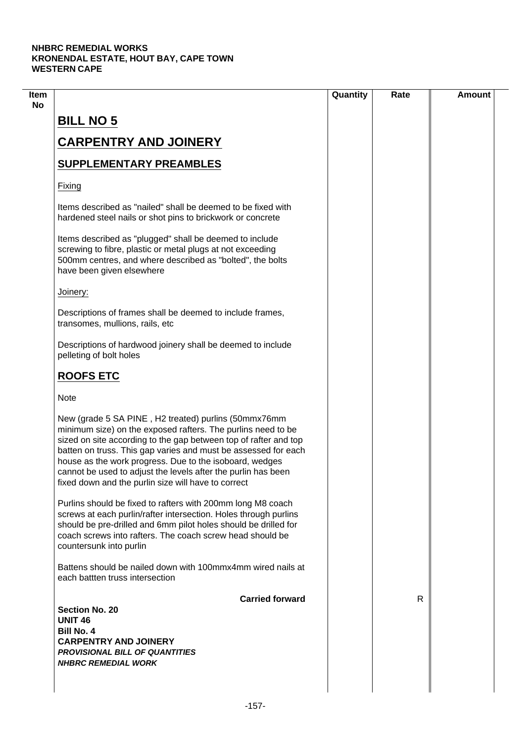|                                                                                                                                                                                                                                                                                                                                                                                                                                               | Quantity | Rate | <b>Amount</b> |
|-----------------------------------------------------------------------------------------------------------------------------------------------------------------------------------------------------------------------------------------------------------------------------------------------------------------------------------------------------------------------------------------------------------------------------------------------|----------|------|---------------|
| <b>BILL NO 5</b>                                                                                                                                                                                                                                                                                                                                                                                                                              |          |      |               |
| <b>CARPENTRY AND JOINERY</b>                                                                                                                                                                                                                                                                                                                                                                                                                  |          |      |               |
| <b>SUPPLEMENTARY PREAMBLES</b>                                                                                                                                                                                                                                                                                                                                                                                                                |          |      |               |
| Fixing                                                                                                                                                                                                                                                                                                                                                                                                                                        |          |      |               |
| Items described as "nailed" shall be deemed to be fixed with<br>hardened steel nails or shot pins to brickwork or concrete                                                                                                                                                                                                                                                                                                                    |          |      |               |
| Items described as "plugged" shall be deemed to include<br>screwing to fibre, plastic or metal plugs at not exceeding<br>500mm centres, and where described as "bolted", the bolts<br>have been given elsewhere                                                                                                                                                                                                                               |          |      |               |
| Joinery:                                                                                                                                                                                                                                                                                                                                                                                                                                      |          |      |               |
| Descriptions of frames shall be deemed to include frames,<br>transomes, mullions, rails, etc                                                                                                                                                                                                                                                                                                                                                  |          |      |               |
| Descriptions of hardwood joinery shall be deemed to include<br>pelleting of bolt holes                                                                                                                                                                                                                                                                                                                                                        |          |      |               |
| <b>ROOFS ETC</b>                                                                                                                                                                                                                                                                                                                                                                                                                              |          |      |               |
| <b>Note</b>                                                                                                                                                                                                                                                                                                                                                                                                                                   |          |      |               |
| New (grade 5 SA PINE, H2 treated) purlins (50mmx76mm<br>minimum size) on the exposed rafters. The purlins need to be<br>sized on site according to the gap between top of rafter and top<br>batten on truss. This gap varies and must be assessed for each<br>house as the work progress. Due to the isoboard, wedges<br>cannot be used to adjust the levels after the purlin has been<br>fixed down and the purlin size will have to correct |          |      |               |
| Purlins should be fixed to rafters with 200mm long M8 coach<br>screws at each purlin/rafter intersection. Holes through purlins<br>should be pre-drilled and 6mm pilot holes should be drilled for<br>coach screws into rafters. The coach screw head should be<br>countersunk into purlin                                                                                                                                                    |          |      |               |
| Battens should be nailed down with 100mmx4mm wired nails at<br>each battten truss intersection                                                                                                                                                                                                                                                                                                                                                |          |      |               |
| <b>Carried forward</b><br><b>Section No. 20</b>                                                                                                                                                                                                                                                                                                                                                                                               |          | R.   |               |
| <b>UNIT 46</b>                                                                                                                                                                                                                                                                                                                                                                                                                                |          |      |               |
| <b>Bill No. 4</b>                                                                                                                                                                                                                                                                                                                                                                                                                             |          |      |               |
| <b>CARPENTRY AND JOINERY</b>                                                                                                                                                                                                                                                                                                                                                                                                                  |          |      |               |
| <b>PROVISIONAL BILL OF QUANTITIES</b>                                                                                                                                                                                                                                                                                                                                                                                                         |          |      |               |
| <b>NHBRC REMEDIAL WORK</b>                                                                                                                                                                                                                                                                                                                                                                                                                    |          |      |               |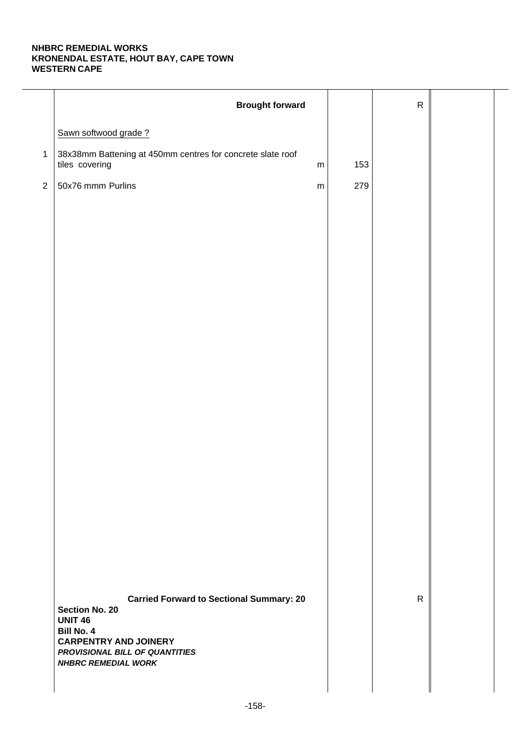|              | <b>Brought forward</b>                                                                     |           |     | ${\sf R}$    |  |
|--------------|--------------------------------------------------------------------------------------------|-----------|-----|--------------|--|
|              | Sawn softwood grade?                                                                       |           |     |              |  |
| $\mathbf{1}$ | 38x38mm Battening at 450mm centres for concrete slate roof<br>tiles covering               | ${\sf m}$ | 153 |              |  |
| $\sqrt{2}$   | 50x76 mmm Purlins                                                                          | ${\sf m}$ | 279 |              |  |
|              |                                                                                            |           |     |              |  |
|              |                                                                                            |           |     |              |  |
|              |                                                                                            |           |     |              |  |
|              |                                                                                            |           |     |              |  |
|              |                                                                                            |           |     |              |  |
|              |                                                                                            |           |     |              |  |
|              |                                                                                            |           |     |              |  |
|              |                                                                                            |           |     |              |  |
|              |                                                                                            |           |     |              |  |
|              |                                                                                            |           |     |              |  |
|              |                                                                                            |           |     |              |  |
|              |                                                                                            |           |     |              |  |
|              |                                                                                            |           |     |              |  |
|              |                                                                                            |           |     |              |  |
|              |                                                                                            |           |     |              |  |
|              |                                                                                            |           |     |              |  |
|              | <b>Carried Forward to Sectional Summary: 20</b><br><b>Section No. 20</b><br><b>UNIT 46</b> |           |     | $\mathsf{R}$ |  |
|              | <b>Bill No. 4</b><br><b>CARPENTRY AND JOINERY</b>                                          |           |     |              |  |
|              | PROVISIONAL BILL OF QUANTITIES<br><b>NHBRC REMEDIAL WORK</b>                               |           |     |              |  |
|              |                                                                                            |           |     |              |  |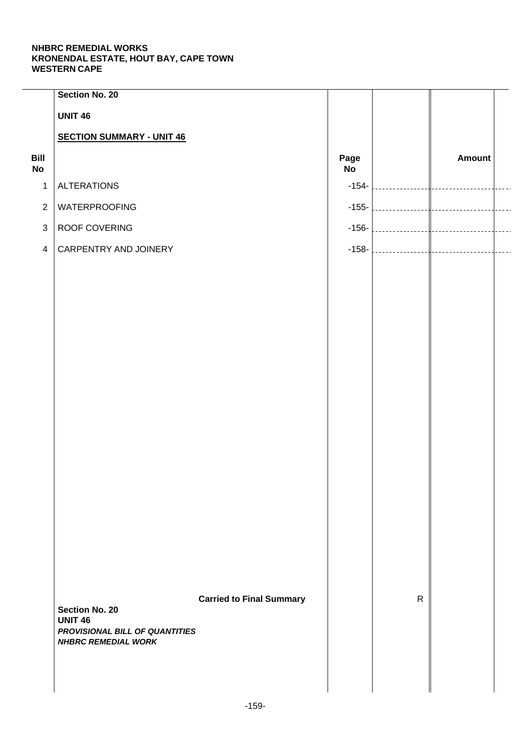|                   | <b>Section No. 20</b>                                        |                                 |                   |              |               |  |
|-------------------|--------------------------------------------------------------|---------------------------------|-------------------|--------------|---------------|--|
|                   | <b>UNIT 46</b>                                               |                                 |                   |              |               |  |
|                   | <b>SECTION SUMMARY - UNIT 46</b>                             |                                 |                   |              |               |  |
| Bill<br><b>No</b> |                                                              |                                 | Page<br><b>No</b> |              | <b>Amount</b> |  |
| $\mathbf{1}$      | <b>ALTERATIONS</b>                                           |                                 | $-154-$           |              |               |  |
| $\overline{2}$    | WATERPROOFING                                                |                                 | $-155-$           |              |               |  |
| $\mathfrak{S}$    | ROOF COVERING                                                |                                 | $-156-$           |              |               |  |
| $\overline{4}$    | CARPENTRY AND JOINERY                                        |                                 | $-158-$           |              |               |  |
|                   |                                                              |                                 |                   |              |               |  |
|                   |                                                              |                                 |                   |              |               |  |
|                   |                                                              |                                 |                   |              |               |  |
|                   |                                                              |                                 |                   |              |               |  |
|                   |                                                              |                                 |                   |              |               |  |
|                   |                                                              |                                 |                   |              |               |  |
|                   |                                                              |                                 |                   |              |               |  |
|                   |                                                              |                                 |                   |              |               |  |
|                   |                                                              |                                 |                   |              |               |  |
|                   |                                                              |                                 |                   |              |               |  |
|                   |                                                              |                                 |                   |              |               |  |
|                   |                                                              |                                 |                   |              |               |  |
|                   |                                                              |                                 |                   |              |               |  |
|                   |                                                              |                                 |                   |              |               |  |
|                   |                                                              |                                 |                   |              |               |  |
|                   |                                                              |                                 |                   |              |               |  |
|                   |                                                              | <b>Carried to Final Summary</b> |                   | $\mathsf{R}$ |               |  |
|                   | <b>Section No. 20</b><br><b>UNIT 46</b>                      |                                 |                   |              |               |  |
|                   | PROVISIONAL BILL OF QUANTITIES<br><b>NHBRC REMEDIAL WORK</b> |                                 |                   |              |               |  |
|                   |                                                              |                                 |                   |              |               |  |
|                   |                                                              |                                 |                   |              |               |  |
|                   |                                                              |                                 |                   |              |               |  |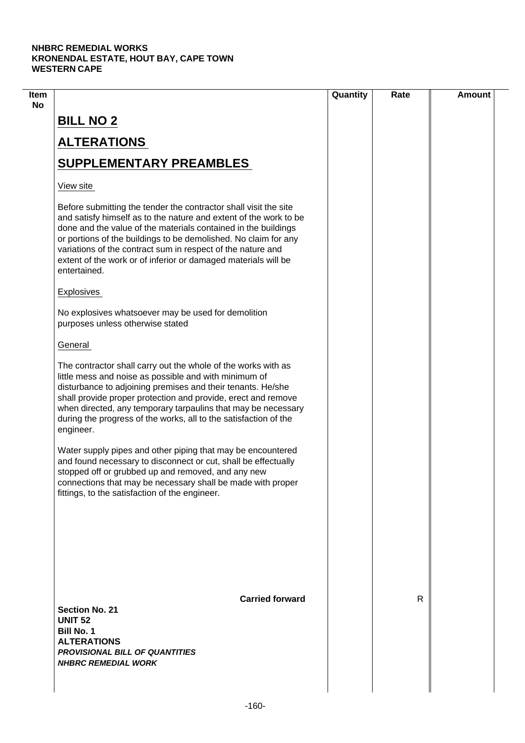| Item |                                                                                                                                                                                                                                                                                                                                                                                                                             | Quantity | Rate | <b>Amount</b> |
|------|-----------------------------------------------------------------------------------------------------------------------------------------------------------------------------------------------------------------------------------------------------------------------------------------------------------------------------------------------------------------------------------------------------------------------------|----------|------|---------------|
| No   | <b>BILL NO 2</b>                                                                                                                                                                                                                                                                                                                                                                                                            |          |      |               |
|      | <b>ALTERATIONS</b>                                                                                                                                                                                                                                                                                                                                                                                                          |          |      |               |
|      | <b>SUPPLEMENTARY PREAMBLES</b>                                                                                                                                                                                                                                                                                                                                                                                              |          |      |               |
|      | View site                                                                                                                                                                                                                                                                                                                                                                                                                   |          |      |               |
|      | Before submitting the tender the contractor shall visit the site<br>and satisfy himself as to the nature and extent of the work to be<br>done and the value of the materials contained in the buildings<br>or portions of the buildings to be demolished. No claim for any<br>variations of the contract sum in respect of the nature and<br>extent of the work or of inferior or damaged materials will be<br>entertained. |          |      |               |
|      | <b>Explosives</b>                                                                                                                                                                                                                                                                                                                                                                                                           |          |      |               |
|      | No explosives whatsoever may be used for demolition<br>purposes unless otherwise stated                                                                                                                                                                                                                                                                                                                                     |          |      |               |
|      | General                                                                                                                                                                                                                                                                                                                                                                                                                     |          |      |               |
|      | The contractor shall carry out the whole of the works with as<br>little mess and noise as possible and with minimum of<br>disturbance to adjoining premises and their tenants. He/she<br>shall provide proper protection and provide, erect and remove<br>when directed, any temporary tarpaulins that may be necessary<br>during the progress of the works, all to the satisfaction of the<br>engineer.                    |          |      |               |
|      | Water supply pipes and other piping that may be encountered<br>and found necessary to disconnect or cut, shall be effectually<br>stopped off or grubbed up and removed, and any new<br>connections that may be necessary shall be made with proper<br>fittings, to the satisfaction of the engineer.                                                                                                                        |          |      |               |
|      | <b>Carried forward</b><br><b>Section No. 21</b>                                                                                                                                                                                                                                                                                                                                                                             |          | R    |               |
|      | <b>UNIT 52</b><br><b>Bill No. 1</b><br><b>ALTERATIONS</b><br><b>PROVISIONAL BILL OF QUANTITIES</b><br><b>NHBRC REMEDIAL WORK</b>                                                                                                                                                                                                                                                                                            |          |      |               |
|      |                                                                                                                                                                                                                                                                                                                                                                                                                             |          |      |               |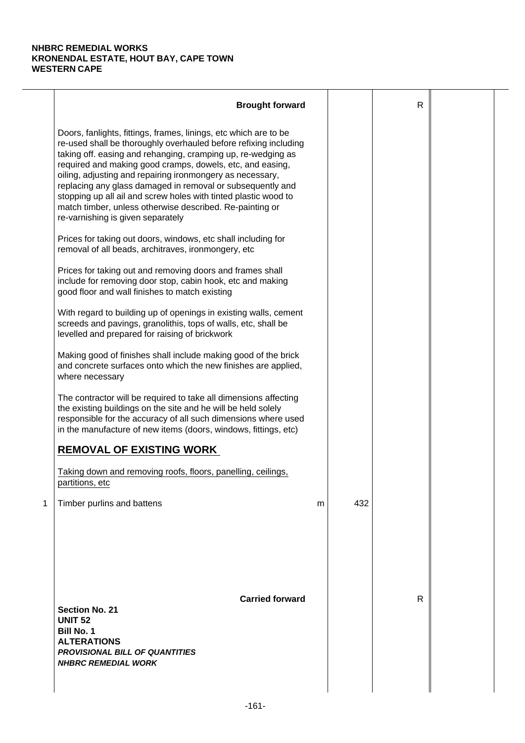|   | <b>Brought forward</b>                                                                                                                                                                                                                                                                                                                                                                                                                                                                                                                                           |   |     | $\mathsf{R}$ |  |
|---|------------------------------------------------------------------------------------------------------------------------------------------------------------------------------------------------------------------------------------------------------------------------------------------------------------------------------------------------------------------------------------------------------------------------------------------------------------------------------------------------------------------------------------------------------------------|---|-----|--------------|--|
|   | Doors, fanlights, fittings, frames, linings, etc which are to be<br>re-used shall be thoroughly overhauled before refixing including<br>taking off. easing and rehanging, cramping up, re-wedging as<br>required and making good cramps, dowels, etc, and easing,<br>oiling, adjusting and repairing ironmongery as necessary,<br>replacing any glass damaged in removal or subsequently and<br>stopping up all ail and screw holes with tinted plastic wood to<br>match timber, unless otherwise described. Re-painting or<br>re-varnishing is given separately |   |     |              |  |
|   | Prices for taking out doors, windows, etc shall including for<br>removal of all beads, architraves, ironmongery, etc                                                                                                                                                                                                                                                                                                                                                                                                                                             |   |     |              |  |
|   | Prices for taking out and removing doors and frames shall<br>include for removing door stop, cabin hook, etc and making<br>good floor and wall finishes to match existing                                                                                                                                                                                                                                                                                                                                                                                        |   |     |              |  |
|   | With regard to building up of openings in existing walls, cement<br>screeds and pavings, granolithis, tops of walls, etc, shall be<br>levelled and prepared for raising of brickwork                                                                                                                                                                                                                                                                                                                                                                             |   |     |              |  |
|   | Making good of finishes shall include making good of the brick<br>and concrete surfaces onto which the new finishes are applied,<br>where necessary                                                                                                                                                                                                                                                                                                                                                                                                              |   |     |              |  |
|   | The contractor will be required to take all dimensions affecting<br>the existing buildings on the site and he will be held solely<br>responsible for the accuracy of all such dimensions where used<br>in the manufacture of new items (doors, windows, fittings, etc)                                                                                                                                                                                                                                                                                           |   |     |              |  |
|   | <b>REMOVAL OF EXISTING WORK</b>                                                                                                                                                                                                                                                                                                                                                                                                                                                                                                                                  |   |     |              |  |
|   | Taking down and removing roofs, floors, panelling, ceilings,<br>partitions, etc                                                                                                                                                                                                                                                                                                                                                                                                                                                                                  |   |     |              |  |
| 1 | Timber purlins and battens                                                                                                                                                                                                                                                                                                                                                                                                                                                                                                                                       | m | 432 |              |  |
|   | <b>Carried forward</b><br><b>Section No. 21</b><br><b>UNIT 52</b><br><b>Bill No. 1</b><br><b>ALTERATIONS</b><br><b>PROVISIONAL BILL OF QUANTITIES</b><br><b>NHBRC REMEDIAL WORK</b>                                                                                                                                                                                                                                                                                                                                                                              |   |     | R            |  |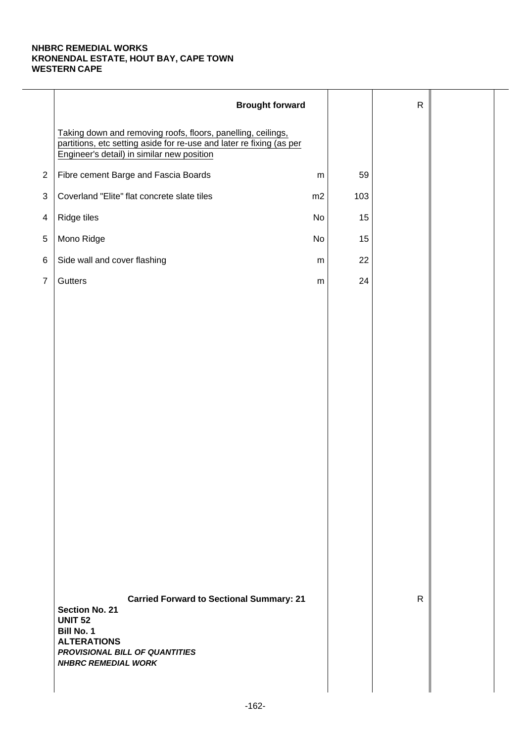|                | <b>Brought forward</b>                                                                                                                                                                                |           |     | $\mathsf{R}$ |  |
|----------------|-------------------------------------------------------------------------------------------------------------------------------------------------------------------------------------------------------|-----------|-----|--------------|--|
|                | Taking down and removing roofs, floors, panelling, ceilings,<br>partitions, etc setting aside for re-use and later re fixing (as per<br>Engineer's detail) in similar new position                    |           |     |              |  |
| $\overline{2}$ | Fibre cement Barge and Fascia Boards                                                                                                                                                                  | ${\sf m}$ | 59  |              |  |
| 3              | Coverland "Elite" flat concrete slate tiles                                                                                                                                                           | m2        | 103 |              |  |
| 4              | Ridge tiles                                                                                                                                                                                           | No        | 15  |              |  |
| $\,$ 5 $\,$    | Mono Ridge                                                                                                                                                                                            | No        | 15  |              |  |
| 6              | Side wall and cover flashing                                                                                                                                                                          | ${\sf m}$ | 22  |              |  |
| $\overline{7}$ | Gutters                                                                                                                                                                                               | ${\sf m}$ | 24  |              |  |
|                |                                                                                                                                                                                                       |           |     |              |  |
|                |                                                                                                                                                                                                       |           |     |              |  |
|                |                                                                                                                                                                                                       |           |     |              |  |
|                |                                                                                                                                                                                                       |           |     |              |  |
|                |                                                                                                                                                                                                       |           |     |              |  |
|                |                                                                                                                                                                                                       |           |     |              |  |
|                |                                                                                                                                                                                                       |           |     |              |  |
|                |                                                                                                                                                                                                       |           |     |              |  |
|                |                                                                                                                                                                                                       |           |     |              |  |
|                |                                                                                                                                                                                                       |           |     |              |  |
|                |                                                                                                                                                                                                       |           |     |              |  |
|                |                                                                                                                                                                                                       |           |     |              |  |
|                |                                                                                                                                                                                                       |           |     |              |  |
|                |                                                                                                                                                                                                       |           |     |              |  |
|                | <b>Carried Forward to Sectional Summary: 21</b><br><b>Section No. 21</b><br><b>UNIT 52</b><br><b>Bill No. 1</b><br><b>ALTERATIONS</b><br>PROVISIONAL BILL OF QUANTITIES<br><b>NHBRC REMEDIAL WORK</b> |           |     | $\mathsf{R}$ |  |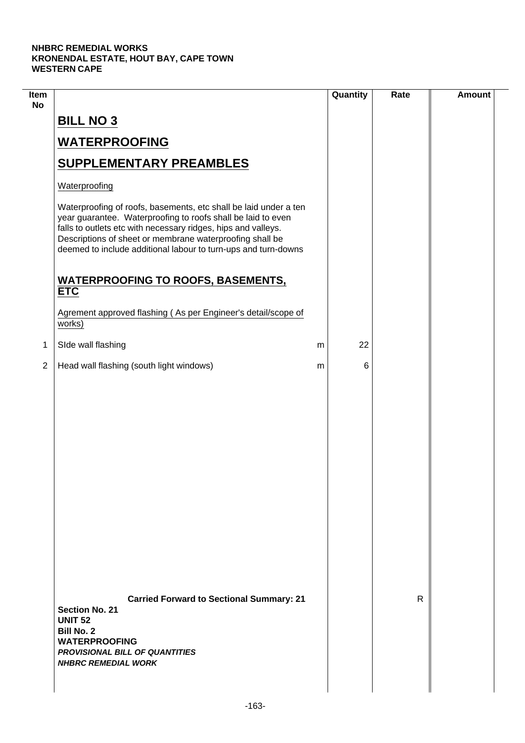$\mathcal{L}$ 

| Item<br><b>No</b> |                                                                                                                                                                                                                                                                                                                                 |   | Quantity | Rate | <b>Amount</b> |
|-------------------|---------------------------------------------------------------------------------------------------------------------------------------------------------------------------------------------------------------------------------------------------------------------------------------------------------------------------------|---|----------|------|---------------|
|                   | <b>BILL NO 3</b>                                                                                                                                                                                                                                                                                                                |   |          |      |               |
|                   | <b>WATERPROOFING</b>                                                                                                                                                                                                                                                                                                            |   |          |      |               |
|                   | <b>SUPPLEMENTARY PREAMBLES</b>                                                                                                                                                                                                                                                                                                  |   |          |      |               |
|                   | Waterproofing                                                                                                                                                                                                                                                                                                                   |   |          |      |               |
|                   | Waterproofing of roofs, basements, etc shall be laid under a ten<br>year guarantee. Waterproofing to roofs shall be laid to even<br>falls to outlets etc with necessary ridges, hips and valleys.<br>Descriptions of sheet or membrane waterproofing shall be<br>deemed to include additional labour to turn-ups and turn-downs |   |          |      |               |
|                   | <b>WATERPROOFING TO ROOFS, BASEMENTS,</b><br><b>ETC</b>                                                                                                                                                                                                                                                                         |   |          |      |               |
|                   | Agrement approved flashing (As per Engineer's detail/scope of<br>works)                                                                                                                                                                                                                                                         |   |          |      |               |
| 1                 | SIde wall flashing                                                                                                                                                                                                                                                                                                              | m | 22       |      |               |
| $\overline{2}$    | Head wall flashing (south light windows)                                                                                                                                                                                                                                                                                        | m | 6        |      |               |
|                   |                                                                                                                                                                                                                                                                                                                                 |   |          |      |               |
|                   | <b>Carried Forward to Sectional Summary: 21</b><br><b>Section No. 21</b><br><b>UNIT 52</b><br><b>Bill No. 2</b><br><b>WATERPROOFING</b><br><b>PROVISIONAL BILL OF QUANTITIES</b><br><b>NHBRC REMEDIAL WORK</b>                                                                                                                  |   |          | R    |               |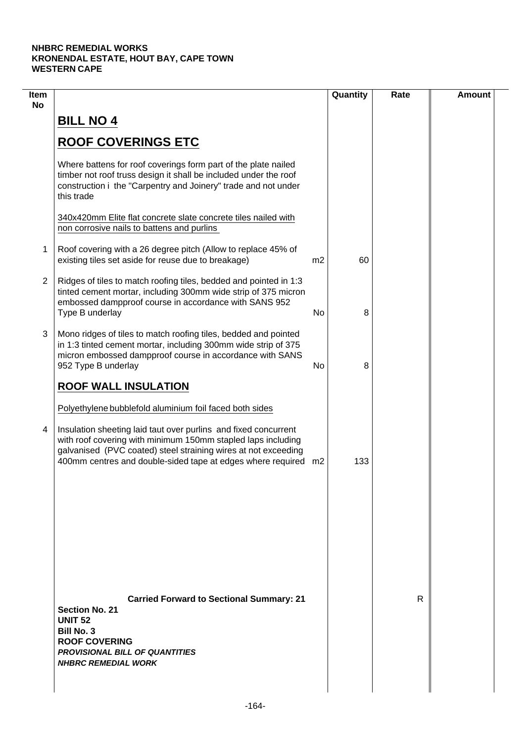| Item<br><b>No</b> |                                                                                                                                                                                                                                                                     |    | Quantity | Rate | <b>Amount</b> |
|-------------------|---------------------------------------------------------------------------------------------------------------------------------------------------------------------------------------------------------------------------------------------------------------------|----|----------|------|---------------|
|                   | <b>BILL NO 4</b>                                                                                                                                                                                                                                                    |    |          |      |               |
|                   | <b>ROOF COVERINGS ETC</b>                                                                                                                                                                                                                                           |    |          |      |               |
|                   | Where battens for roof coverings form part of the plate nailed<br>timber not roof truss design it shall be included under the roof<br>construction i the "Carpentry and Joinery" trade and not under<br>this trade                                                  |    |          |      |               |
|                   | 340x420mm Elite flat concrete slate concrete tiles nailed with<br>non corrosive nails to battens and purlins                                                                                                                                                        |    |          |      |               |
| 1                 | Roof covering with a 26 degree pitch (Allow to replace 45% of<br>existing tiles set aside for reuse due to breakage)                                                                                                                                                | m2 | 60       |      |               |
| 2                 | Ridges of tiles to match roofing tiles, bedded and pointed in 1:3<br>tinted cement mortar, including 300mm wide strip of 375 micron<br>embossed dampproof course in accordance with SANS 952<br>Type B underlay                                                     | No | 8        |      |               |
| 3                 | Mono ridges of tiles to match roofing tiles, bedded and pointed<br>in 1:3 tinted cement mortar, including 300mm wide strip of 375<br>micron embossed dampproof course in accordance with SANS<br>952 Type B underlay                                                | No | 8        |      |               |
|                   | <b>ROOF WALL INSULATION</b>                                                                                                                                                                                                                                         |    |          |      |               |
|                   | Polyethylene bubblefold aluminium foil faced both sides                                                                                                                                                                                                             |    |          |      |               |
| 4                 | Insulation sheeting laid taut over purlins and fixed concurrent<br>with roof covering with minimum 150mm stapled laps including<br>galvanised (PVC coated) steel straining wires at not exceeding<br>400mm centres and double-sided tape at edges where required m2 |    | 133      |      |               |
|                   |                                                                                                                                                                                                                                                                     |    |          |      |               |
|                   |                                                                                                                                                                                                                                                                     |    |          |      |               |
|                   |                                                                                                                                                                                                                                                                     |    |          |      |               |
|                   | <b>Carried Forward to Sectional Summary: 21</b><br><b>Section No. 21</b><br><b>UNIT 52</b><br><b>Bill No. 3</b><br><b>ROOF COVERING</b><br><b>PROVISIONAL BILL OF QUANTITIES</b><br><b>NHBRC REMEDIAL WORK</b>                                                      |    |          | R    |               |
|                   |                                                                                                                                                                                                                                                                     |    |          |      |               |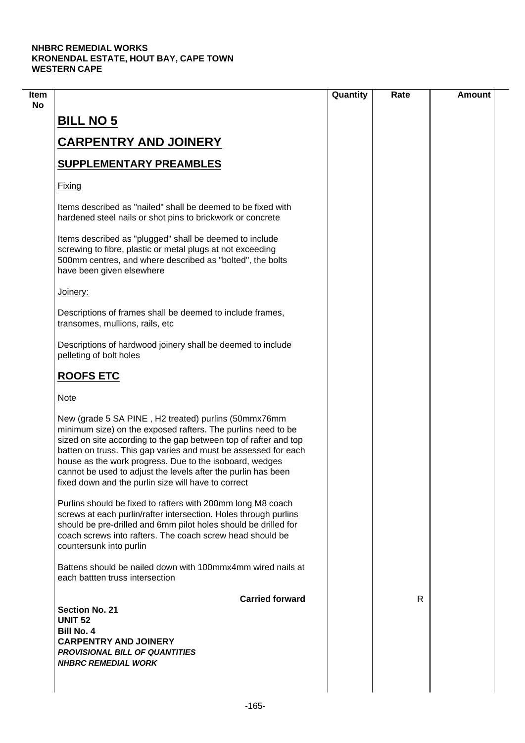|                                                                                                                                                                                                                                                                                                                                                                                                                                               | Quantity | Rate | <b>Amount</b> |
|-----------------------------------------------------------------------------------------------------------------------------------------------------------------------------------------------------------------------------------------------------------------------------------------------------------------------------------------------------------------------------------------------------------------------------------------------|----------|------|---------------|
| <b>BILL NO 5</b>                                                                                                                                                                                                                                                                                                                                                                                                                              |          |      |               |
| <b>CARPENTRY AND JOINERY</b>                                                                                                                                                                                                                                                                                                                                                                                                                  |          |      |               |
| <b>SUPPLEMENTARY PREAMBLES</b>                                                                                                                                                                                                                                                                                                                                                                                                                |          |      |               |
| Fixing                                                                                                                                                                                                                                                                                                                                                                                                                                        |          |      |               |
| Items described as "nailed" shall be deemed to be fixed with<br>hardened steel nails or shot pins to brickwork or concrete                                                                                                                                                                                                                                                                                                                    |          |      |               |
| Items described as "plugged" shall be deemed to include<br>screwing to fibre, plastic or metal plugs at not exceeding<br>500mm centres, and where described as "bolted", the bolts<br>have been given elsewhere                                                                                                                                                                                                                               |          |      |               |
| Joinery:                                                                                                                                                                                                                                                                                                                                                                                                                                      |          |      |               |
| Descriptions of frames shall be deemed to include frames,<br>transomes, mullions, rails, etc                                                                                                                                                                                                                                                                                                                                                  |          |      |               |
| Descriptions of hardwood joinery shall be deemed to include<br>pelleting of bolt holes                                                                                                                                                                                                                                                                                                                                                        |          |      |               |
| <b>ROOFS ETC</b>                                                                                                                                                                                                                                                                                                                                                                                                                              |          |      |               |
| <b>Note</b>                                                                                                                                                                                                                                                                                                                                                                                                                                   |          |      |               |
| New (grade 5 SA PINE, H2 treated) purlins (50mmx76mm<br>minimum size) on the exposed rafters. The purlins need to be<br>sized on site according to the gap between top of rafter and top<br>batten on truss. This gap varies and must be assessed for each<br>house as the work progress. Due to the isoboard, wedges<br>cannot be used to adjust the levels after the purlin has been<br>fixed down and the purlin size will have to correct |          |      |               |
| Purlins should be fixed to rafters with 200mm long M8 coach<br>screws at each purlin/rafter intersection. Holes through purlins<br>should be pre-drilled and 6mm pilot holes should be drilled for<br>coach screws into rafters. The coach screw head should be<br>countersunk into purlin                                                                                                                                                    |          |      |               |
| Battens should be nailed down with 100mmx4mm wired nails at<br>each battten truss intersection                                                                                                                                                                                                                                                                                                                                                |          |      |               |
| <b>Carried forward</b><br><b>Section No. 21</b>                                                                                                                                                                                                                                                                                                                                                                                               |          | R    |               |
| <b>UNIT 52</b>                                                                                                                                                                                                                                                                                                                                                                                                                                |          |      |               |
| <b>Bill No. 4</b>                                                                                                                                                                                                                                                                                                                                                                                                                             |          |      |               |
| <b>CARPENTRY AND JOINERY</b>                                                                                                                                                                                                                                                                                                                                                                                                                  |          |      |               |
| <b>PROVISIONAL BILL OF QUANTITIES</b><br><b>NHBRC REMEDIAL WORK</b>                                                                                                                                                                                                                                                                                                                                                                           |          |      |               |
|                                                                                                                                                                                                                                                                                                                                                                                                                                               |          |      |               |
|                                                                                                                                                                                                                                                                                                                                                                                                                                               |          |      |               |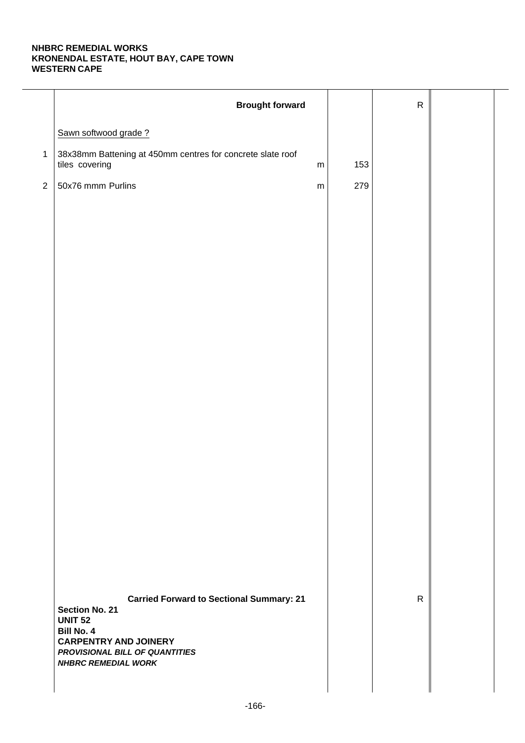|              | <b>Brought forward</b>                                                                                                                                       |           |     | ${\sf R}$    |  |
|--------------|--------------------------------------------------------------------------------------------------------------------------------------------------------------|-----------|-----|--------------|--|
|              | Sawn softwood grade?                                                                                                                                         |           |     |              |  |
| $\mathbf{1}$ | 38x38mm Battening at 450mm centres for concrete slate roof<br>tiles covering                                                                                 | ${\sf m}$ | 153 |              |  |
| $\sqrt{2}$   | 50x76 mmm Purlins                                                                                                                                            | ${\sf m}$ | 279 |              |  |
|              | <b>Carried Forward to Sectional Summary: 21</b>                                                                                                              |           |     | $\mathsf{R}$ |  |
|              | <b>Section No. 21</b><br><b>UNIT 52</b><br><b>Bill No. 4</b><br><b>CARPENTRY AND JOINERY</b><br>PROVISIONAL BILL OF QUANTITIES<br><b>NHBRC REMEDIAL WORK</b> |           |     |              |  |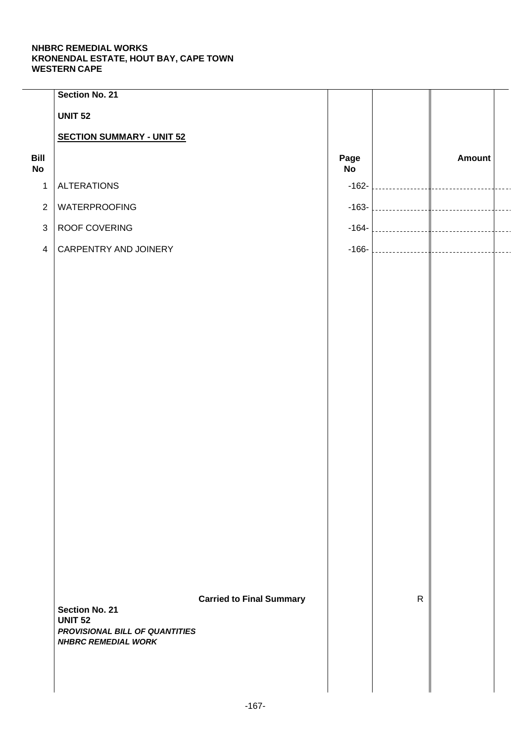|                   | Section No. 21                                   |                                 |                   |              |               |  |
|-------------------|--------------------------------------------------|---------------------------------|-------------------|--------------|---------------|--|
|                   | <b>UNIT 52</b>                                   |                                 |                   |              |               |  |
|                   | <b>SECTION SUMMARY - UNIT 52</b>                 |                                 |                   |              |               |  |
| Bill<br><b>No</b> |                                                  |                                 | Page<br><b>No</b> |              | <b>Amount</b> |  |
| $\mathbf{1}$      | <b>ALTERATIONS</b>                               |                                 | $-162-$           |              |               |  |
| $\overline{2}$    | WATERPROOFING                                    |                                 | $-163-$           |              |               |  |
| $\mathfrak{S}$    | ROOF COVERING                                    |                                 | $-164-$           |              |               |  |
| $\overline{4}$    | CARPENTRY AND JOINERY                            |                                 | $-166-$           |              |               |  |
|                   |                                                  |                                 |                   |              |               |  |
|                   |                                                  |                                 |                   |              |               |  |
|                   |                                                  |                                 |                   |              |               |  |
|                   |                                                  |                                 |                   |              |               |  |
|                   |                                                  |                                 |                   |              |               |  |
|                   |                                                  |                                 |                   |              |               |  |
|                   |                                                  |                                 |                   |              |               |  |
|                   |                                                  |                                 |                   |              |               |  |
|                   |                                                  |                                 |                   |              |               |  |
|                   |                                                  |                                 |                   |              |               |  |
|                   |                                                  |                                 |                   |              |               |  |
|                   |                                                  |                                 |                   |              |               |  |
|                   |                                                  |                                 |                   |              |               |  |
|                   |                                                  |                                 |                   |              |               |  |
|                   |                                                  |                                 |                   |              |               |  |
|                   |                                                  |                                 |                   |              |               |  |
|                   |                                                  |                                 |                   |              |               |  |
|                   | <b>Section No. 21</b>                            | <b>Carried to Final Summary</b> |                   | $\mathsf{R}$ |               |  |
|                   | <b>UNIT 52</b><br>PROVISIONAL BILL OF QUANTITIES |                                 |                   |              |               |  |
|                   | <b>NHBRC REMEDIAL WORK</b>                       |                                 |                   |              |               |  |
|                   |                                                  |                                 |                   |              |               |  |
|                   |                                                  |                                 |                   |              |               |  |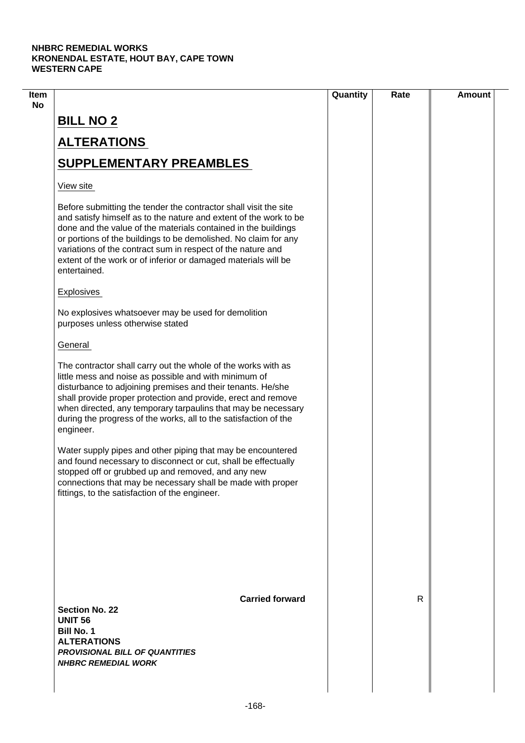| Item |                                                                                                                                                                                                                                                                                                                                                                                                                             | Quantity | Rate | <b>Amount</b> |
|------|-----------------------------------------------------------------------------------------------------------------------------------------------------------------------------------------------------------------------------------------------------------------------------------------------------------------------------------------------------------------------------------------------------------------------------|----------|------|---------------|
| No   | <b>BILL NO 2</b>                                                                                                                                                                                                                                                                                                                                                                                                            |          |      |               |
|      | <b>ALTERATIONS</b>                                                                                                                                                                                                                                                                                                                                                                                                          |          |      |               |
|      | <b>SUPPLEMENTARY PREAMBLES</b>                                                                                                                                                                                                                                                                                                                                                                                              |          |      |               |
|      | View site                                                                                                                                                                                                                                                                                                                                                                                                                   |          |      |               |
|      | Before submitting the tender the contractor shall visit the site<br>and satisfy himself as to the nature and extent of the work to be<br>done and the value of the materials contained in the buildings<br>or portions of the buildings to be demolished. No claim for any<br>variations of the contract sum in respect of the nature and<br>extent of the work or of inferior or damaged materials will be<br>entertained. |          |      |               |
|      | <b>Explosives</b>                                                                                                                                                                                                                                                                                                                                                                                                           |          |      |               |
|      | No explosives whatsoever may be used for demolition<br>purposes unless otherwise stated                                                                                                                                                                                                                                                                                                                                     |          |      |               |
|      | General                                                                                                                                                                                                                                                                                                                                                                                                                     |          |      |               |
|      | The contractor shall carry out the whole of the works with as<br>little mess and noise as possible and with minimum of<br>disturbance to adjoining premises and their tenants. He/she<br>shall provide proper protection and provide, erect and remove<br>when directed, any temporary tarpaulins that may be necessary<br>during the progress of the works, all to the satisfaction of the<br>engineer.                    |          |      |               |
|      | Water supply pipes and other piping that may be encountered<br>and found necessary to disconnect or cut, shall be effectually<br>stopped off or grubbed up and removed, and any new<br>connections that may be necessary shall be made with proper<br>fittings, to the satisfaction of the engineer.                                                                                                                        |          |      |               |
|      | <b>Carried forward</b><br><b>Section No. 22</b>                                                                                                                                                                                                                                                                                                                                                                             |          | R    |               |
|      | <b>UNIT 56</b><br><b>Bill No. 1</b><br><b>ALTERATIONS</b><br><b>PROVISIONAL BILL OF QUANTITIES</b><br><b>NHBRC REMEDIAL WORK</b>                                                                                                                                                                                                                                                                                            |          |      |               |
|      |                                                                                                                                                                                                                                                                                                                                                                                                                             |          |      |               |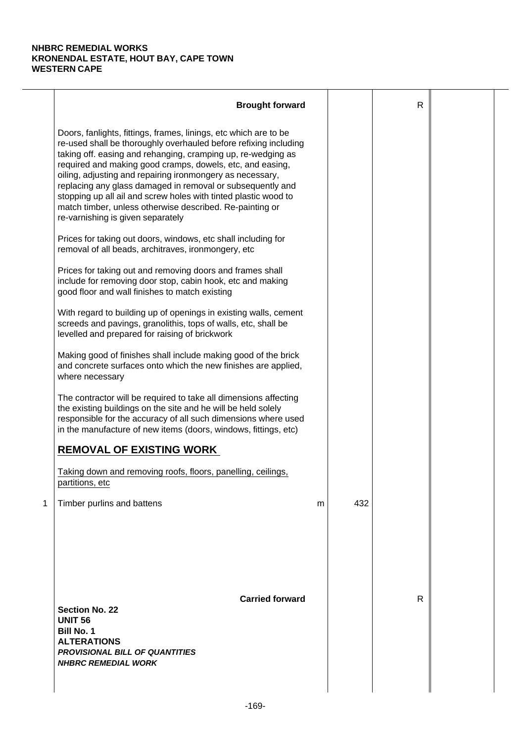|   | <b>Brought forward</b>                                                                                                                                                                                                                                                                                                                                                                                                                                                                                                                                           |   |     | $\mathsf{R}$ |  |
|---|------------------------------------------------------------------------------------------------------------------------------------------------------------------------------------------------------------------------------------------------------------------------------------------------------------------------------------------------------------------------------------------------------------------------------------------------------------------------------------------------------------------------------------------------------------------|---|-----|--------------|--|
|   | Doors, fanlights, fittings, frames, linings, etc which are to be<br>re-used shall be thoroughly overhauled before refixing including<br>taking off. easing and rehanging, cramping up, re-wedging as<br>required and making good cramps, dowels, etc, and easing,<br>oiling, adjusting and repairing ironmongery as necessary,<br>replacing any glass damaged in removal or subsequently and<br>stopping up all ail and screw holes with tinted plastic wood to<br>match timber, unless otherwise described. Re-painting or<br>re-varnishing is given separately |   |     |              |  |
|   | Prices for taking out doors, windows, etc shall including for<br>removal of all beads, architraves, ironmongery, etc                                                                                                                                                                                                                                                                                                                                                                                                                                             |   |     |              |  |
|   | Prices for taking out and removing doors and frames shall<br>include for removing door stop, cabin hook, etc and making<br>good floor and wall finishes to match existing                                                                                                                                                                                                                                                                                                                                                                                        |   |     |              |  |
|   | With regard to building up of openings in existing walls, cement<br>screeds and pavings, granolithis, tops of walls, etc, shall be<br>levelled and prepared for raising of brickwork                                                                                                                                                                                                                                                                                                                                                                             |   |     |              |  |
|   | Making good of finishes shall include making good of the brick<br>and concrete surfaces onto which the new finishes are applied,<br>where necessary                                                                                                                                                                                                                                                                                                                                                                                                              |   |     |              |  |
|   | The contractor will be required to take all dimensions affecting<br>the existing buildings on the site and he will be held solely<br>responsible for the accuracy of all such dimensions where used<br>in the manufacture of new items (doors, windows, fittings, etc)                                                                                                                                                                                                                                                                                           |   |     |              |  |
|   | <b>REMOVAL OF EXISTING WORK</b>                                                                                                                                                                                                                                                                                                                                                                                                                                                                                                                                  |   |     |              |  |
|   | Taking down and removing roofs, floors, panelling, ceilings,<br>partitions, etc                                                                                                                                                                                                                                                                                                                                                                                                                                                                                  |   |     |              |  |
| 1 | Timber purlins and battens                                                                                                                                                                                                                                                                                                                                                                                                                                                                                                                                       | m | 432 |              |  |
|   | <b>Carried forward</b><br><b>Section No. 22</b><br><b>UNIT 56</b><br><b>Bill No. 1</b><br><b>ALTERATIONS</b><br><b>PROVISIONAL BILL OF QUANTITIES</b><br><b>NHBRC REMEDIAL WORK</b>                                                                                                                                                                                                                                                                                                                                                                              |   |     | R            |  |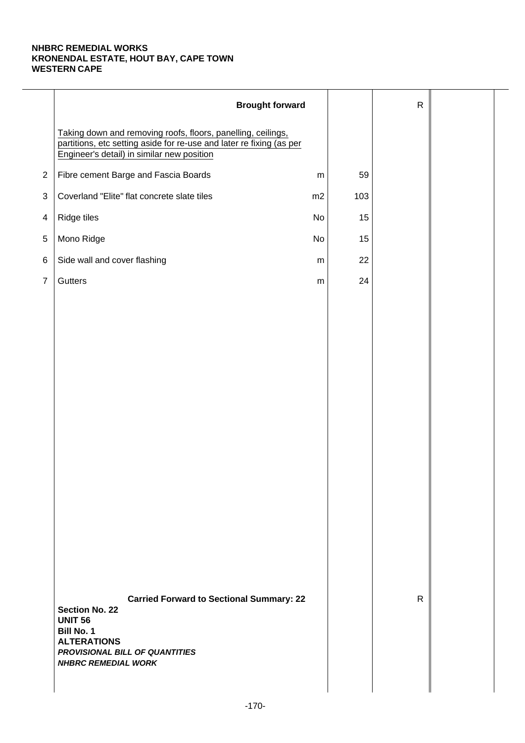|                | <b>Brought forward</b>                                                                                                                                                                                |           |     | $\mathsf{R}$ |  |
|----------------|-------------------------------------------------------------------------------------------------------------------------------------------------------------------------------------------------------|-----------|-----|--------------|--|
|                | Taking down and removing roofs, floors, panelling, ceilings,<br>partitions, etc setting aside for re-use and later re fixing (as per<br>Engineer's detail) in similar new position                    |           |     |              |  |
| $\overline{2}$ | Fibre cement Barge and Fascia Boards                                                                                                                                                                  | ${\sf m}$ | 59  |              |  |
| $\sqrt{3}$     | Coverland "Elite" flat concrete slate tiles                                                                                                                                                           | m2        | 103 |              |  |
| $\overline{4}$ | Ridge tiles                                                                                                                                                                                           | No        | 15  |              |  |
| 5              | Mono Ridge                                                                                                                                                                                            | No        | 15  |              |  |
| $\,6$          | Side wall and cover flashing                                                                                                                                                                          | m         | 22  |              |  |
| $\overline{7}$ | Gutters                                                                                                                                                                                               | ${\sf m}$ | 24  |              |  |
|                |                                                                                                                                                                                                       |           |     |              |  |
|                |                                                                                                                                                                                                       |           |     |              |  |
|                |                                                                                                                                                                                                       |           |     |              |  |
|                |                                                                                                                                                                                                       |           |     |              |  |
|                |                                                                                                                                                                                                       |           |     |              |  |
|                |                                                                                                                                                                                                       |           |     |              |  |
|                |                                                                                                                                                                                                       |           |     |              |  |
|                |                                                                                                                                                                                                       |           |     |              |  |
|                |                                                                                                                                                                                                       |           |     |              |  |
|                |                                                                                                                                                                                                       |           |     |              |  |
|                |                                                                                                                                                                                                       |           |     |              |  |
|                |                                                                                                                                                                                                       |           |     |              |  |
|                |                                                                                                                                                                                                       |           |     |              |  |
|                |                                                                                                                                                                                                       |           |     |              |  |
|                | <b>Carried Forward to Sectional Summary: 22</b><br><b>Section No. 22</b><br><b>UNIT 56</b><br><b>Bill No. 1</b><br><b>ALTERATIONS</b><br>PROVISIONAL BILL OF QUANTITIES<br><b>NHBRC REMEDIAL WORK</b> |           |     | $\mathsf{R}$ |  |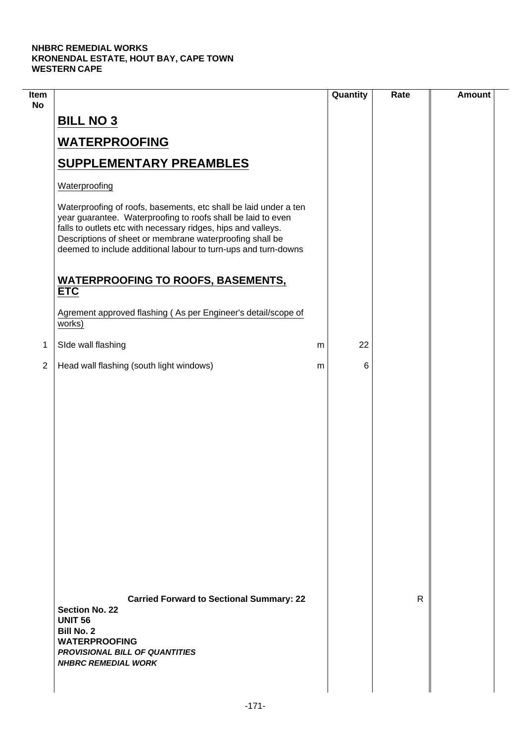| Item<br><b>No</b> |                                                                                                                                                                                                                                                                                                                                 |   | Quantity | Rate | <b>Amount</b> |
|-------------------|---------------------------------------------------------------------------------------------------------------------------------------------------------------------------------------------------------------------------------------------------------------------------------------------------------------------------------|---|----------|------|---------------|
|                   | <b>BILL NO 3</b>                                                                                                                                                                                                                                                                                                                |   |          |      |               |
|                   | <b>WATERPROOFING</b>                                                                                                                                                                                                                                                                                                            |   |          |      |               |
|                   | <b>SUPPLEMENTARY PREAMBLES</b>                                                                                                                                                                                                                                                                                                  |   |          |      |               |
|                   | Waterproofing                                                                                                                                                                                                                                                                                                                   |   |          |      |               |
|                   | Waterproofing of roofs, basements, etc shall be laid under a ten<br>year guarantee. Waterproofing to roofs shall be laid to even<br>falls to outlets etc with necessary ridges, hips and valleys.<br>Descriptions of sheet or membrane waterproofing shall be<br>deemed to include additional labour to turn-ups and turn-downs |   |          |      |               |
|                   | <b>WATERPROOFING TO ROOFS, BASEMENTS,</b><br><b>ETC</b>                                                                                                                                                                                                                                                                         |   |          |      |               |
|                   | Agrement approved flashing (As per Engineer's detail/scope of<br>works)                                                                                                                                                                                                                                                         |   |          |      |               |
| 1                 | SIde wall flashing                                                                                                                                                                                                                                                                                                              | m | 22       |      |               |
| $\overline{2}$    | Head wall flashing (south light windows)                                                                                                                                                                                                                                                                                        | m | 6        |      |               |
|                   |                                                                                                                                                                                                                                                                                                                                 |   |          |      |               |
|                   | <b>Carried Forward to Sectional Summary: 22</b><br><b>Section No. 22</b><br><b>UNIT 56</b><br><b>Bill No. 2</b><br><b>WATERPROOFING</b><br><b>PROVISIONAL BILL OF QUANTITIES</b><br><b>NHBRC REMEDIAL WORK</b>                                                                                                                  |   |          | R    |               |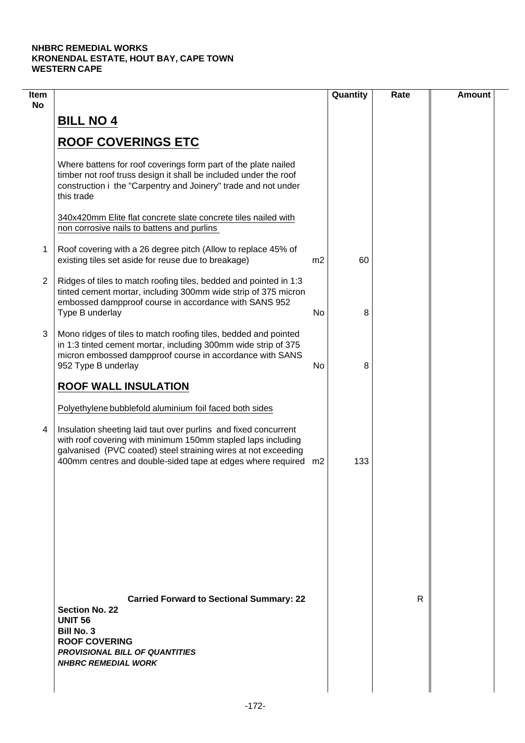| Item<br><b>No</b> |                                                                                                                                                                                                                                                                     |                | Quantity | Rate | <b>Amount</b> |
|-------------------|---------------------------------------------------------------------------------------------------------------------------------------------------------------------------------------------------------------------------------------------------------------------|----------------|----------|------|---------------|
|                   | <b>BILL NO 4</b>                                                                                                                                                                                                                                                    |                |          |      |               |
|                   | <b>ROOF COVERINGS ETC</b>                                                                                                                                                                                                                                           |                |          |      |               |
|                   | Where battens for roof coverings form part of the plate nailed<br>timber not roof truss design it shall be included under the roof<br>construction i the "Carpentry and Joinery" trade and not under<br>this trade                                                  |                |          |      |               |
|                   | 340x420mm Elite flat concrete slate concrete tiles nailed with<br>non corrosive nails to battens and purlins                                                                                                                                                        |                |          |      |               |
| 1                 | Roof covering with a 26 degree pitch (Allow to replace 45% of<br>existing tiles set aside for reuse due to breakage)                                                                                                                                                | m <sub>2</sub> | 60       |      |               |
| $\overline{2}$    | Ridges of tiles to match roofing tiles, bedded and pointed in 1:3<br>tinted cement mortar, including 300mm wide strip of 375 micron<br>embossed dampproof course in accordance with SANS 952<br>Type B underlay                                                     | No             | 8        |      |               |
| 3                 | Mono ridges of tiles to match roofing tiles, bedded and pointed<br>in 1:3 tinted cement mortar, including 300mm wide strip of 375<br>micron embossed dampproof course in accordance with SANS<br>952 Type B underlay                                                | No             | 8        |      |               |
|                   | <b>ROOF WALL INSULATION</b>                                                                                                                                                                                                                                         |                |          |      |               |
|                   | Polyethylene bubblefold aluminium foil faced both sides                                                                                                                                                                                                             |                |          |      |               |
| 4                 | Insulation sheeting laid taut over purlins and fixed concurrent<br>with roof covering with minimum 150mm stapled laps including<br>galvanised (PVC coated) steel straining wires at not exceeding<br>400mm centres and double-sided tape at edges where required m2 |                | 133      |      |               |
|                   |                                                                                                                                                                                                                                                                     |                |          |      |               |
|                   |                                                                                                                                                                                                                                                                     |                |          |      |               |
|                   |                                                                                                                                                                                                                                                                     |                |          |      |               |
|                   | <b>Carried Forward to Sectional Summary: 22</b><br><b>Section No. 22</b><br><b>UNIT 56</b><br><b>Bill No. 3</b><br><b>ROOF COVERING</b><br><b>PROVISIONAL BILL OF QUANTITIES</b><br><b>NHBRC REMEDIAL WORK</b>                                                      |                |          | R    |               |
|                   |                                                                                                                                                                                                                                                                     |                |          |      |               |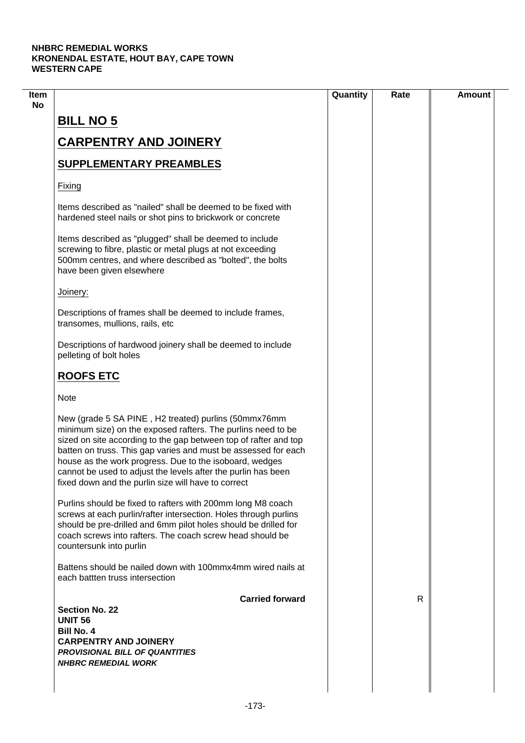| <b>BILL NO 5</b>                                                                                                                                                                                                                                                                                                                                                                                                                              |   |  |
|-----------------------------------------------------------------------------------------------------------------------------------------------------------------------------------------------------------------------------------------------------------------------------------------------------------------------------------------------------------------------------------------------------------------------------------------------|---|--|
| <b>CARPENTRY AND JOINERY</b>                                                                                                                                                                                                                                                                                                                                                                                                                  |   |  |
| <b>SUPPLEMENTARY PREAMBLES</b>                                                                                                                                                                                                                                                                                                                                                                                                                |   |  |
| Fixing                                                                                                                                                                                                                                                                                                                                                                                                                                        |   |  |
| Items described as "nailed" shall be deemed to be fixed with<br>hardened steel nails or shot pins to brickwork or concrete                                                                                                                                                                                                                                                                                                                    |   |  |
| Items described as "plugged" shall be deemed to include<br>screwing to fibre, plastic or metal plugs at not exceeding<br>500mm centres, and where described as "bolted", the bolts<br>have been given elsewhere                                                                                                                                                                                                                               |   |  |
| Joinery:                                                                                                                                                                                                                                                                                                                                                                                                                                      |   |  |
| Descriptions of frames shall be deemed to include frames,<br>transomes, mullions, rails, etc                                                                                                                                                                                                                                                                                                                                                  |   |  |
| Descriptions of hardwood joinery shall be deemed to include<br>pelleting of bolt holes                                                                                                                                                                                                                                                                                                                                                        |   |  |
| <b>ROOFS ETC</b>                                                                                                                                                                                                                                                                                                                                                                                                                              |   |  |
| <b>Note</b>                                                                                                                                                                                                                                                                                                                                                                                                                                   |   |  |
| New (grade 5 SA PINE, H2 treated) purlins (50mmx76mm<br>minimum size) on the exposed rafters. The purlins need to be<br>sized on site according to the gap between top of rafter and top<br>batten on truss. This gap varies and must be assessed for each<br>house as the work progress. Due to the isoboard, wedges<br>cannot be used to adjust the levels after the purlin has been<br>fixed down and the purlin size will have to correct |   |  |
| Purlins should be fixed to rafters with 200mm long M8 coach<br>screws at each purlin/rafter intersection. Holes through purlins<br>should be pre-drilled and 6mm pilot holes should be drilled for<br>coach screws into rafters. The coach screw head should be<br>countersunk into purlin                                                                                                                                                    |   |  |
| Battens should be nailed down with 100mmx4mm wired nails at<br>each battlen truss intersection                                                                                                                                                                                                                                                                                                                                                |   |  |
| <b>Carried forward</b>                                                                                                                                                                                                                                                                                                                                                                                                                        | R |  |
| <b>Section No. 22</b>                                                                                                                                                                                                                                                                                                                                                                                                                         |   |  |
| <b>UNIT 56</b><br><b>Bill No. 4</b>                                                                                                                                                                                                                                                                                                                                                                                                           |   |  |
| <b>CARPENTRY AND JOINERY</b>                                                                                                                                                                                                                                                                                                                                                                                                                  |   |  |
| <b>PROVISIONAL BILL OF QUANTITIES</b>                                                                                                                                                                                                                                                                                                                                                                                                         |   |  |
| <b>NHBRC REMEDIAL WORK</b>                                                                                                                                                                                                                                                                                                                                                                                                                    |   |  |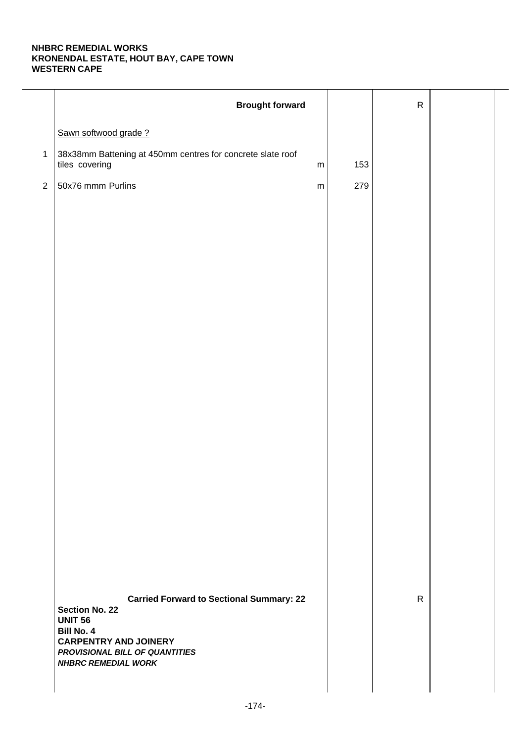| 153<br>${\sf m}$<br>279<br>${\sf m}$ |              |  |
|--------------------------------------|--------------|--|
|                                      |              |  |
|                                      |              |  |
|                                      |              |  |
|                                      |              |  |
|                                      |              |  |
|                                      |              |  |
|                                      |              |  |
|                                      |              |  |
|                                      |              |  |
|                                      |              |  |
|                                      |              |  |
|                                      |              |  |
|                                      |              |  |
|                                      |              |  |
|                                      |              |  |
|                                      |              |  |
|                                      |              |  |
|                                      |              |  |
|                                      | $\mathsf{R}$ |  |
|                                      |              |  |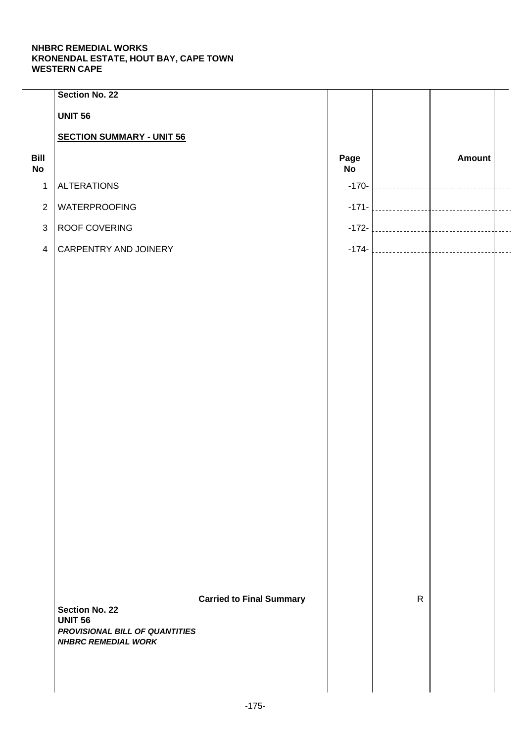|                   | Section No. 22                                                            |                                 |                   |              |                   |  |
|-------------------|---------------------------------------------------------------------------|---------------------------------|-------------------|--------------|-------------------|--|
|                   | <b>UNIT 56</b>                                                            |                                 |                   |              |                   |  |
|                   | <b>SECTION SUMMARY - UNIT 56</b>                                          |                                 |                   |              |                   |  |
| Bill<br><b>No</b> |                                                                           |                                 | Page<br><b>No</b> |              | Amount            |  |
| $\mathbf{1}$      | <b>ALTERATIONS</b>                                                        |                                 | $-170-$           |              |                   |  |
| $\overline{2}$    | <b>WATERPROOFING</b>                                                      |                                 | $-171-$           |              |                   |  |
| $\mathbf{3}$      | ROOF COVERING                                                             |                                 | $-172-$           |              |                   |  |
| $\overline{4}$    | CARPENTRY AND JOINERY                                                     |                                 |                   |              | $-174$ - $\Big\}$ |  |
|                   |                                                                           |                                 |                   |              |                   |  |
|                   |                                                                           |                                 |                   |              |                   |  |
|                   |                                                                           |                                 |                   |              |                   |  |
|                   |                                                                           |                                 |                   |              |                   |  |
|                   |                                                                           |                                 |                   |              |                   |  |
|                   |                                                                           |                                 |                   |              |                   |  |
|                   |                                                                           |                                 |                   |              |                   |  |
|                   |                                                                           |                                 |                   |              |                   |  |
|                   |                                                                           |                                 |                   |              |                   |  |
|                   |                                                                           |                                 |                   |              |                   |  |
|                   |                                                                           |                                 |                   |              |                   |  |
|                   |                                                                           |                                 |                   |              |                   |  |
|                   |                                                                           |                                 |                   |              |                   |  |
|                   |                                                                           |                                 |                   |              |                   |  |
|                   |                                                                           |                                 |                   |              |                   |  |
|                   |                                                                           |                                 |                   |              |                   |  |
|                   | <b>Section No. 22</b><br><b>UNIT 56</b><br>PROVISIONAL BILL OF QUANTITIES | <b>Carried to Final Summary</b> |                   | $\mathsf{R}$ |                   |  |
|                   | <b>NHBRC REMEDIAL WORK</b>                                                |                                 |                   |              |                   |  |
|                   |                                                                           |                                 |                   |              |                   |  |
|                   |                                                                           |                                 |                   |              |                   |  |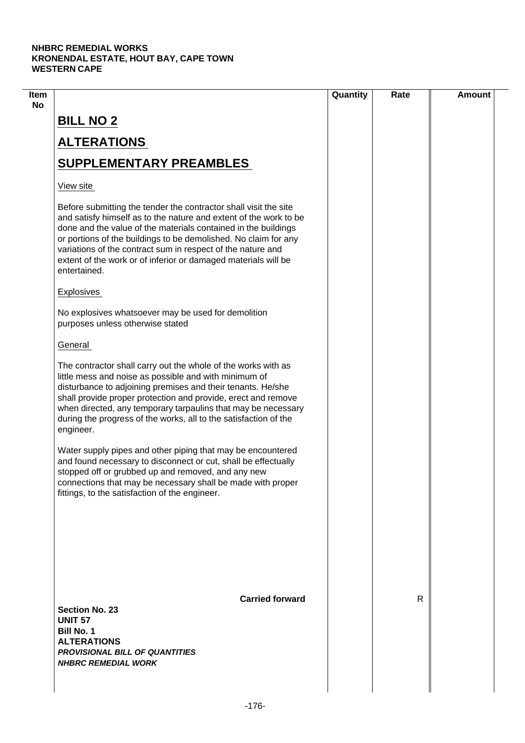| Item |                                                                                                                                                                                                                                                                                                                                                                                                                             | Quantity | Rate | <b>Amount</b> |
|------|-----------------------------------------------------------------------------------------------------------------------------------------------------------------------------------------------------------------------------------------------------------------------------------------------------------------------------------------------------------------------------------------------------------------------------|----------|------|---------------|
| No   | <b>BILL NO 2</b>                                                                                                                                                                                                                                                                                                                                                                                                            |          |      |               |
|      | <b>ALTERATIONS</b>                                                                                                                                                                                                                                                                                                                                                                                                          |          |      |               |
|      | <b>SUPPLEMENTARY PREAMBLES</b>                                                                                                                                                                                                                                                                                                                                                                                              |          |      |               |
|      | View site                                                                                                                                                                                                                                                                                                                                                                                                                   |          |      |               |
|      | Before submitting the tender the contractor shall visit the site<br>and satisfy himself as to the nature and extent of the work to be<br>done and the value of the materials contained in the buildings<br>or portions of the buildings to be demolished. No claim for any<br>variations of the contract sum in respect of the nature and<br>extent of the work or of inferior or damaged materials will be<br>entertained. |          |      |               |
|      | <b>Explosives</b>                                                                                                                                                                                                                                                                                                                                                                                                           |          |      |               |
|      | No explosives whatsoever may be used for demolition<br>purposes unless otherwise stated                                                                                                                                                                                                                                                                                                                                     |          |      |               |
|      | General                                                                                                                                                                                                                                                                                                                                                                                                                     |          |      |               |
|      | The contractor shall carry out the whole of the works with as<br>little mess and noise as possible and with minimum of<br>disturbance to adjoining premises and their tenants. He/she<br>shall provide proper protection and provide, erect and remove<br>when directed, any temporary tarpaulins that may be necessary<br>during the progress of the works, all to the satisfaction of the<br>engineer.                    |          |      |               |
|      | Water supply pipes and other piping that may be encountered<br>and found necessary to disconnect or cut, shall be effectually<br>stopped off or grubbed up and removed, and any new<br>connections that may be necessary shall be made with proper<br>fittings, to the satisfaction of the engineer.                                                                                                                        |          |      |               |
|      |                                                                                                                                                                                                                                                                                                                                                                                                                             |          |      |               |
|      | <b>Carried forward</b><br><b>Section No. 23</b><br><b>UNIT 57</b><br><b>Bill No. 1</b><br><b>ALTERATIONS</b><br><b>PROVISIONAL BILL OF QUANTITIES</b><br><b>NHBRC REMEDIAL WORK</b>                                                                                                                                                                                                                                         |          | R    |               |
|      |                                                                                                                                                                                                                                                                                                                                                                                                                             |          |      |               |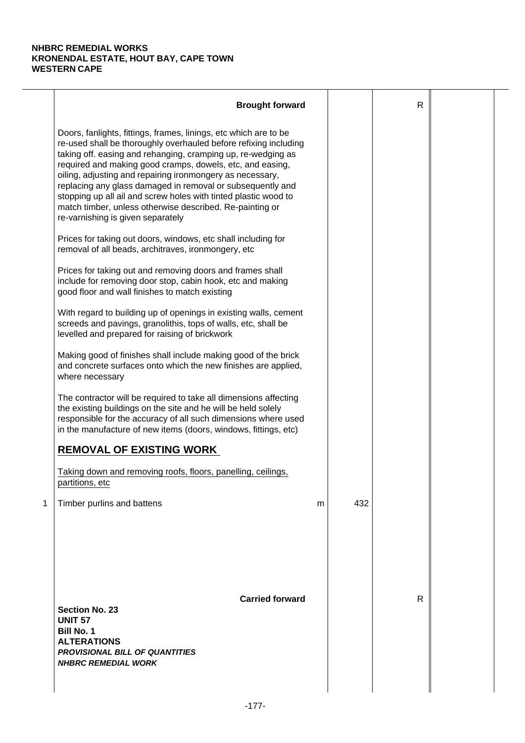|   | <b>Brought forward</b>                                                                                                                                                                                                                                                                                                                                                                                                                                                                                                                                           |   |     | $\mathsf{R}$ |  |
|---|------------------------------------------------------------------------------------------------------------------------------------------------------------------------------------------------------------------------------------------------------------------------------------------------------------------------------------------------------------------------------------------------------------------------------------------------------------------------------------------------------------------------------------------------------------------|---|-----|--------------|--|
|   | Doors, fanlights, fittings, frames, linings, etc which are to be<br>re-used shall be thoroughly overhauled before refixing including<br>taking off. easing and rehanging, cramping up, re-wedging as<br>required and making good cramps, dowels, etc, and easing,<br>oiling, adjusting and repairing ironmongery as necessary,<br>replacing any glass damaged in removal or subsequently and<br>stopping up all ail and screw holes with tinted plastic wood to<br>match timber, unless otherwise described. Re-painting or<br>re-varnishing is given separately |   |     |              |  |
|   | Prices for taking out doors, windows, etc shall including for<br>removal of all beads, architraves, ironmongery, etc                                                                                                                                                                                                                                                                                                                                                                                                                                             |   |     |              |  |
|   | Prices for taking out and removing doors and frames shall<br>include for removing door stop, cabin hook, etc and making<br>good floor and wall finishes to match existing                                                                                                                                                                                                                                                                                                                                                                                        |   |     |              |  |
|   | With regard to building up of openings in existing walls, cement<br>screeds and pavings, granolithis, tops of walls, etc, shall be<br>levelled and prepared for raising of brickwork                                                                                                                                                                                                                                                                                                                                                                             |   |     |              |  |
|   | Making good of finishes shall include making good of the brick<br>and concrete surfaces onto which the new finishes are applied,<br>where necessary                                                                                                                                                                                                                                                                                                                                                                                                              |   |     |              |  |
|   | The contractor will be required to take all dimensions affecting<br>the existing buildings on the site and he will be held solely<br>responsible for the accuracy of all such dimensions where used<br>in the manufacture of new items (doors, windows, fittings, etc)                                                                                                                                                                                                                                                                                           |   |     |              |  |
|   | <b>REMOVAL OF EXISTING WORK</b>                                                                                                                                                                                                                                                                                                                                                                                                                                                                                                                                  |   |     |              |  |
|   | Taking down and removing roofs, floors, panelling, ceilings,<br>partitions, etc                                                                                                                                                                                                                                                                                                                                                                                                                                                                                  |   |     |              |  |
| 1 | Timber purlins and battens                                                                                                                                                                                                                                                                                                                                                                                                                                                                                                                                       | m | 432 |              |  |
|   | <b>Carried forward</b><br><b>Section No. 23</b><br><b>UNIT 57</b><br><b>Bill No. 1</b><br><b>ALTERATIONS</b><br><b>PROVISIONAL BILL OF QUANTITIES</b><br><b>NHBRC REMEDIAL WORK</b>                                                                                                                                                                                                                                                                                                                                                                              |   |     | R            |  |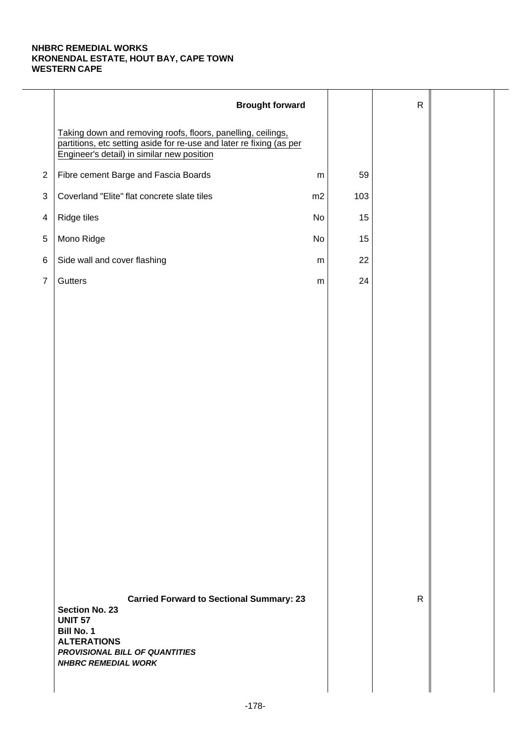|                | <b>Brought forward</b>                                                                                                                                                                                |           |     | $\mathsf{R}$ |  |
|----------------|-------------------------------------------------------------------------------------------------------------------------------------------------------------------------------------------------------|-----------|-----|--------------|--|
|                | Taking down and removing roofs, floors, panelling, ceilings,<br>partitions, etc setting aside for re-use and later re fixing (as per<br>Engineer's detail) in similar new position                    |           |     |              |  |
| $\overline{2}$ | Fibre cement Barge and Fascia Boards                                                                                                                                                                  | ${\sf m}$ | 59  |              |  |
| $\sqrt{3}$     | Coverland "Elite" flat concrete slate tiles                                                                                                                                                           | m2        | 103 |              |  |
| $\overline{4}$ | Ridge tiles                                                                                                                                                                                           | No        | 15  |              |  |
| 5              | Mono Ridge                                                                                                                                                                                            | No        | 15  |              |  |
| $\,6$          | Side wall and cover flashing                                                                                                                                                                          | m         | 22  |              |  |
| $\overline{7}$ | Gutters                                                                                                                                                                                               | ${\sf m}$ | 24  |              |  |
|                |                                                                                                                                                                                                       |           |     |              |  |
|                |                                                                                                                                                                                                       |           |     |              |  |
|                |                                                                                                                                                                                                       |           |     |              |  |
|                |                                                                                                                                                                                                       |           |     |              |  |
|                |                                                                                                                                                                                                       |           |     |              |  |
|                |                                                                                                                                                                                                       |           |     |              |  |
|                |                                                                                                                                                                                                       |           |     |              |  |
|                |                                                                                                                                                                                                       |           |     |              |  |
|                |                                                                                                                                                                                                       |           |     |              |  |
|                |                                                                                                                                                                                                       |           |     |              |  |
|                |                                                                                                                                                                                                       |           |     |              |  |
|                |                                                                                                                                                                                                       |           |     |              |  |
|                |                                                                                                                                                                                                       |           |     |              |  |
|                |                                                                                                                                                                                                       |           |     |              |  |
|                | <b>Carried Forward to Sectional Summary: 23</b><br><b>Section No. 23</b><br><b>UNIT 57</b><br><b>Bill No. 1</b><br><b>ALTERATIONS</b><br>PROVISIONAL BILL OF QUANTITIES<br><b>NHBRC REMEDIAL WORK</b> |           |     | $\mathsf{R}$ |  |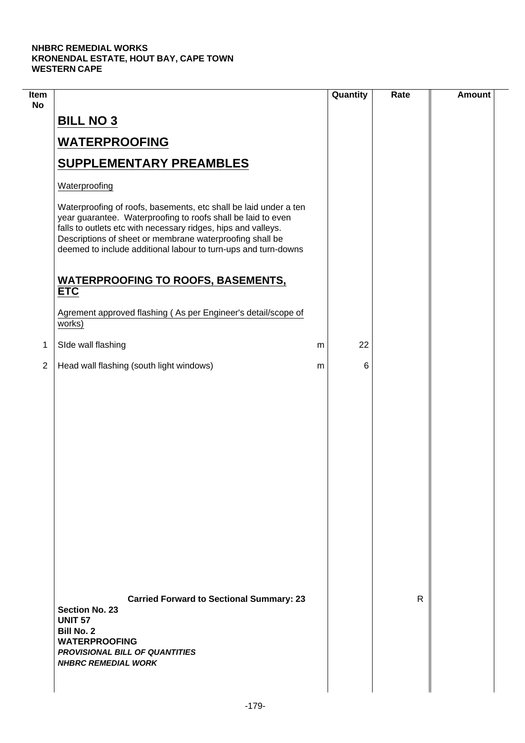$\mathcal{L}$ 

| Item<br><b>No</b> |                                                                                                                                                                                                                                                                                                                                 | Quantity | Rate | <b>Amount</b> |
|-------------------|---------------------------------------------------------------------------------------------------------------------------------------------------------------------------------------------------------------------------------------------------------------------------------------------------------------------------------|----------|------|---------------|
|                   | <b>BILL NO 3</b>                                                                                                                                                                                                                                                                                                                |          |      |               |
|                   | <b>WATERPROOFING</b>                                                                                                                                                                                                                                                                                                            |          |      |               |
|                   | <b>SUPPLEMENTARY PREAMBLES</b>                                                                                                                                                                                                                                                                                                  |          |      |               |
|                   | Waterproofing                                                                                                                                                                                                                                                                                                                   |          |      |               |
|                   | Waterproofing of roofs, basements, etc shall be laid under a ten<br>year guarantee. Waterproofing to roofs shall be laid to even<br>falls to outlets etc with necessary ridges, hips and valleys.<br>Descriptions of sheet or membrane waterproofing shall be<br>deemed to include additional labour to turn-ups and turn-downs |          |      |               |
|                   | <b>WATERPROOFING TO ROOFS, BASEMENTS,</b><br><b>ETC</b>                                                                                                                                                                                                                                                                         |          |      |               |
|                   | Agrement approved flashing (As per Engineer's detail/scope of<br>works)                                                                                                                                                                                                                                                         |          |      |               |
| 1                 | SIde wall flashing                                                                                                                                                                                                                                                                                                              | 22<br>m  |      |               |
| $\overline{2}$    | Head wall flashing (south light windows)                                                                                                                                                                                                                                                                                        | 6<br>m   |      |               |
|                   |                                                                                                                                                                                                                                                                                                                                 |          |      |               |
|                   | <b>Carried Forward to Sectional Summary: 23</b><br><b>Section No. 23</b><br><b>UNIT 57</b><br><b>Bill No. 2</b><br><b>WATERPROOFING</b><br><b>PROVISIONAL BILL OF QUANTITIES</b><br><b>NHBRC REMEDIAL WORK</b>                                                                                                                  |          | R    |               |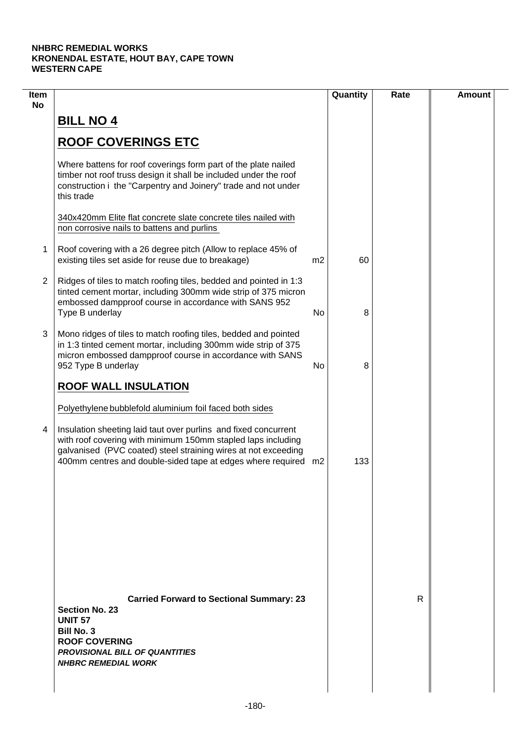| Item<br><b>No</b> |                                                                                                                                                                                                                                                                     |    | Quantity | Rate | <b>Amount</b> |
|-------------------|---------------------------------------------------------------------------------------------------------------------------------------------------------------------------------------------------------------------------------------------------------------------|----|----------|------|---------------|
|                   | <b>BILL NO 4</b>                                                                                                                                                                                                                                                    |    |          |      |               |
|                   | <b>ROOF COVERINGS ETC</b>                                                                                                                                                                                                                                           |    |          |      |               |
|                   | Where battens for roof coverings form part of the plate nailed<br>timber not roof truss design it shall be included under the roof<br>construction i the "Carpentry and Joinery" trade and not under<br>this trade                                                  |    |          |      |               |
|                   | 340x420mm Elite flat concrete slate concrete tiles nailed with<br>non corrosive nails to battens and purlins                                                                                                                                                        |    |          |      |               |
| 1                 | Roof covering with a 26 degree pitch (Allow to replace 45% of<br>existing tiles set aside for reuse due to breakage)                                                                                                                                                | m2 | 60       |      |               |
| 2                 | Ridges of tiles to match roofing tiles, bedded and pointed in 1:3<br>tinted cement mortar, including 300mm wide strip of 375 micron<br>embossed dampproof course in accordance with SANS 952<br>Type B underlay                                                     | No | 8        |      |               |
| 3                 | Mono ridges of tiles to match roofing tiles, bedded and pointed<br>in 1:3 tinted cement mortar, including 300mm wide strip of 375<br>micron embossed dampproof course in accordance with SANS<br>952 Type B underlay                                                | No | 8        |      |               |
|                   | <b>ROOF WALL INSULATION</b>                                                                                                                                                                                                                                         |    |          |      |               |
|                   | Polyethylene bubblefold aluminium foil faced both sides                                                                                                                                                                                                             |    |          |      |               |
| 4                 | Insulation sheeting laid taut over purlins and fixed concurrent<br>with roof covering with minimum 150mm stapled laps including<br>galvanised (PVC coated) steel straining wires at not exceeding<br>400mm centres and double-sided tape at edges where required m2 |    | 133      |      |               |
|                   |                                                                                                                                                                                                                                                                     |    |          |      |               |
|                   |                                                                                                                                                                                                                                                                     |    |          |      |               |
|                   |                                                                                                                                                                                                                                                                     |    |          |      |               |
|                   | <b>Carried Forward to Sectional Summary: 23</b><br><b>Section No. 23</b><br><b>UNIT 57</b><br><b>Bill No. 3</b><br><b>ROOF COVERING</b><br><b>PROVISIONAL BILL OF QUANTITIES</b><br><b>NHBRC REMEDIAL WORK</b>                                                      |    |          | R    |               |
|                   |                                                                                                                                                                                                                                                                     |    |          |      |               |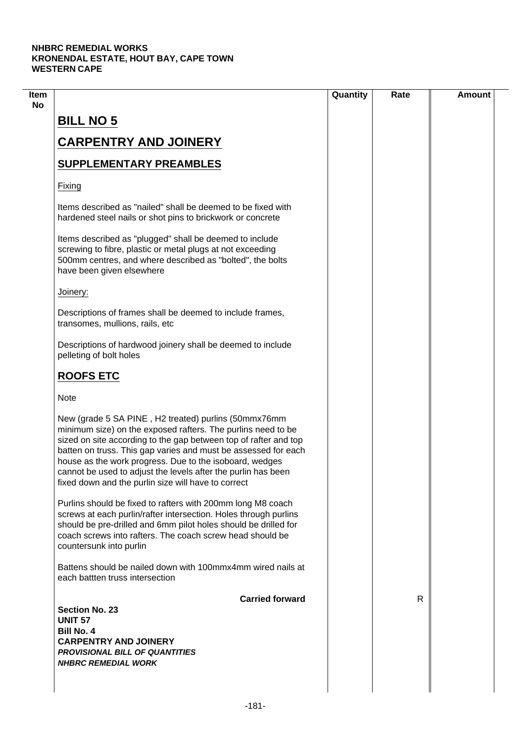| <b>BILL NO 5</b><br><b>CARPENTRY AND JOINERY</b><br><b>SUPPLEMENTARY PREAMBLES</b><br>Fixing                                                                                                                                                                                                                                                                                                                                                  |   |  |
|-----------------------------------------------------------------------------------------------------------------------------------------------------------------------------------------------------------------------------------------------------------------------------------------------------------------------------------------------------------------------------------------------------------------------------------------------|---|--|
|                                                                                                                                                                                                                                                                                                                                                                                                                                               |   |  |
|                                                                                                                                                                                                                                                                                                                                                                                                                                               |   |  |
|                                                                                                                                                                                                                                                                                                                                                                                                                                               |   |  |
|                                                                                                                                                                                                                                                                                                                                                                                                                                               |   |  |
| Items described as "nailed" shall be deemed to be fixed with<br>hardened steel nails or shot pins to brickwork or concrete                                                                                                                                                                                                                                                                                                                    |   |  |
| Items described as "plugged" shall be deemed to include<br>screwing to fibre, plastic or metal plugs at not exceeding<br>500mm centres, and where described as "bolted", the bolts<br>have been given elsewhere                                                                                                                                                                                                                               |   |  |
| Joinery:                                                                                                                                                                                                                                                                                                                                                                                                                                      |   |  |
| Descriptions of frames shall be deemed to include frames,<br>transomes, mullions, rails, etc                                                                                                                                                                                                                                                                                                                                                  |   |  |
| Descriptions of hardwood joinery shall be deemed to include<br>pelleting of bolt holes                                                                                                                                                                                                                                                                                                                                                        |   |  |
| <b>ROOFS ETC</b>                                                                                                                                                                                                                                                                                                                                                                                                                              |   |  |
| <b>Note</b>                                                                                                                                                                                                                                                                                                                                                                                                                                   |   |  |
| New (grade 5 SA PINE, H2 treated) purlins (50mmx76mm<br>minimum size) on the exposed rafters. The purlins need to be<br>sized on site according to the gap between top of rafter and top<br>batten on truss. This gap varies and must be assessed for each<br>house as the work progress. Due to the isoboard, wedges<br>cannot be used to adjust the levels after the purlin has been<br>fixed down and the purlin size will have to correct |   |  |
| Purlins should be fixed to rafters with 200mm long M8 coach<br>screws at each purlin/rafter intersection. Holes through purlins<br>should be pre-drilled and 6mm pilot holes should be drilled for<br>coach screws into rafters. The coach screw head should be<br>countersunk into purlin                                                                                                                                                    |   |  |
| Battens should be nailed down with 100mmx4mm wired nails at<br>each battlen truss intersection                                                                                                                                                                                                                                                                                                                                                |   |  |
| <b>Carried forward</b>                                                                                                                                                                                                                                                                                                                                                                                                                        | R |  |
| <b>Section No. 23</b>                                                                                                                                                                                                                                                                                                                                                                                                                         |   |  |
| <b>UNIT 57</b><br><b>Bill No. 4</b>                                                                                                                                                                                                                                                                                                                                                                                                           |   |  |
| <b>CARPENTRY AND JOINERY</b>                                                                                                                                                                                                                                                                                                                                                                                                                  |   |  |
| <b>PROVISIONAL BILL OF QUANTITIES</b>                                                                                                                                                                                                                                                                                                                                                                                                         |   |  |
| <b>NHBRC REMEDIAL WORK</b>                                                                                                                                                                                                                                                                                                                                                                                                                    |   |  |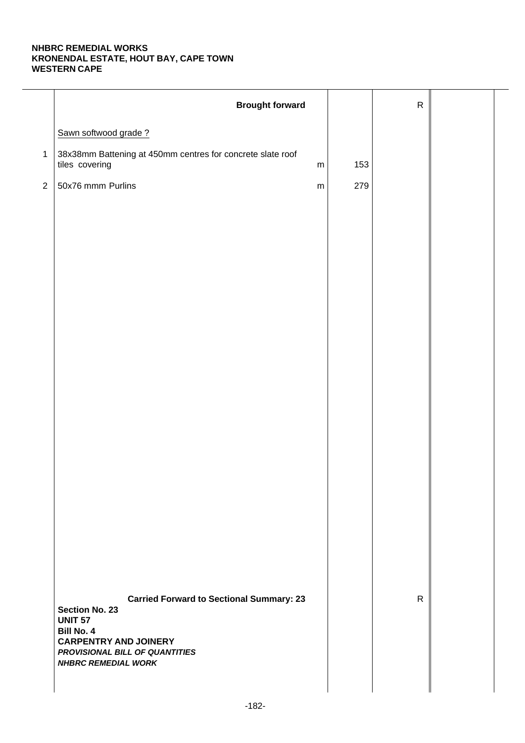|              | <b>Brought forward</b>                                                                                                                                                     |     | ${\sf R}$    |  |
|--------------|----------------------------------------------------------------------------------------------------------------------------------------------------------------------------|-----|--------------|--|
|              | Sawn softwood grade?                                                                                                                                                       |     |              |  |
| $\mathbf{1}$ | 38x38mm Battening at 450mm centres for concrete slate roof<br>tiles covering<br>${\sf m}$                                                                                  | 153 |              |  |
| $\sqrt{2}$   | 50x76 mmm Purlins<br>${\sf m}$                                                                                                                                             | 279 |              |  |
|              |                                                                                                                                                                            |     |              |  |
|              |                                                                                                                                                                            |     |              |  |
|              |                                                                                                                                                                            |     |              |  |
|              |                                                                                                                                                                            |     |              |  |
|              |                                                                                                                                                                            |     |              |  |
|              |                                                                                                                                                                            |     |              |  |
|              |                                                                                                                                                                            |     |              |  |
|              |                                                                                                                                                                            |     |              |  |
|              |                                                                                                                                                                            |     |              |  |
|              |                                                                                                                                                                            |     |              |  |
|              |                                                                                                                                                                            |     |              |  |
|              |                                                                                                                                                                            |     |              |  |
|              |                                                                                                                                                                            |     |              |  |
|              |                                                                                                                                                                            |     |              |  |
|              |                                                                                                                                                                            |     |              |  |
|              |                                                                                                                                                                            |     |              |  |
|              | <b>Carried Forward to Sectional Summary: 23</b><br><b>Section No. 23</b><br><b>UNIT 57</b><br>Bill No. 4<br><b>CARPENTRY AND JOINERY</b><br>PROVISIONAL BILL OF QUANTITIES |     | $\mathsf{R}$ |  |
|              | <b>NHBRC REMEDIAL WORK</b>                                                                                                                                                 |     |              |  |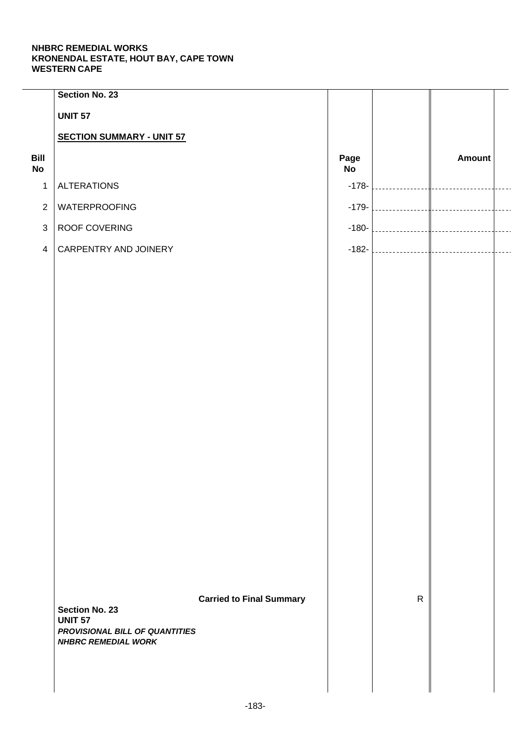|                   | Section No. 23                                               |                                 |                   |              |               |  |
|-------------------|--------------------------------------------------------------|---------------------------------|-------------------|--------------|---------------|--|
|                   | <b>UNIT 57</b>                                               |                                 |                   |              |               |  |
|                   | <b>SECTION SUMMARY - UNIT 57</b>                             |                                 |                   |              |               |  |
| Bill<br><b>No</b> |                                                              |                                 | Page<br><b>No</b> |              | <b>Amount</b> |  |
| $\mathbf{1}$      | <b>ALTERATIONS</b>                                           |                                 | $-178-$           |              |               |  |
| $\overline{2}$    | WATERPROOFING                                                |                                 | $-179-$           |              |               |  |
| $\mathbf{3}$      | ROOF COVERING                                                |                                 | $-180-$           |              |               |  |
| $\overline{4}$    | CARPENTRY AND JOINERY                                        |                                 | $-182-$           |              |               |  |
|                   |                                                              |                                 |                   |              |               |  |
|                   |                                                              |                                 |                   |              |               |  |
|                   |                                                              |                                 |                   |              |               |  |
|                   |                                                              |                                 |                   |              |               |  |
|                   |                                                              |                                 |                   |              |               |  |
|                   |                                                              |                                 |                   |              |               |  |
|                   |                                                              |                                 |                   |              |               |  |
|                   |                                                              |                                 |                   |              |               |  |
|                   |                                                              |                                 |                   |              |               |  |
|                   |                                                              |                                 |                   |              |               |  |
|                   |                                                              |                                 |                   |              |               |  |
|                   |                                                              |                                 |                   |              |               |  |
|                   |                                                              |                                 |                   |              |               |  |
|                   |                                                              |                                 |                   |              |               |  |
|                   |                                                              |                                 |                   |              |               |  |
|                   |                                                              |                                 |                   |              |               |  |
|                   | <b>Section No. 23</b>                                        | <b>Carried to Final Summary</b> |                   | $\mathsf{R}$ |               |  |
|                   | <b>UNIT 57</b>                                               |                                 |                   |              |               |  |
|                   | PROVISIONAL BILL OF QUANTITIES<br><b>NHBRC REMEDIAL WORK</b> |                                 |                   |              |               |  |
|                   |                                                              |                                 |                   |              |               |  |
|                   |                                                              |                                 |                   |              |               |  |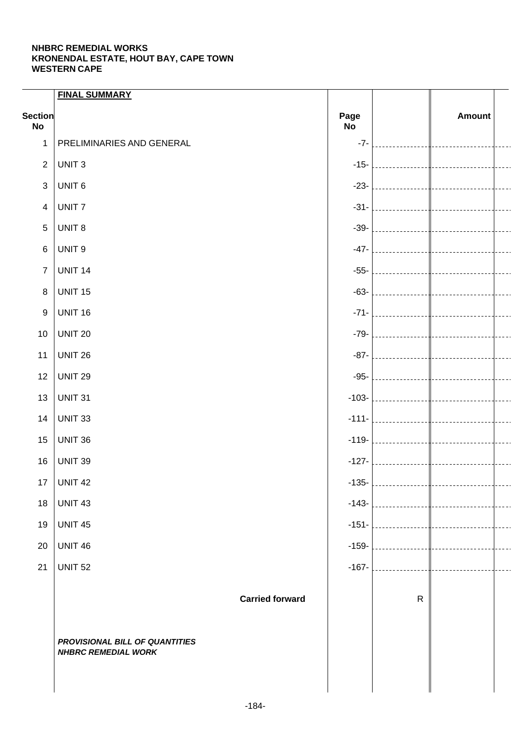|                             | <b>FINAL SUMMARY</b>                                                                   |                   |                                 |                        |           |
|-----------------------------|----------------------------------------------------------------------------------------|-------------------|---------------------------------|------------------------|-----------|
| <b>Section</b><br><b>No</b> |                                                                                        | Page<br><b>No</b> |                                 | <b>Amount</b>          |           |
| $\mathbf{1}$                | PRELIMINARIES AND GENERAL                                                              | $-7-$             |                                 |                        |           |
| $\overline{2}$              | UNIT <sub>3</sub>                                                                      | $-15-$            |                                 |                        |           |
| $\mathbf{3}$                | UNIT <sub>6</sub>                                                                      | $-23-$            |                                 |                        |           |
| $\overline{\mathbf{4}}$     | UNIT <sub>7</sub>                                                                      | $-31-$            |                                 |                        |           |
| $\sqrt{5}$                  | UNIT <sub>8</sub>                                                                      | $-39-$            |                                 |                        |           |
| $\,6$                       | UNIT <sub>9</sub>                                                                      | $-47-$            |                                 |                        |           |
| $\overline{7}$              | <b>UNIT 14</b>                                                                         | $-55-$            |                                 |                        |           |
| $\, 8$                      | <b>UNIT 15</b>                                                                         | $-63-$            |                                 |                        |           |
| 9                           | <b>UNIT 16</b>                                                                         | $-71-$            |                                 |                        |           |
| 10                          | <b>UNIT 20</b>                                                                         | $-79-$            |                                 |                        |           |
| 11                          | <b>UNIT 26</b>                                                                         | $-87-$            |                                 |                        |           |
| 12                          | <b>UNIT 29</b>                                                                         | $-95-$            |                                 |                        |           |
| 13                          | <b>UNIT 31</b>                                                                         | $-103-$           |                                 |                        |           |
| 14                          | <b>UNIT 33</b>                                                                         | $-111-$           |                                 |                        |           |
| 15                          | <b>UNIT 36</b>                                                                         | $-119-$           |                                 |                        |           |
| 16                          | <b>UNIT 39</b>                                                                         | $-127-$           |                                 |                        |           |
| 17 <sub>2</sub>             | <b>UNIT 42</b>                                                                         | $-135-$           | __________                      |                        |           |
| 18                          | <b>UNIT 43</b>                                                                         | $-143-$           | the contract of the contract of | <br> ----------------- |           |
| 19                          | <b>UNIT 45</b>                                                                         | $-151-$           | the contract of the contract of | __________________     |           |
| 20                          | <b>UNIT 46</b>                                                                         | $-159-$           | . 1                             | -----------------      | $- - - -$ |
| 21                          | <b>UNIT 52</b>                                                                         | $-167-$           |                                 | -----------------      | $- - - -$ |
|                             | <b>Carried forward</b><br>PROVISIONAL BILL OF QUANTITIES<br><b>NHBRC REMEDIAL WORK</b> |                   | ${\sf R}$                       |                        |           |
|                             |                                                                                        |                   |                                 |                        |           |